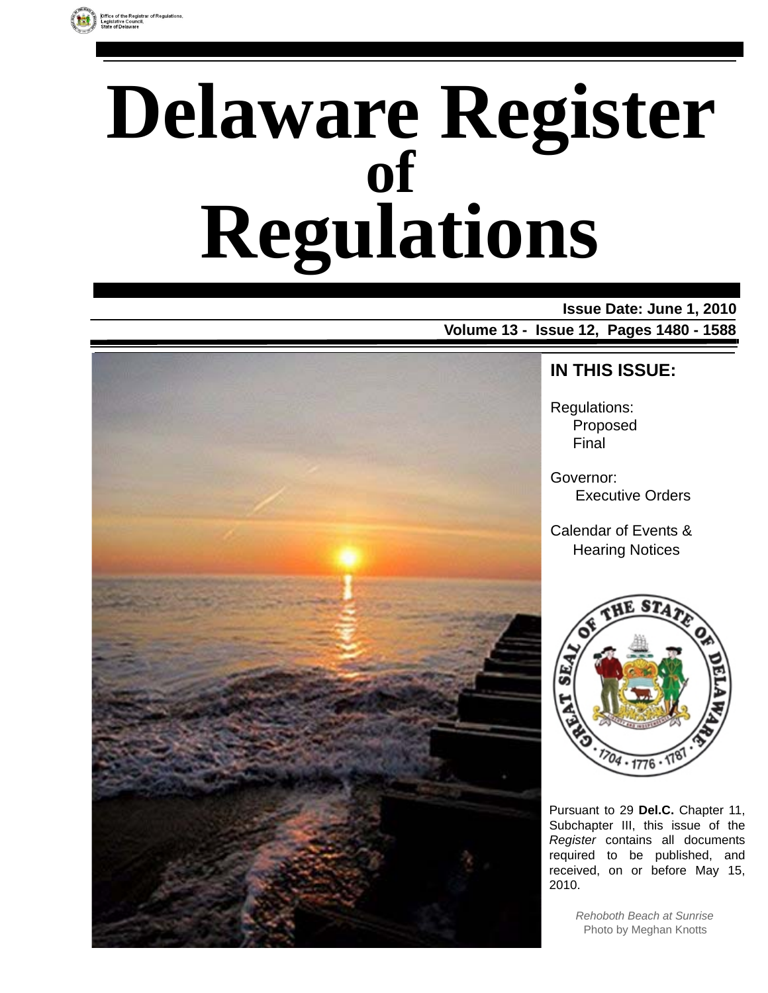

# **Delaware Register Regulations of**

### **Issue Date: June 1, 2010 Volume 13 - Issue 12, Pages 1480 - 1588**



### **IN THIS ISSUE:**

Regulations: Proposed Final

Governor: Executive Orders

Calendar of Events & Hearing Notices



Pursuant to 29 **Del.C.** Chapter 11, Subchapter III, this issue of the *Register* contains all documents required to be published, and received, on or before May 15, 2010.

> *Rehoboth Beach at Sunrise* Photo by Meghan Knotts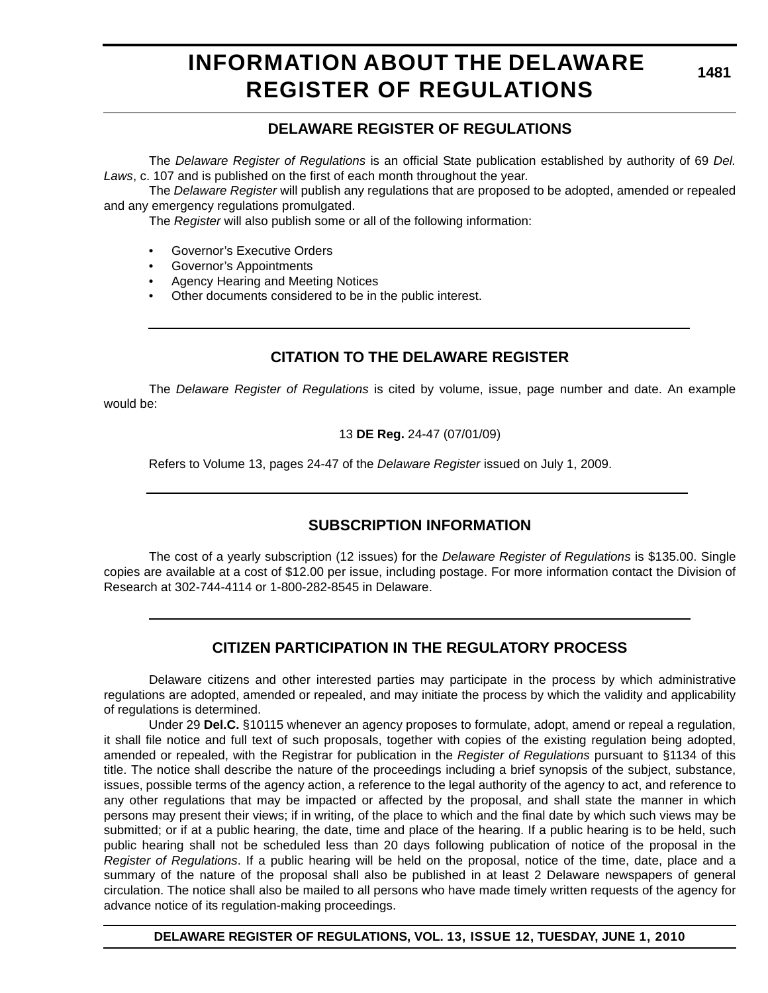# **INFORMATION ABOUT THE DELAWARE REGISTER OF REGULATIONS**

**1481**

### **DELAWARE REGISTER OF REGULATIONS**

The *Delaware Register of Regulations* is an official State publication established by authority of 69 *Del. Laws*, c. 107 and is published on the first of each month throughout the year.

The *Delaware Register* will publish any regulations that are proposed to be adopted, amended or repealed and any emergency regulations promulgated.

The *Register* will also publish some or all of the following information:

- Governor's Executive Orders
- Governor's Appointments
- Agency Hearing and Meeting Notices
- Other documents considered to be in the public interest.

### **CITATION TO THE DELAWARE REGISTER**

The *Delaware Register of Regulations* is cited by volume, issue, page number and date. An example would be:

13 **DE Reg.** 24-47 (07/01/09)

Refers to Volume 13, pages 24-47 of the *Delaware Register* issued on July 1, 2009.

### **SUBSCRIPTION INFORMATION**

The cost of a yearly subscription (12 issues) for the *Delaware Register of Regulations* is \$135.00. Single copies are available at a cost of \$12.00 per issue, including postage. For more information contact the Division of Research at 302-744-4114 or 1-800-282-8545 in Delaware.

### **CITIZEN PARTICIPATION IN THE REGULATORY PROCESS**

Delaware citizens and other interested parties may participate in the process by which administrative regulations are adopted, amended or repealed, and may initiate the process by which the validity and applicability of regulations is determined.

Under 29 **Del.C.** §10115 whenever an agency proposes to formulate, adopt, amend or repeal a regulation, it shall file notice and full text of such proposals, together with copies of the existing regulation being adopted, amended or repealed, with the Registrar for publication in the *Register of Regulations* pursuant to §1134 of this title. The notice shall describe the nature of the proceedings including a brief synopsis of the subject, substance, issues, possible terms of the agency action, a reference to the legal authority of the agency to act, and reference to any other regulations that may be impacted or affected by the proposal, and shall state the manner in which persons may present their views; if in writing, of the place to which and the final date by which such views may be submitted; or if at a public hearing, the date, time and place of the hearing. If a public hearing is to be held, such public hearing shall not be scheduled less than 20 days following publication of notice of the proposal in the *Register of Regulations*. If a public hearing will be held on the proposal, notice of the time, date, place and a summary of the nature of the proposal shall also be published in at least 2 Delaware newspapers of general circulation. The notice shall also be mailed to all persons who have made timely written requests of the agency for advance notice of its regulation-making proceedings.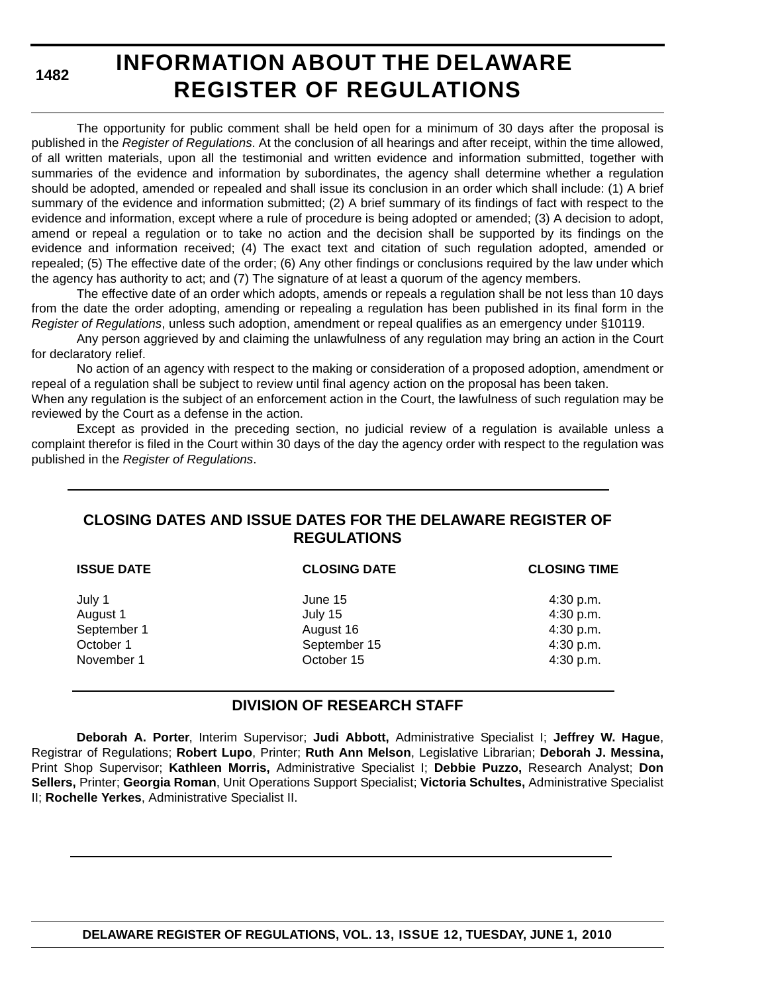# **INFORMATION ABOUT THE DELAWARE REGISTER OF REGULATIONS**

The opportunity for public comment shall be held open for a minimum of 30 days after the proposal is published in the *Register of Regulations*. At the conclusion of all hearings and after receipt, within the time allowed, of all written materials, upon all the testimonial and written evidence and information submitted, together with summaries of the evidence and information by subordinates, the agency shall determine whether a regulation should be adopted, amended or repealed and shall issue its conclusion in an order which shall include: (1) A brief summary of the evidence and information submitted; (2) A brief summary of its findings of fact with respect to the evidence and information, except where a rule of procedure is being adopted or amended; (3) A decision to adopt, amend or repeal a regulation or to take no action and the decision shall be supported by its findings on the evidence and information received; (4) The exact text and citation of such regulation adopted, amended or repealed; (5) The effective date of the order; (6) Any other findings or conclusions required by the law under which the agency has authority to act; and (7) The signature of at least a quorum of the agency members.

The effective date of an order which adopts, amends or repeals a regulation shall be not less than 10 days from the date the order adopting, amending or repealing a regulation has been published in its final form in the *Register of Regulations*, unless such adoption, amendment or repeal qualifies as an emergency under §10119.

Any person aggrieved by and claiming the unlawfulness of any regulation may bring an action in the Court for declaratory relief.

No action of an agency with respect to the making or consideration of a proposed adoption, amendment or repeal of a regulation shall be subject to review until final agency action on the proposal has been taken.

When any regulation is the subject of an enforcement action in the Court, the lawfulness of such regulation may be reviewed by the Court as a defense in the action.

Except as provided in the preceding section, no judicial review of a regulation is available unless a complaint therefor is filed in the Court within 30 days of the day the agency order with respect to the regulation was published in the *Register of Regulations*.

### **CLOSING DATES AND ISSUE DATES FOR THE DELAWARE REGISTER OF REGULATIONS**

| <b>ISSUE DATE</b>                              | <b>CLOSING DATE</b>                             | <b>CLOSING TIME</b>                              |
|------------------------------------------------|-------------------------------------------------|--------------------------------------------------|
| July 1<br>August 1<br>September 1<br>October 1 | June 15<br>July 15<br>August 16<br>September 15 | 4:30 p.m.<br>4:30 p.m.<br>4:30 p.m.<br>4:30 p.m. |
| November 1                                     | October 15                                      | 4:30 p.m.                                        |

### **DIVISION OF RESEARCH STAFF**

**Deborah A. Porter**, Interim Supervisor; **Judi Abbott,** Administrative Specialist I; **Jeffrey W. Hague**, Registrar of Regulations; **Robert Lupo**, Printer; **Ruth Ann Melson**, Legislative Librarian; **Deborah J. Messina,** Print Shop Supervisor; **Kathleen Morris,** Administrative Specialist I; **Debbie Puzzo,** Research Analyst; **Don Sellers,** Printer; **Georgia Roman**, Unit Operations Support Specialist; **Victoria Schultes,** Administrative Specialist II; **Rochelle Yerkes**, Administrative Specialist II.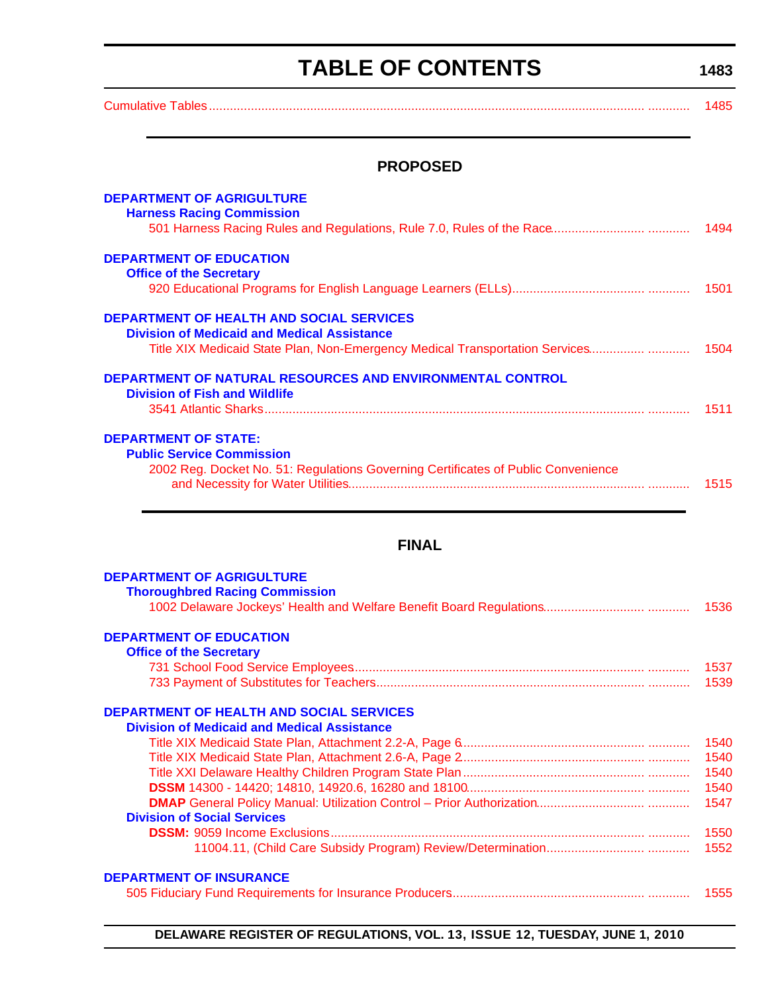# **TABLE OF CONTENTS**

<span id="page-3-0"></span>[Cumulative Tables............................................................................................................................. ............ 1485](#page-5-0)

**1483**

### **PROPOSED**

| <b>DEPARTMENT OF AGRIGULTURE</b><br><b>Harness Racing Commission</b>                                     |      |
|----------------------------------------------------------------------------------------------------------|------|
| <b>DEPARTMENT OF EDUCATION</b><br><b>Office of the Secretary</b>                                         |      |
|                                                                                                          | 1501 |
| <b>DEPARTMENT OF HEALTH AND SOCIAL SERVICES</b><br><b>Division of Medicaid and Medical Assistance</b>    |      |
| Title XIX Medicaid State Plan, Non-Emergency Medical Transportation Services                             | 1504 |
| <b>DEPARTMENT OF NATURAL RESOURCES AND ENVIRONMENTAL CONTROL</b><br><b>Division of Fish and Wildlife</b> |      |
|                                                                                                          | 1511 |
| <b>DEPARTMENT OF STATE:</b><br><b>Public Service Commission</b>                                          |      |
| 2002 Reg. Docket No. 51: Regulations Governing Certificates of Public Convenience                        | 1515 |

### **FINAL**

| <b>DEPARTMENT OF AGRIGULTURE</b>                   |
|----------------------------------------------------|
| <b>Thoroughbred Racing Commission</b>              |
|                                                    |
| <b>DEPARTMENT OF EDUCATION</b>                     |
| <b>Office of the Secretary</b>                     |
| 1537                                               |
| 1539                                               |
| <b>DEPARTMENT OF HEALTH AND SOCIAL SERVICES</b>    |
| <b>Division of Medicaid and Medical Assistance</b> |
| 1540                                               |
| 1540                                               |
| 1540                                               |
| 1540                                               |
| 1547                                               |
| <b>Division of Social Services</b>                 |
| 1550                                               |
| 1552                                               |
| <b>DEPARTMENT OF INSURANCE</b>                     |
| 1555                                               |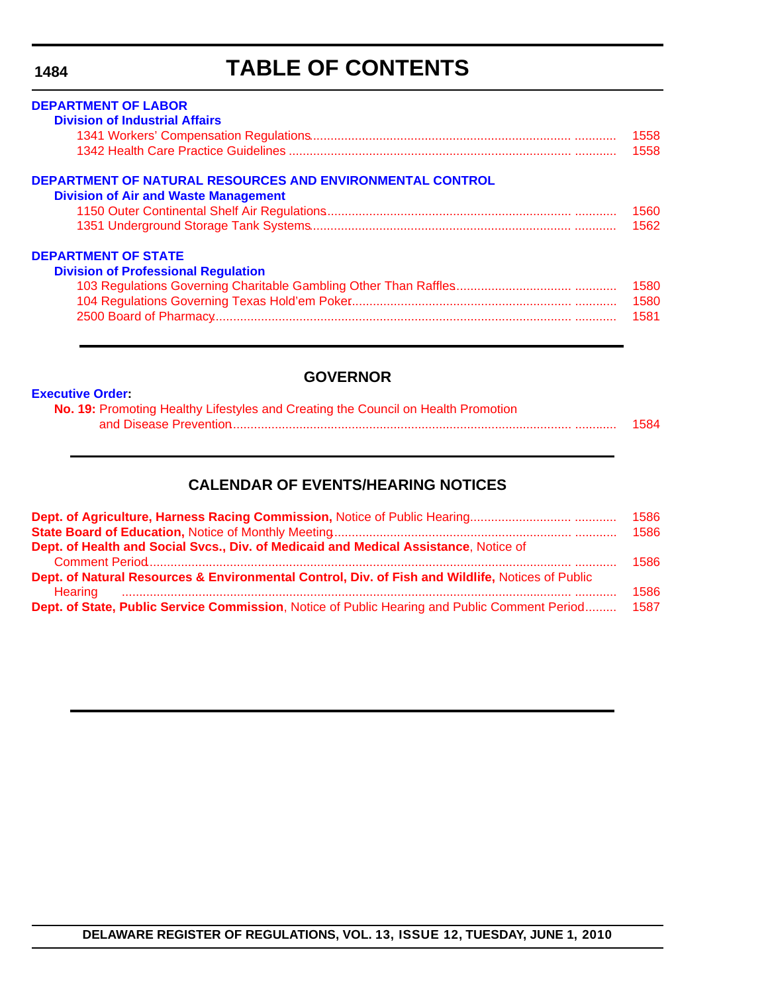# **TABLE OF CONTENTS**

| <b>DEPARTMENT OF LABOR</b>                                |      |
|-----------------------------------------------------------|------|
| <b>Division of Industrial Affairs</b>                     |      |
|                                                           | 1558 |
|                                                           | 1558 |
| DEPARTMENT OF NATURAL RESOURCES AND ENVIRONMENTAL CONTROL |      |
| <b>Division of Air and Waste Management</b>               |      |
|                                                           | 1560 |
|                                                           | 1562 |
| <b>DEPARTMENT OF STATE</b>                                |      |
| <b>Division of Professional Regulation</b>                |      |
|                                                           | 1580 |
|                                                           | 1580 |
|                                                           | 1581 |
|                                                           |      |

### **GOVERNOR**

|  | <b>Executive Order:</b> |
|--|-------------------------|
|  |                         |

| No. 19: Promoting Healthy Lifestyles and Creating the Council on Health Promotion |      |
|-----------------------------------------------------------------------------------|------|
|                                                                                   | 1584 |

### **CALENDAR OF EVENTS/HEARING NOTICES**

|                                                                                                                                                                                     | 1586 |
|-------------------------------------------------------------------------------------------------------------------------------------------------------------------------------------|------|
|                                                                                                                                                                                     | 1586 |
| Dept. of Health and Social Svcs., Div. of Medicaid and Medical Assistance, Notice of                                                                                                |      |
|                                                                                                                                                                                     | 1586 |
| Dept. of Natural Resources & Environmental Control, Div. of Fish and Wildlife, Notices of Public<br>Hearing minimum minimum minimum minimum minimum minimum minimum minimum minimum | 1586 |
| Dept. of State, Public Service Commission, Notice of Public Hearing and Public Comment Period                                                                                       | 1587 |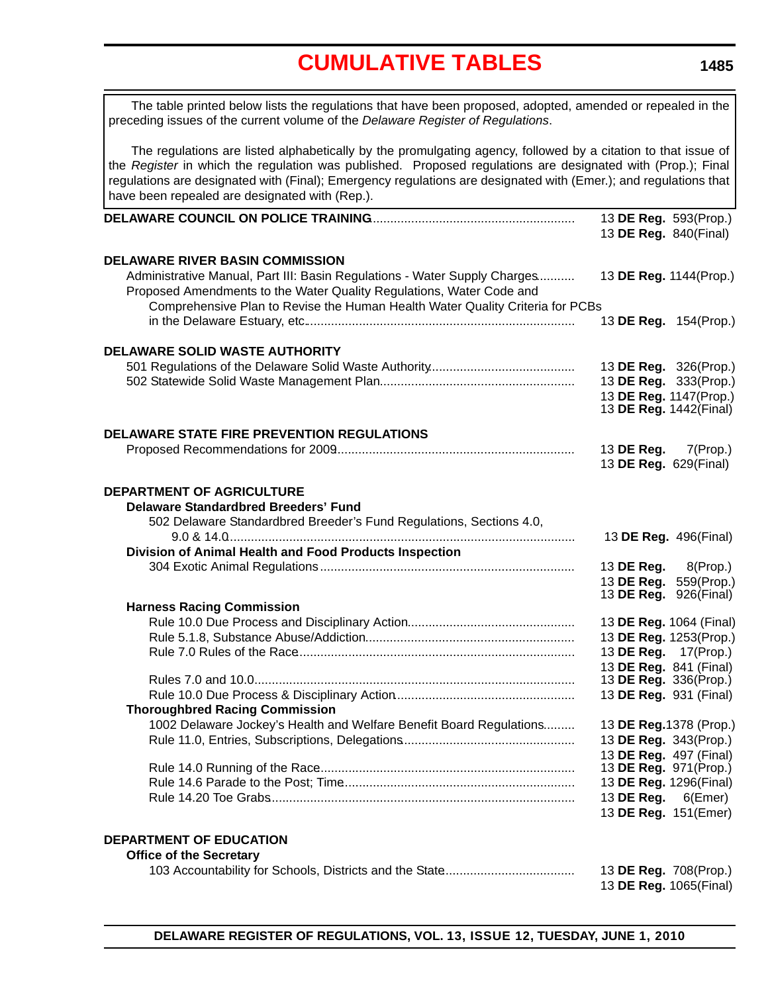**1485**

<span id="page-5-0"></span>

| The table printed below lists the regulations that have been proposed, adopted, amended or repealed in the<br>preceding issues of the current volume of the Delaware Register of Regulations.                                                                                                                                                                                                      |                               |
|----------------------------------------------------------------------------------------------------------------------------------------------------------------------------------------------------------------------------------------------------------------------------------------------------------------------------------------------------------------------------------------------------|-------------------------------|
| The regulations are listed alphabetically by the promulgating agency, followed by a citation to that issue of<br>the Register in which the regulation was published. Proposed regulations are designated with (Prop.); Final<br>regulations are designated with (Final); Emergency regulations are designated with (Emer.); and regulations that<br>have been repealed are designated with (Rep.). |                               |
|                                                                                                                                                                                                                                                                                                                                                                                                    | 13 DE Reg. 593(Prop.)         |
|                                                                                                                                                                                                                                                                                                                                                                                                    | 13 DE Reg. 840(Final)         |
| <b>DELAWARE RIVER BASIN COMMISSION</b>                                                                                                                                                                                                                                                                                                                                                             |                               |
| Administrative Manual, Part III: Basin Regulations - Water Supply Charges<br>Proposed Amendments to the Water Quality Regulations, Water Code and<br>Comprehensive Plan to Revise the Human Health Water Quality Criteria for PCBs                                                                                                                                                                 | 13 DE Reg. 1144(Prop.)        |
|                                                                                                                                                                                                                                                                                                                                                                                                    | 13 DE Reg. 154(Prop.)         |
| DELAWARE SOLID WASTE AUTHORITY                                                                                                                                                                                                                                                                                                                                                                     |                               |
|                                                                                                                                                                                                                                                                                                                                                                                                    | 13 DE Reg. 326(Prop.)         |
|                                                                                                                                                                                                                                                                                                                                                                                                    | 13 DE Reg. 333(Prop.)         |
|                                                                                                                                                                                                                                                                                                                                                                                                    | 13 DE Reg. 1147(Prop.)        |
|                                                                                                                                                                                                                                                                                                                                                                                                    | 13 DE Reg. 1442(Final)        |
| <b>DELAWARE STATE FIRE PREVENTION REGULATIONS</b>                                                                                                                                                                                                                                                                                                                                                  |                               |
|                                                                                                                                                                                                                                                                                                                                                                                                    | 13 DE Reg.<br>$7$ (Prop.)     |
|                                                                                                                                                                                                                                                                                                                                                                                                    | 13 DE Reg. 629(Final)         |
|                                                                                                                                                                                                                                                                                                                                                                                                    |                               |
| DEPARTMENT OF AGRICULTURE                                                                                                                                                                                                                                                                                                                                                                          |                               |
| <b>Delaware Standardbred Breeders' Fund</b>                                                                                                                                                                                                                                                                                                                                                        |                               |
| 502 Delaware Standardbred Breeder's Fund Regulations, Sections 4.0,                                                                                                                                                                                                                                                                                                                                |                               |
|                                                                                                                                                                                                                                                                                                                                                                                                    | 13 DE Reg. 496(Final)         |
| Division of Animal Health and Food Products Inspection                                                                                                                                                                                                                                                                                                                                             |                               |
|                                                                                                                                                                                                                                                                                                                                                                                                    | 13 <b>DE Reg.</b> 8(Prop.)    |
|                                                                                                                                                                                                                                                                                                                                                                                                    | 13 DE Reg.<br>559(Prop.)      |
| <b>Harness Racing Commission</b>                                                                                                                                                                                                                                                                                                                                                                   | 13 <b>DE Reg.</b> 926(Final)  |
|                                                                                                                                                                                                                                                                                                                                                                                                    | 13 DE Reg. 1064 (Final)       |
|                                                                                                                                                                                                                                                                                                                                                                                                    | 13 DE Reg. 1253(Prop.)        |
|                                                                                                                                                                                                                                                                                                                                                                                                    | 13 DE Reg. 17(Prop.)          |
|                                                                                                                                                                                                                                                                                                                                                                                                    | 13 <b>DE Reg.</b> 841 (Final) |
|                                                                                                                                                                                                                                                                                                                                                                                                    | 13 DE Reg. 336(Prop.)         |
|                                                                                                                                                                                                                                                                                                                                                                                                    | 13 DE Reg. 931 (Final)        |
| <b>Thoroughbred Racing Commission</b>                                                                                                                                                                                                                                                                                                                                                              |                               |
| 1002 Delaware Jockey's Health and Welfare Benefit Board Regulations                                                                                                                                                                                                                                                                                                                                | 13 DE Reg. 1378 (Prop.)       |
|                                                                                                                                                                                                                                                                                                                                                                                                    | 13 DE Reg. 343(Prop.)         |
|                                                                                                                                                                                                                                                                                                                                                                                                    | 13 DE Reg. 497 (Final)        |
|                                                                                                                                                                                                                                                                                                                                                                                                    | 13 DE Reg. 971(Prop.)         |
|                                                                                                                                                                                                                                                                                                                                                                                                    | 13 DE Reg. 1296(Final)        |
|                                                                                                                                                                                                                                                                                                                                                                                                    | 13 <b>DE Reg.</b> 6(Emer)     |
|                                                                                                                                                                                                                                                                                                                                                                                                    | 13 DE Reg. 151(Emer)          |
| <b>DEPARTMENT OF EDUCATION</b>                                                                                                                                                                                                                                                                                                                                                                     |                               |
| <b>Office of the Secretary</b>                                                                                                                                                                                                                                                                                                                                                                     |                               |
|                                                                                                                                                                                                                                                                                                                                                                                                    | 13 DE Reg. 708(Prop.)         |
|                                                                                                                                                                                                                                                                                                                                                                                                    | 13 DE Reg. 1065(Final)        |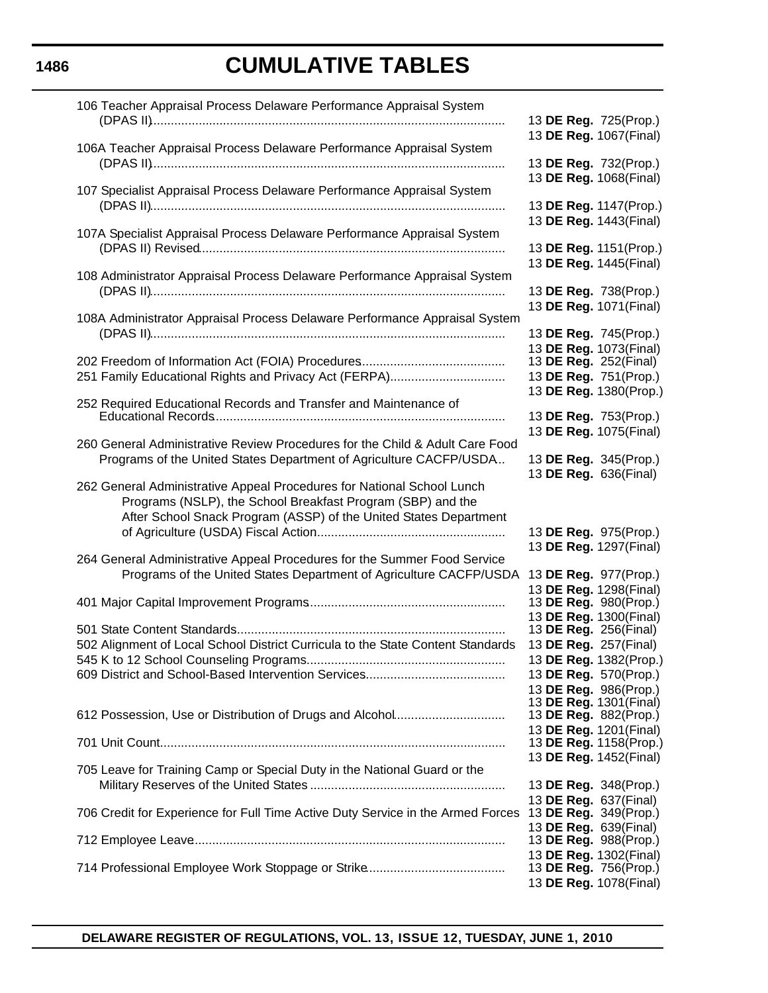| 106 Teacher Appraisal Process Delaware Performance Appraisal System                                                                                                                                        | 13 DE Reg. 725(Prop.)                                                      |
|------------------------------------------------------------------------------------------------------------------------------------------------------------------------------------------------------------|----------------------------------------------------------------------------|
| 106A Teacher Appraisal Process Delaware Performance Appraisal System                                                                                                                                       | 13 DE Reg. 1067(Final)                                                     |
|                                                                                                                                                                                                            | 13 DE Reg. 732(Prop.)<br>13 DE Reg. 1068(Final)                            |
| 107 Specialist Appraisal Process Delaware Performance Appraisal System                                                                                                                                     | 13 DE Reg. 1147(Prop.)                                                     |
| 107A Specialist Appraisal Process Delaware Performance Appraisal System                                                                                                                                    | 13 DE Reg. 1443(Final)<br>13 DE Reg. 1151(Prop.)                           |
| 108 Administrator Appraisal Process Delaware Performance Appraisal System                                                                                                                                  | 13 DE Reg. 1445(Final)                                                     |
|                                                                                                                                                                                                            | 13 DE Reg. 738(Prop.)<br>13 DE Reg. 1071(Final)                            |
| 108A Administrator Appraisal Process Delaware Performance Appraisal System                                                                                                                                 | 13 DE Reg. 745(Prop.)                                                      |
| 251 Family Educational Rights and Privacy Act (FERPA)                                                                                                                                                      | 13 DE Reg. 1073(Final)<br>13 DE Reg. 252(Final)<br>13 DE Reg. 751(Prop.)   |
| 252 Required Educational Records and Transfer and Maintenance of                                                                                                                                           | 13 DE Reg. 1380(Prop.)                                                     |
|                                                                                                                                                                                                            | 13 DE Reg. 753(Prop.)<br>13 DE Reg. 1075(Final)                            |
| 260 General Administrative Review Procedures for the Child & Adult Care Food<br>Programs of the United States Department of Agriculture CACFP/USDA                                                         | 13 DE Reg. 345(Prop.)                                                      |
| 262 General Administrative Appeal Procedures for National School Lunch<br>Programs (NSLP), the School Breakfast Program (SBP) and the<br>After School Snack Program (ASSP) of the United States Department | 13 DE Reg. 636(Final)                                                      |
|                                                                                                                                                                                                            | 13 DE Reg. 975(Prop.)<br>13 DE Reg. 1297(Final)                            |
| 264 General Administrative Appeal Procedures for the Summer Food Service<br>Programs of the United States Department of Agriculture CACFP/USDA                                                             | 13 DE Reg. 977(Prop.)<br>13 DE Reg. 1298(Final)                            |
|                                                                                                                                                                                                            | 13 DE Reg. 980(Prop.)<br>13 DE Reg. 1300(Final)                            |
| 502 Alignment of Local School District Curricula to the State Content Standards                                                                                                                            | 13 <b>DE Reg.</b> 256(Final)<br>13 DE Reg. 257(Final)                      |
|                                                                                                                                                                                                            | 13 DE Reg. 1382(Prop.)<br>13 DE Reg. 570(Prop.)<br>13 DE Reg. 986(Prop.)   |
| 612 Possession, Use or Distribution of Drugs and Alcohol                                                                                                                                                   | 13 DE Reg. 1301(Final)<br>13 DE Reg. 882(Prop.)                            |
|                                                                                                                                                                                                            | 13 DE Reg. 1201(Final)<br>13 DE Reg. 1158(Prop.)<br>13 DE Reg. 1452(Final) |
| 705 Leave for Training Camp or Special Duty in the National Guard or the                                                                                                                                   | 13 DE Reg. 348(Prop.)                                                      |
| 706 Credit for Experience for Full Time Active Duty Service in the Armed Forces                                                                                                                            | 13 DE Reg. 637(Final)<br>13 DE Reg. 349(Prop.)                             |
|                                                                                                                                                                                                            | 13 DE Reg. 639(Final)<br>13 DE Reg. 988(Prop.)                             |
|                                                                                                                                                                                                            | 13 DE Reg. 1302(Final)<br>13 DE Reg. 756(Prop.)<br>13 DE Reg. 1078(Final)  |

### **1486**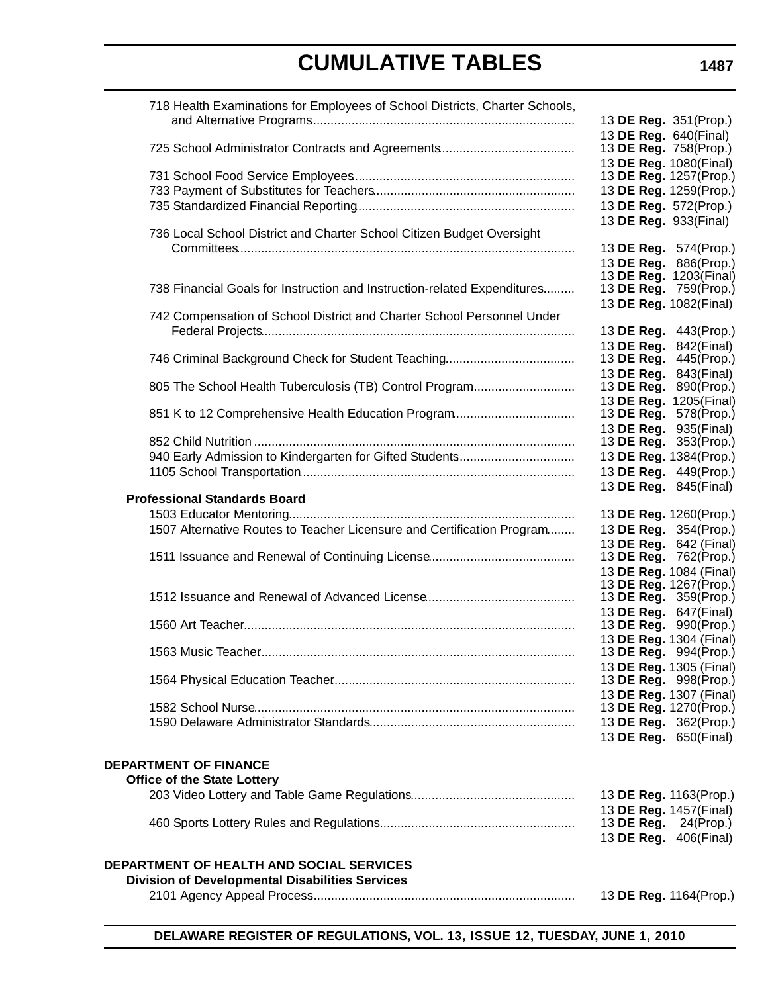| 718 Health Examinations for Employees of School Districts, Charter Schools, |                        |                                                        |
|-----------------------------------------------------------------------------|------------------------|--------------------------------------------------------|
|                                                                             | 13 DE Reg. 351(Prop.)  |                                                        |
|                                                                             | 13 DE Reg. 640(Final)  |                                                        |
|                                                                             | 13 DE Reg. 758(Prop.)  |                                                        |
|                                                                             | 13 DE Reg. 1080(Final) |                                                        |
|                                                                             |                        | 13 DE Reg. 1257(Prop.)                                 |
|                                                                             |                        | 13 DE Reg. 1259(Prop.)                                 |
|                                                                             | 13 DE Reg. 572(Prop.)  |                                                        |
|                                                                             | 13 DE Reg. 933(Final)  |                                                        |
| 736 Local School District and Charter School Citizen Budget Oversight       |                        |                                                        |
|                                                                             |                        | 13 DE Reg. 574(Prop.)                                  |
|                                                                             |                        | 13 DE Reg. 886(Prop.)                                  |
| 738 Financial Goals for Instruction and Instruction-related Expenditures    |                        | 13 <b>DE Reg.</b> 1203(Final)<br>13 DE Reg. 759(Prop.) |
|                                                                             | 13 DE Reg. 1082(Final) |                                                        |
| 742 Compensation of School District and Charter School Personnel Under      |                        |                                                        |
|                                                                             |                        | 13 DE Reg. 443(Prop.)                                  |
|                                                                             | 13 DE Reg. 842(Final)  |                                                        |
|                                                                             |                        | 13 DE Reg. 445(Prop.)                                  |
|                                                                             | 13 DE Reg. 843(Final)  |                                                        |
| 805 The School Health Tuberculosis (TB) Control Program                     |                        | 13 DE Reg. 890(Prop.)                                  |
|                                                                             |                        | 13 DE Reg. 1205(Final)                                 |
| 851 K to 12 Comprehensive Health Education Program                          |                        | 13 DE Reg. 578(Prop.)                                  |
|                                                                             | 13 DE Reg. 935(Final)  |                                                        |
|                                                                             |                        | 13 <b>DE Reg.</b> 353(Prop.)                           |
| 940 Early Admission to Kindergarten for Gifted Students                     |                        | 13 DE Reg. 1384(Prop.)                                 |
|                                                                             |                        | 13 DE Reg. 449(Prop.)                                  |
|                                                                             | 13 DE Reg. 845(Final)  |                                                        |
| <b>Professional Standards Board</b>                                         |                        |                                                        |
|                                                                             |                        | 13 DE Reg. 1260(Prop.)                                 |
| 1507 Alternative Routes to Teacher Licensure and Certification Program      |                        | 13 DE Reg. 354(Prop.)                                  |
|                                                                             |                        | 13 DE Reg. 642 (Final)                                 |
|                                                                             |                        | 13 DE Reg. 762(Prop.)<br>13 DE Reg. 1084 (Final)       |
|                                                                             |                        | 13 DE Reg. 1267(Prop.)                                 |
|                                                                             |                        | 13 DE Reg. 359(Prop.)                                  |
|                                                                             | 13 DE Reg. 647(Final)  |                                                        |
|                                                                             |                        | 13 <b>DE Reg.</b> 990(Prop.)                           |
|                                                                             |                        | 13 DE Reg. 1304 (Final)                                |
|                                                                             |                        | 13 DE Reg. 994(Prop.)                                  |
|                                                                             |                        | 13 DE Reg. 1305 (Final)                                |
|                                                                             |                        | 13 DE Reg. 998(Prop.)                                  |
|                                                                             |                        | 13 DE Reg. 1307 (Final)                                |
|                                                                             |                        | 13 DE Reg. 1270(Prop.)                                 |
|                                                                             |                        | 13 DE Reg. 362(Prop.)                                  |
|                                                                             | 13 DE Reg. 650(Final)  |                                                        |
| <b>DEPARTMENT OF FINANCE</b>                                                |                        |                                                        |
| <b>Office of the State Lottery</b>                                          |                        |                                                        |
|                                                                             | 13 DE Reg. 1163(Prop.) |                                                        |
|                                                                             | 13 DE Reg. 1457(Final) |                                                        |
|                                                                             | 13 DE Reg.             | 24(Prop.)                                              |
|                                                                             | 13 DE Reg. 406(Final)  |                                                        |
|                                                                             |                        |                                                        |
| <b>DEPARTMENT OF HEALTH AND SOCIAL SERVICES</b>                             |                        |                                                        |
| <b>Division of Developmental Disabilities Services</b>                      |                        |                                                        |
|                                                                             |                        | 13 DE Reg. 1164(Prop.)                                 |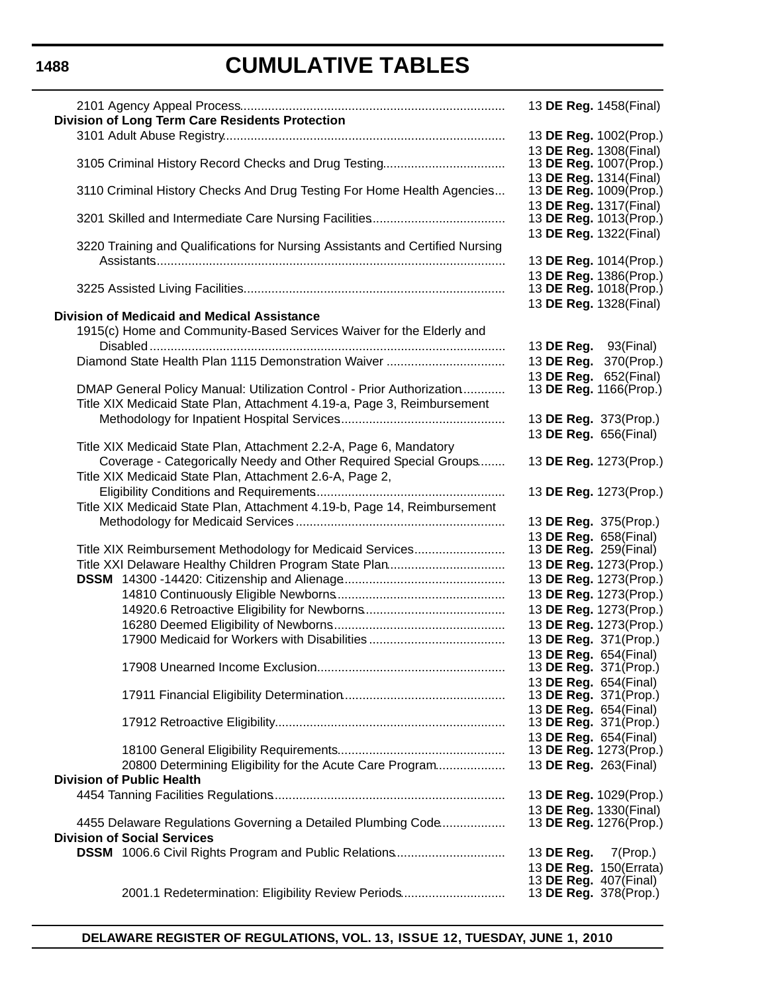# **CUMULATIVE TABLES**

| <b>Division of Long Term Care Residents Protection</b>                                                                                           | 13 DE Reg. 1458(Final)                                 |
|--------------------------------------------------------------------------------------------------------------------------------------------------|--------------------------------------------------------|
|                                                                                                                                                  | 13 DE Reg. 1002(Prop.)<br>13 DE Reg. 1308(Final)       |
| 3105 Criminal History Record Checks and Drug Testing                                                                                             | 13 DE Reg. 1007(Prop.)<br>13 DE Reg. 1314(Final)       |
| 3110 Criminal History Checks And Drug Testing For Home Health Agencies                                                                           | 13 DE Reg. 1009(Prop.)<br>13 DE Reg. 1317(Final)       |
|                                                                                                                                                  | 13 DE Reg. 1013(Prop.)<br>13 DE Reg. 1322(Final)       |
| 3220 Training and Qualifications for Nursing Assistants and Certified Nursing                                                                    | 13 DE Reg. 1014(Prop.)                                 |
|                                                                                                                                                  | 13 DE Reg. 1386(Prop.)<br>13 DE Reg. 1018(Prop.)       |
| <b>Division of Medicaid and Medical Assistance</b>                                                                                               | 13 DE Reg. 1328(Final)                                 |
| 1915(c) Home and Community-Based Services Waiver for the Elderly and                                                                             | 13 DE Reg. 93(Final)                                   |
| Diamond State Health Plan 1115 Demonstration Waiver                                                                                              | 13 DE Reg. 370(Prop.)<br>13 DE Reg. 652(Final)         |
| DMAP General Policy Manual: Utilization Control - Prior Authorization<br>Title XIX Medicaid State Plan, Attachment 4.19-a, Page 3, Reimbursement | 13 DE Reg. 1166(Prop.)                                 |
|                                                                                                                                                  | 13 DE Reg. 373(Prop.)<br>13 DE Reg. 656(Final)         |
| Title XIX Medicaid State Plan, Attachment 2.2-A, Page 6, Mandatory<br>Coverage - Categorically Needy and Other Required Special Groups           | 13 DE Reg. 1273(Prop.)                                 |
| Title XIX Medicaid State Plan, Attachment 2.6-A, Page 2,                                                                                         |                                                        |
| Title XIX Medicaid State Plan, Attachment 4.19-b, Page 14, Reimbursement                                                                         | 13 DE Reg. 1273(Prop.)                                 |
|                                                                                                                                                  | 13 DE Reg. 375(Prop.)<br>13 DE Reg. 658(Final)         |
| Title XIX Reimbursement Methodology for Medicaid Services<br>Title XXI Delaware Healthy Children Program State Plan                              | 13 <b>DE Reg.</b> 259(Final)<br>13 DE Reg. 1273(Prop.) |
|                                                                                                                                                  | 13 DE Reg. 1273(Prop.)<br>13 DE Reg. 1273(Prop.)       |
|                                                                                                                                                  | 13 DE Reg. 1273(Prop.)<br>13 DE Reg. 1273(Prop.)       |
|                                                                                                                                                  | 13 DE Reg. 371(Prop.)<br>13 DE Reg. 654(Final)         |
|                                                                                                                                                  | 13 DE Reg. 371(Prop.)<br>13 DE Reg. 654(Final)         |
|                                                                                                                                                  | 13 DE Reg. 371(Prop.)<br>13 DE Reg. 654(Final)         |
|                                                                                                                                                  | 13 DE Reg. 371(Prop.)<br>13 DE Reg. 654(Final)         |
| 20800 Determining Eligibility for the Acute Care Program                                                                                         | 13 DE Reg. 1273(Prop.)<br>13 DE Reg. 263(Final)        |
| <b>Division of Public Health</b>                                                                                                                 | 13 DE Reg. 1029(Prop.)                                 |
| 4455 Delaware Regulations Governing a Detailed Plumbing Code                                                                                     | 13 DE Reg. 1330(Final)<br>13 DE Reg. 1276(Prop.)       |
| <b>Division of Social Services</b>                                                                                                               |                                                        |
| <b>DSSM</b> 1006.6 Civil Rights Program and Public Relations                                                                                     | 13 DE Reg.<br>$7$ (Prop.)<br>13 DE Reg. 150(Errata)    |
| 2001.1 Redetermination: Eligibility Review Periods                                                                                               | 13 <b>DE Reg.</b> 407(Final)<br>13 DE Reg. 378(Prop.)  |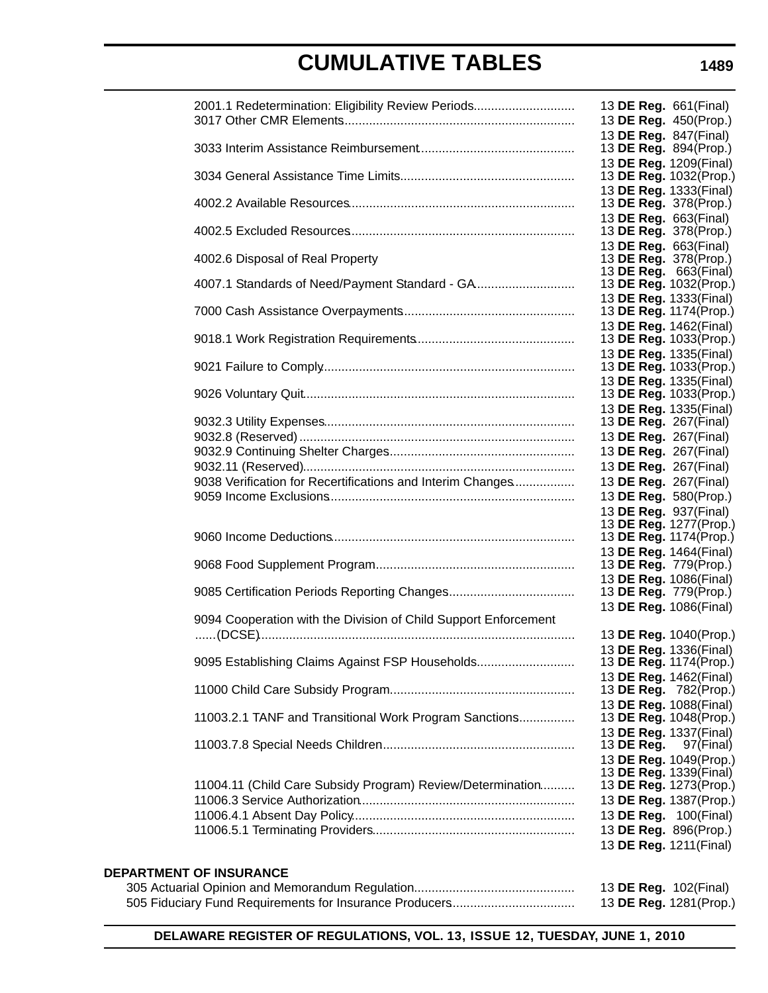| 2001.1 Redetermination: Eligibility Review Periods              | 13 DE Reg. 661(Final)<br>13 DE Reg. 450(Prop.)                             |
|-----------------------------------------------------------------|----------------------------------------------------------------------------|
|                                                                 | 13 DE Reg. 847(Final)<br>13 DE Reg. 894(Prop.)                             |
|                                                                 | 13 DE Reg. 1209(Final)<br>13 DE Reg. 1032(Prop.)<br>13 DE Reg. 1333(Final) |
|                                                                 | 13 DE Reg. 378(Prop.)                                                      |
|                                                                 | 13 DE Reg. 663(Final)<br>13 DE Reg. 378(Prop.)                             |
| 4002.6 Disposal of Real Property                                | 13 DE Reg. 663(Final)<br>13 DE Reg. 378(Prop.)<br>13 DE Reg. 663(Final)    |
|                                                                 | 13 DE Reg. 1032(Prop.)<br>13 DE Reg. 1333(Final)                           |
|                                                                 | 13 DE Reg. 1174(Prop.)<br>13 DE Reg. 1462(Final)                           |
|                                                                 | 13 DE Reg. 1033(Prop.)                                                     |
|                                                                 | 13 DE Reg. 1335(Final)<br>13 DE Reg. 1033(Prop.)                           |
|                                                                 | 13 DE Reg. 1335(Final)<br>13 DE Reg. 1033(Prop.)                           |
|                                                                 | 13 DE Reg. 1335(Final)<br>13 <b>DE Reg.</b> 267(Final)                     |
|                                                                 | 13 DE Reg. 267(Final)<br>13 DE Reg. 267(Final)                             |
|                                                                 | 13 DE Reg. 267(Final)                                                      |
| 9038 Verification for Recertifications and Interim Changes      | 13 DE Reg. 267(Final)                                                      |
|                                                                 | 13 DE Reg. 580(Prop.)                                                      |
|                                                                 | 13 DE Reg. 937(Final)                                                      |
|                                                                 | 13 DE Reg. 1277(Prop.)<br>13 DE Reg. 1174(Prop.)                           |
|                                                                 | 13 DE Reg. 1464(Final)                                                     |
|                                                                 | 13 DE Reg. 779(Prop.)                                                      |
|                                                                 | 13 DE Reg. 1086(Final)                                                     |
|                                                                 | 13 DE Reg. 779(Prop.)<br>13 DE Reg. 1086(Final)                            |
| 9094 Cooperation with the Division of Child Support Enforcement | 13 DE Reg. 1040(Prop.)                                                     |
|                                                                 | 13 DE Reg. 1336(Final)                                                     |
| 9095 Establishing Claims Against FSP Households                 | 13 DE Reg. 1174(Prop.)                                                     |
|                                                                 | 13 DE Reg. 1462(Final)                                                     |
|                                                                 | 13 DE Reg. 782(Prop.)<br>13 DE Reg. 1088(Final)                            |
| 11003.2.1 TANF and Transitional Work Program Sanctions          | 13 DE Reg. 1048(Prop.)                                                     |
|                                                                 | 13 DE Reg. 1337(Final)<br>13 <b>DE Reg.</b> 97(Final)                      |
|                                                                 | 13 DE Reg. 1049(Prop.)<br>13 DE Reg. 1339(Final)                           |
| 11004.11 (Child Care Subsidy Program) Review/Determination      | 13 DE Reg. 1273(Prop.)                                                     |
|                                                                 | 13 DE Reg. 1387(Prop.)                                                     |
|                                                                 | 13 DE Reg. 100(Final)                                                      |
|                                                                 | 13 DE Reg. 896(Prop.)                                                      |
|                                                                 | 13 DE Reg. 1211(Final)                                                     |
| <b>DEPARTMENT OF INSURANCE</b>                                  |                                                                            |
|                                                                 | 13 DE Reg. 102(Final)                                                      |
|                                                                 | 13 DE Reg. 1281(Prop.)                                                     |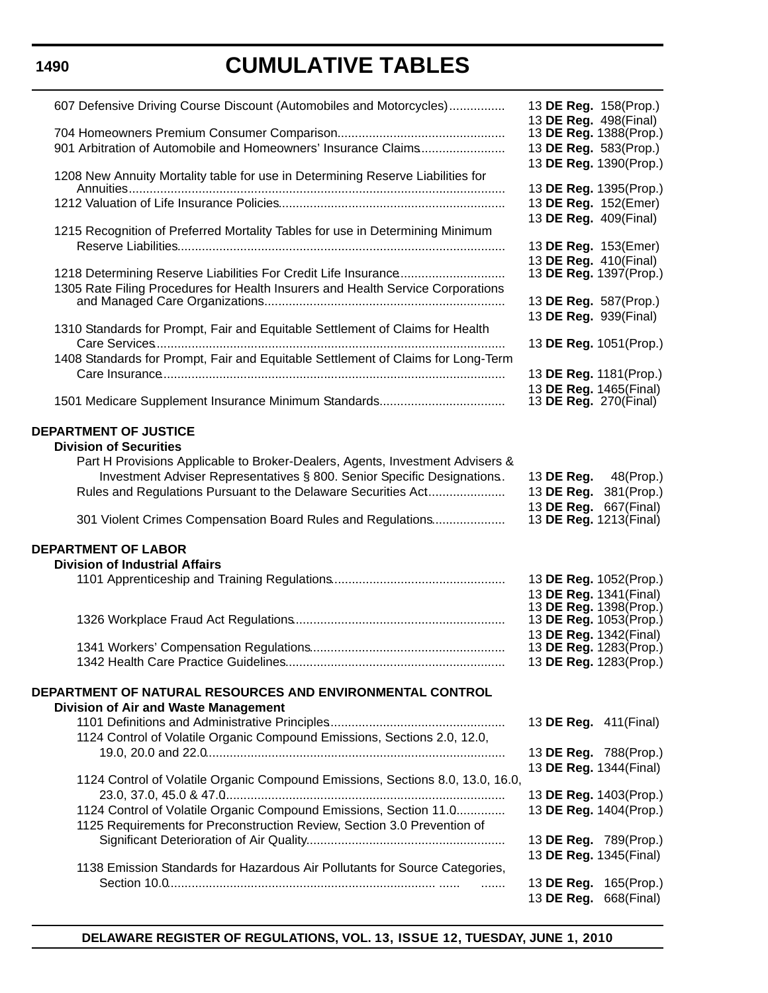# **CUMULATIVE TABLES**

| 607 Defensive Driving Course Discount (Automobiles and Motorcycles)<br>901 Arbitration of Automobile and Homeowners' Insurance Claims                                                                                     | 13 DE Reg. 158(Prop.)<br>13 DE Reg. 498(Final)<br>13 DE Reg. 1388(Prop.)<br>13 DE Reg. 583(Prop.)    |
|---------------------------------------------------------------------------------------------------------------------------------------------------------------------------------------------------------------------------|------------------------------------------------------------------------------------------------------|
| 1208 New Annuity Mortality table for use in Determining Reserve Liabilities for                                                                                                                                           | 13 DE Reg. 1390(Prop.)<br>13 DE Reg. 1395(Prop.)<br>13 DE Reg. 152(Emer)<br>13 DE Reg. 409(Final)    |
| 1215 Recognition of Preferred Mortality Tables for use in Determining Minimum                                                                                                                                             | 13 DE Reg. 153(Emer)<br>13 DE Reg. 410(Final)                                                        |
| 1305 Rate Filing Procedures for Health Insurers and Health Service Corporations                                                                                                                                           | 13 DE Reg. 1397(Prop.)<br>13 DE Reg. 587(Prop.)<br>13 DE Reg. 939(Final)                             |
| 1310 Standards for Prompt, Fair and Equitable Settlement of Claims for Health<br>1408 Standards for Prompt, Fair and Equitable Settlement of Claims for Long-Term                                                         | 13 DE Reg. 1051(Prop.)<br>13 DE Reg. 1181(Prop.)                                                     |
|                                                                                                                                                                                                                           | 13 DE Reg. 1465(Final)<br>13 <b>DE Reg.</b> 270(Final)                                               |
| <b>DEPARTMENT OF JUSTICE</b><br><b>Division of Securities</b><br>Part H Provisions Applicable to Broker-Dealers, Agents, Investment Advisers &<br>Investment Adviser Representatives § 800. Senior Specific Designations. | 13 <b>DE Reg.</b> 48(Prop.)                                                                          |
| Rules and Regulations Pursuant to the Delaware Securities Act<br>301 Violent Crimes Compensation Board Rules and Regulations                                                                                              | 13 DE Reg. 381(Prop.)<br>13 DE Reg. 667(Final)<br>13 DE Reg. 1213(Final)                             |
| <b>DEPARTMENT OF LABOR</b><br><b>Division of Industrial Affairs</b>                                                                                                                                                       | 13 DE Reg. 1052(Prop.)                                                                               |
|                                                                                                                                                                                                                           | 13 DE Reg. 1341(Final)<br>13 DE Reg. 1398(Prop.)<br>13 DE Reg. 1053(Prop.)<br>13 DE Reg. 1342(Final) |
| DEPARTMENT OF NATURAL RESOURCES AND ENVIRONMENTAL CONTROL                                                                                                                                                                 | 13 DE Reg. 1283(Prop.)<br>13 DE Reg. 1283(Prop.)                                                     |
| Division of Air and Waste Management<br>1124 Control of Volatile Organic Compound Emissions, Sections 2.0, 12.0,                                                                                                          | 13 DE Reg. 411 (Final)                                                                               |
| 1124 Control of Volatile Organic Compound Emissions, Sections 8.0, 13.0, 16.0,                                                                                                                                            | 13 DE Reg. 788(Prop.)<br>13 DE Reg. 1344(Final)                                                      |
| 1124 Control of Volatile Organic Compound Emissions, Section 11.0<br>1125 Requirements for Preconstruction Review, Section 3.0 Prevention of                                                                              | 13 DE Reg. 1403(Prop.)<br>13 DE Reg. 1404(Prop.)                                                     |
| 1138 Emission Standards for Hazardous Air Pollutants for Source Categories,                                                                                                                                               | 13 DE Reg. 789(Prop.)<br>13 DE Reg. 1345(Final)<br>13 DE Reg. 165(Prop.)                             |
|                                                                                                                                                                                                                           | 13 DE Reg. 668(Final)                                                                                |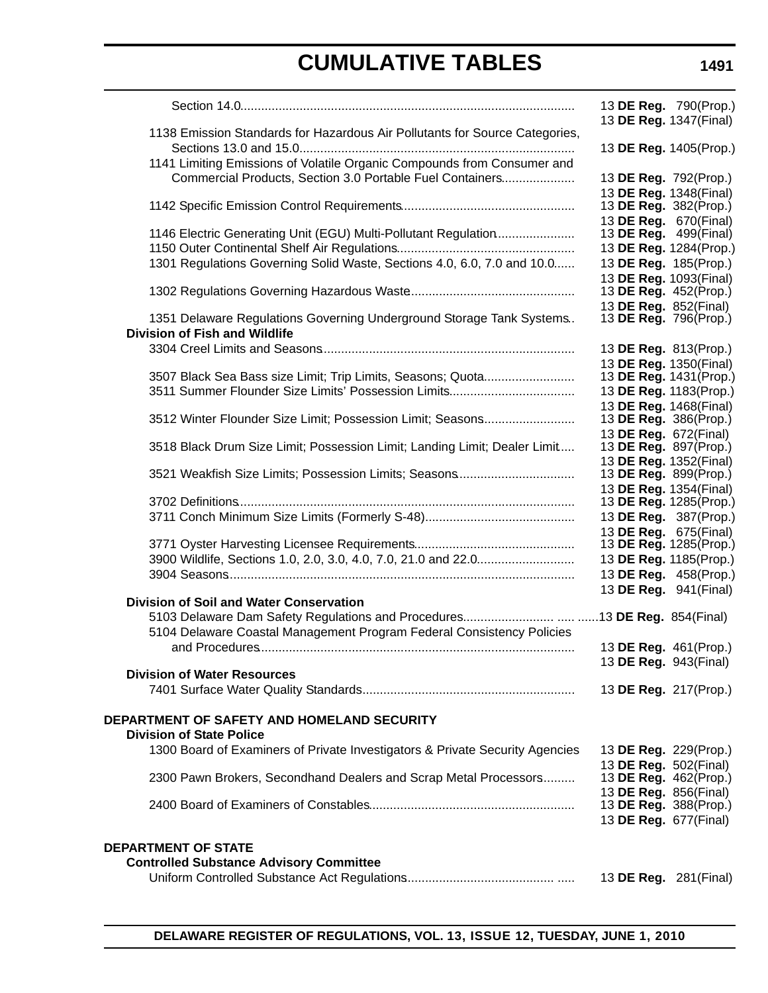|                                                                              |                                                  | 13 DE Reg. 790(Prop.) |
|------------------------------------------------------------------------------|--------------------------------------------------|-----------------------|
| 1138 Emission Standards for Hazardous Air Pollutants for Source Categories,  | 13 DE Reg. 1347(Final)                           |                       |
|                                                                              | 13 DE Reg. 1405(Prop.)                           |                       |
| 1141 Limiting Emissions of Volatile Organic Compounds from Consumer and      |                                                  |                       |
| Commercial Products, Section 3.0 Portable Fuel Containers                    | 13 DE Reg. 792(Prop.)                            |                       |
|                                                                              | 13 DE Reg. 1348(Final)                           |                       |
|                                                                              | 13 DE Reg. 382(Prop.)<br>13 DE Reg. 670(Final)   |                       |
| 1146 Electric Generating Unit (EGU) Multi-Pollutant Regulation               | 13 <b>DE Reg.</b> 499(Final)                     |                       |
|                                                                              | 13 DE Reg. 1284(Prop.)                           |                       |
| 1301 Regulations Governing Solid Waste, Sections 4.0, 6.0, 7.0 and 10.0      | 13 DE Reg. 185(Prop.)                            |                       |
|                                                                              | 13 DE Reg. 1093(Final)                           |                       |
|                                                                              | 13 DE Reg. 452(Prop.)<br>13 DE Reg. 852(Final)   |                       |
| 1351 Delaware Regulations Governing Underground Storage Tank Systems         | 13 DE Reg. 796(Prop.)                            |                       |
| <b>Division of Fish and Wildlife</b>                                         |                                                  |                       |
|                                                                              | 13 DE Reg. 813(Prop.)                            |                       |
|                                                                              | 13 DE Reg. 1350(Final)                           |                       |
| 3507 Black Sea Bass size Limit; Trip Limits, Seasons; Quota                  | 13 DE Reg. 1431(Prop.)                           |                       |
|                                                                              | 13 DE Reg. 1183(Prop.)<br>13 DE Reg. 1468(Final) |                       |
| 3512 Winter Flounder Size Limit; Possession Limit; Seasons                   | 13 DE Reg. 386(Prop.)                            |                       |
|                                                                              | 13 DE Reg. 672(Final)                            |                       |
| 3518 Black Drum Size Limit; Possession Limit; Landing Limit; Dealer Limit    | 13 DE Reg. 897(Prop.)                            |                       |
| 3521 Weakfish Size Limits; Possession Limits; Seasons                        | 13 DE Reg. 1352(Final)<br>13 DE Reg. 899(Prop.)  |                       |
|                                                                              | 13 DE Reg. 1354(Final)                           |                       |
|                                                                              | 13 DE Reg. 1285(Prop.)                           |                       |
|                                                                              | 13 DE Reg. 387(Prop.)                            |                       |
|                                                                              | 13 DE Reg. 675(Final)<br>13 DE Reg. 1285(Prop.)  |                       |
| 3900 Wildlife, Sections 1.0, 2.0, 3.0, 4.0, 7.0, 21.0 and 22.0               | 13 DE Reg. 1185(Prop.)                           |                       |
|                                                                              | 13 DE Reg. 458(Prop.)                            |                       |
|                                                                              | 13 DE Reg. 941(Final)                            |                       |
| Division of Soil and Water Conservation                                      |                                                  |                       |
|                                                                              |                                                  |                       |
| 5104 Delaware Coastal Management Program Federal Consistency Policies        | 13 DE Reg. 461(Prop.)                            |                       |
|                                                                              | 13 DE Reg. 943(Final)                            |                       |
| <b>Division of Water Resources</b>                                           |                                                  |                       |
|                                                                              | 13 DE Reg. 217(Prop.)                            |                       |
| <b>DEPARTMENT OF SAFETY AND HOMELAND SECURITY</b>                            |                                                  |                       |
| <b>Division of State Police</b>                                              |                                                  |                       |
| 1300 Board of Examiners of Private Investigators & Private Security Agencies | 13 DE Reg. 229(Prop.)                            |                       |
|                                                                              | 13 DE Reg. 502(Final)                            |                       |
| 2300 Pawn Brokers, Secondhand Dealers and Scrap Metal Processors             | 13 DE Reg. 462(Prop.)                            |                       |
|                                                                              | 13 DE Reg. 856(Final)<br>13 DE Reg. 388(Prop.)   |                       |
|                                                                              | 13 DE Reg. 677(Final)                            |                       |
|                                                                              |                                                  |                       |
| <b>DEPARTMENT OF STATE</b>                                                   |                                                  |                       |
| <b>Controlled Substance Advisory Committee</b>                               |                                                  |                       |
|                                                                              | 13 <b>DE Reg.</b> 281(Final)                     |                       |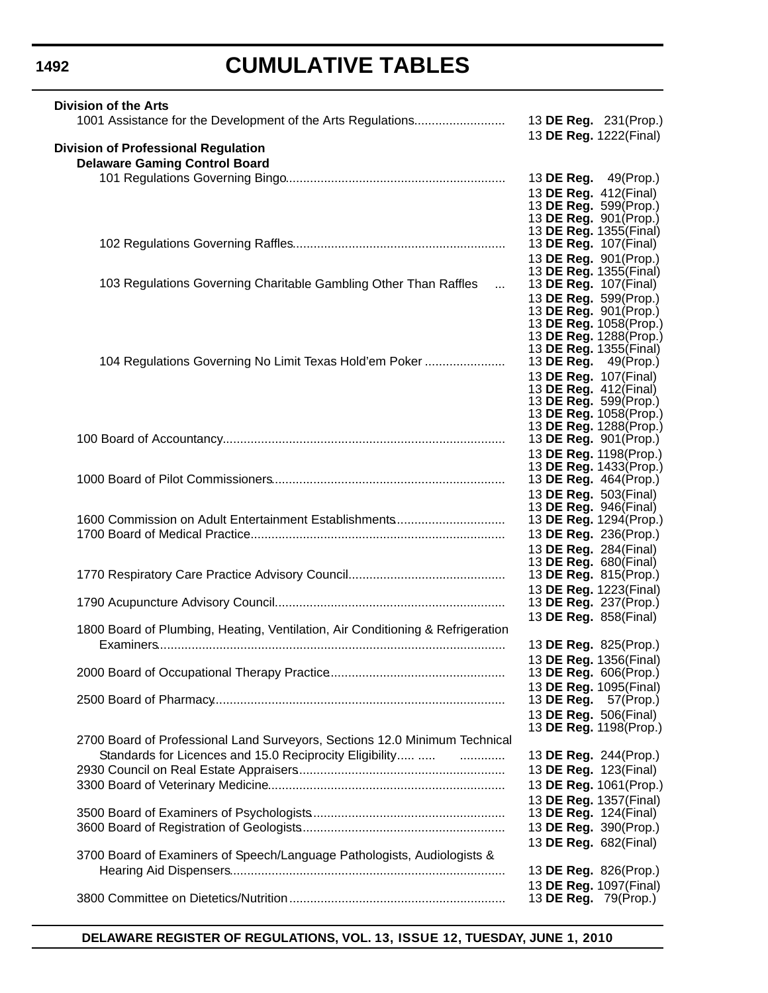# **CUMULATIVE TABLES**

| <b>Division of the Arts</b>                                                         |                                                        |
|-------------------------------------------------------------------------------------|--------------------------------------------------------|
|                                                                                     | 13 DE Reg. 231(Prop.)<br>13 DE Reg. 1222(Final)        |
| <b>Division of Professional Regulation</b>                                          |                                                        |
| <b>Delaware Gaming Control Board</b>                                                |                                                        |
|                                                                                     | 13 <b>DE Reg.</b> 49(Prop.)                            |
|                                                                                     | 13 DE Reg. 412(Final)                                  |
|                                                                                     | 13 DE Reg. 599(Prop.)<br>13 DE Reg. 901(Prop.)         |
|                                                                                     | 13 DE Reg. 1355(Final)                                 |
|                                                                                     | 13 <b>DE Reg.</b> 107(Final)                           |
|                                                                                     | 13 DE Reg. 901(Prop.)                                  |
| 103 Regulations Governing Charitable Gambling Other Than Raffles<br>$\sim 10^{-11}$ | 13 DE Reg. 1355(Final)<br>13 <b>DE Reg.</b> 107(Final) |
|                                                                                     | 13 DE Reg. 599(Prop.)                                  |
|                                                                                     | 13 DE Reg. 901(Prop.)                                  |
|                                                                                     | 13 DE Reg. 1058(Prop.)                                 |
|                                                                                     | 13 DE Reg. 1288(Prop.)<br>13 DE Reg. 1355(Final)       |
| 104 Regulations Governing No Limit Texas Hold'em Poker                              | 13 DE Reg. 49(Prop.)                                   |
|                                                                                     | 13 DE Reg. 107(Final)                                  |
|                                                                                     | 13 <b>DE Reg.</b> 412(Final)                           |
|                                                                                     | 13 DE Reg. 599(Prop.)<br>13 DE Reg. 1058(Prop.)        |
|                                                                                     | 13 DE Reg. 1288(Prop.)                                 |
|                                                                                     | 13 DE Reg. 901(Prop.)                                  |
|                                                                                     | 13 DE Reg. 1198(Prop.)                                 |
|                                                                                     | 13 DE Reg. 1433(Prop.)<br>13 DE Reg. 464(Prop.)        |
|                                                                                     | 13 DE Reg. 503(Final)                                  |
|                                                                                     | 13 DE Reg. 946(Final)                                  |
| 1600 Commission on Adult Entertainment Establishments                               | 13 DE Reg. 1294(Prop.)                                 |
|                                                                                     | 13 DE Reg. 236(Prop.)                                  |
|                                                                                     | 13 DE Reg. 284(Final)<br>13 <b>DE Reg.</b> 680(Final)  |
|                                                                                     | 13 DE Reg. 815(Prop.)                                  |
|                                                                                     | 13 DE Reg. 1223(Final)                                 |
|                                                                                     | 13 DE Reg. 237(Prop.)                                  |
| 1800 Board of Plumbing, Heating, Ventilation, Air Conditioning & Refrigeration      | 13 DE Reg. 858(Final)                                  |
|                                                                                     | 13 DE Reg. 825(Prop.)                                  |
|                                                                                     | 13 DE Reg. 1356(Final)                                 |
|                                                                                     | 13 DE Reg. 606(Prop.)                                  |
|                                                                                     | 13 DE Reg. 1095(Final)                                 |
|                                                                                     | 13 DE Reg. 57(Prop.)                                   |
|                                                                                     | 13 DE Reg. 506(Final)<br>13 DE Reg. 1198(Prop.)        |
| 2700 Board of Professional Land Surveyors, Sections 12.0 Minimum Technical          |                                                        |
| Standards for Licences and 15.0 Reciprocity Eligibility                             | 13 DE Reg. 244(Prop.)                                  |
|                                                                                     | 13 DE Reg. 123(Final)                                  |
|                                                                                     | 13 DE Reg. 1061(Prop.)                                 |
|                                                                                     | 13 DE Reg. 1357(Final)                                 |
|                                                                                     | 13 DE Reg. 124(Final)                                  |
|                                                                                     | 13 DE Reg. 390(Prop.)<br>13 DE Reg. 682(Final)         |
| 3700 Board of Examiners of Speech/Language Pathologists, Audiologists &             |                                                        |
|                                                                                     | 13 DE Reg. 826(Prop.)                                  |
|                                                                                     | 13 DE Reg. 1097(Final)                                 |
|                                                                                     | 13 DE Reg. 79(Prop.)                                   |
|                                                                                     |                                                        |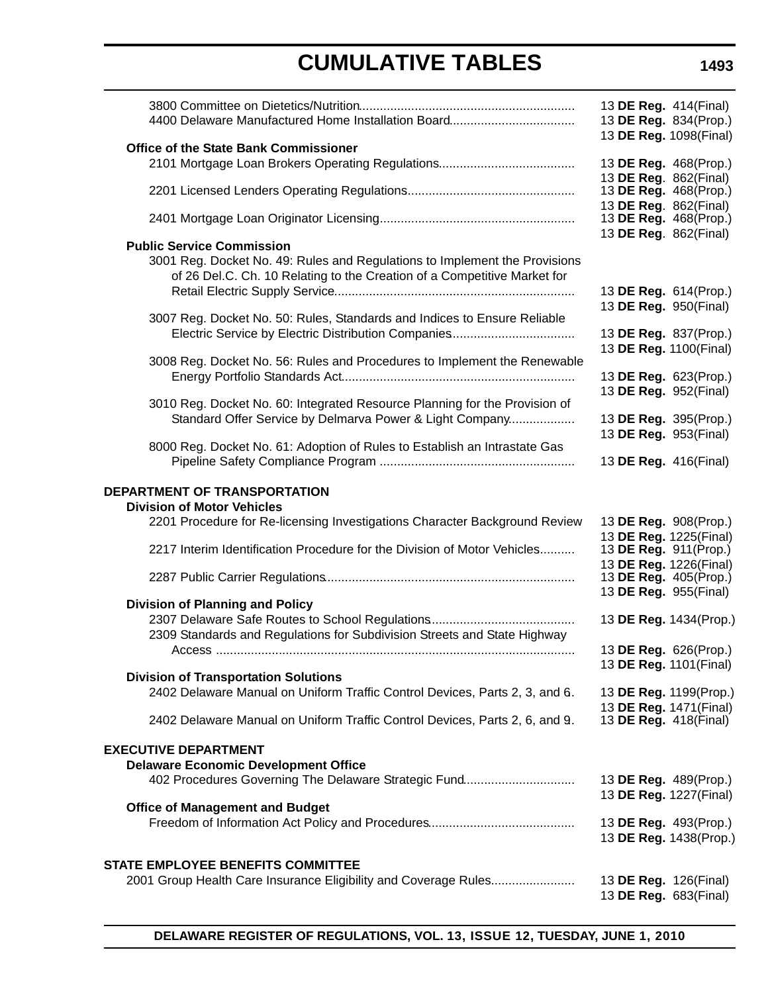|                                                                                                                                                                                            | 13 <b>DE Reg.</b> 414(Final)<br>13 DE Reg. 834(Prop.)<br>13 DE Reg. 1098(Final) |  |
|--------------------------------------------------------------------------------------------------------------------------------------------------------------------------------------------|---------------------------------------------------------------------------------|--|
| <b>Office of the State Bank Commissioner</b>                                                                                                                                               | 13 DE Reg. 468(Prop.)<br>13 DE Reg. 862(Final)                                  |  |
|                                                                                                                                                                                            | 13 DE Reg. 468(Prop.)                                                           |  |
|                                                                                                                                                                                            | 13 DE Reg. 862(Final)<br>13 DE Reg. 468(Prop.)<br>13 DE Reg. 862(Final)         |  |
| <b>Public Service Commission</b><br>3001 Reg. Docket No. 49: Rules and Regulations to Implement the Provisions<br>of 26 Del.C. Ch. 10 Relating to the Creation of a Competitive Market for | 13 DE Reg. 614(Prop.)<br>13 DE Reg. 950(Final)                                  |  |
| 3007 Reg. Docket No. 50: Rules, Standards and Indices to Ensure Reliable<br>Electric Service by Electric Distribution Companies                                                            | 13 DE Reg. 837(Prop.)<br>13 DE Reg. 1100(Final)                                 |  |
| 3008 Reg. Docket No. 56: Rules and Procedures to Implement the Renewable                                                                                                                   | 13 DE Reg. 623(Prop.)<br>13 DE Reg. 952(Final)                                  |  |
| 3010 Reg. Docket No. 60: Integrated Resource Planning for the Provision of<br>Standard Offer Service by Delmarva Power & Light Company                                                     | 13 DE Reg. 395(Prop.)<br>13 DE Reg. 953(Final)                                  |  |
| 8000 Reg. Docket No. 61: Adoption of Rules to Establish an Intrastate Gas                                                                                                                  | 13 DE Reg. 416(Final)                                                           |  |
| DEPARTMENT OF TRANSPORTATION<br><b>Division of Motor Vehicles</b>                                                                                                                          |                                                                                 |  |
| 2201 Procedure for Re-licensing Investigations Character Background Review                                                                                                                 | 13 DE Reg. 908(Prop.)                                                           |  |
| 2217 Interim Identification Procedure for the Division of Motor Vehicles                                                                                                                   | 13 DE Reg. 1225(Final)<br>13 DE Reg. 911(Prop.)                                 |  |
|                                                                                                                                                                                            | 13 DE Reg. 1226(Final)<br>13 DE Reg. 405(Prop.)<br>13 DE Reg. 955(Final)        |  |
| <b>Division of Planning and Policy</b><br>2309 Standards and Regulations for Subdivision Streets and State Highway                                                                         | 13 DE Reg. 1434(Prop.)                                                          |  |
|                                                                                                                                                                                            | 13 DE Reg. 626(Prop.)<br>13 DE Reg. 1101(Final)                                 |  |
| <b>Division of Transportation Solutions</b><br>2402 Delaware Manual on Uniform Traffic Control Devices, Parts 2, 3, and 6.                                                                 | 13 DE Reg. 1199(Prop.)                                                          |  |
| 2402 Delaware Manual on Uniform Traffic Control Devices, Parts 2, 6, and 9.                                                                                                                | 13 DE Reg. 1471(Final)<br>13 <b>DE Reg.</b> 418(Final)                          |  |
| <b>EXECUTIVE DEPARTMENT</b><br><b>Delaware Economic Development Office</b>                                                                                                                 |                                                                                 |  |
| 402 Procedures Governing The Delaware Strategic Fund                                                                                                                                       | 13 DE Reg. 489(Prop.)<br>13 DE Reg. 1227(Final)                                 |  |
| <b>Office of Management and Budget</b>                                                                                                                                                     | 13 DE Reg. 493(Prop.)<br>13 DE Reg. 1438(Prop.)                                 |  |
| <b>STATE EMPLOYEE BENEFITS COMMITTEE</b>                                                                                                                                                   |                                                                                 |  |
| 2001 Group Health Care Insurance Eligibility and Coverage Rules                                                                                                                            | 13 <b>DE Reg.</b> 126(Final)<br>13 DE Reg. 683(Final)                           |  |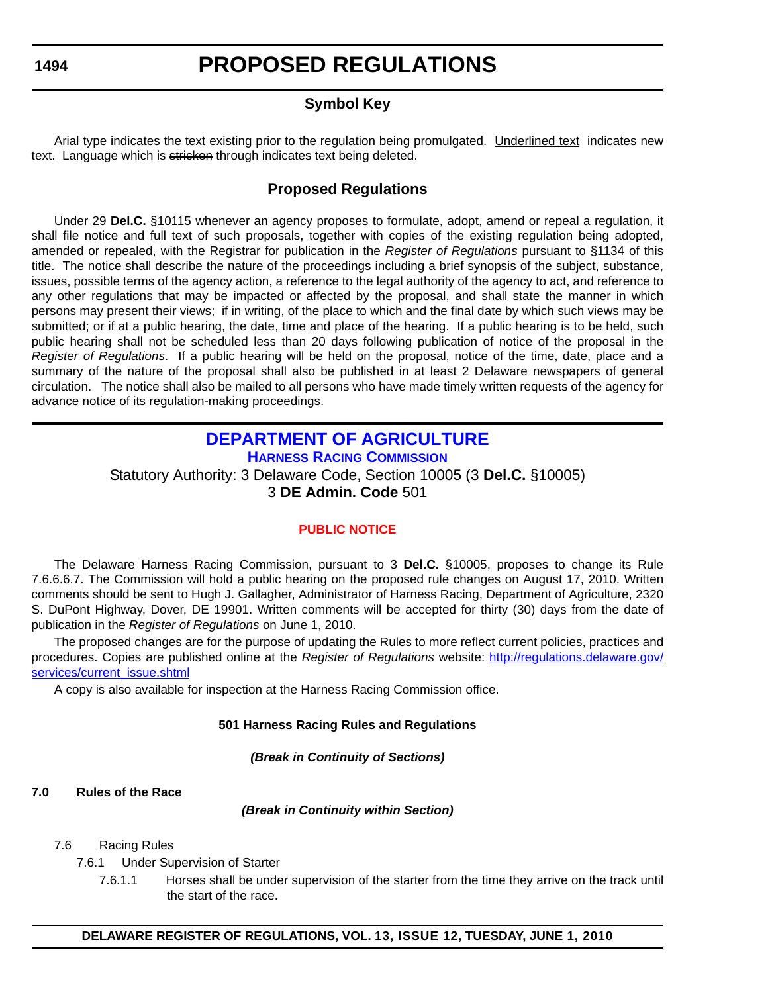### **Symbol Key**

<span id="page-14-0"></span>Arial type indicates the text existing prior to the regulation being promulgated. Underlined text indicates new text. Language which is stricken through indicates text being deleted.

### **Proposed Regulations**

Under 29 **Del.C.** §10115 whenever an agency proposes to formulate, adopt, amend or repeal a regulation, it shall file notice and full text of such proposals, together with copies of the existing regulation being adopted, amended or repealed, with the Registrar for publication in the *Register of Regulations* pursuant to §1134 of this title. The notice shall describe the nature of the proceedings including a brief synopsis of the subject, substance, issues, possible terms of the agency action, a reference to the legal authority of the agency to act, and reference to any other regulations that may be impacted or affected by the proposal, and shall state the manner in which persons may present their views; if in writing, of the place to which and the final date by which such views may be submitted; or if at a public hearing, the date, time and place of the hearing. If a public hearing is to be held, such public hearing shall not be scheduled less than 20 days following publication of notice of the proposal in the *Register of Regulations*. If a public hearing will be held on the proposal, notice of the time, date, place and a summary of the nature of the proposal shall also be published in at least 2 Delaware newspapers of general circulation. The notice shall also be mailed to all persons who have made timely written requests of the agency for advance notice of its regulation-making proceedings.

### **[DEPARTMENT OF AGRICULTURE](http://dda.delaware.gov/harness/index.shtml) HARNESS RACING COMMISSION**

Statutory Authority: 3 Delaware Code, Section 10005 (3 **Del.C.** §10005) 3 **DE Admin. Code** 501

### **[PUBLIC NOTICE](#page-3-0)**

The Delaware Harness Racing Commission, pursuant to 3 **Del.C.** §10005, proposes to change its Rule 7.6.6.6.7. The Commission will hold a public hearing on the proposed rule changes on August 17, 2010. Written comments should be sent to Hugh J. Gallagher, Administrator of Harness Racing, Department of Agriculture, 2320 S. DuPont Highway, Dover, DE 19901. Written comments will be accepted for thirty (30) days from the date of publication in the *Register of Regulations* on June 1, 2010.

The proposed changes are for the purpose of updating the Rules to more reflect current policies, practices and procedures. Copies are published online at the *Register of Regulations* website: http://regulations.delaware.gov/ services/current\_issue.shtml

A copy is also available for inspection at the Harness Racing Commission office.

#### **501 Harness Racing Rules and Regulations**

*(Break in Continuity of Sections)*

#### **7.0 Rules of the Race**

*(Break in Continuity within Section)*

#### 7.6 Racing Rules

- 7.6.1 Under Supervision of Starter
	- 7.6.1.1 Horses shall be under supervision of the starter from the time they arrive on the track until the start of the race.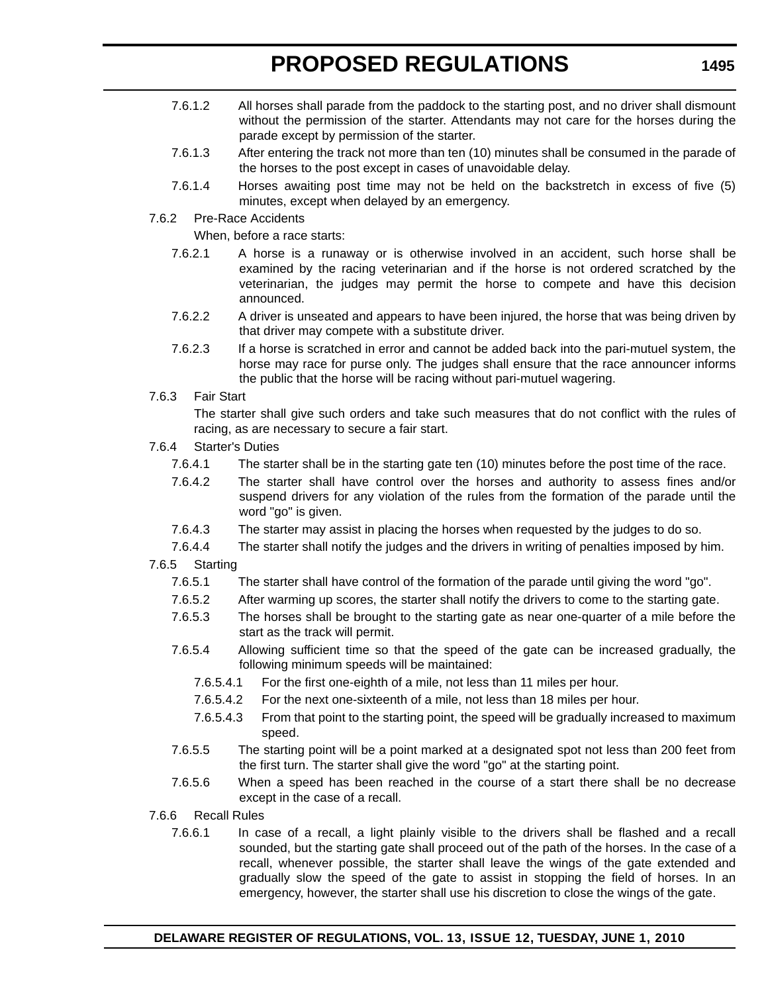- 7.6.1.2 All horses shall parade from the paddock to the starting post, and no driver shall dismount without the permission of the starter. Attendants may not care for the horses during the parade except by permission of the starter.
- 7.6.1.3 After entering the track not more than ten (10) minutes shall be consumed in the parade of the horses to the post except in cases of unavoidable delay.
- 7.6.1.4 Horses awaiting post time may not be held on the backstretch in excess of five (5) minutes, except when delayed by an emergency.
- 7.6.2 Pre-Race Accidents

When, before a race starts:

- 7.6.2.1 A horse is a runaway or is otherwise involved in an accident, such horse shall be examined by the racing veterinarian and if the horse is not ordered scratched by the veterinarian, the judges may permit the horse to compete and have this decision announced.
- 7.6.2.2 A driver is unseated and appears to have been injured, the horse that was being driven by that driver may compete with a substitute driver.
- 7.6.2.3 If a horse is scratched in error and cannot be added back into the pari-mutuel system, the horse may race for purse only. The judges shall ensure that the race announcer informs the public that the horse will be racing without pari-mutuel wagering.
- 7.6.3 Fair Start

The starter shall give such orders and take such measures that do not conflict with the rules of racing, as are necessary to secure a fair start.

- 7.6.4 Starter's Duties
	- 7.6.4.1 The starter shall be in the starting gate ten (10) minutes before the post time of the race.
	- 7.6.4.2 The starter shall have control over the horses and authority to assess fines and/or suspend drivers for any violation of the rules from the formation of the parade until the word "go" is given.
	- 7.6.4.3 The starter may assist in placing the horses when requested by the judges to do so.
	- 7.6.4.4 The starter shall notify the judges and the drivers in writing of penalties imposed by him.
- 7.6.5 Starting
	- 7.6.5.1 The starter shall have control of the formation of the parade until giving the word "go".
	- 7.6.5.2 After warming up scores, the starter shall notify the drivers to come to the starting gate.
	- 7.6.5.3 The horses shall be brought to the starting gate as near one-quarter of a mile before the start as the track will permit.
	- 7.6.5.4 Allowing sufficient time so that the speed of the gate can be increased gradually, the following minimum speeds will be maintained:
		- 7.6.5.4.1 For the first one-eighth of a mile, not less than 11 miles per hour.
		- 7.6.5.4.2 For the next one-sixteenth of a mile, not less than 18 miles per hour.
		- 7.6.5.4.3 From that point to the starting point, the speed will be gradually increased to maximum speed.
	- 7.6.5.5 The starting point will be a point marked at a designated spot not less than 200 feet from the first turn. The starter shall give the word "go" at the starting point.
	- 7.6.5.6 When a speed has been reached in the course of a start there shall be no decrease except in the case of a recall.
- 7.6.6 Recall Rules
	- 7.6.6.1 In case of a recall, a light plainly visible to the drivers shall be flashed and a recall sounded, but the starting gate shall proceed out of the path of the horses. In the case of a recall, whenever possible, the starter shall leave the wings of the gate extended and gradually slow the speed of the gate to assist in stopping the field of horses. In an emergency, however, the starter shall use his discretion to close the wings of the gate.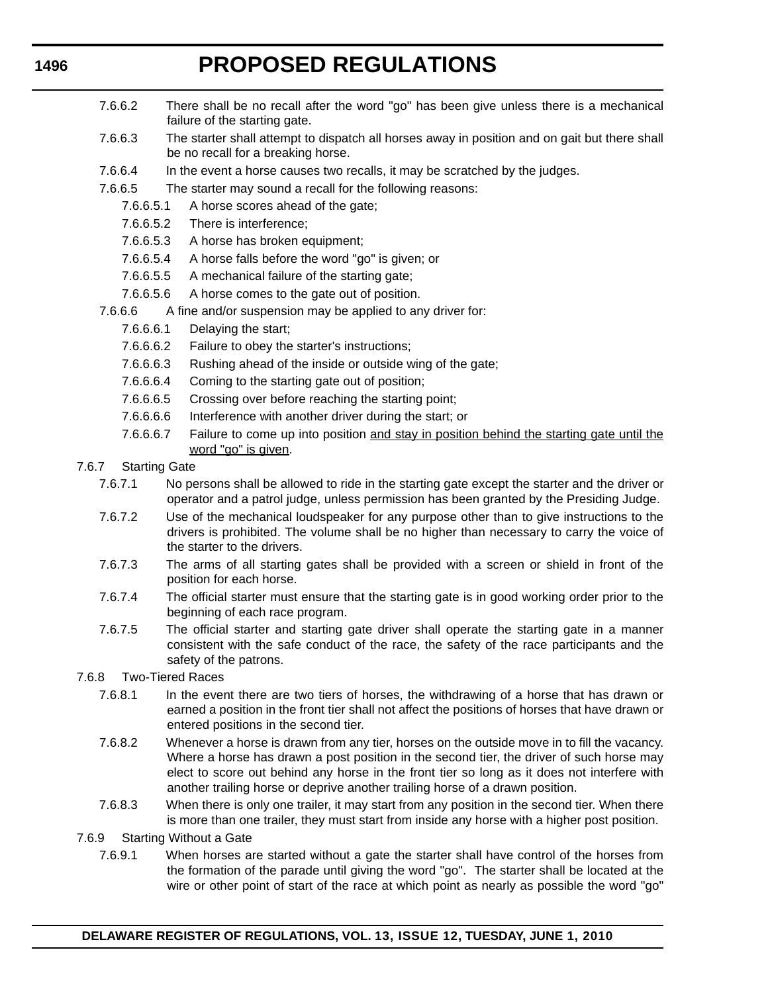- 7.6.6.2 There shall be no recall after the word "go" has been give unless there is a mechanical failure of the starting gate.
- 7.6.6.3 The starter shall attempt to dispatch all horses away in position and on gait but there shall be no recall for a breaking horse.
- 7.6.6.4 In the event a horse causes two recalls, it may be scratched by the judges.
- 7.6.6.5 The starter may sound a recall for the following reasons:
	- 7.6.6.5.1 A horse scores ahead of the gate;
		- 7.6.6.5.2 There is interference;
	- 7.6.6.5.3 A horse has broken equipment;
	- 7.6.6.5.4 A horse falls before the word "go" is given; or
	- 7.6.6.5.5 A mechanical failure of the starting gate;
	- 7.6.6.5.6 A horse comes to the gate out of position.
- 7.6.6.6 A fine and/or suspension may be applied to any driver for:
	- 7.6.6.6.1 Delaying the start;
	- 7.6.6.6.2 Failure to obey the starter's instructions;
	- 7.6.6.6.3 Rushing ahead of the inside or outside wing of the gate;
	- 7.6.6.6.4 Coming to the starting gate out of position;
	- 7.6.6.6.5 Crossing over before reaching the starting point;
	- 7.6.6.6.6 Interference with another driver during the start; or
	- 7.6.6.6.7 Failure to come up into position and stay in position behind the starting gate until the word "go" is given.
- 7.6.7 Starting Gate
	- 7.6.7.1 No persons shall be allowed to ride in the starting gate except the starter and the driver or operator and a patrol judge, unless permission has been granted by the Presiding Judge.
	- 7.6.7.2 Use of the mechanical loudspeaker for any purpose other than to give instructions to the drivers is prohibited. The volume shall be no higher than necessary to carry the voice of the starter to the drivers.
	- 7.6.7.3 The arms of all starting gates shall be provided with a screen or shield in front of the position for each horse.
	- 7.6.7.4 The official starter must ensure that the starting gate is in good working order prior to the beginning of each race program.
	- 7.6.7.5 The official starter and starting gate driver shall operate the starting gate in a manner consistent with the safe conduct of the race, the safety of the race participants and the safety of the patrons.
- 7.6.8 Two-Tiered Races
	- 7.6.8.1 In the event there are two tiers of horses, the withdrawing of a horse that has drawn or earned a position in the front tier shall not affect the positions of horses that have drawn or entered positions in the second tier.
	- 7.6.8.2 Whenever a horse is drawn from any tier, horses on the outside move in to fill the vacancy. Where a horse has drawn a post position in the second tier, the driver of such horse may elect to score out behind any horse in the front tier so long as it does not interfere with another trailing horse or deprive another trailing horse of a drawn position.
	- 7.6.8.3 When there is only one trailer, it may start from any position in the second tier. When there is more than one trailer, they must start from inside any horse with a higher post position.
- 7.6.9 Starting Without a Gate
	- 7.6.9.1 When horses are started without a gate the starter shall have control of the horses from the formation of the parade until giving the word "go". The starter shall be located at the wire or other point of start of the race at which point as nearly as possible the word "go"

### **1496**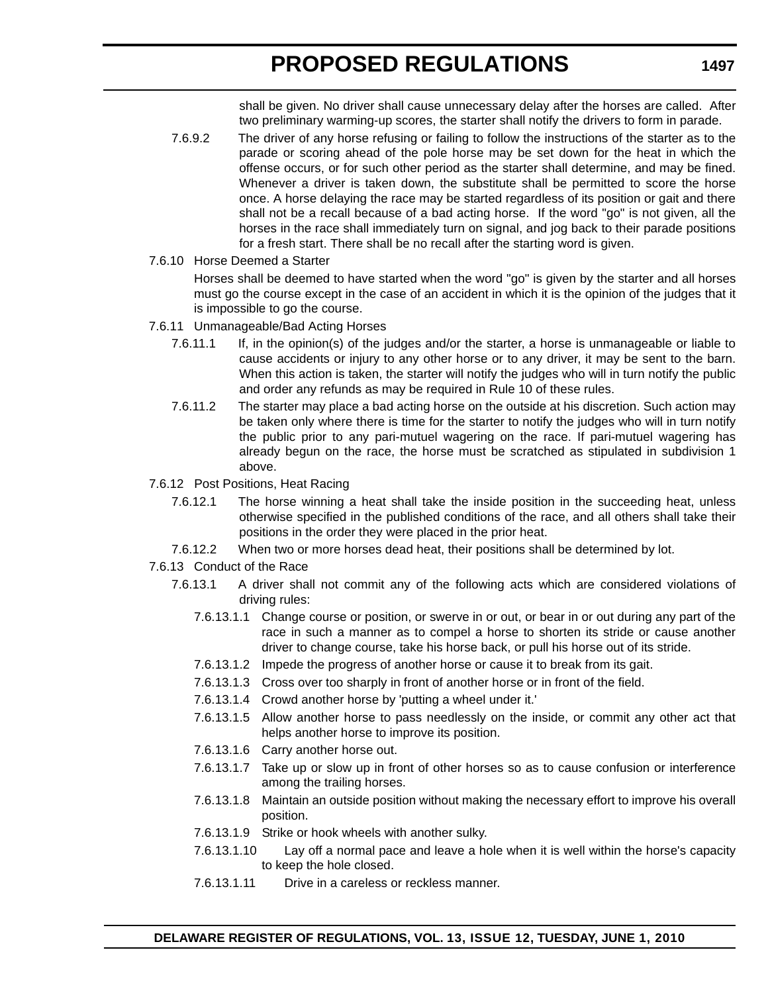shall be given. No driver shall cause unnecessary delay after the horses are called. After two preliminary warming-up scores, the starter shall notify the drivers to form in parade.

- 7.6.9.2 The driver of any horse refusing or failing to follow the instructions of the starter as to the parade or scoring ahead of the pole horse may be set down for the heat in which the offense occurs, or for such other period as the starter shall determine, and may be fined. Whenever a driver is taken down, the substitute shall be permitted to score the horse once. A horse delaying the race may be started regardless of its position or gait and there shall not be a recall because of a bad acting horse. If the word "go" is not given, all the horses in the race shall immediately turn on signal, and jog back to their parade positions for a fresh start. There shall be no recall after the starting word is given.
- 7.6.10 Horse Deemed a Starter

Horses shall be deemed to have started when the word "go" is given by the starter and all horses must go the course except in the case of an accident in which it is the opinion of the judges that it is impossible to go the course.

- 7.6.11 Unmanageable/Bad Acting Horses
	- 7.6.11.1 If, in the opinion(s) of the judges and/or the starter, a horse is unmanageable or liable to cause accidents or injury to any other horse or to any driver, it may be sent to the barn. When this action is taken, the starter will notify the judges who will in turn notify the public and order any refunds as may be required in Rule 10 of these rules.
	- 7.6.11.2 The starter may place a bad acting horse on the outside at his discretion. Such action may be taken only where there is time for the starter to notify the judges who will in turn notify the public prior to any pari-mutuel wagering on the race. If pari-mutuel wagering has already begun on the race, the horse must be scratched as stipulated in subdivision 1 above.
- 7.6.12 Post Positions, Heat Racing
	- 7.6.12.1 The horse winning a heat shall take the inside position in the succeeding heat, unless otherwise specified in the published conditions of the race, and all others shall take their positions in the order they were placed in the prior heat.
	- 7.6.12.2 When two or more horses dead heat, their positions shall be determined by lot.
- 7.6.13 Conduct of the Race
	- 7.6.13.1 A driver shall not commit any of the following acts which are considered violations of driving rules:
		- 7.6.13.1.1 Change course or position, or swerve in or out, or bear in or out during any part of the race in such a manner as to compel a horse to shorten its stride or cause another driver to change course, take his horse back, or pull his horse out of its stride.
		- 7.6.13.1.2 Impede the progress of another horse or cause it to break from its gait.
		- 7.6.13.1.3 Cross over too sharply in front of another horse or in front of the field.
		- 7.6.13.1.4 Crowd another horse by 'putting a wheel under it.'
		- 7.6.13.1.5 Allow another horse to pass needlessly on the inside, or commit any other act that helps another horse to improve its position.
		- 7.6.13.1.6 Carry another horse out.
		- 7.6.13.1.7 Take up or slow up in front of other horses so as to cause confusion or interference among the trailing horses.
		- 7.6.13.1.8 Maintain an outside position without making the necessary effort to improve his overall position.
		- 7.6.13.1.9 Strike or hook wheels with another sulky.
		- 7.6.13.1.10 Lay off a normal pace and leave a hole when it is well within the horse's capacity to keep the hole closed.
		- 7.6.13.1.11 Drive in a careless or reckless manner.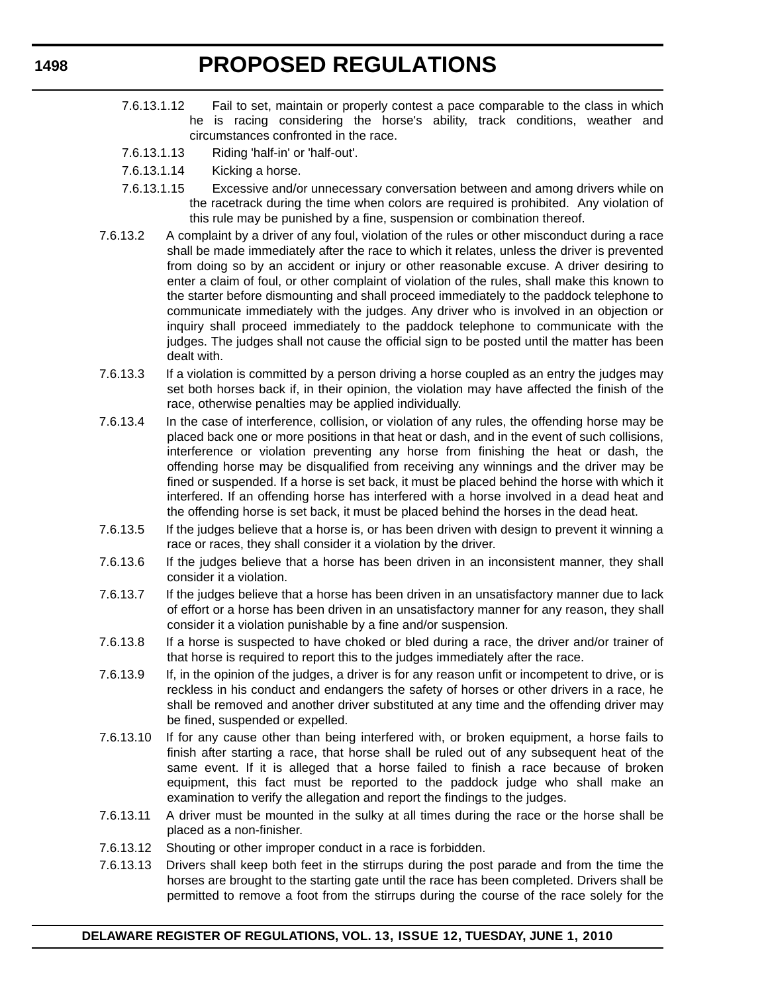- 7.6.13.1.12 Fail to set, maintain or properly contest a pace comparable to the class in which he is racing considering the horse's ability, track conditions, weather and circumstances confronted in the race.
- 7.6.13.1.13 Riding 'half-in' or 'half-out'.
- 7.6.13.1.14 Kicking a horse.
- 7.6.13.1.15 Excessive and/or unnecessary conversation between and among drivers while on the racetrack during the time when colors are required is prohibited. Any violation of this rule may be punished by a fine, suspension or combination thereof.
- 7.6.13.2 A complaint by a driver of any foul, violation of the rules or other misconduct during a race shall be made immediately after the race to which it relates, unless the driver is prevented from doing so by an accident or injury or other reasonable excuse. A driver desiring to enter a claim of foul, or other complaint of violation of the rules, shall make this known to the starter before dismounting and shall proceed immediately to the paddock telephone to communicate immediately with the judges. Any driver who is involved in an objection or inquiry shall proceed immediately to the paddock telephone to communicate with the judges. The judges shall not cause the official sign to be posted until the matter has been dealt with.
- 7.6.13.3 If a violation is committed by a person driving a horse coupled as an entry the judges may set both horses back if, in their opinion, the violation may have affected the finish of the race, otherwise penalties may be applied individually.
- 7.6.13.4 In the case of interference, collision, or violation of any rules, the offending horse may be placed back one or more positions in that heat or dash, and in the event of such collisions, interference or violation preventing any horse from finishing the heat or dash, the offending horse may be disqualified from receiving any winnings and the driver may be fined or suspended. If a horse is set back, it must be placed behind the horse with which it interfered. If an offending horse has interfered with a horse involved in a dead heat and the offending horse is set back, it must be placed behind the horses in the dead heat.
- 7.6.13.5 If the judges believe that a horse is, or has been driven with design to prevent it winning a race or races, they shall consider it a violation by the driver.
- 7.6.13.6 If the judges believe that a horse has been driven in an inconsistent manner, they shall consider it a violation.
- 7.6.13.7 If the judges believe that a horse has been driven in an unsatisfactory manner due to lack of effort or a horse has been driven in an unsatisfactory manner for any reason, they shall consider it a violation punishable by a fine and/or suspension.
- 7.6.13.8 If a horse is suspected to have choked or bled during a race, the driver and/or trainer of that horse is required to report this to the judges immediately after the race.
- 7.6.13.9 If, in the opinion of the judges, a driver is for any reason unfit or incompetent to drive, or is reckless in his conduct and endangers the safety of horses or other drivers in a race, he shall be removed and another driver substituted at any time and the offending driver may be fined, suspended or expelled.
- 7.6.13.10 If for any cause other than being interfered with, or broken equipment, a horse fails to finish after starting a race, that horse shall be ruled out of any subsequent heat of the same event. If it is alleged that a horse failed to finish a race because of broken equipment, this fact must be reported to the paddock judge who shall make an examination to verify the allegation and report the findings to the judges.
- 7.6.13.11 A driver must be mounted in the sulky at all times during the race or the horse shall be placed as a non-finisher.
- 7.6.13.12 Shouting or other improper conduct in a race is forbidden.
- 7.6.13.13 Drivers shall keep both feet in the stirrups during the post parade and from the time the horses are brought to the starting gate until the race has been completed. Drivers shall be permitted to remove a foot from the stirrups during the course of the race solely for the

**1498**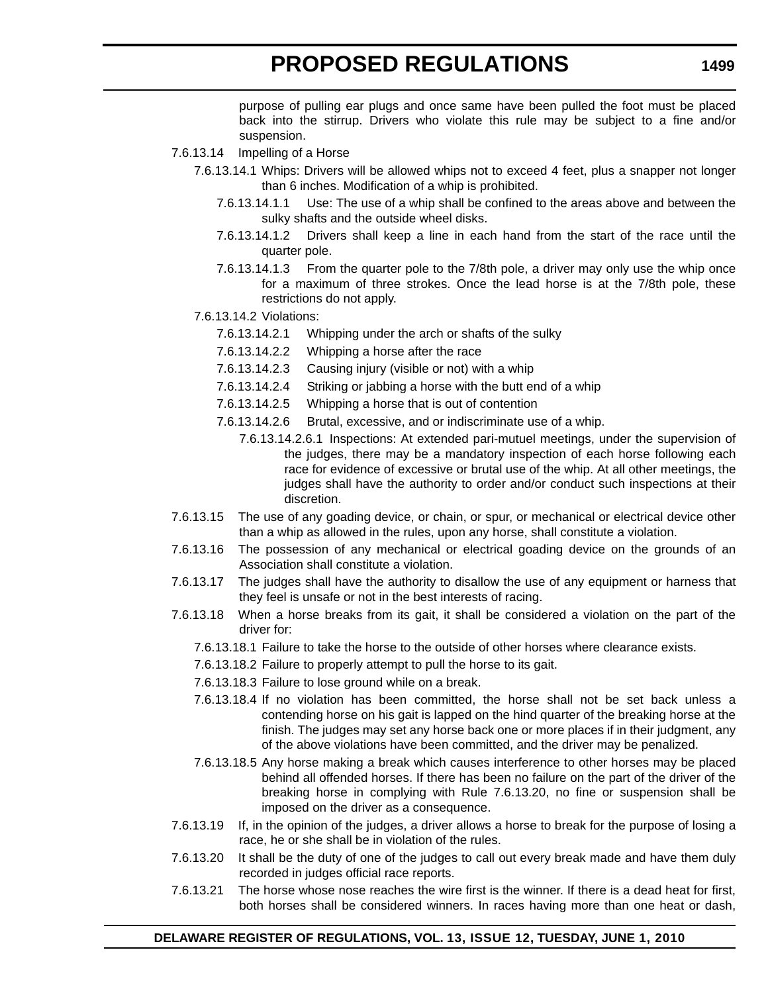purpose of pulling ear plugs and once same have been pulled the foot must be placed back into the stirrup. Drivers who violate this rule may be subject to a fine and/or suspension.

- 7.6.13.14 Impelling of a Horse
	- 7.6.13.14.1 Whips: Drivers will be allowed whips not to exceed 4 feet, plus a snapper not longer than 6 inches. Modification of a whip is prohibited.
		- 7.6.13.14.1.1 Use: The use of a whip shall be confined to the areas above and between the sulky shafts and the outside wheel disks.
		- 7.6.13.14.1.2 Drivers shall keep a line in each hand from the start of the race until the quarter pole.
		- 7.6.13.14.1.3 From the quarter pole to the 7/8th pole, a driver may only use the whip once for a maximum of three strokes. Once the lead horse is at the 7/8th pole, these restrictions do not apply.
	- 7.6.13.14.2 Violations:
		- 7.6.13.14.2.1 Whipping under the arch or shafts of the sulky
		- 7.6.13.14.2.2 Whipping a horse after the race
		- 7.6.13.14.2.3 Causing injury (visible or not) with a whip
		- 7.6.13.14.2.4 Striking or jabbing a horse with the butt end of a whip
		- 7.6.13.14.2.5 Whipping a horse that is out of contention
		- 7.6.13.14.2.6 Brutal, excessive, and or indiscriminate use of a whip.
			- 7.6.13.14.2.6.1 Inspections: At extended pari-mutuel meetings, under the supervision of the judges, there may be a mandatory inspection of each horse following each race for evidence of excessive or brutal use of the whip. At all other meetings, the judges shall have the authority to order and/or conduct such inspections at their discretion.
- 7.6.13.15 The use of any goading device, or chain, or spur, or mechanical or electrical device other than a whip as allowed in the rules, upon any horse, shall constitute a violation.
- 7.6.13.16 The possession of any mechanical or electrical goading device on the grounds of an Association shall constitute a violation.
- 7.6.13.17 The judges shall have the authority to disallow the use of any equipment or harness that they feel is unsafe or not in the best interests of racing.
- 7.6.13.18 When a horse breaks from its gait, it shall be considered a violation on the part of the driver for:
	- 7.6.13.18.1 Failure to take the horse to the outside of other horses where clearance exists.
	- 7.6.13.18.2 Failure to properly attempt to pull the horse to its gait.
	- 7.6.13.18.3 Failure to lose ground while on a break.
	- 7.6.13.18.4 If no violation has been committed, the horse shall not be set back unless a contending horse on his gait is lapped on the hind quarter of the breaking horse at the finish. The judges may set any horse back one or more places if in their judgment, any of the above violations have been committed, and the driver may be penalized.
	- 7.6.13.18.5 Any horse making a break which causes interference to other horses may be placed behind all offended horses. If there has been no failure on the part of the driver of the breaking horse in complying with Rule 7.6.13.20, no fine or suspension shall be imposed on the driver as a consequence.
- 7.6.13.19 If, in the opinion of the judges, a driver allows a horse to break for the purpose of losing a race, he or she shall be in violation of the rules.
- 7.6.13.20 It shall be the duty of one of the judges to call out every break made and have them duly recorded in judges official race reports.
- 7.6.13.21 The horse whose nose reaches the wire first is the winner. If there is a dead heat for first, both horses shall be considered winners. In races having more than one heat or dash,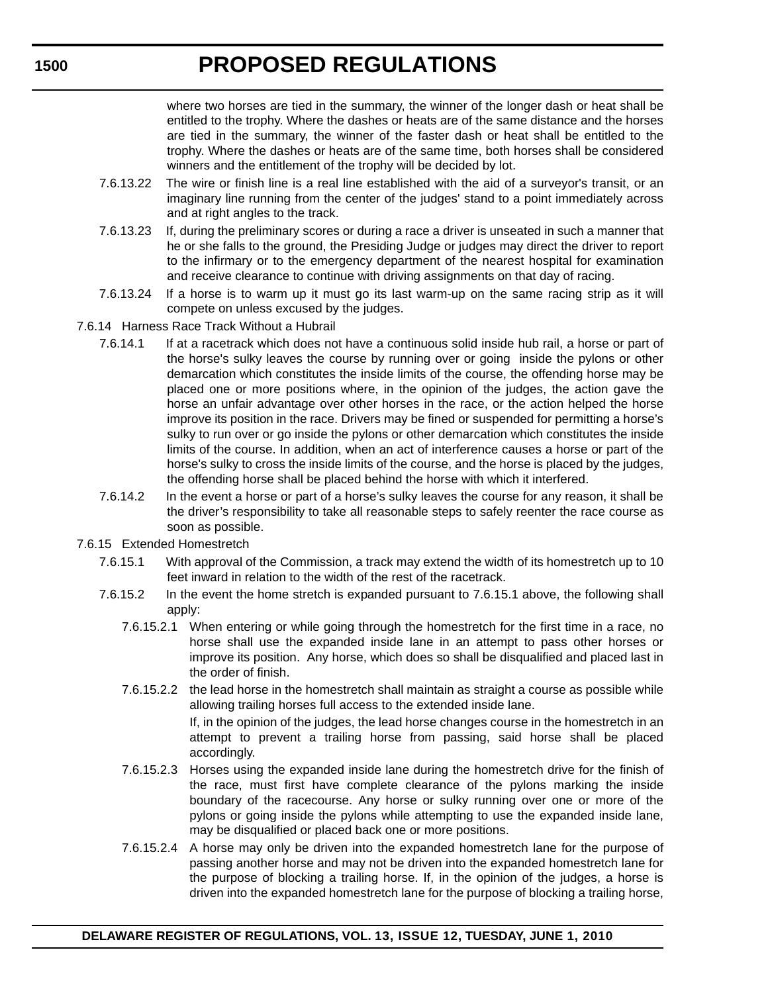<span id="page-20-0"></span>where two horses are tied in the summary, the winner of the longer dash or heat shall be entitled to the trophy. Where the dashes or heats are of the same distance and the horses are tied in the summary, the winner of the faster dash or heat shall be entitled to the trophy. Where the dashes or heats are of the same time, both horses shall be considered winners and the entitlement of the trophy will be decided by lot.

- 7.6.13.22 The wire or finish line is a real line established with the aid of a surveyor's transit, or an imaginary line running from the center of the judges' stand to a point immediately across and at right angles to the track.
- 7.6.13.23 If, during the preliminary scores or during a race a driver is unseated in such a manner that he or she falls to the ground, the Presiding Judge or judges may direct the driver to report to the infirmary or to the emergency department of the nearest hospital for examination and receive clearance to continue with driving assignments on that day of racing.
- 7.6.13.24 If a horse is to warm up it must go its last warm-up on the same racing strip as it will compete on unless excused by the judges.
- 7.6.14 Harness Race Track Without a Hubrail
	- 7.6.14.1 If at a racetrack which does not have a continuous solid inside hub rail, a horse or part of the horse's sulky leaves the course by running over or going inside the pylons or other demarcation which constitutes the inside limits of the course, the offending horse may be placed one or more positions where, in the opinion of the judges, the action gave the horse an unfair advantage over other horses in the race, or the action helped the horse improve its position in the race. Drivers may be fined or suspended for permitting a horse's sulky to run over or go inside the pylons or other demarcation which constitutes the inside limits of the course. In addition, when an act of interference causes a horse or part of the horse's sulky to cross the inside limits of the course, and the horse is placed by the judges, the offending horse shall be placed behind the horse with which it interfered.
	- 7.6.14.2 In the event a horse or part of a horse's sulky leaves the course for any reason, it shall be the driver's responsibility to take all reasonable steps to safely reenter the race course as soon as possible.
- 7.6.15 Extended Homestretch
	- 7.6.15.1 With approval of the Commission, a track may extend the width of its homestretch up to 10 feet inward in relation to the width of the rest of the racetrack.
	- 7.6.15.2 In the event the home stretch is expanded pursuant to 7.6.15.1 above, the following shall apply:
		- 7.6.15.2.1 When entering or while going through the homestretch for the first time in a race, no horse shall use the expanded inside lane in an attempt to pass other horses or improve its position. Any horse, which does so shall be disqualified and placed last in the order of finish.
		- 7.6.15.2.2 the lead horse in the homestretch shall maintain as straight a course as possible while allowing trailing horses full access to the extended inside lane. If, in the opinion of the judges, the lead horse changes course in the homestretch in an attempt to prevent a trailing horse from passing, said horse shall be placed accordingly.
		- 7.6.15.2.3 Horses using the expanded inside lane during the homestretch drive for the finish of the race, must first have complete clearance of the pylons marking the inside boundary of the racecourse. Any horse or sulky running over one or more of the pylons or going inside the pylons while attempting to use the expanded inside lane, may be disqualified or placed back one or more positions.
		- 7.6.15.2.4 A horse may only be driven into the expanded homestretch lane for the purpose of passing another horse and may not be driven into the expanded homestretch lane for the purpose of blocking a trailing horse. If, in the opinion of the judges, a horse is driven into the expanded homestretch lane for the purpose of blocking a trailing horse,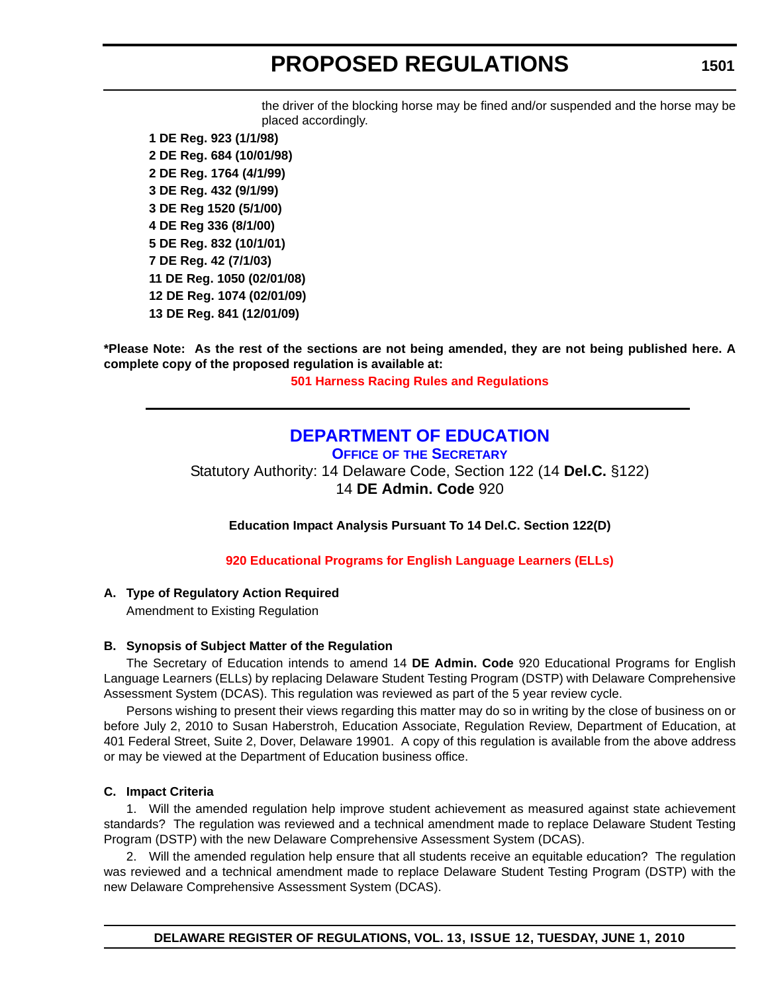the driver of the blocking horse may be fined and/or suspended and the horse may be placed accordingly.

**1 DE Reg. 923 (1/1/98) 2 DE Reg. 684 (10/01/98) 2 DE Reg. 1764 (4/1/99) 3 DE Reg. 432 (9/1/99) 3 DE Reg 1520 (5/1/00) 4 DE Reg 336 (8/1/00) 5 DE Reg. 832 (10/1/01) 7 DE Reg. 42 (7/1/03) 11 DE Reg. 1050 (02/01/08) 12 DE Reg. 1074 (02/01/09) 13 DE Reg. 841 (12/01/09)**

**\*Please Note: As the rest of the sections are not being amended, they are not being published here. A complete copy of the proposed regulation is available at:**

**[501 Harness Racing Rules and Regulations](http://regulations.delaware.gov/register/june2010/proposed/13 DE Reg 1494 06-01-10.htm)**

### **[DEPARTMENT OF EDUCATION](http://www.doe.k12.de.us/)**

**OFFICE OF THE SECRETARY** Statutory Authority: 14 Delaware Code, Section 122 (14 **Del.C.** §122) 14 **DE Admin. Code** 920

**Education Impact Analysis Pursuant To 14 Del.C. Section 122(D)**

**[920 Educational Programs for English Language Learners \(ELLs\)](#page-3-0)**

### **A. Type of Regulatory Action Required**

Amendment to Existing Regulation

### **B. Synopsis of Subject Matter of the Regulation**

The Secretary of Education intends to amend 14 **DE Admin. Code** 920 Educational Programs for English Language Learners (ELLs) by replacing Delaware Student Testing Program (DSTP) with Delaware Comprehensive Assessment System (DCAS). This regulation was reviewed as part of the 5 year review cycle.

Persons wishing to present their views regarding this matter may do so in writing by the close of business on or before July 2, 2010 to Susan Haberstroh, Education Associate, Regulation Review, Department of Education, at 401 Federal Street, Suite 2, Dover, Delaware 19901. A copy of this regulation is available from the above address or may be viewed at the Department of Education business office.

### **C. Impact Criteria**

1. Will the amended regulation help improve student achievement as measured against state achievement standards? The regulation was reviewed and a technical amendment made to replace Delaware Student Testing Program (DSTP) with the new Delaware Comprehensive Assessment System (DCAS).

2. Will the amended regulation help ensure that all students receive an equitable education? The regulation was reviewed and a technical amendment made to replace Delaware Student Testing Program (DSTP) with the new Delaware Comprehensive Assessment System (DCAS).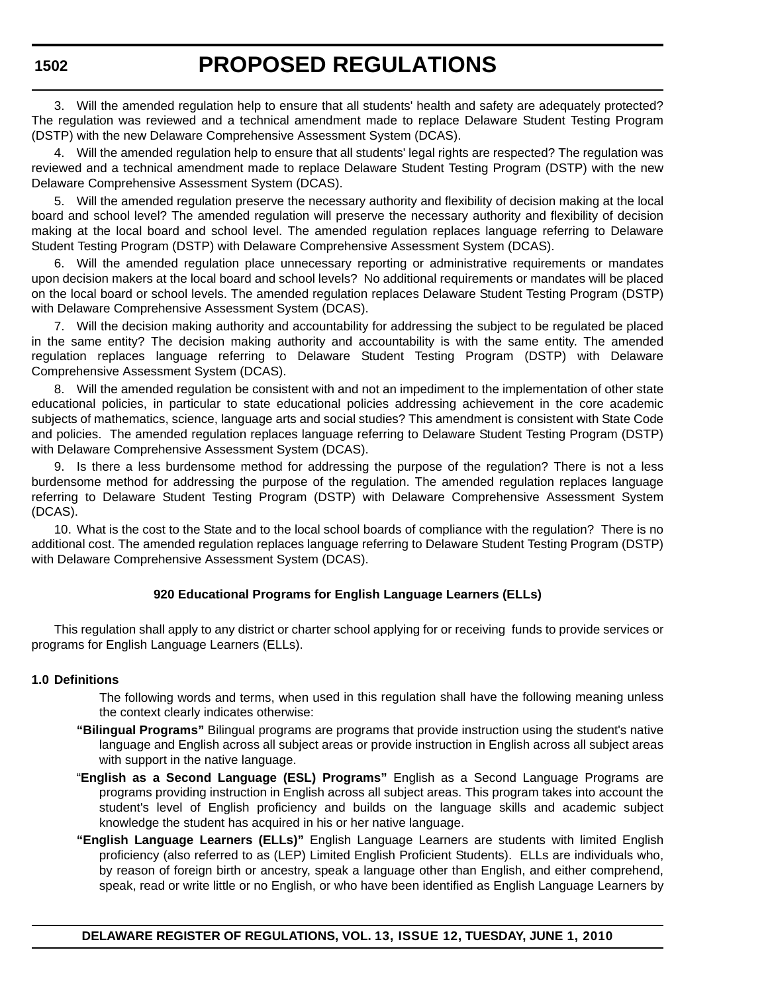3. Will the amended regulation help to ensure that all students' health and safety are adequately protected? The regulation was reviewed and a technical amendment made to replace Delaware Student Testing Program (DSTP) with the new Delaware Comprehensive Assessment System (DCAS).

4. Will the amended regulation help to ensure that all students' legal rights are respected? The regulation was reviewed and a technical amendment made to replace Delaware Student Testing Program (DSTP) with the new Delaware Comprehensive Assessment System (DCAS).

5. Will the amended regulation preserve the necessary authority and flexibility of decision making at the local board and school level? The amended regulation will preserve the necessary authority and flexibility of decision making at the local board and school level. The amended regulation replaces language referring to Delaware Student Testing Program (DSTP) with Delaware Comprehensive Assessment System (DCAS).

6. Will the amended regulation place unnecessary reporting or administrative requirements or mandates upon decision makers at the local board and school levels? No additional requirements or mandates will be placed on the local board or school levels. The amended regulation replaces Delaware Student Testing Program (DSTP) with Delaware Comprehensive Assessment System (DCAS).

7. Will the decision making authority and accountability for addressing the subject to be regulated be placed in the same entity? The decision making authority and accountability is with the same entity. The amended regulation replaces language referring to Delaware Student Testing Program (DSTP) with Delaware Comprehensive Assessment System (DCAS).

8. Will the amended regulation be consistent with and not an impediment to the implementation of other state educational policies, in particular to state educational policies addressing achievement in the core academic subjects of mathematics, science, language arts and social studies? This amendment is consistent with State Code and policies. The amended regulation replaces language referring to Delaware Student Testing Program (DSTP) with Delaware Comprehensive Assessment System (DCAS).

9. Is there a less burdensome method for addressing the purpose of the regulation? There is not a less burdensome method for addressing the purpose of the regulation. The amended regulation replaces language referring to Delaware Student Testing Program (DSTP) with Delaware Comprehensive Assessment System (DCAS).

10. What is the cost to the State and to the local school boards of compliance with the regulation? There is no additional cost. The amended regulation replaces language referring to Delaware Student Testing Program (DSTP) with Delaware Comprehensive Assessment System (DCAS).

### **920 Educational Programs for English Language Learners (ELLs)**

This regulation shall apply to any district or charter school applying for or receiving funds to provide services or programs for English Language Learners (ELLs).

#### **1.0 Definitions**

- The following words and terms, when used in this regulation shall have the following meaning unless the context clearly indicates otherwise:
- **"Bilingual Programs"** Bilingual programs are programs that provide instruction using the student's native language and English across all subject areas or provide instruction in English across all subject areas with support in the native language.
- "**English as a Second Language (ESL) Programs"** English as a Second Language Programs are programs providing instruction in English across all subject areas. This program takes into account the student's level of English proficiency and builds on the language skills and academic subject knowledge the student has acquired in his or her native language.
- **"English Language Learners (ELLs)"** English Language Learners are students with limited English proficiency (also referred to as (LEP) Limited English Proficient Students). ELLs are individuals who, by reason of foreign birth or ancestry, speak a language other than English, and either comprehend, speak, read or write little or no English, or who have been identified as English Language Learners by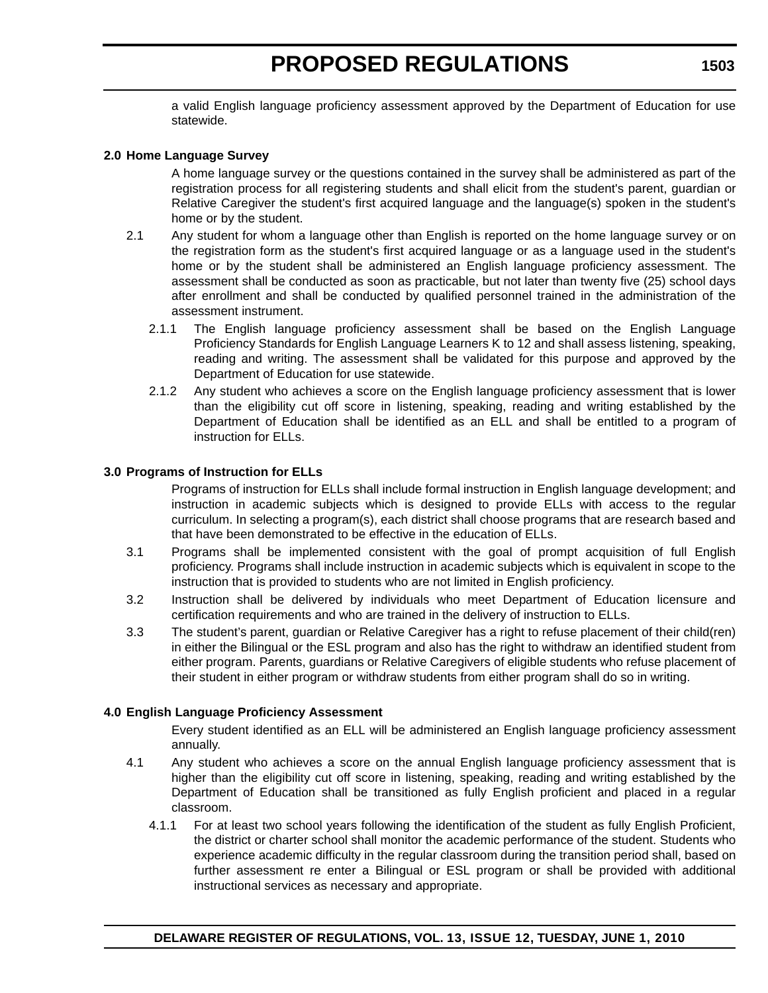<span id="page-23-0"></span>a valid English language proficiency assessment approved by the Department of Education for use statewide.

#### **2.0 Home Language Survey**

A home language survey or the questions contained in the survey shall be administered as part of the registration process for all registering students and shall elicit from the student's parent, guardian or Relative Caregiver the student's first acquired language and the language(s) spoken in the student's home or by the student.

- 2.1 Any student for whom a language other than English is reported on the home language survey or on the registration form as the student's first acquired language or as a language used in the student's home or by the student shall be administered an English language proficiency assessment. The assessment shall be conducted as soon as practicable, but not later than twenty five (25) school days after enrollment and shall be conducted by qualified personnel trained in the administration of the assessment instrument.
	- 2.1.1 The English language proficiency assessment shall be based on the English Language Proficiency Standards for English Language Learners K to 12 and shall assess listening, speaking, reading and writing. The assessment shall be validated for this purpose and approved by the Department of Education for use statewide.
	- 2.1.2 Any student who achieves a score on the English language proficiency assessment that is lower than the eligibility cut off score in listening, speaking, reading and writing established by the Department of Education shall be identified as an ELL and shall be entitled to a program of instruction for ELLs.

#### **3.0 Programs of Instruction for ELLs**

Programs of instruction for ELLs shall include formal instruction in English language development; and instruction in academic subjects which is designed to provide ELLs with access to the regular curriculum. In selecting a program(s), each district shall choose programs that are research based and that have been demonstrated to be effective in the education of ELLs.

- 3.1 Programs shall be implemented consistent with the goal of prompt acquisition of full English proficiency. Programs shall include instruction in academic subjects which is equivalent in scope to the instruction that is provided to students who are not limited in English proficiency.
- 3.2 Instruction shall be delivered by individuals who meet Department of Education licensure and certification requirements and who are trained in the delivery of instruction to ELLs.
- 3.3 The student's parent, guardian or Relative Caregiver has a right to refuse placement of their child(ren) in either the Bilingual or the ESL program and also has the right to withdraw an identified student from either program. Parents, guardians or Relative Caregivers of eligible students who refuse placement of their student in either program or withdraw students from either program shall do so in writing.

### **4.0 English Language Proficiency Assessment**

Every student identified as an ELL will be administered an English language proficiency assessment annually.

- 4.1 Any student who achieves a score on the annual English language proficiency assessment that is higher than the eligibility cut off score in listening, speaking, reading and writing established by the Department of Education shall be transitioned as fully English proficient and placed in a regular classroom.
	- 4.1.1 For at least two school years following the identification of the student as fully English Proficient, the district or charter school shall monitor the academic performance of the student. Students who experience academic difficulty in the regular classroom during the transition period shall, based on further assessment re enter a Bilingual or ESL program or shall be provided with additional instructional services as necessary and appropriate.

**1503**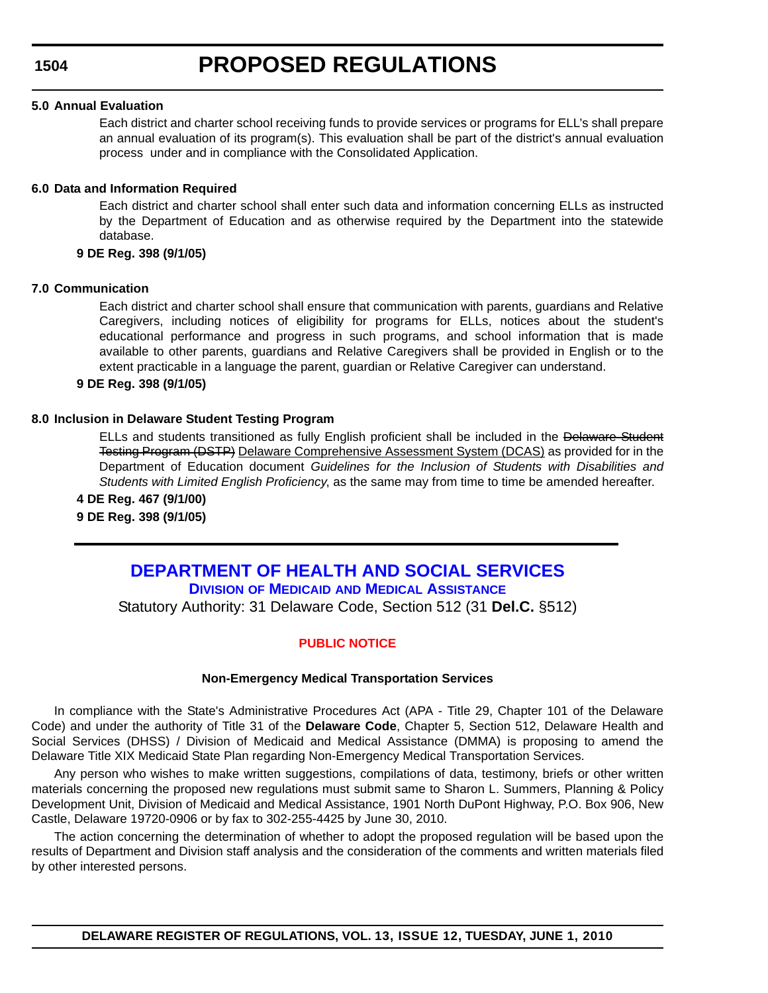#### **5.0 Annual Evaluation**

Each district and charter school receiving funds to provide services or programs for ELL's shall prepare an annual evaluation of its program(s). This evaluation shall be part of the district's annual evaluation process under and in compliance with the Consolidated Application.

#### **6.0 Data and Information Required**

Each district and charter school shall enter such data and information concerning ELLs as instructed by the Department of Education and as otherwise required by the Department into the statewide database.

### **9 DE Reg. 398 (9/1/05)**

#### **7.0 Communication**

Each district and charter school shall ensure that communication with parents, guardians and Relative Caregivers, including notices of eligibility for programs for ELLs, notices about the student's educational performance and progress in such programs, and school information that is made available to other parents, guardians and Relative Caregivers shall be provided in English or to the extent practicable in a language the parent, guardian or Relative Caregiver can understand.

#### **9 DE Reg. 398 (9/1/05)**

#### **8.0 Inclusion in Delaware Student Testing Program**

ELLs and students transitioned as fully English proficient shall be included in the Delaware Student Testing Program (DSTP) Delaware Comprehensive Assessment System (DCAS) as provided for in the Department of Education document *Guidelines for the Inclusion of Students with Disabilities and Students with Limited English Proficiency*, as the same may from time to time be amended hereafter.

**4 DE Reg. 467 (9/1/00) 9 DE Reg. 398 (9/1/05)**

## **[DEPARTMENT OF HEALTH AND SOCIAL SERVICES](http://www.dhss.delaware.gov/dhss/dmma/) DIVISION OF MEDICAID AND MEDICAL ASSISTANCE**

Statutory Authority: 31 Delaware Code, Section 512 (31 **Del.C.** §512)

### **[PUBLIC NOTICE](#page-3-0)**

#### **Non-Emergency Medical Transportation Services**

In compliance with the State's Administrative Procedures Act (APA - Title 29, Chapter 101 of the Delaware Code) and under the authority of Title 31 of the **Delaware Code**, Chapter 5, Section 512, Delaware Health and Social Services (DHSS) / Division of Medicaid and Medical Assistance (DMMA) is proposing to amend the Delaware Title XIX Medicaid State Plan regarding Non-Emergency Medical Transportation Services.

Any person who wishes to make written suggestions, compilations of data, testimony, briefs or other written materials concerning the proposed new regulations must submit same to Sharon L. Summers, Planning & Policy Development Unit, Division of Medicaid and Medical Assistance, 1901 North DuPont Highway, P.O. Box 906, New Castle, Delaware 19720-0906 or by fax to 302-255-4425 by June 30, 2010.

The action concerning the determination of whether to adopt the proposed regulation will be based upon the results of Department and Division staff analysis and the consideration of the comments and written materials filed by other interested persons.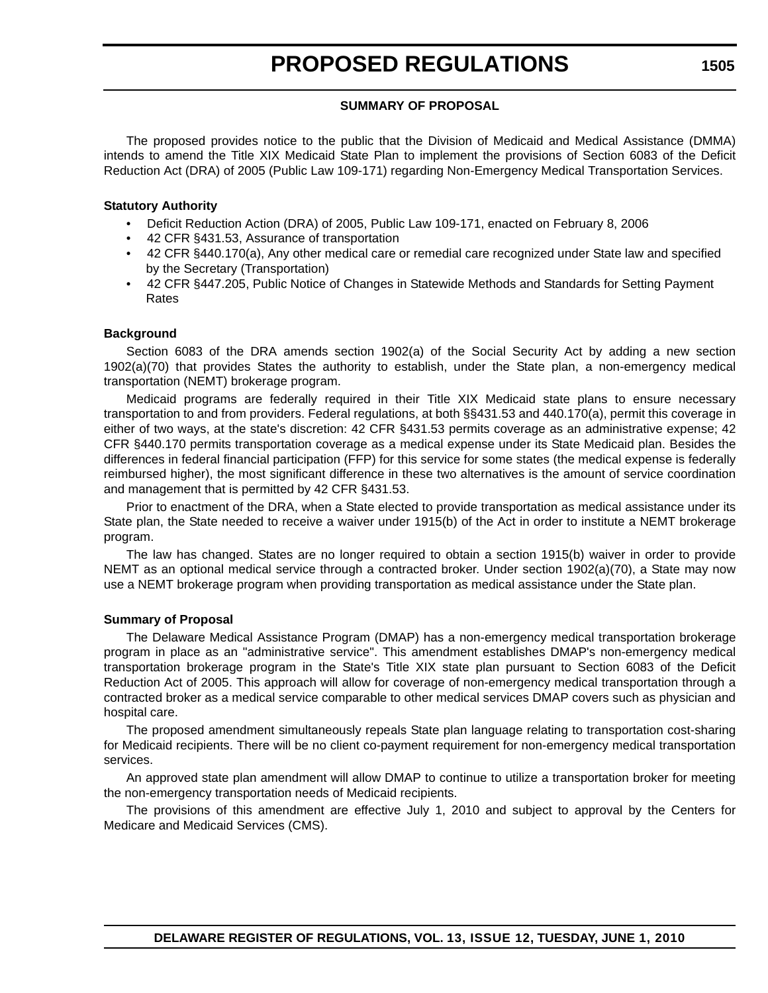#### **SUMMARY OF PROPOSAL**

The proposed provides notice to the public that the Division of Medicaid and Medical Assistance (DMMA) intends to amend the Title XIX Medicaid State Plan to implement the provisions of Section 6083 of the Deficit Reduction Act (DRA) of 2005 (Public Law 109-171) regarding Non-Emergency Medical Transportation Services.

#### **Statutory Authority**

- Deficit Reduction Action (DRA) of 2005, Public Law 109-171, enacted on February 8, 2006
- 42 CFR §431.53, Assurance of transportation
- 42 CFR §440.170(a), Any other medical care or remedial care recognized under State law and specified by the Secretary (Transportation)
- 42 CFR §447.205, Public Notice of Changes in Statewide Methods and Standards for Setting Payment Rates

#### **Background**

Section 6083 of the DRA amends section 1902(a) of the Social Security Act by adding a new section 1902(a)(70) that provides States the authority to establish, under the State plan, a non-emergency medical transportation (NEMT) brokerage program.

Medicaid programs are federally required in their Title XIX Medicaid state plans to ensure necessary transportation to and from providers. Federal regulations, at both §§431.53 and 440.170(a), permit this coverage in either of two ways, at the state's discretion: 42 CFR §431.53 permits coverage as an administrative expense; 42 CFR §440.170 permits transportation coverage as a medical expense under its State Medicaid plan. Besides the differences in federal financial participation (FFP) for this service for some states (the medical expense is federally reimbursed higher), the most significant difference in these two alternatives is the amount of service coordination and management that is permitted by 42 CFR §431.53.

Prior to enactment of the DRA, when a State elected to provide transportation as medical assistance under its State plan, the State needed to receive a waiver under 1915(b) of the Act in order to institute a NEMT brokerage program.

The law has changed. States are no longer required to obtain a section 1915(b) waiver in order to provide NEMT as an optional medical service through a contracted broker. Under section 1902(a)(70), a State may now use a NEMT brokerage program when providing transportation as medical assistance under the State plan.

#### **Summary of Proposal**

The Delaware Medical Assistance Program (DMAP) has a non-emergency medical transportation brokerage program in place as an "administrative service". This amendment establishes DMAP's non-emergency medical transportation brokerage program in the State's Title XIX state plan pursuant to Section 6083 of the Deficit Reduction Act of 2005. This approach will allow for coverage of non-emergency medical transportation through a contracted broker as a medical service comparable to other medical services DMAP covers such as physician and hospital care.

The proposed amendment simultaneously repeals State plan language relating to transportation cost-sharing for Medicaid recipients. There will be no client co-payment requirement for non-emergency medical transportation services.

An approved state plan amendment will allow DMAP to continue to utilize a transportation broker for meeting the non-emergency transportation needs of Medicaid recipients.

The provisions of this amendment are effective July 1, 2010 and subject to approval by the Centers for Medicare and Medicaid Services (CMS).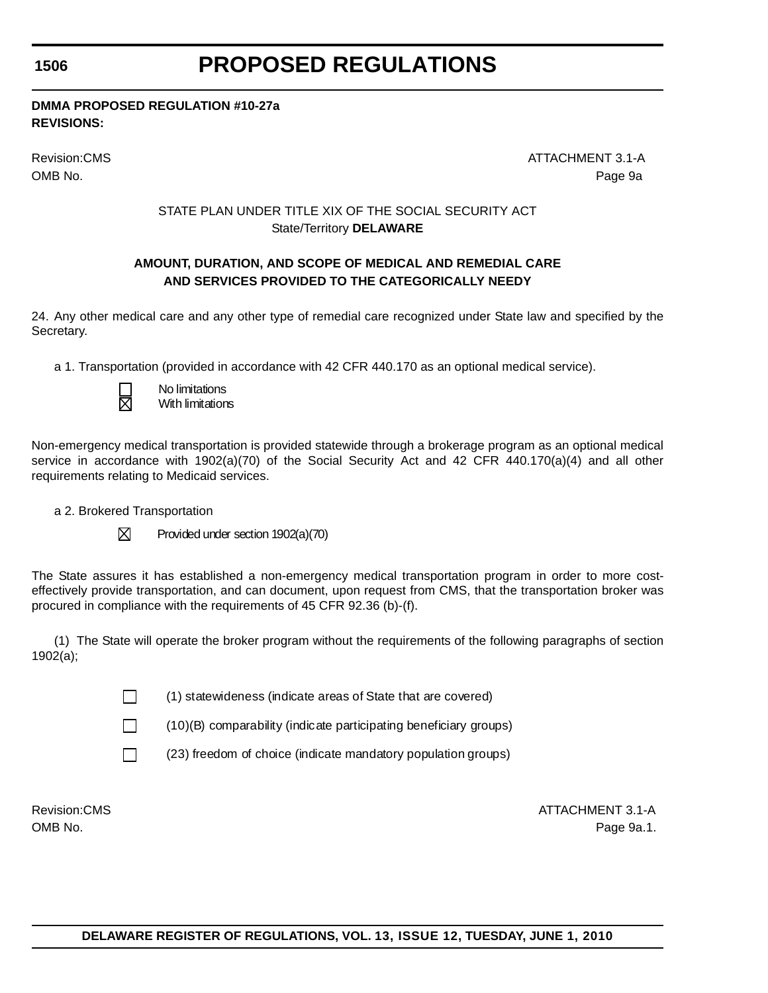# **PROPOSED REGULATIONS**

**DMMA PROPOSED REGULATION #10-27a REVISIONS:**

Revision:CMS ATTACHMENT 3.1-A OMB No. Page 9a

### STATE PLAN UNDER TITLE XIX OF THE SOCIAL SECURITY ACT State/Territory **DELAWARE**

### **AMOUNT, DURATION, AND SCOPE OF MEDICAL AND REMEDIAL CARE AND SERVICES PROVIDED TO THE CATEGORICALLY NEEDY**

24. Any other medical care and any other type of remedial care recognized under State law and specified by the Secretary.

a 1. Transportation (provided in accordance with 42 CFR 440.170 as an optional medical service).

 No limitations With limitations

Non-emergency medical transportation is provided statewide through a brokerage program as an optional medical service in accordance with 1902(a)(70) of the Social Security Act and 42 CFR 440.170(a)(4) and all other requirements relating to Medicaid services.

a 2. Brokered Transportation

 $\boxtimes$  Provided under section 1902(a)(70)

The State assures it has established a non-emergency medical transportation program in order to more costeffectively provide transportation, and can document, upon request from CMS, that the transportation broker was procured in compliance with the requirements of 45 CFR 92.36 (b)-(f).

(1) The State will operate the broker program without the requirements of the following paragraphs of section 1902(a);

 $\Box$  (1) statewideness (indicate areas of State that are covered)

 $\Box$  (10)(B) comparability (indicate participating beneficiary groups)

 $\Box$  (23) freedom of choice (indicate mandatory population groups)

Revision:CMS ATTACHMENT 3.1-A OMB No. Page 9a.1.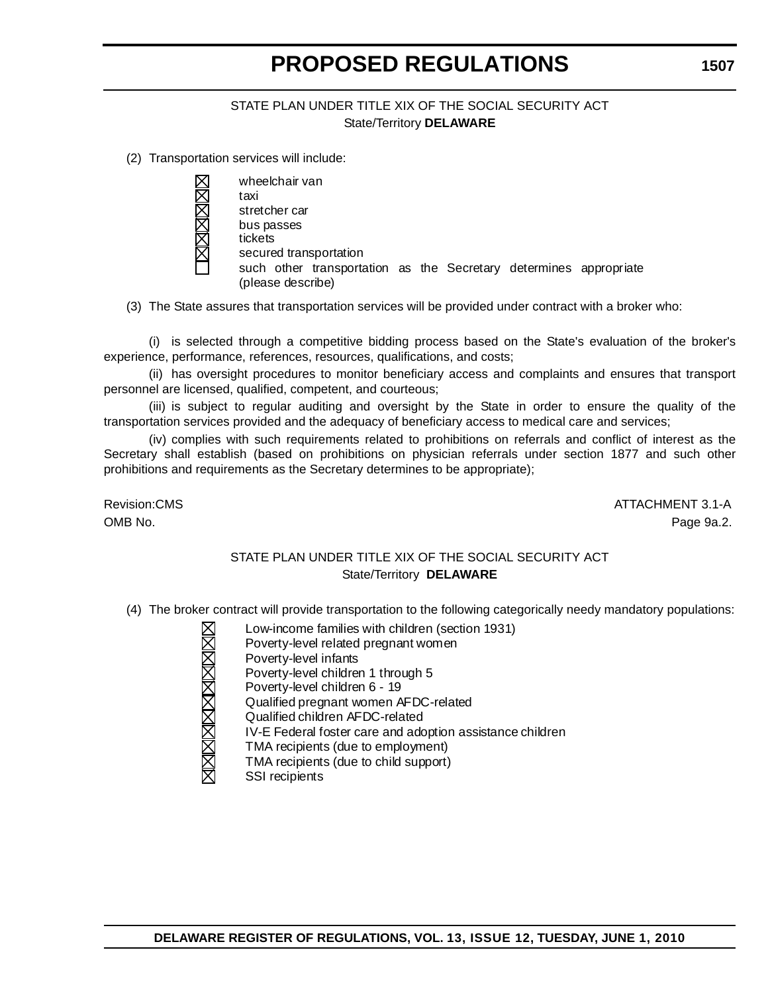### STATE PLAN UNDER TITLE XIX OF THE SOCIAL SECURITY ACT State/Territory **DELAWARE**

(2) Transportation services will include:

 wheelchair van taxi stretcher car bus passes tickets secured transportation such other transportation as the Secretary determines appropriate (please describe)

(3) The State assures that transportation services will be provided under contract with a broker who:

(i) is selected through a competitive bidding process based on the State's evaluation of the broker's experience, performance, references, resources, qualifications, and costs;

(ii) has oversight procedures to monitor beneficiary access and complaints and ensures that transport personnel are licensed, qualified, competent, and courteous;

(iii) is subject to regular auditing and oversight by the State in order to ensure the quality of the transportation services provided and the adequacy of beneficiary access to medical care and services;

(iv) complies with such requirements related to prohibitions on referrals and conflict of interest as the Secretary shall establish (based on prohibitions on physician referrals under section 1877 and such other prohibitions and requirements as the Secretary determines to be appropriate);

Revision:CMS ATTACHMENT 3.1-A OMB No. Page 9a.2.

#### STATE PLAN UNDER TITLE XIX OF THE SOCIAL SECURITY ACT State/Territory **DELAWARE**

- (4) The broker contract will provide transportation to the following categorically needy mandatory populations:
	- Low-income families with children (section 1931) Poverty-level related pregnant women Poverty-level infants Poverty-level children 1 through 5 Poverty-level children 6 - 19 Qualified pregnant women AFDC-related Qualified children AFDC-related IV-E Federal foster care and adoption assistance children TMA recipients (due to employment) TMA recipients (due to child support) SSI recipients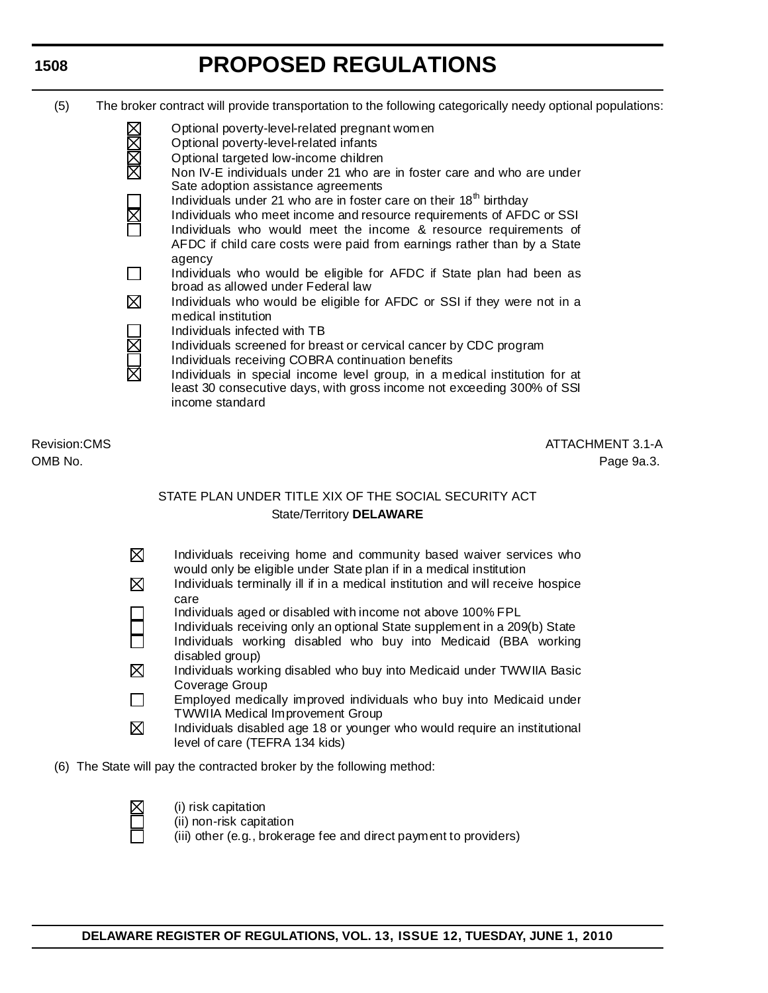# **PROPOSED REGULATIONS**

- (5) The broker contract will provide transportation to the following categorically needy optional populations:
	- Optional poverty-level-related pregnant women Optional poverty-level-related infants Optional targeted low-income children Non IV-E individuals under 21 who are in foster care and who are under Sate adoption assistance agreements Individuals under 21 who are in foster care on their  $18<sup>th</sup>$  birthday Individuals who meet income and resource requirements of AFDC or SSI Individuals who would meet the income & resource requirements of AFDC if child care costs were paid from earnings rather than by a State agency Individuals who would be eligible for AFDC if State plan had been as broad as allowed under Federal law  $\boxtimes$  Individuals who would be eligible for AFDC or SSI if they were not in a medical institution Individuals infected with TB Individuals screened for breast or cervical cancer by CDC program Individuals receiving COBRA continuation benefits Individuals in special income level group, in a medical institution for at least 30 consecutive days, with gross income not exceeding 300% of SSI income standard

Revision:CMS ATTACHMENT 3.1-A OMB No. Page 9a.3.

### STATE PLAN UNDER TITLE XIX OF THE SOCIAL SECURITY ACT State/Territory **DELAWARE**

- $\boxtimes$  Individuals receiving home and community based waiver services who would only be eligible under State plan if in a medical institution
- $\boxtimes$  Individuals terminally ill if in a medical institution and will receive hospice care
	- Individuals aged or disabled with income not above 100% FPL
- Individuals receiving only an optional State supplement in a 209(b) State
- Individuals working disabled who buy into Medicaid (BBA working disabled group)
- ⊠ Individuals working disabled who buy into Medicaid under TWWIIA Basic Coverage Group
- $\Box$  Employed medically improved individuals who buy into Medicaid under TWWIIA Medical Improvement Group
- $\boxtimes$  Individuals disabled age 18 or younger who would require an institutional level of care (TEFRA 134 kids)
- (6) The State will pay the contracted broker by the following method:



- (i) risk capitation
- (ii) non-risk capitation
	- (iii) other (e.g., brokerage fee and direct payment to providers)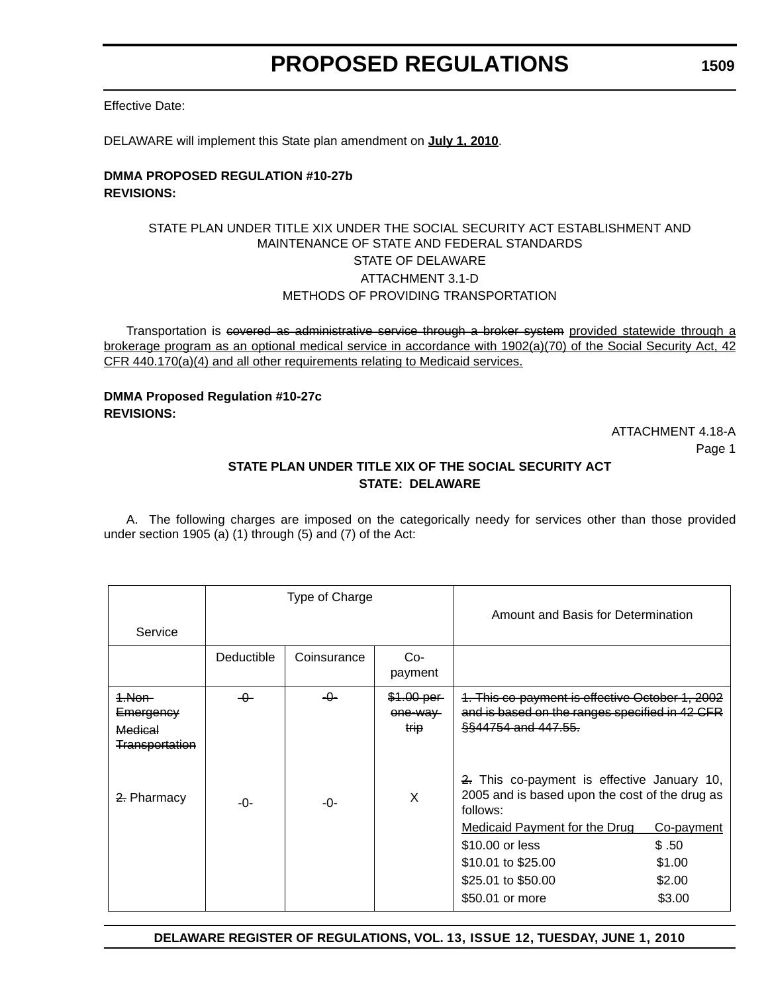Effective Date:

DELAWARE will implement this State plan amendment on **July 1, 2010**.

#### **DMMA PROPOSED REGULATION #10-27b REVISIONS:**

### STATE PLAN UNDER TITLE XIX UNDER THE SOCIAL SECURITY ACT ESTABLISHMENT AND MAINTENANCE OF STATE AND FEDERAL STANDARDS STATE OF DELAWARE ATTACHMENT 3.1-D METHODS OF PROVIDING TRANSPORTATION

Transportation is covered as administrative service through a broker system provided statewide through a brokerage program as an optional medical service in accordance with 1902(a)(70) of the Social Security Act, 42 CFR 440.170(a)(4) and all other requirements relating to Medicaid services.

### **DMMA Proposed Regulation #10-27c REVISIONS:**

ATTACHMENT 4.18-A Page 1

### **STATE PLAN UNDER TITLE XIX OF THE SOCIAL SECURITY ACT STATE: DELAWARE**

A. The following charges are imposed on the categorically needy for services other than those provided under section 1905 (a) (1) through (5) and (7) of the Act:

|                                                         | Type of Charge |             | Amount and Basis for Determination |                                                                                                                                                                                                                                     |                                                   |
|---------------------------------------------------------|----------------|-------------|------------------------------------|-------------------------------------------------------------------------------------------------------------------------------------------------------------------------------------------------------------------------------------|---------------------------------------------------|
| Service                                                 |                |             |                                    |                                                                                                                                                                                                                                     |                                                   |
|                                                         | Deductible     | Coinsurance | $Co-$<br>payment                   |                                                                                                                                                                                                                                     |                                                   |
| 1.Non-<br>Emergency<br>Medical<br><b>Transportation</b> | -0-            | -0-         | \$1.00 per<br>one-way<br>trip      | 1. This co-payment is effective October 1, 2002<br>and is based on the ranges specified in 42 CFR<br><u>§§44754 and 447.55.</u>                                                                                                     |                                                   |
| 2. Pharmacy                                             | -0-            | -0-         | X                                  | 2. This co-payment is effective January 10,<br>2005 and is based upon the cost of the drug as<br>follows:<br><b>Medicaid Payment for the Drug</b><br>\$10,00 or less<br>\$10.01 to \$25.00<br>\$25.01 to \$50.00<br>\$50.01 or more | Co-payment<br>\$.50<br>\$1.00<br>\$2.00<br>\$3.00 |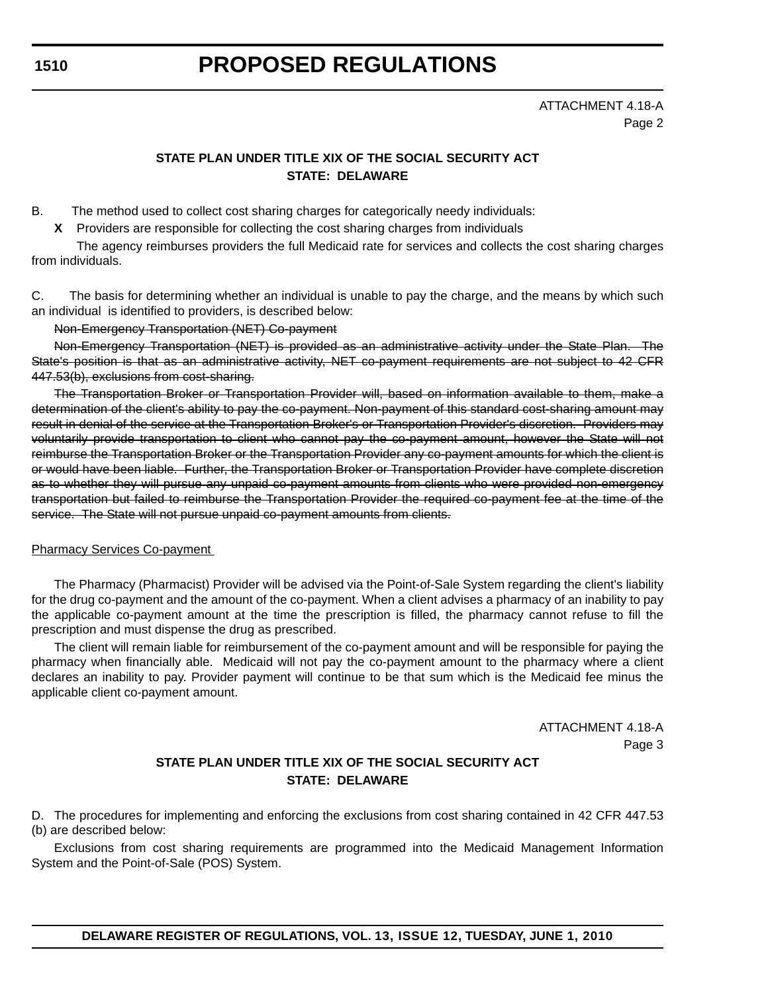# <span id="page-30-0"></span>**PROPOSED REGULATIONS**

ATTACHMENT 4.18-A Page 2

### **STATE PLAN UNDER TITLE XIX OF THE SOCIAL SECURITY ACT STATE: DELAWARE**

B. The method used to collect cost sharing charges for categorically needy individuals:

**X** Providers are responsible for collecting the cost sharing charges from individuals

The agency reimburses providers the full Medicaid rate for services and collects the cost sharing charges from individuals.

C. The basis for determining whether an individual is unable to pay the charge, and the means by which such an individual is identified to providers, is described below:

Non-Emergency Transportation (NET) Co-payment

Non-Emergency Transportation (NET) is provided as an administrative activity under the State Plan. The State's position is that as an administrative activity, NET co-payment requirements are not subject to 42 CFR 447.53(b), exclusions from cost-sharing.

The Transportation Broker or Transportation Provider will, based on information available to them, make a determination of the client's ability to pay the co-payment. Non-payment of this standard cost-sharing amount may result in denial of the service at the Transportation Broker's or Transportation Provider's discretion. Providers may voluntarily provide transportation to client who cannot pay the co-payment amount, however the State will not reimburse the Transportation Broker or the Transportation Provider any co-payment amounts for which the client is or would have been liable. Further, the Transportation Broker or Transportation Provider have complete discretion as to whether they will pursue any unpaid co-payment amounts from clients who were provided non-emergency transportation but failed to reimburse the Transportation Provider the required co-payment fee at the time of the service. The State will not pursue unpaid co-payment amounts from clients.

#### Pharmacy Services Co-payment

The Pharmacy (Pharmacist) Provider will be advised via the Point-of-Sale System regarding the client's liability for the drug co-payment and the amount of the co-payment. When a client advises a pharmacy of an inability to pay the applicable co-payment amount at the time the prescription is filled, the pharmacy cannot refuse to fill the prescription and must dispense the drug as prescribed.

The client will remain liable for reimbursement of the co-payment amount and will be responsible for paying the pharmacy when financially able. Medicaid will not pay the co-payment amount to the pharmacy where a client declares an inability to pay. Provider payment will continue to be that sum which is the Medicaid fee minus the applicable client co-payment amount.

> ATTACHMENT 4.18-A Page 3

### **STATE PLAN UNDER TITLE XIX OF THE SOCIAL SECURITY ACT STATE: DELAWARE**

D. The procedures for implementing and enforcing the exclusions from cost sharing contained in 42 CFR 447.53 (b) are described below:

Exclusions from cost sharing requirements are programmed into the Medicaid Management Information System and the Point-of-Sale (POS) System.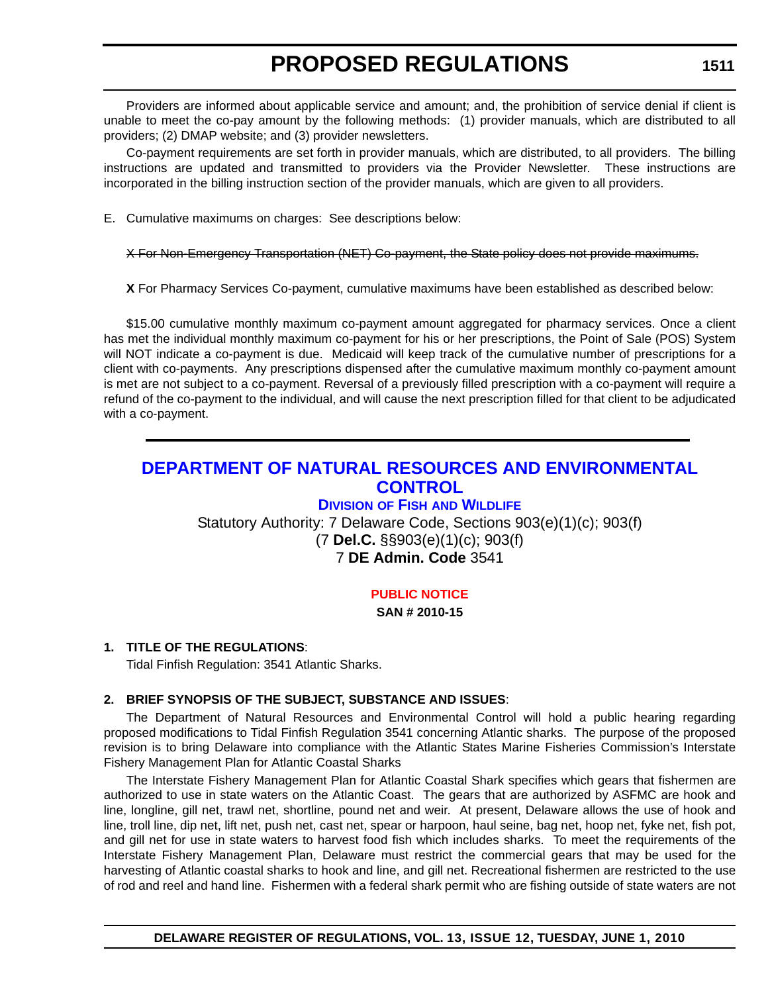Providers are informed about applicable service and amount; and, the prohibition of service denial if client is unable to meet the co-pay amount by the following methods: (1) provider manuals, which are distributed to all providers; (2) DMAP website; and (3) provider newsletters.

Co-payment requirements are set forth in provider manuals, which are distributed, to all providers. The billing instructions are updated and transmitted to providers via the Provider Newsletter. These instructions are incorporated in the billing instruction section of the provider manuals, which are given to all providers.

E. Cumulative maximums on charges: See descriptions below:

#### X For Non-Emergency Transportation (NET) Co-payment, the State policy does not provide maximums.

**X** For Pharmacy Services Co-payment, cumulative maximums have been established as described below:

\$15.00 cumulative monthly maximum co-payment amount aggregated for pharmacy services. Once a client has met the individual monthly maximum co-payment for his or her prescriptions, the Point of Sale (POS) System will NOT indicate a co-payment is due. Medicaid will keep track of the cumulative number of prescriptions for a client with co-payments. Any prescriptions dispensed after the cumulative maximum monthly co-payment amount is met are not subject to a co-payment. Reversal of a previously filled prescription with a co-payment will require a refund of the co-payment to the individual, and will cause the next prescription filled for that client to be adjudicated with a co-payment.

### **[DEPARTMENT OF NATURAL RESOURCES AND ENVIRONMENTAL](http://www.fw.delaware.gov/Pages/FWPortal.aspx)  CONTROL**

### **DIVISION OF FISH AND WILDLIFE**

Statutory Authority: 7 Delaware Code, Sections 903(e)(1)(c); 903(f) (7 **Del.C.** §§903(e)(1)(c); 903(f) 7 **DE Admin. Code** 3541

### **[PUBLIC NOTICE](#page-3-0)**

### **SAN # 2010-15**

### **1. TITLE OF THE REGULATIONS**:

Tidal Finfish Regulation: 3541 Atlantic Sharks.

### **2. BRIEF SYNOPSIS OF THE SUBJECT, SUBSTANCE AND ISSUES**:

The Department of Natural Resources and Environmental Control will hold a public hearing regarding proposed modifications to Tidal Finfish Regulation 3541 concerning Atlantic sharks. The purpose of the proposed revision is to bring Delaware into compliance with the Atlantic States Marine Fisheries Commission's Interstate Fishery Management Plan for Atlantic Coastal Sharks

The Interstate Fishery Management Plan for Atlantic Coastal Shark specifies which gears that fishermen are authorized to use in state waters on the Atlantic Coast. The gears that are authorized by ASFMC are hook and line, longline, gill net, trawl net, shortline, pound net and weir. At present, Delaware allows the use of hook and line, troll line, dip net, lift net, push net, cast net, spear or harpoon, haul seine, bag net, hoop net, fyke net, fish pot, and gill net for use in state waters to harvest food fish which includes sharks. To meet the requirements of the Interstate Fishery Management Plan, Delaware must restrict the commercial gears that may be used for the harvesting of Atlantic coastal sharks to hook and line, and gill net. Recreational fishermen are restricted to the use of rod and reel and hand line. Fishermen with a federal shark permit who are fishing outside of state waters are not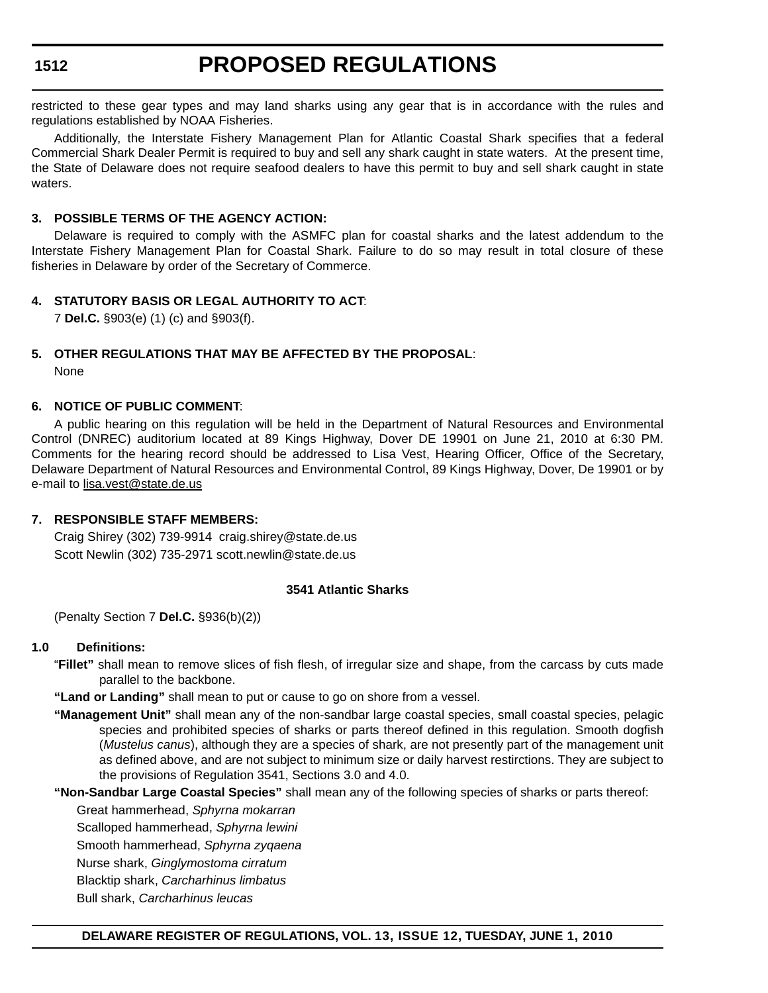# **PROPOSED REGULATIONS**

restricted to these gear types and may land sharks using any gear that is in accordance with the rules and regulations established by NOAA Fisheries.

Additionally, the Interstate Fishery Management Plan for Atlantic Coastal Shark specifies that a federal Commercial Shark Dealer Permit is required to buy and sell any shark caught in state waters. At the present time, the State of Delaware does not require seafood dealers to have this permit to buy and sell shark caught in state waters.

#### **3. POSSIBLE TERMS OF THE AGENCY ACTION:**

Delaware is required to comply with the ASMFC plan for coastal sharks and the latest addendum to the Interstate Fishery Management Plan for Coastal Shark. Failure to do so may result in total closure of these fisheries in Delaware by order of the Secretary of Commerce.

### **4. STATUTORY BASIS OR LEGAL AUTHORITY TO ACT**:

7 **Del.C.** §903(e) (1) (c) and §903(f).

### **5. OTHER REGULATIONS THAT MAY BE AFFECTED BY THE PROPOSAL**:

None

### **6. NOTICE OF PUBLIC COMMENT**:

A public hearing on this regulation will be held in the Department of Natural Resources and Environmental Control (DNREC) auditorium located at 89 Kings Highway, Dover DE 19901 on June 21, 2010 at 6:30 PM. Comments for the hearing record should be addressed to Lisa Vest, Hearing Officer, Office of the Secretary, Delaware Department of Natural Resources and Environmental Control, 89 Kings Highway, Dover, De 19901 or by e-mail to [lisa.vest@state.de.us](mailto:lisa.vest@state.de.us)

### **7. RESPONSIBLE STAFF MEMBERS:**

Craig Shirey (302) 739-9914 craig.shirey@state.de.us Scott Newlin (302) 735-2971 scott.newlin@state.de.us

#### **3541 Atlantic Sharks**

(Penalty Section 7 **Del.C.** §936(b)(2))

### **1.0 Definitions:**

- "**Fillet"** shall mean to remove slices of fish flesh, of irregular size and shape, from the carcass by cuts made parallel to the backbone.
- **"Land or Landing"** shall mean to put or cause to go on shore from a vessel.
- **"Management Unit"** shall mean any of the non-sandbar large coastal species, small coastal species, pelagic species and prohibited species of sharks or parts thereof defined in this regulation. Smooth dogfish (*Mustelus canus*), although they are a species of shark, are not presently part of the management unit as defined above, and are not subject to minimum size or daily harvest restirctions. They are subject to the provisions of Regulation 3541, Sections 3.0 and 4.0.
- **"Non-Sandbar Large Coastal Species"** shall mean any of the following species of sharks or parts thereof:

Great hammerhead, *Sphyrna mokarran* Scalloped hammerhead, *Sphyrna lewini* Smooth hammerhead, *Sphyrna zyqaena* Nurse shark, *Ginglymostoma cirratum* Blacktip shark, *Carcharhinus limbatus* Bull shark, *Carcharhinus leucas*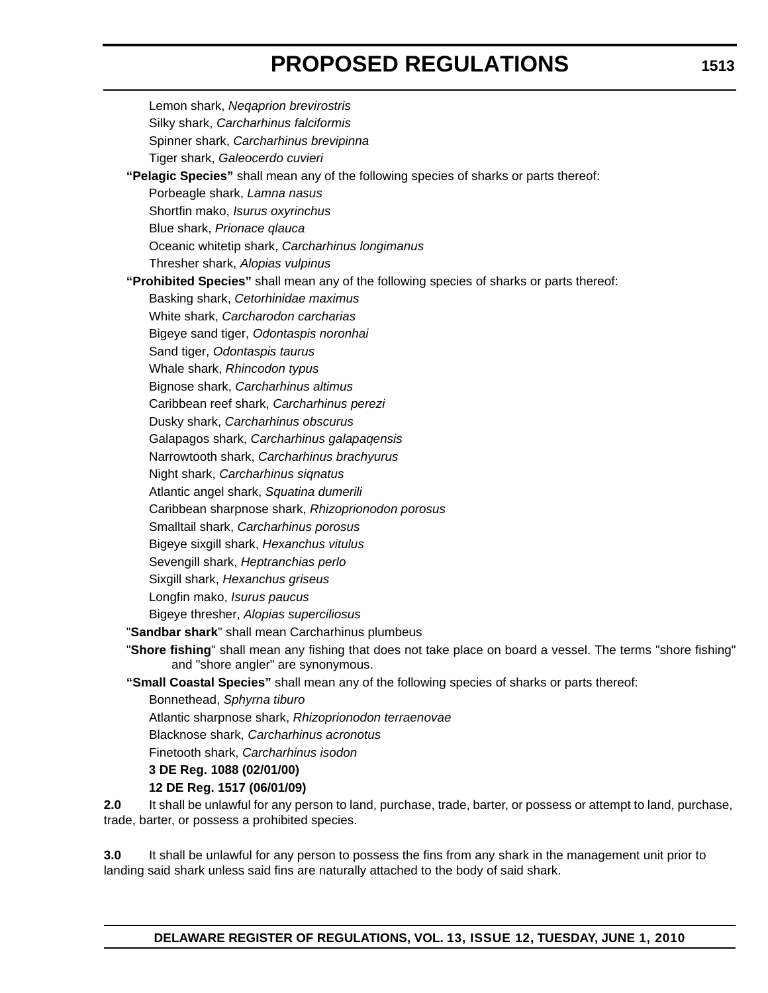Lemon shark, *Neqaprion brevirostris* Silky shark, *Carcharhinus falciformis* Spinner shark, *Carcharhinus brevipinna* Tiger shark, *Galeocerdo cuvieri* **"Pelagic Species"** shall mean any of the following species of sharks or parts thereof: Porbeagle shark, *Lamna nasus* Shortfin mako, *Isurus oxyrinchus* Blue shark, *Prionace qlauca* Oceanic whitetip shark, *Carcharhinus longimanus* Thresher shark, *Alopias vulpinus* **"Prohibited Species"** shall mean any of the following species of sharks or parts thereof: Basking shark, *Cetorhinidae maximus* White shark, *Carcharodon carcharias* Bigeye sand tiger, *Odontaspis noronhai* Sand tiger, *Odontaspis taurus* Whale shark, *Rhincodon typus* Bignose shark, *Carcharhinus altimus* Caribbean reef shark, *Carcharhinus perezi* Dusky shark, *Carcharhinus obscurus* Galapagos shark, *Carcharhinus galapaqensis* Narrowtooth shark, *Carcharhinus brachyurus* Night shark, *Carcharhinus siqnatus* Atlantic angel shark, *Squatina dumerili* Caribbean sharpnose shark, *Rhizoprionodon porosus* Smalltail shark, *Carcharhinus porosus* Bigeye sixgill shark, *Hexanchus vitulus* Sevengill shark, *Heptranchias perlo* Sixgill shark, *Hexanchus griseus* Longfin mako, *Isurus paucus* Bigeye thresher, *Alopias superciliosus* "**Sandbar shark**" shall mean Carcharhinus plumbeus "**Shore fishing**" shall mean any fishing that does not take place on board a vessel. The terms "shore fishing" and "shore angler" are synonymous. **"Small Coastal Species"** shall mean any of the following species of sharks or parts thereof: Bonnethead, *Sphyrna tiburo* Atlantic sharpnose shark, *Rhizoprionodon terraenovae* Blacknose shark, *Carcharhinus acronotus* Finetooth shark, *Carcharhinus isodon* **3 DE Reg. 1088 (02/01/00)**

### **12 DE Reg. 1517 (06/01/09)**

**2.0** It shall be unlawful for any person to land, purchase, trade, barter, or possess or attempt to land, purchase, trade, barter, or possess a prohibited species.

**3.0** It shall be unlawful for any person to possess the fins from any shark in the management unit prior to landing said shark unless said fins are naturally attached to the body of said shark.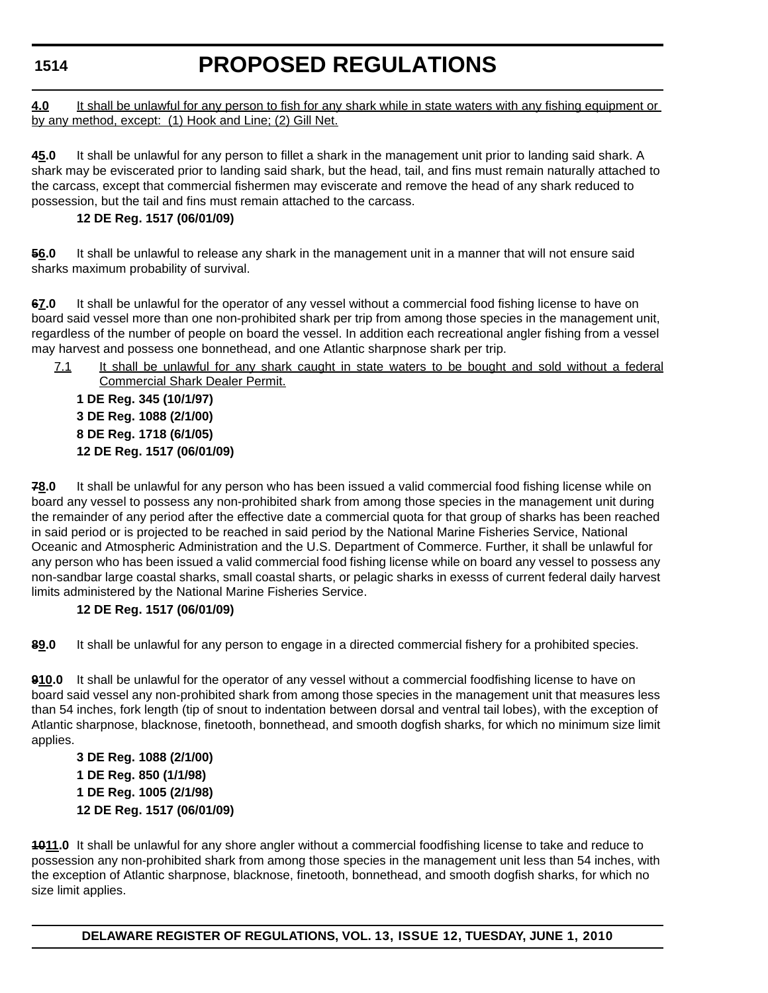<span id="page-34-0"></span>**4.0** It shall be unlawful for any person to fish for any shark while in state waters with any fishing equipment or by any method, except: (1) Hook and Line; (2) Gill Net.

**45.0** It shall be unlawful for any person to fillet a shark in the management unit prior to landing said shark. A shark may be eviscerated prior to landing said shark, but the head, tail, and fins must remain naturally attached to the carcass, except that commercial fishermen may eviscerate and remove the head of any shark reduced to possession, but the tail and fins must remain attached to the carcass.

### **12 DE Reg. 1517 (06/01/09)**

**56.0** It shall be unlawful to release any shark in the management unit in a manner that will not ensure said sharks maximum probability of survival.

**67.0** It shall be unlawful for the operator of any vessel without a commercial food fishing license to have on board said vessel more than one non-prohibited shark per trip from among those species in the management unit, regardless of the number of people on board the vessel. In addition each recreational angler fishing from a vessel may harvest and possess one bonnethead, and one Atlantic sharpnose shark per trip.

7.1 It shall be unlawful for any shark caught in state waters to be bought and sold without a federal Commercial Shark Dealer Permit.

**1 DE Reg. 345 (10/1/97) 3 DE Reg. 1088 (2/1/00) 8 DE Reg. 1718 (6/1/05) 12 DE Reg. 1517 (06/01/09)**

**78.0** It shall be unlawful for any person who has been issued a valid commercial food fishing license while on board any vessel to possess any non-prohibited shark from among those species in the management unit during the remainder of any period after the effective date a commercial quota for that group of sharks has been reached in said period or is projected to be reached in said period by the National Marine Fisheries Service, National Oceanic and Atmospheric Administration and the U.S. Department of Commerce. Further, it shall be unlawful for any person who has been issued a valid commercial food fishing license while on board any vessel to possess any non-sandbar large coastal sharks, small coastal sharts, or pelagic sharks in exesss of current federal daily harvest limits administered by the National Marine Fisheries Service.

### **12 DE Reg. 1517 (06/01/09)**

**89.0** It shall be unlawful for any person to engage in a directed commercial fishery for a prohibited species.

**910.0** It shall be unlawful for the operator of any vessel without a commercial foodfishing license to have on board said vessel any non-prohibited shark from among those species in the management unit that measures less than 54 inches, fork length (tip of snout to indentation between dorsal and ventral tail lobes), with the exception of Atlantic sharpnose, blacknose, finetooth, bonnethead, and smooth dogfish sharks, for which no minimum size limit applies.

**3 DE Reg. 1088 (2/1/00) 1 DE Reg. 850 (1/1/98) 1 DE Reg. 1005 (2/1/98) 12 DE Reg. 1517 (06/01/09)**

**1011.0** It shall be unlawful for any shore angler without a commercial foodfishing license to take and reduce to possession any non-prohibited shark from among those species in the management unit less than 54 inches, with the exception of Atlantic sharpnose, blacknose, finetooth, bonnethead, and smooth dogfish sharks, for which no size limit applies.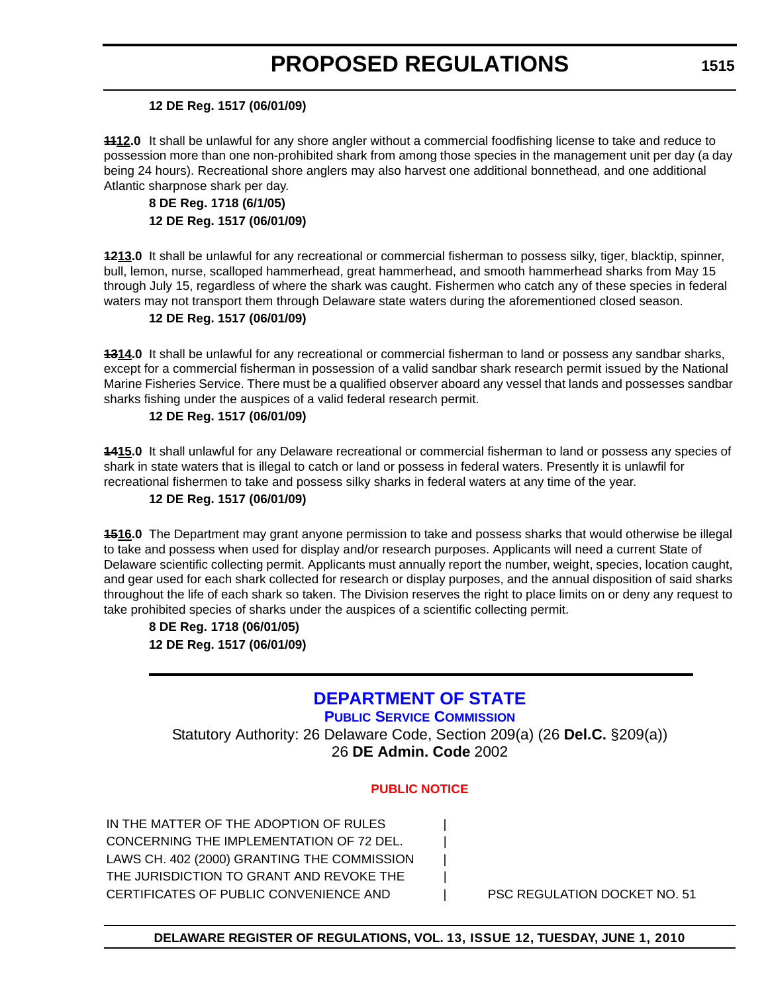#### **12 DE Reg. 1517 (06/01/09)**

**1112.0** It shall be unlawful for any shore angler without a commercial foodfishing license to take and reduce to possession more than one non-prohibited shark from among those species in the management unit per day (a day being 24 hours). Recreational shore anglers may also harvest one additional bonnethead, and one additional Atlantic sharpnose shark per day.

### **8 DE Reg. 1718 (6/1/05) 12 DE Reg. 1517 (06/01/09)**

**1213.0** It shall be unlawful for any recreational or commercial fisherman to possess silky, tiger, blacktip, spinner, bull, lemon, nurse, scalloped hammerhead, great hammerhead, and smooth hammerhead sharks from May 15 through July 15, regardless of where the shark was caught. Fishermen who catch any of these species in federal waters may not transport them through Delaware state waters during the aforementioned closed season.

### **12 DE Reg. 1517 (06/01/09)**

**1314.0** It shall be unlawful for any recreational or commercial fisherman to land or possess any sandbar sharks, except for a commercial fisherman in possession of a valid sandbar shark research permit issued by the National Marine Fisheries Service. There must be a qualified observer aboard any vessel that lands and possesses sandbar sharks fishing under the auspices of a valid federal research permit.

### **12 DE Reg. 1517 (06/01/09)**

**1415.0** It shall unlawful for any Delaware recreational or commercial fisherman to land or possess any species of shark in state waters that is illegal to catch or land or possess in federal waters. Presently it is unlawfil for recreational fishermen to take and possess silky sharks in federal waters at any time of the year.

### **12 DE Reg. 1517 (06/01/09)**

**1516.0** The Department may grant anyone permission to take and possess sharks that would otherwise be illegal to take and possess when used for display and/or research purposes. Applicants will need a current State of Delaware scientific collecting permit. Applicants must annually report the number, weight, species, location caught, and gear used for each shark collected for research or display purposes, and the annual disposition of said sharks throughout the life of each shark so taken. The Division reserves the right to place limits on or deny any request to take prohibited species of sharks under the auspices of a scientific collecting permit.

**8 DE Reg. 1718 (06/01/05) 12 DE Reg. 1517 (06/01/09)**

### **[DEPARTMENT OF STATE](http://depsc.delaware.gov/default.shtml)**

**PUBLIC SERVICE COMMISSION** Statutory Authority: 26 Delaware Code, Section 209(a) (26 **Del.C.** §209(a)) 26 **DE Admin. Code** 2002

### **[PUBLIC NOTICE](#page-3-0)**

IN THE MATTER OF THE ADOPTION OF RULES CONCERNING THE IMPLEMENTATION OF 72 DEL. LAWS CH. 402 (2000) GRANTING THE COMMISSION | THE JURISDICTION TO GRANT AND REVOKE THE CERTIFICATES OF PUBLIC CONVENIENCE AND  $\qquad$  PSC REGULATION DOCKET NO. 51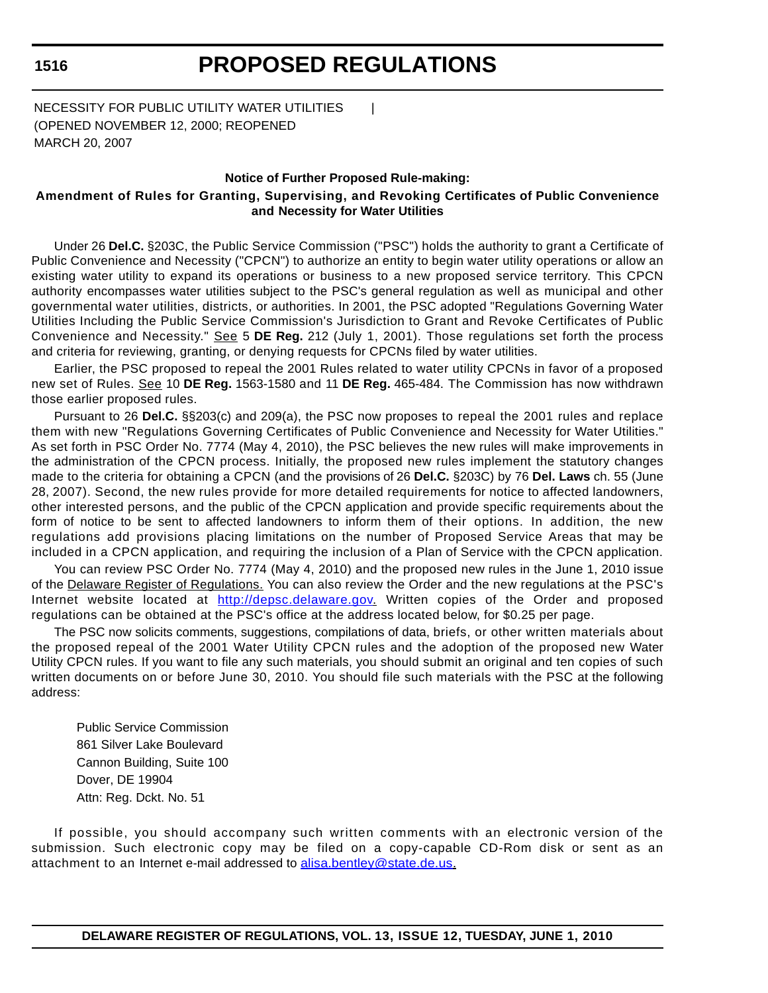# **PROPOSED REGULATIONS**

NECESSITY FOR PUBLIC UTILITY WATER UTILITIES | (OPENED NOVEMBER 12, 2000; REOPENED MARCH 20, 2007

#### **Notice of Further Proposed Rule-making:**

### **Amendment of Rules for Granting, Supervising, and Revoking Certificates of Public Convenience and Necessity for Water Utilities**

Under 26 **Del.C.** §203C, the Public Service Commission ("PSC") holds the authority to grant a Certificate of Public Convenience and Necessity ("CPCN") to authorize an entity to begin water utility operations or allow an existing water utility to expand its operations or business to a new proposed service territory. This CPCN authority encompasses water utilities subject to the PSC's general regulation as well as municipal and other governmental water utilities, districts, or authorities. In 2001, the PSC adopted "Regulations Governing Water Utilities Including the Public Service Commission's Jurisdiction to Grant and Revoke Certificates of Public Convenience and Necessity." See 5 **DE Reg.** 212 (July 1, 2001). Those regulations set forth the process and criteria for reviewing, granting, or denying requests for CPCNs filed by water utilities.

Earlier, the PSC proposed to repeal the 2001 Rules related to water utility CPCNs in favor of a proposed new set of Rules. See 10 **DE Reg.** 1563-1580 and 11 **DE Reg.** 465-484. The Commission has now withdrawn those earlier proposed rules.

Pursuant to 26 **Del.C.** §§203(c) and 209(a), the PSC now proposes to repeal the 2001 rules and replace them with new "Regulations Governing Certificates of Public Convenience and Necessity for Water Utilities." As set forth in PSC Order No. 7774 (May 4, 2010), the PSC believes the new rules will make improvements in the administration of the CPCN process. Initially, the proposed new rules implement the statutory changes made to the criteria for obtaining a CPCN (and the provisions of 26 **Del.C.** §203C) by 76 **Del. Laws** ch. 55 (June 28, 2007). Second, the new rules provide for more detailed requirements for notice to affected landowners, other interested persons, and the public of the CPCN application and provide specific requirements about the form of notice to be sent to affected landowners to inform them of their options. In addition, the new regulations add provisions placing limitations on the number of Proposed Service Areas that may be included in a CPCN application, and requiring the inclusion of a Plan of Service with the CPCN application.

You can review PSC Order No. 7774 (May 4, 2010) and the proposed new rules in the June 1, 2010 issue of the Delaware Register of Regulations. You can also review the Order and the new regulations at the PSC's Internet website located at http://depsc.delaware.gov. Written copies of the Order and proposed regulations can be obtained at the PSC's office at the address located below, for \$0.25 per page.

The PSC now solicits comments, suggestions, compilations of data, briefs, or other written materials about the proposed repeal of the 2001 Water Utility CPCN rules and the adoption of the proposed new Water Utility CPCN rules. If you want to file any such materials, you should submit an original and ten copies of such written documents on or before June 30, 2010. You should file such materials with the PSC at the following address:

Public Service Commission 861 Silver Lake Boulevard Cannon Building, Suite 100 Dover, DE 19904 Attn: Reg. Dckt. No. 51

If possible, you should accompany such written comments with an electronic version of the submission. Such electronic copy may be filed on a copy-capable CD-Rom disk or sent as an attachment to an Internet e-mail addressed to alisa.bentley@state.de.us.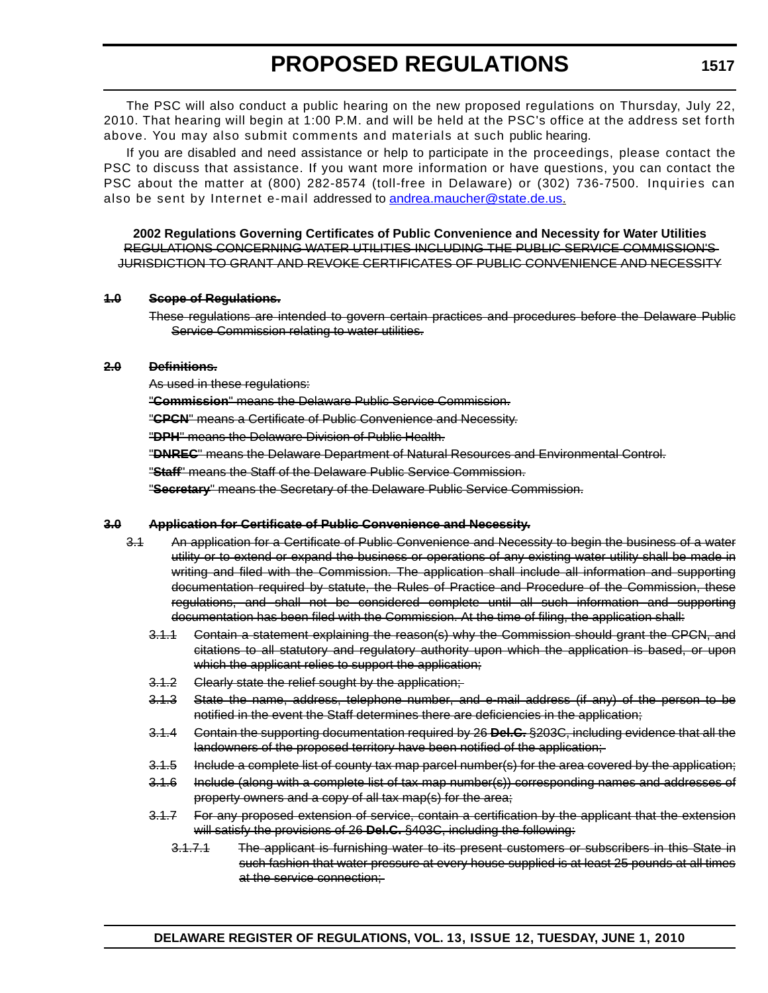The PSC will also conduct a public hearing on the new proposed regulations on Thursday, July 22, 2010. That hearing will begin at 1:00 P.M. and will be held at the PSC's office at the address set forth above. You may also submit comments and materials at such public hearing.

If you are disabled and need assistance or help to participate in the proceedings, please contact the PSC to discuss that assistance. If you want more information or have questions, you can contact the PSC about the matter at (800) 282-8574 (toll-free in Delaware) or (302) 736-7500. Inquiries can also be sent by Internet e-mail addressed to andrea.maucher@state.de.us.

**2002 Regulations Governing Certificates of Public Convenience and Necessity for Water Utilities** REGULATIONS CONCERNING WATER UTILITIES INCLUDING THE PUBLIC SERVICE COMMISSION'S JURISDICTION TO GRANT AND REVOKE CERTIFICATES OF PUBLIC CONVENIENCE AND NECESSITY

#### **1.0 Scope of Regulations.**

These regulations are intended to govern certain practices and procedures before the Delaware Public Service Commission relating to water utilities.

### **2.0 Definitions.**

As used in these regulations:

"**Commission**" means the Delaware Public Service Commission.

"**CPCN**" means a Certificate of Public Convenience and Necessity.

"**DPH**" means the Delaware Division of Public Health.

"**DNREC**" means the Delaware Department of Natural Resources and Environmental Control.

"**Staff**" means the Staff of the Delaware Public Service Commission.

"**Secretary**" means the Secretary of the Delaware Public Service Commission.

### **3.0 Application for Certificate of Public Convenience and Necessity.**

- 3.1 An application for a Certificate of Public Convenience and Necessity to begin the business of a water utility or to extend or expand the business or operations of any existing water utility shall be made in writing and filed with the Commission. The application shall include all information and supporting documentation required by statute, the Rules of Practice and Procedure of the Commission, these regulations, and shall not be considered complete until all such information and supporting documentation has been filed with the Commission. At the time of filing, the application shall:
	- 3.1.1 Contain a statement explaining the reason(s) why the Commission should grant the CPCN, and citations to all statutory and regulatory authority upon which the application is based, or upon which the applicant relies to support the application;
	- 3.1.2 Clearly state the relief sought by the application;
	- 3.1.3 State the name, address, telephone number, and e-mail address (if any) of the person to be notified in the event the Staff determines there are deficiencies in the application;
	- 3.1.4 Contain the supporting documentation required by 26 **Del.C.** §203C, including evidence that all the landowners of the proposed territory have been notified of the application;
	- 3.1.5 Include a complete list of county tax map parcel number(s) for the area covered by the application;
	- 3.1.6 Include (along with a complete list of tax map number(s)) corresponding names and addresses of property owners and a copy of all tax map(s) for the area;
	- 3.1.7 For any proposed extension of service, contain a certification by the applicant that the extension will satisfy the provisions of 26 **Del.C.** §403C, including the following:
		- 3.1.7.1 The applicant is furnishing water to its present customers or subscribers in this State in such fashion that water pressure at every house supplied is at least 25 pounds at all times at the service connection;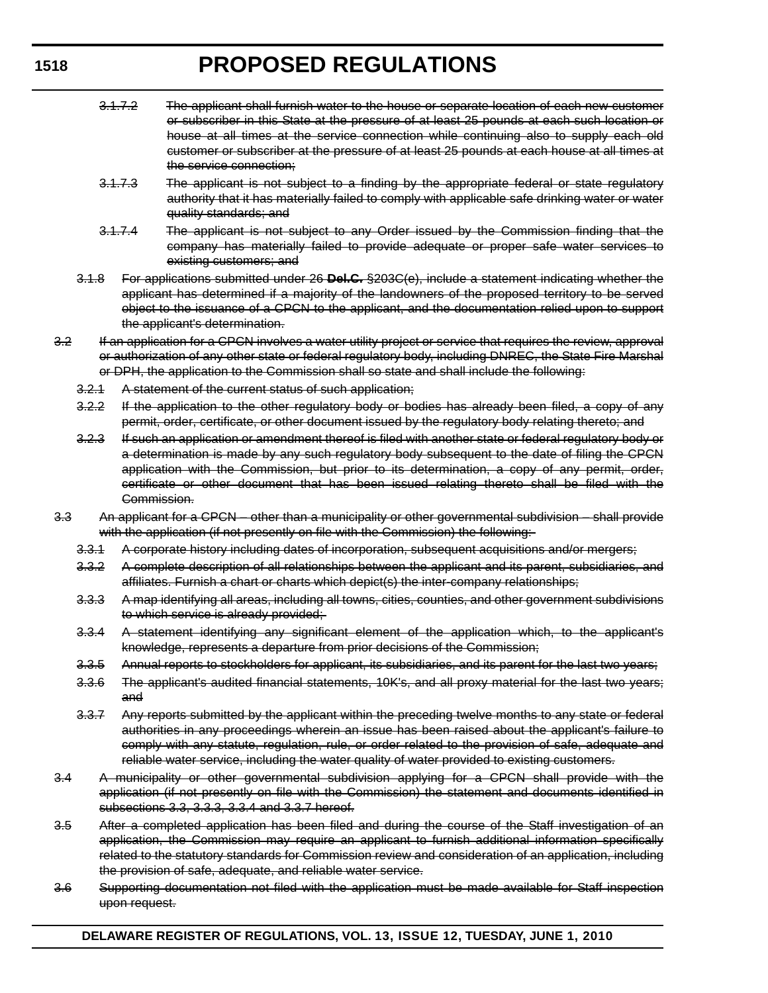- 3.1.7.2 The applicant shall furnish water to the house or separate location of each new customer or subscriber in this State at the pressure of at least 25 pounds at each such location or house at all times at the service connection while continuing also to supply each old customer or subscriber at the pressure of at least 25 pounds at each house at all times at the service connection;
- 3.1.7.3 The applicant is not subject to a finding by the appropriate federal or state regulatory authority that it has materially failed to comply with applicable safe drinking water or water quality standards; and
- 3.1.7.4 The applicant is not subject to any Order issued by the Commission finding that the company has materially failed to provide adequate or proper safe water services to existing customers; and
- 3.1.8 For applications submitted under 26 **Del.C.** §203C(e), include a statement indicating whether the applicant has determined if a majority of the landowners of the proposed territory to be served object to the issuance of a CPCN to the applicant, and the documentation relied upon to support the applicant's determination.
- 3.2 If an application for a CPCN involves a water utility project or service that requires the review, approval or authorization of any other state or federal regulatory body, including DNREC, the State Fire Marshal or DPH, the application to the Commission shall so state and shall include the following:
	- 3.2.1 A statement of the current status of such application;
	- 3.2.2 If the application to the other regulatory body or bodies has already been filed, a copy of any permit, order, certificate, or other document issued by the regulatory body relating thereto; and
	- 3.2.3 If such an application or amendment thereof is filed with another state or federal regulatory body or a determination is made by any such regulatory body subsequent to the date of filing the CPCN application with the Commission, but prior to its determination, a copy of any permit, order, certificate or other document that has been issued relating thereto shall be filed with the Commission.
- 3.3 An applicant for a CPCN other than a municipality or other governmental subdivision shall provide with the application (if not presently on file with the Commission) the following:
	- 3.3.1 A corporate history including dates of incorporation, subsequent acquisitions and/or mergers;
	- 3.3.2 A complete description of all relationships between the applicant and its parent, subsidiaries, and affiliates. Furnish a chart or charts which depict(s) the inter-company relationships;
	- 3.3.3 A map identifying all areas, including all towns, cities, counties, and other government subdivisions to which service is already provided;
	- 3.3.4 A statement identifying any significant element of the application which, to the applicant's knowledge, represents a departure from prior decisions of the Commission;
	- 3.3.5 Annual reports to stockholders for applicant, its subsidiaries, and its parent for the last two years;
	- 3.3.6 The applicant's audited financial statements, 10K's, and all proxy material for the last two years; and
	- 3.3.7 Any reports submitted by the applicant within the preceding twelve months to any state or federal authorities in any proceedings wherein an issue has been raised about the applicant's failure to comply with any statute, regulation, rule, or order related to the provision of safe, adequate and reliable water service, including the water quality of water provided to existing customers.
- 3.4 A municipality or other governmental subdivision applying for a CPCN shall provide with the application (if not presently on file with the Commission) the statement and documents identified in subsections 3.3, 3.3.3, 3.3.4 and 3.3.7 hereof.
- 3.5 After a completed application has been filed and during the course of the Staff investigation of an application, the Commission may require an applicant to furnish additional information specifically related to the statutory standards for Commission review and consideration of an application, including the provision of safe, adequate, and reliable water service.
- 3.6 Supporting documentation not filed with the application must be made available for Staff inspection upon request.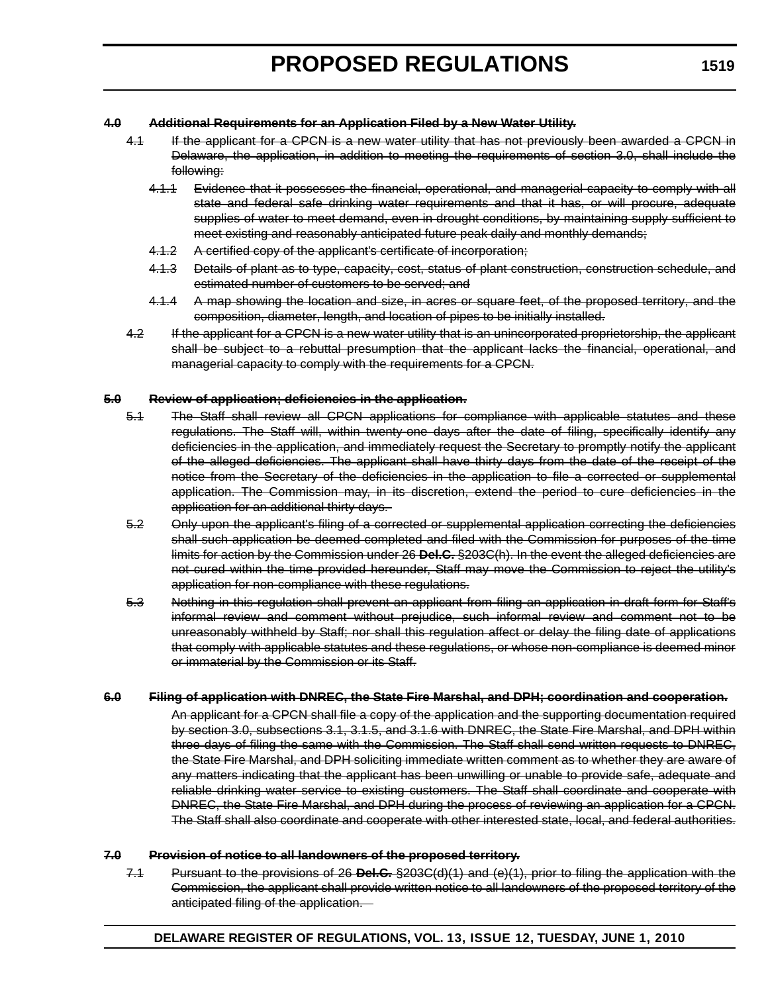#### **4.0 Additional Requirements for an Application Filed by a New Water Utility.**

- 4.1 If the applicant for a CPCN is a new water utility that has not previously been awarded a CPCN in Delaware, the application, in addition to meeting the requirements of section 3.0, shall include the following:
	- 4.1.1 Evidence that it possesses the financial, operational, and managerial capacity to comply with all state and federal safe drinking water requirements and that it has, or will procure, adequate supplies of water to meet demand, even in drought conditions, by maintaining supply sufficient to meet existing and reasonably anticipated future peak daily and monthly demands;
	- 4.1.2 A certified copy of the applicant's certificate of incorporation;
	- 4.1.3 Details of plant as to type, capacity, cost, status of plant construction, construction schedule, and estimated number of customers to be served; and
	- 4.1.4 A map showing the location and size, in acres or square feet, of the proposed territory, and the composition, diameter, length, and location of pipes to be initially installed.
- 4.2 If the applicant for a CPCN is a new water utility that is an unincorporated proprietorship, the applicant shall be subject to a rebuttal presumption that the applicant lacks the financial, operational, and managerial capacity to comply with the requirements for a CPCN.

#### **5.0 Review of application; deficiencies in the application.**

- 5.1 The Staff shall review all CPCN applications for compliance with applicable statutes and these regulations. The Staff will, within twenty-one days after the date of filing, specifically identify any deficiencies in the application, and immediately request the Secretary to promptly notify the applicant of the alleged deficiencies. The applicant shall have thirty days from the date of the receipt of the notice from the Secretary of the deficiencies in the application to file a corrected or supplemental application. The Commission may, in its discretion, extend the period to cure deficiencies in the application for an additional thirty days.
- 5.2 Only upon the applicant's filing of a corrected or supplemental application correcting the deficiencies shall such application be deemed completed and filed with the Commission for purposes of the time limits for action by the Commission under 26 **Del.C.** §203C(h). In the event the alleged deficiencies are not cured within the time provided hereunder, Staff may move the Commission to reject the utility's application for non-compliance with these regulations.
- 5.3 Nothing in this regulation shall prevent an applicant from filing an application in draft form for Staff's informal review and comment without prejudice, such informal review and comment not to be unreasonably withheld by Staff; nor shall this regulation affect or delay the filing date of applications that comply with applicable statutes and these regulations, or whose non-compliance is deemed minor or immaterial by the Commission or its Staff.

#### **6.0 Filing of application with DNREC, the State Fire Marshal, and DPH; coordination and cooperation.**

An applicant for a CPCN shall file a copy of the application and the supporting documentation required by section 3.0, subsections 3.1, 3.1.5, and 3.1.6 with DNREC, the State Fire Marshal, and DPH within three days of filing the same with the Commission. The Staff shall send written requests to DNREC, the State Fire Marshal, and DPH soliciting immediate written comment as to whether they are aware of any matters indicating that the applicant has been unwilling or unable to provide safe, adequate and reliable drinking water service to existing customers. The Staff shall coordinate and cooperate with DNREC, the State Fire Marshal, and DPH during the process of reviewing an application for a CPCN. The Staff shall also coordinate and cooperate with other interested state, local, and federal authorities.

#### **7.0 Provision of notice to all landowners of the proposed territory.**

7.1 Pursuant to the provisions of 26 **Del.C.** §203C(d)(1) and (e)(1), prior to filing the application with the Commission, the applicant shall provide written notice to all landowners of the proposed territory of the anticipated filing of the application.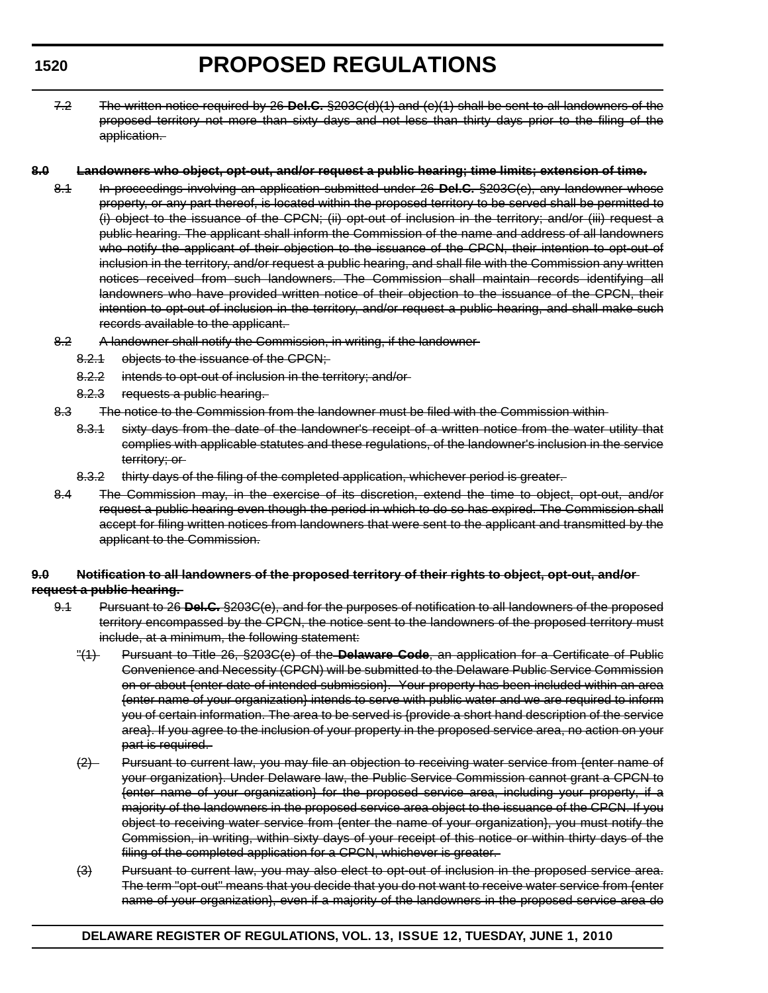# **PROPOSED REGULATIONS**

7.2 The written notice required by 26 **Del.C.** §203C(d)(1) and (e)(1) shall be sent to all landowners of the proposed territory not more than sixty days and not less than thirty days prior to the filing of the application.

#### **8.0 Landowners who object, opt-out, and/or request a public hearing; time limits; extension of time.**

- 8.1 In proceedings involving an application submitted under 26 **Del.C.** §203C(e), any landowner whose property, or any part thereof, is located within the proposed territory to be served shall be permitted to (i) object to the issuance of the CPCN; (ii) opt-out of inclusion in the territory; and/or (iii) request a public hearing. The applicant shall inform the Commission of the name and address of all landowners who notify the applicant of their objection to the issuance of the CPCN, their intention to opt-out of inclusion in the territory, and/or request a public hearing, and shall file with the Commission any written notices received from such landowners. The Commission shall maintain records identifying all landowners who have provided written notice of their objection to the issuance of the CPCN, their intention to opt-out of inclusion in the territory, and/or request a public hearing, and shall make such records available to the applicant.
- 8.2 A landowner shall notify the Commission, in writing, if the landowner-
	- 8.2.1 objects to the issuance of the CPCN;
	- 8.2.2 intends to opt-out of inclusion in the territory; and/or
	- 8.2.3 requests a public hearing.
- 8.3 The notice to the Commission from the landowner must be filed with the Commission within
	- 8.3.1 sixty days from the date of the landowner's receipt of a written notice from the water utility that complies with applicable statutes and these regulations, of the landowner's inclusion in the service territory; or
	- 8.3.2 thirty days of the filing of the completed application, whichever period is greater.
- 8.4 The Commission may, in the exercise of its discretion, extend the time to object, opt-out, and/or request a public hearing even though the period in which to do so has expired. The Commission shall accept for filing written notices from landowners that were sent to the applicant and transmitted by the applicant to the Commission.

### **9.0 Notification to all landowners of the proposed territory of their rights to object, opt-out, and/or request a public hearing.**

- 9.1 Pursuant to 26 **Del.C.** §203C(e), and for the purposes of notification to all landowners of the proposed territory encompassed by the CPCN, the notice sent to the landowners of the proposed territory must include, at a minimum, the following statement:
	- "(1) Pursuant to Title 26, §203C(e) of the **Delaware Code**, an application for a Certificate of Public Convenience and Necessity (CPCN) will be submitted to the Delaware Public Service Commission on or about {enter date of intended submission}. Your property has been included within an area {enter name of your organization} intends to serve with public water and we are required to inform you of certain information. The area to be served is {provide a short hand description of the service area}. If you agree to the inclusion of your property in the proposed service area, no action on your part is required.
	- (2) Pursuant to current law, you may file an objection to receiving water service from {enter name of your organization}. Under Delaware law, the Public Service Commission cannot grant a CPCN to {enter name of your organization} for the proposed service area, including your property, if a majority of the landowners in the proposed service area object to the issuance of the CPCN. If you object to receiving water service from {enter the name of your organization}, you must notify the Commission, in writing, within sixty days of your receipt of this notice or within thirty days of the filing of the completed application for a CPCN, whichever is greater.
	- (3) Pursuant to current law, you may also elect to opt-out of inclusion in the proposed service area. The term "opt-out" means that you decide that you do not want to receive water service from {enter name of your organization}, even if a majority of the landowners in the proposed service area do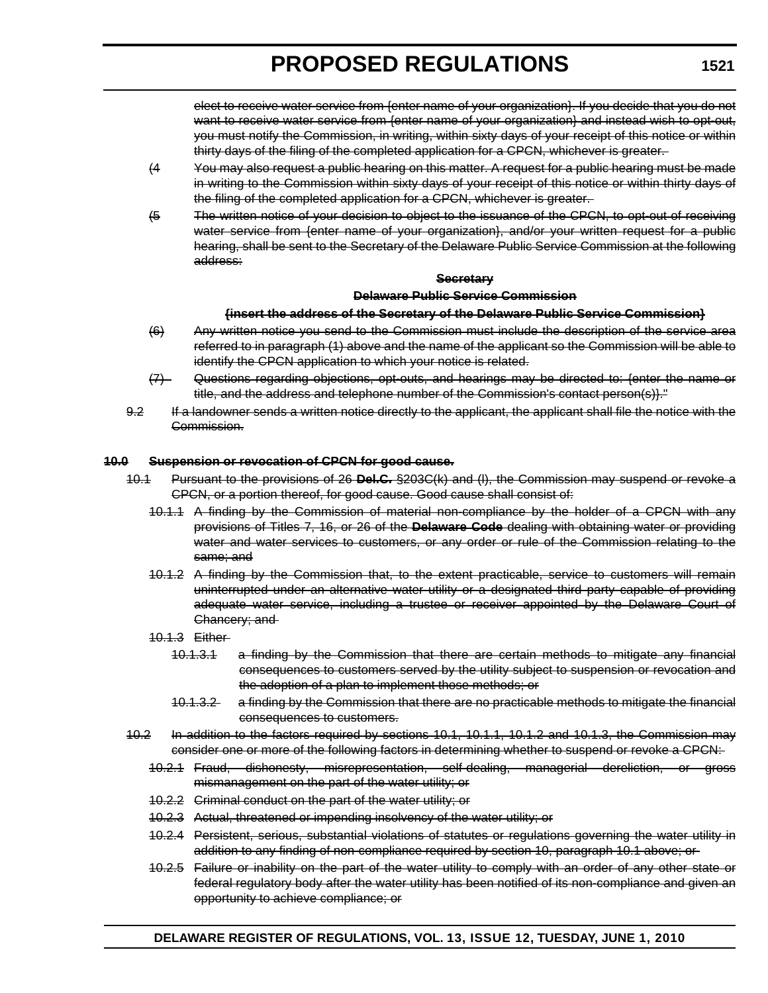elect to receive water service from {enter name of your organization}. If you decide that you do not want to receive water service from {enter name of your organization} and instead wish to opt-out, you must notify the Commission, in writing, within sixty days of your receipt of this notice or within thirty days of the filing of the completed application for a CPCN, whichever is greater.

- (4 You may also request a public hearing on this matter. A request for a public hearing must be made in writing to the Commission within sixty days of your receipt of this notice or within thirty days of the filing of the completed application for a CPCN, whichever is greater.
- (5 The written notice of your decision to object to the issuance of the CPCN, to opt-out of receiving water service from {enter name of your organization}, and/or your written request for a public hearing, shall be sent to the Secretary of the Delaware Public Service Commission at the following address:

#### **Secretary**

#### **Delaware Public Service Commission**

#### **{insert the address of the Secretary of the Delaware Public Service Commission}**

- (6) Any written notice you send to the Commission must include the description of the service area referred to in paragraph (1) above and the name of the applicant so the Commission will be able to identify the CPCN application to which your notice is related.
- (7) Questions regarding objections, opt-outs, and hearings may be directed to: {enter the name or title, and the address and telephone number of the Commission's contact person(s)}."
- 9.2 If a landowner sends a written notice directly to the applicant, the applicant shall file the notice with the Commission.

### **10.0 Suspension or revocation of CPCN for good cause.**

- 10.1 Pursuant to the provisions of 26 **Del.C.** §203C(k) and (l), the Commission may suspend or revoke a CPCN, or a portion thereof, for good cause. Good cause shall consist of:
	- 10.1.1 A finding by the Commission of material non-compliance by the holder of a CPCN with any provisions of Titles 7, 16, or 26 of the **Delaware Code** dealing with obtaining water or providing water and water services to customers, or any order or rule of the Commission relating to the same; and
	- 10.1.2 A finding by the Commission that, to the extent practicable, service to customers will remain uninterrupted under an alternative water utility or a designated third party capable of providing adequate water service, including a trustee or receiver appointed by the Delaware Court of Chancery; and
	- 10.1.3 Either
		- 10.1.3.1 a finding by the Commission that there are certain methods to mitigate any financial consequences to customers served by the utility subject to suspension or revocation and the adoption of a plan to implement those methods; or
		- 10.1.3.2 a finding by the Commission that there are no practicable methods to mitigate the financial consequences to customers.
- 10.2 In addition to the factors required by sections 10.1, 10.1.1, 10.1.2 and 10.1.3, the Commission may consider one or more of the following factors in determining whether to suspend or revoke a CPCN:
	- 10.2.1 Fraud, dishonesty, misrepresentation, self-dealing, managerial dereliction, or gross mismanagement on the part of the water utility; or
	- 10.2.2 Criminal conduct on the part of the water utility; or
	- 10.2.3 Actual, threatened or impending insolvency of the water utility; or
	- 10.2.4 Persistent, serious, substantial violations of statutes or regulations governing the water utility in addition to any finding of non-compliance required by section 10, paragraph 10.1 above; or
	- 10.2.5 Failure or inability on the part of the water utility to comply with an order of any other state or federal regulatory body after the water utility has been notified of its non-compliance and given an opportunity to achieve compliance; or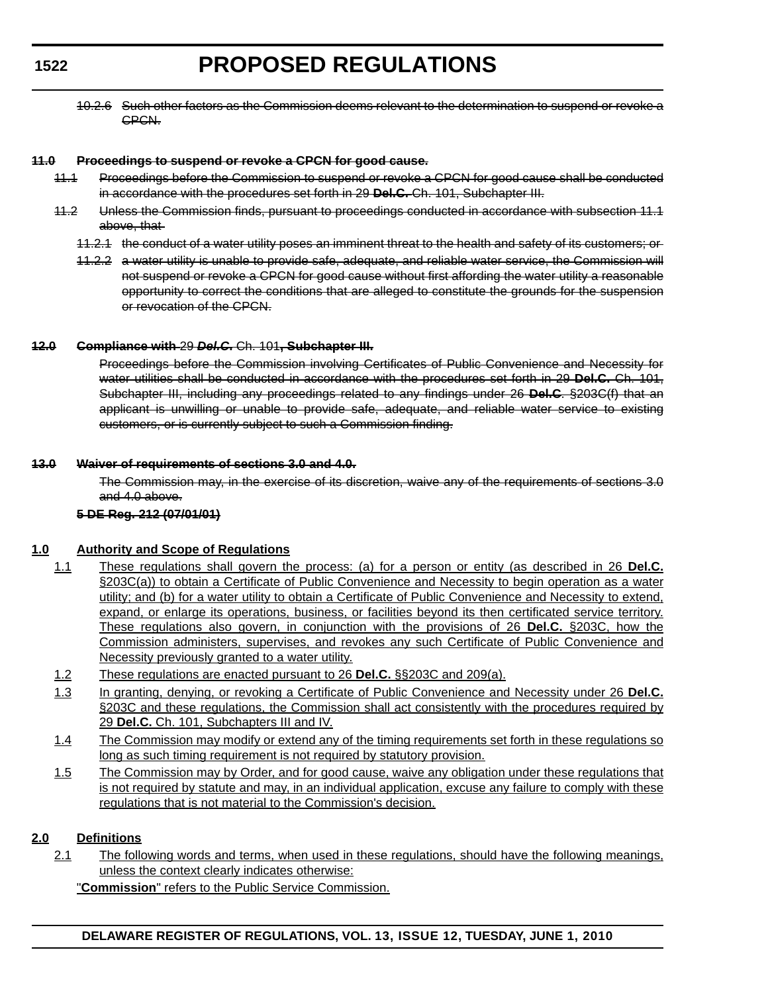# **PROPOSED REGULATIONS**

10.2.6 Such other factors as the Commission deems relevant to the determination to suspend or revoke a CPCN.

#### **11.0 Proceedings to suspend or revoke a CPCN for good cause.**

- 11.1 Proceedings before the Commission to suspend or revoke a CPCN for good cause shall be conducted in accordance with the procedures set forth in 29 **Del.C.** Ch. 101, Subchapter III.
- 11.2 Unless the Commission finds, pursuant to proceedings conducted in accordance with subsection 11.1 above, that
	- 11.2.1 the conduct of a water utility poses an imminent threat to the health and safety of its customers; or
	- 11.2.2 a water utility is unable to provide safe, adequate, and reliable water service, the Commission will not suspend or revoke a CPCN for good cause without first affording the water utility a reasonable opportunity to correct the conditions that are alleged to constitute the grounds for the suspension or revocation of the CPCN.

#### **12.0 Compliance with** 29 *Del.C***.** Ch. 101**, Subchapter III.**

Proceedings before the Commission involving Certificates of Public Convenience and Necessity for water utilities shall be conducted in accordance with the procedures set forth in 29 **Del.C.** Ch. 101, Subchapter III, including any proceedings related to any findings under 26 **Del.C**. §203C(f) that an applicant is unwilling or unable to provide safe, adequate, and reliable water service to existing customers, or is currently subject to such a Commission finding.

#### **13.0 Waiver of requirements of sections 3.0 and 4.0.**

The Commission may, in the exercise of its discretion, waive any of the requirements of sections 3.0 and 4.0 above.

### **5 DE Reg. 212 (07/01/01)**

### **1.0 Authority and Scope of Regulations**

- 1.1 These regulations shall govern the process: (a) for a person or entity (as described in 26 **Del.C.**  §203C(a)) to obtain a Certificate of Public Convenience and Necessity to begin operation as a water utility; and (b) for a water utility to obtain a Certificate of Public Convenience and Necessity to extend, expand, or enlarge its operations, business, or facilities beyond its then certificated service territory. These regulations also govern, in conjunction with the provisions of 26 **Del.C.** §203C, how the Commission administers, supervises, and revokes any such Certificate of Public Convenience and Necessity previously granted to a water utility.
- 1.2 These regulations are enacted pursuant to 26 **Del.C.** §§203C and 209(a).
- 1.3 In granting, denying, or revoking a Certificate of Public Convenience and Necessity under 26 **Del.C.**  §203C and these regulations, the Commission shall act consistently with the procedures required by 29 **Del.C.** Ch. 101, Subchapters III and IV.
- 1.4 The Commission may modify or extend any of the timing requirements set forth in these regulations so long as such timing requirement is not required by statutory provision.
- 1.5 The Commission may by Order, and for good cause, waive any obligation under these regulations that is not required by statute and may, in an individual application, excuse any failure to comply with these regulations that is not material to the Commission's decision.

### **2.0 Definitions**

2.1 The following words and terms, when used in these regulations, should have the following meanings, unless the context clearly indicates otherwise:

"**Commission**" refers to the Public Service Commission.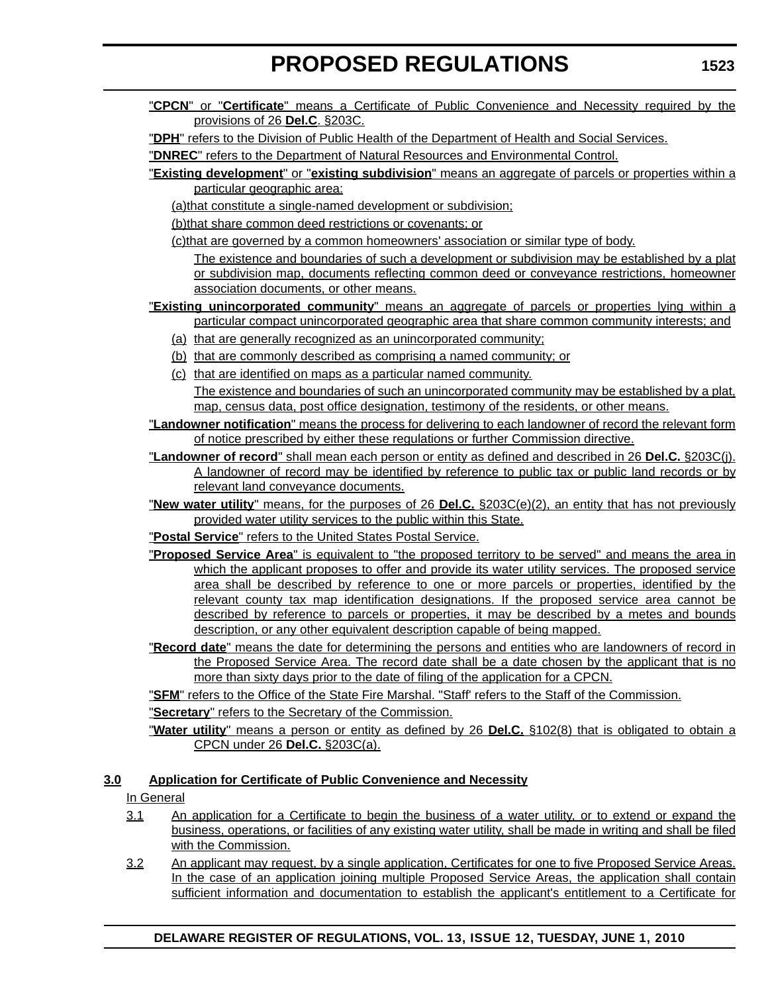- "**CPCN**" or "**Certificate**" means a Certificate of Public Convenience and Necessity required by the provisions of 26 **Del.C**. §203C.
- "**DPH**" refers to the Division of Public Health of the Department of Health and Social Services.

"**DNREC**" refers to the Department of Natural Resources and Environmental Control.

"**Existing development**" or "**existing subdivision**" means an aggregate of parcels or properties within a particular geographic area:

(a)that constitute a single-named development or subdivision;

(b)that share common deed restrictions or covenants; or

(c)that are governed by a common homeowners' association or similar type of body.

The existence and boundaries of such a development or subdivision may be established by a plat or subdivision map, documents reflecting common deed or conveyance restrictions, homeowner association documents, or other means.

- "**Existing unincorporated community**" means an aggregate of parcels or properties lying within a particular compact unincorporated geographic area that share common community interests; and
	- (a) that are generally recognized as an unincorporated community;
	- (b) that are commonly described as comprising a named community; or
	- (c) that are identified on maps as a particular named community.

The existence and boundaries of such an unincorporated community may be established by a plat, map, census data, post office designation, testimony of the residents, or other means.

"**Landowner notification**" means the process for delivering to each landowner of record the relevant form of notice prescribed by either these regulations or further Commission directive.

"**Landowner of record**" shall mean each person or entity as defined and described in 26 **Del.C.** §203C(j). A landowner of record may be identified by reference to public tax or public land records or by relevant land conveyance documents.

- "**New water utility**" means, for the purposes of 26 **Del.C.** §203C(e)(2), an entity that has not previously provided water utility services to the public within this State.
- "**Postal Service**" refers to the United States Postal Service.
- "**Proposed Service Area**" is equivalent to "the proposed territory to be served" and means the area in which the applicant proposes to offer and provide its water utility services. The proposed service area shall be described by reference to one or more parcels or properties, identified by the relevant county tax map identification designations. If the proposed service area cannot be described by reference to parcels or properties, it may be described by a metes and bounds description, or any other equivalent description capable of being mapped.
- "**Record date**" means the date for determining the persons and entities who are landowners of record in the Proposed Service Area. The record date shall be a date chosen by the applicant that is no more than sixty days prior to the date of filing of the application for a CPCN.

"**SFM**" refers to the Office of the State Fire Marshal. "Staff' refers to the Staff of the Commission.

"**Secretary**" refers to the Secretary of the Commission.

"**Water utility**" means a person or entity as defined by 26 **Del.C.** §102(8) that is obligated to obtain a CPCN under 26 **Del.C.** §203C(a).

### **3.0 Application for Certificate of Public Convenience and Necessity**

In General

- 3.1 An application for a Certificate to begin the business of a water utility, or to extend or expand the business, operations, or facilities of any existing water utility, shall be made in writing and shall be filed with the Commission.
- 3.2 An applicant may request, by a single application, Certificates for one to five Proposed Service Areas. In the case of an application joining multiple Proposed Service Areas, the application shall contain sufficient information and documentation to establish the applicant's entitlement to a Certificate for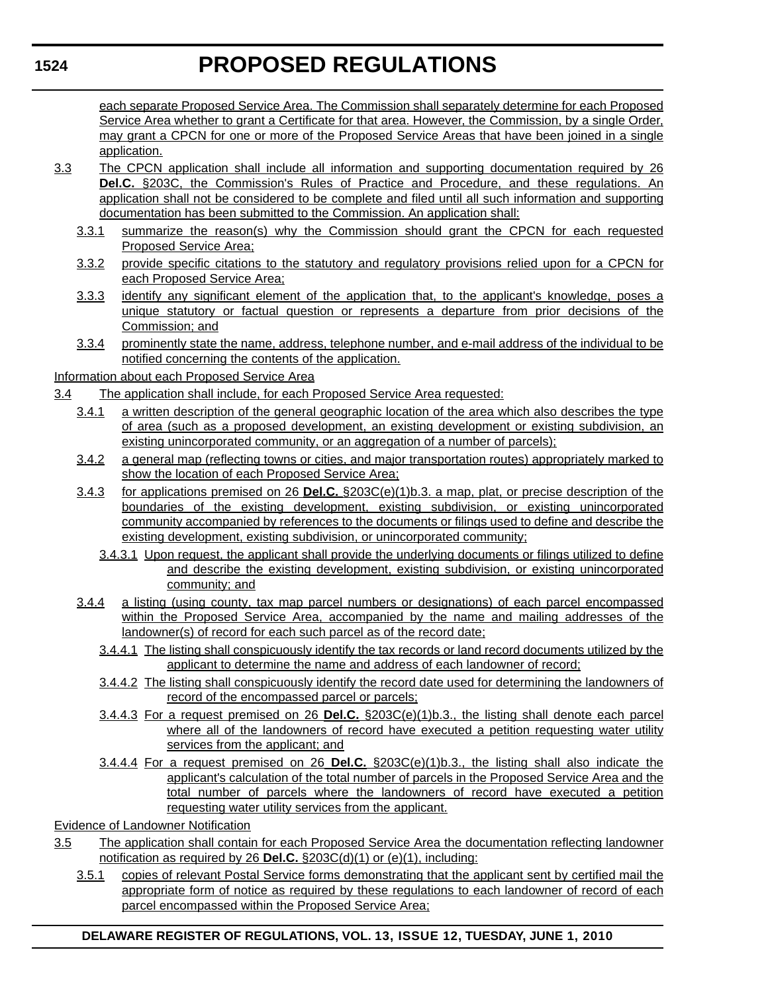each separate Proposed Service Area. The Commission shall separately determine for each Proposed Service Area whether to grant a Certificate for that area. However, the Commission, by a single Order, may grant a CPCN for one or more of the Proposed Service Areas that have been joined in a single application.

- 3.3 The CPCN application shall include all information and supporting documentation required by 26 **Del.C.** §203C, the Commission's Rules of Practice and Procedure, and these regulations. An application shall not be considered to be complete and filed until all such information and supporting documentation has been submitted to the Commission. An application shall:
	- 3.3.1 summarize the reason(s) why the Commission should grant the CPCN for each requested Proposed Service Area;
	- 3.3.2 provide specific citations to the statutory and regulatory provisions relied upon for a CPCN for each Proposed Service Area;
	- 3.3.3 identify any significant element of the application that, to the applicant's knowledge, poses a unique statutory or factual question or represents a departure from prior decisions of the Commission; and
	- 3.3.4 prominently state the name, address, telephone number, and e-mail address of the individual to be notified concerning the contents of the application.

Information about each Proposed Service Area

- 3.4 The application shall include, for each Proposed Service Area requested:
	- 3.4.1 a written description of the general geographic location of the area which also describes the type of area (such as a proposed development, an existing development or existing subdivision, an existing unincorporated community, or an aggregation of a number of parcels);
	- 3.4.2 a general map (reflecting towns or cities, and major transportation routes) appropriately marked to show the location of each Proposed Service Area;
	- 3.4.3 for applications premised on 26 **Del.C.** §203C(e)(1)b.3. a map, plat, or precise description of the boundaries of the existing development, existing subdivision, or existing unincorporated community accompanied by references to the documents or filings used to define and describe the existing development, existing subdivision, or unincorporated community;
		- 3.4.3.1 Upon request, the applicant shall provide the underlying documents or filings utilized to define and describe the existing development, existing subdivision, or existing unincorporated community; and
	- 3.4.4 a listing (using county, tax map parcel numbers or designations) of each parcel encompassed within the Proposed Service Area, accompanied by the name and mailing addresses of the landowner(s) of record for each such parcel as of the record date;
		- 3.4.4.1 The listing shall conspicuously identify the tax records or land record documents utilized by the applicant to determine the name and address of each landowner of record;
		- 3.4.4.2 The listing shall conspicuously identify the record date used for determining the landowners of record of the encompassed parcel or parcels;
		- 3.4.4.3 For a request premised on 26 **Del.C.** §203C(e)(1)b.3., the listing shall denote each parcel where all of the landowners of record have executed a petition requesting water utility services from the applicant; and
		- 3.4.4.4 For a request premised on 26 **Del.C.** §203C(e)(1)b.3., the listing shall also indicate the applicant's calculation of the total number of parcels in the Proposed Service Area and the total number of parcels where the landowners of record have executed a petition requesting water utility services from the applicant.

Evidence of Landowner Notification

- 3.5 The application shall contain for each Proposed Service Area the documentation reflecting landowner notification as required by 26 **Del.C.** §203C(d)(1) or (e)(1), including:
	- 3.5.1 copies of relevant Postal Service forms demonstrating that the applicant sent by certified mail the appropriate form of notice as required by these regulations to each landowner of record of each parcel encompassed within the Proposed Service Area;

# **DELAWARE REGISTER OF REGULATIONS, VOL. 13, ISSUE 12, TUESDAY, JUNE 1, 2010**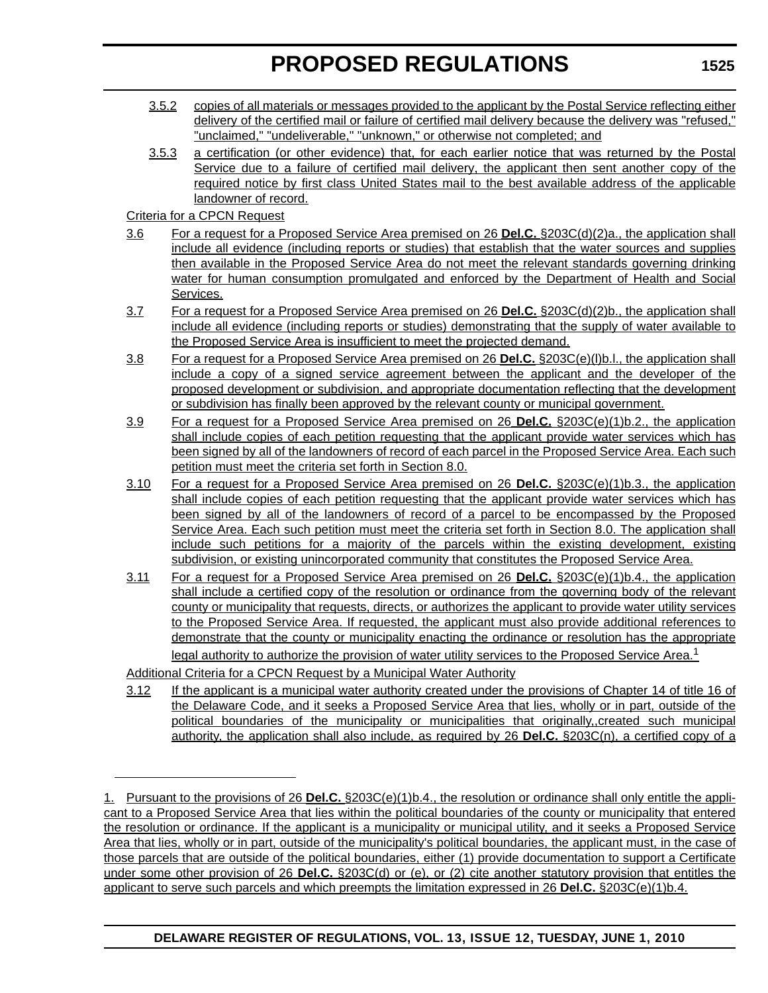- 3.5.2 copies of all materials or messages provided to the applicant by the Postal Service reflecting either delivery of the certified mail or failure of certified mail delivery because the delivery was "refused," "unclaimed," "undeliverable," "unknown," or otherwise not completed; and
- 3.5.3 a certification (or other evidence) that, for each earlier notice that was returned by the Postal Service due to a failure of certified mail delivery, the applicant then sent another copy of the required notice by first class United States mail to the best available address of the applicable landowner of record.

Criteria for a CPCN Request

- 3.6 For a request for a Proposed Service Area premised on 26 **Del.C.** §203C(d)(2)a., the application shall include all evidence (including reports or studies) that establish that the water sources and supplies then available in the Proposed Service Area do not meet the relevant standards governing drinking water for human consumption promulgated and enforced by the Department of Health and Social Services.
- 3.7 For a request for a Proposed Service Area premised on 26 **Del.C.** §203C(d)(2)b., the application shall include all evidence (including reports or studies) demonstrating that the supply of water available to the Proposed Service Area is insufficient to meet the projected demand.
- 3.8 For a request for a Proposed Service Area premised on 26 **Del.C.** §203C(e)(l)b.l., the application shall include a copy of a signed service agreement between the applicant and the developer of the proposed development or subdivision, and appropriate documentation reflecting that the development or subdivision has finally been approved by the relevant county or municipal government.
- 3.9 For a request for a Proposed Service Area premised on 26 **Del.C.** §203C(e)(1)b.2., the application shall include copies of each petition requesting that the applicant provide water services which has been signed by all of the landowners of record of each parcel in the Proposed Service Area. Each such petition must meet the criteria set forth in Section 8.0.
- 3.10 For a request for a Proposed Service Area premised on 26 **Del.C.** §203C(e)(1)b.3., the application shall include copies of each petition requesting that the applicant provide water services which has been signed by all of the landowners of record of a parcel to be encompassed by the Proposed Service Area. Each such petition must meet the criteria set forth in Section 8.0. The application shall include such petitions for a majority of the parcels within the existing development, existing subdivision, or existing unincorporated community that constitutes the Proposed Service Area.
- 3.11 For a request for a Proposed Service Area premised on 26 **Del.C.** §203C(e)(1)b.4., the application shall include a certified copy of the resolution or ordinance from the governing body of the relevant county or municipality that requests, directs, or authorizes the applicant to provide water utility services to the Proposed Service Area. If requested, the applicant must also provide additional references to demonstrate that the county or municipality enacting the ordinance or resolution has the appropriate legal authority to authorize the provision of water utility services to the Proposed Service Area.<sup>1</sup>

Additional Criteria for a CPCN Request by a Municipal Water Authority

3.12 If the applicant is a municipal water authority created under the provisions of Chapter 14 of title 16 of the Delaware Code, and it seeks a Proposed Service Area that lies, wholly or in part, outside of the political boundaries of the municipality or municipalities that originally,,created such municipal authority, the application shall also include, as required by 26 **Del.C.** §203C(n), a certified copy of a

<sup>1.</sup> Pursuant to the provisions of 26 **Del.C.** §203C(e)(1)b.4., the resolution or ordinance shall only entitle the applicant to a Proposed Service Area that lies within the political boundaries of the county or municipality that entered the resolution or ordinance. If the applicant is a municipality or municipal utility, and it seeks a Proposed Service Area that lies, wholly or in part, outside of the municipality's political boundaries, the applicant must, in the case of those parcels that are outside of the political boundaries, either (1) provide documentation to support a Certificate under some other provision of 26 **Del.C.** §203C(d) or (e), or (2) cite another statutory provision that entitles the applicant to serve such parcels and which preempts the limitation expressed in 26 **Del.C.** §203C(e)(1)b.4.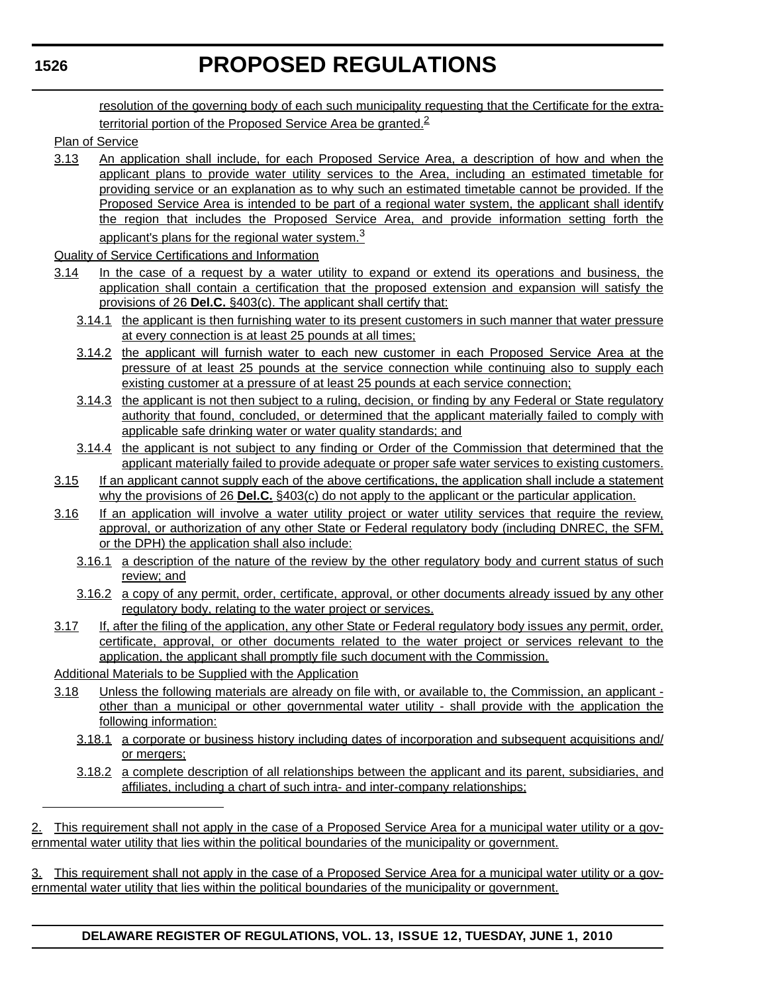resolution of the governing body of each such municipality requesting that the Certificate for the extraterritorial portion of the Proposed Service Area be granted. $2$ 

### Plan of Service

- 3.13 An application shall include, for each Proposed Service Area, a description of how and when the applicant plans to provide water utility services to the Area, including an estimated timetable for providing service or an explanation as to why such an estimated timetable cannot be provided. If the Proposed Service Area is intended to be part of a regional water system, the applicant shall identify the region that includes the Proposed Service Area, and provide information setting forth the applicant's plans for the regional water system.<sup>3</sup>
- Quality of Service Certifications and Information
- 3.14 In the case of a request by a water utility to expand or extend its operations and business, the application shall contain a certification that the proposed extension and expansion will satisfy the provisions of 26 **Del.C.** §403(c). The applicant shall certify that:
	- 3.14.1 the applicant is then furnishing water to its present customers in such manner that water pressure at every connection is at least 25 pounds at all times;
	- 3.14.2 the applicant will furnish water to each new customer in each Proposed Service Area at the pressure of at least 25 pounds at the service connection while continuing also to supply each existing customer at a pressure of at least 25 pounds at each service connection;
	- 3.14.3 the applicant is not then subject to a ruling, decision, or finding by any Federal or State regulatory authority that found, concluded, or determined that the applicant materially failed to comply with applicable safe drinking water or water quality standards; and
	- 3.14.4 the applicant is not subject to any finding or Order of the Commission that determined that the applicant materially failed to provide adequate or proper safe water services to existing customers.
- 3.15 If an applicant cannot supply each of the above certifications, the application shall include a statement why the provisions of 26 **Del.C.** §403(c) do not apply to the applicant or the particular application.
- 3.16 If an application will involve a water utility project or water utility services that require the review, approval, or authorization of any other State or Federal regulatory body (including DNREC, the SFM, or the DPH) the application shall also include:
	- 3.16.1 a description of the nature of the review by the other regulatory body and current status of such review; and
	- 3.16.2 a copy of any permit, order, certificate, approval, or other documents already issued by any other regulatory body, relating to the water project or services.
- 3.17 If, after the filing of the application, any other State or Federal regulatory body issues any permit, order, certificate, approval, or other documents related to the water project or services relevant to the application, the applicant shall promptly file such document with the Commission.

Additional Materials to be Supplied with the Application

- 3.18 Unless the following materials are already on file with, or available to, the Commission, an applicant other than a municipal or other governmental water utility - shall provide with the application the following information:
	- 3.18.1 a corporate or business history including dates of incorporation and subsequent acquisitions and/ or mergers;
	- 3.18.2 a complete description of all relationships between the applicant and its parent, subsidiaries, and affiliates, including a chart of such intra- and inter-company relationships;

3. This requirement shall not apply in the case of a Proposed Service Area for a municipal water utility or a governmental water utility that lies within the political boundaries of the municipality or government.

<sup>2.</sup> This requirement shall not apply in the case of a Proposed Service Area for a municipal water utility or a governmental water utility that lies within the political boundaries of the municipality or government.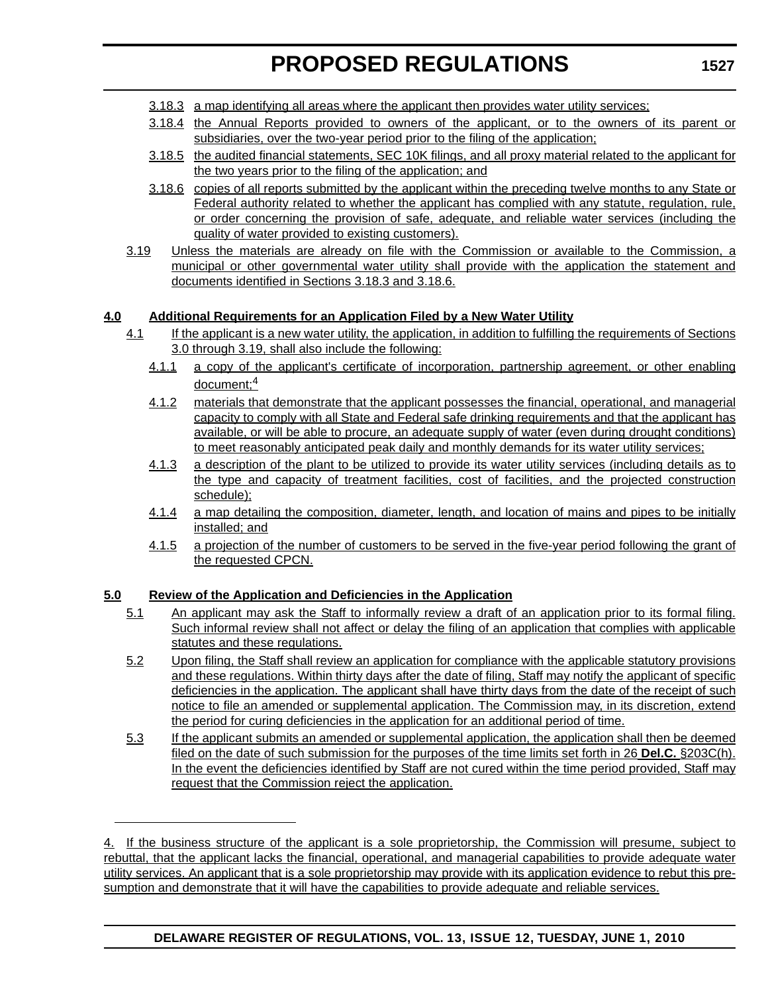- 3.18.3 a map identifying all areas where the applicant then provides water utility services;
- 3.18.4 the Annual Reports provided to owners of the applicant, or to the owners of its parent or subsidiaries, over the two-year period prior to the filing of the application;
- 3.18.5 the audited financial statements, SEC 10K filings, and all proxy material related to the applicant for the two years prior to the filing of the application; and
- 3.18.6 copies of all reports submitted by the applicant within the preceding twelve months to any State or Federal authority related to whether the applicant has complied with any statute, regulation, rule, or order concerning the provision of safe, adequate, and reliable water services (including the quality of water provided to existing customers).
- 3.19 Unless the materials are already on file with the Commission or available to the Commission, a municipal or other governmental water utility shall provide with the application the statement and documents identified in Sections 3.18.3 and 3.18.6.

### **4.0 Additional Requirements for an Application Filed by a New Water Utility**

- 4.1 If the applicant is a new water utility, the application, in addition to fulfilling the requirements of Sections 3.0 through 3.19, shall also include the following:
	- 4.1.1 a copy of the applicant's certificate of incorporation, partnership agreement, or other enabling document;<sup>4</sup>
	- 4.1.2 materials that demonstrate that the applicant possesses the financial, operational, and managerial capacity to comply with all State and Federal safe drinking requirements and that the applicant has available, or will be able to procure, an adequate supply of water (even during drought conditions) to meet reasonably anticipated peak daily and monthly demands for its water utility services;
	- 4.1.3 a description of the plant to be utilized to provide its water utility services (including details as to the type and capacity of treatment facilities, cost of facilities, and the projected construction schedule);
	- 4.1.4 a map detailing the composition, diameter, length, and location of mains and pipes to be initially installed; and
	- 4.1.5 a projection of the number of customers to be served in the five-year period following the grant of the requested CPCN.

# **5.0 Review of the Application and Deficiencies in the Application**

- 5.1 An applicant may ask the Staff to informally review a draft of an application prior to its formal filing. Such informal review shall not affect or delay the filing of an application that complies with applicable statutes and these regulations.
- 5.2 Upon filing, the Staff shall review an application for compliance with the applicable statutory provisions and these regulations. Within thirty days after the date of filing, Staff may notify the applicant of specific deficiencies in the application. The applicant shall have thirty days from the date of the receipt of such notice to file an amended or supplemental application. The Commission may, in its discretion, extend the period for curing deficiencies in the application for an additional period of time.
- 5.3 If the applicant submits an amended or supplemental application, the application shall then be deemed filed on the date of such submission for the purposes of the time limits set forth in 26 **Del.C.** §203C(h). In the event the deficiencies identified by Staff are not cured within the time period provided, Staff may request that the Commission reject the application.

<sup>4.</sup> If the business structure of the applicant is a sole proprietorship, the Commission will presume, subject to rebuttal, that the applicant lacks the financial, operational, and managerial capabilities to provide adequate water utility services. An applicant that is a sole proprietorship may provide with its application evidence to rebut this presumption and demonstrate that it will have the capabilities to provide adequate and reliable services.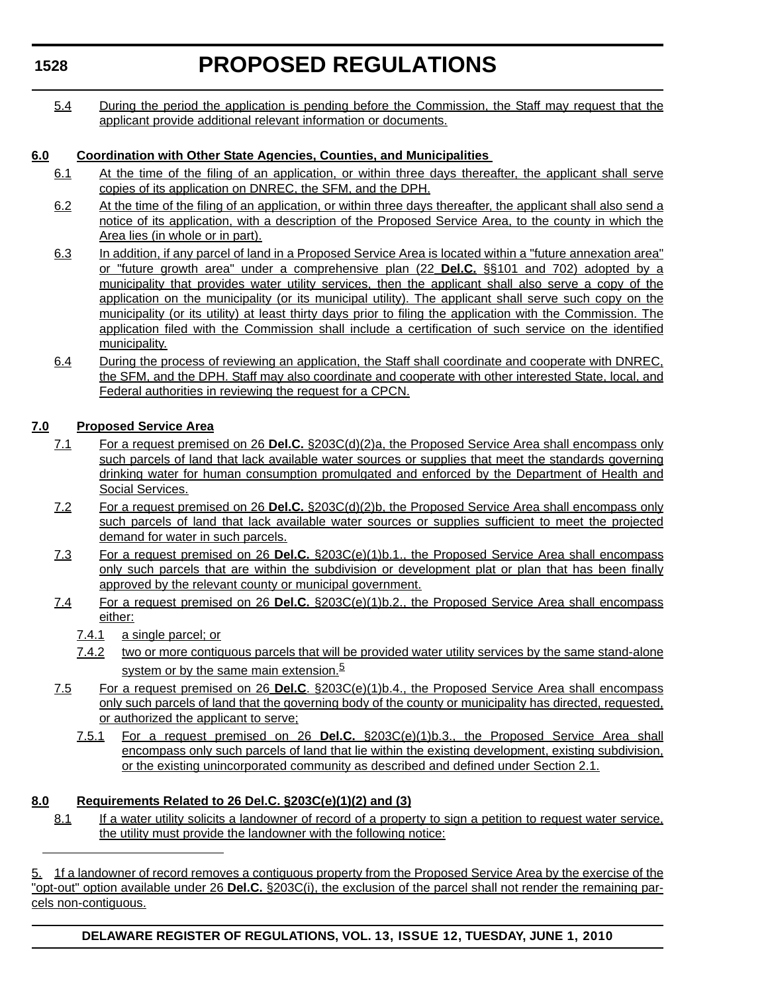# **PROPOSED REGULATIONS**

5.4 During the period the application is pending before the Commission, the Staff may request that the applicant provide additional relevant information or documents.

# **6.0 Coordination with Other State Agencies, Counties, and Municipalities**

- 6.1 At the time of the filing of an application, or within three days thereafter, the applicant shall serve copies of its application on DNREC, the SFM, and the DPH.
- 6.2 At the time of the filing of an application, or within three days thereafter, the applicant shall also send a notice of its application, with a description of the Proposed Service Area, to the county in which the Area lies (in whole or in part).
- 6.3 In addition, if any parcel of land in a Proposed Service Area is located within a "future annexation area" or "future growth area" under a comprehensive plan (22 **Del.C.** §§101 and 702) adopted by a municipality that provides water utility services, then the applicant shall also serve a copy of the application on the municipality (or its municipal utility). The applicant shall serve such copy on the municipality (or its utility) at least thirty days prior to filing the application with the Commission. The application filed with the Commission shall include a certification of such service on the identified municipality.
- 6.4 During the process of reviewing an application, the Staff shall coordinate and cooperate with DNREC, the SFM, and the DPH. Staff may also coordinate and cooperate with other interested State, local, and Federal authorities in reviewing the request for a CPCN.

# **7.0 Proposed Service Area**

- 7.1 For a request premised on 26 **Del.C.** §203C(d)(2)a, the Proposed Service Area shall encompass only such parcels of land that lack available water sources or supplies that meet the standards governing drinking water for human consumption promulgated and enforced by the Department of Health and Social Services.
- 7.2 For a request premised on 26 **Del.C.** §203C(d)(2)b, the Proposed Service Area shall encompass only such parcels of land that lack available water sources or supplies sufficient to meet the projected demand for water in such parcels.
- 7.3 For a request premised on 26 **Del.C.** §203C(e)(1)b.1., the Proposed Service Area shall encompass only such parcels that are within the subdivision or development plat or plan that has been finally approved by the relevant county or municipal government.
- 7.4 For a request premised on 26 **Del.C.** §203C(e)(1)b.2., the Proposed Service Area shall encompass either:
	- 7.4.1 a single parcel; or
	- 7.4.2 two or more contiguous parcels that will be provided water utility services by the same stand-alone system or by the same main extension.<sup>5</sup>
- 7.5 For a request premised on 26 **Del.C**. §203C(e)(1)b.4., the Proposed Service Area shall encompass only such parcels of land that the governing body of the county or municipality has directed, requested. or authorized the applicant to serve;
	- 7.5.1 For a request premised on 26 **Del.C.** §203C(e)(1)b.3., the Proposed Service Area shall encompass only such parcels of land that lie within the existing development, existing subdivision, or the existing unincorporated community as described and defined under Section 2.1.

# **8.0 Requirements Related to 26 Del.C. §203C(e)(1)(2) and (3)**

8.1 If a water utility solicits a landowner of record of a property to sign a petition to request water service, the utility must provide the landowner with the following notice:

5. 1f a landowner of record removes a contiguous property from the Proposed Service Area by the exercise of the "opt-out" option available under 26 **Del.C.** §203C(i), the exclusion of the parcel shall not render the remaining parcels non-contiguous.

**DELAWARE REGISTER OF REGULATIONS, VOL. 13, ISSUE 12, TUESDAY, JUNE 1, 2010**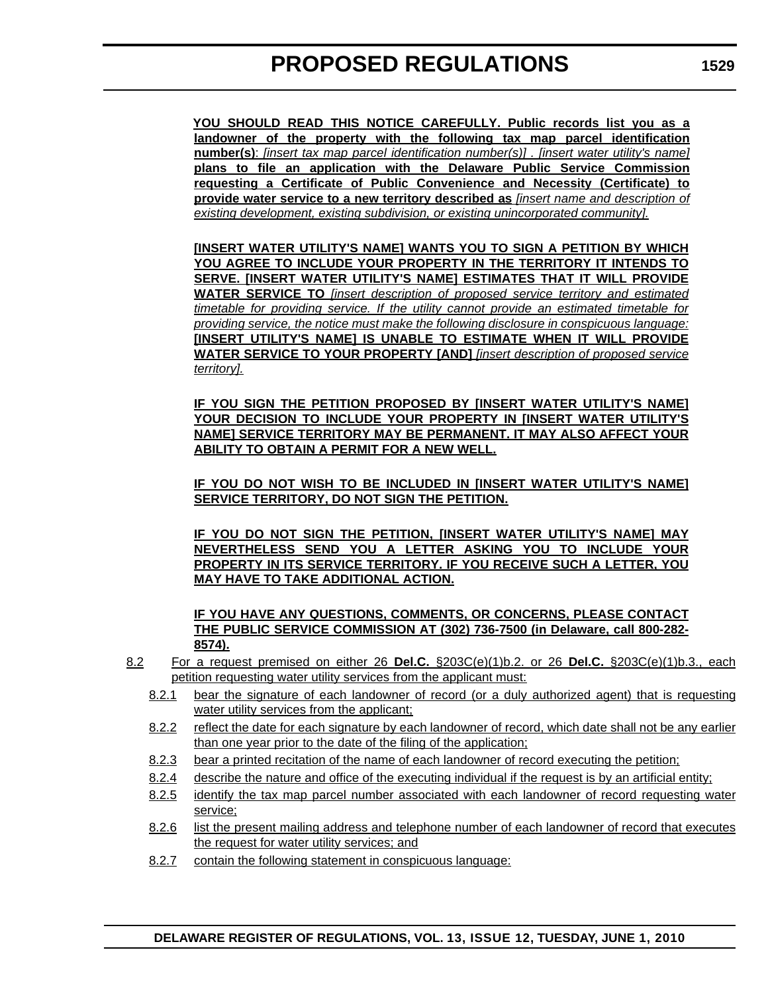**YOU SHOULD READ THIS NOTICE CAREFULLY. Public records list you as a landowner of the property with the following tax map parcel identification number(s)**: *[insert tax map parcel identification number(s)] . [insert water utility's name]* **plans to file an application with the Delaware Public Service Commission requesting a Certificate of Public Convenience and Necessity (Certificate) to provide water service to a new territory described as** *[insert name and description of existing development, existing subdivision, or existing unincorporated community].*

**[INSERT WATER UTILITY'S NAME] WANTS YOU TO SIGN A PETITION BY WHICH YOU AGREE TO INCLUDE YOUR PROPERTY IN THE TERRITORY IT INTENDS TO SERVE. [INSERT WATER UTILITY'S NAME] ESTIMATES THAT IT WILL PROVIDE WATER SERVICE TO** *[insert description of proposed service territory and estimated timetable for providing service. If the utility cannot provide an estimated timetable for providing service, the notice must make the following disclosure in conspicuous language:* **[INSERT UTILITY'S NAME] IS UNABLE TO ESTIMATE WHEN IT WILL PROVIDE WATER SERVICE TO YOUR PROPERTY [AND]** *[insert description of proposed service territory].*

**IF YOU SIGN THE PETITION PROPOSED BY [INSERT WATER UTILITY'S NAME] YOUR DECISION TO INCLUDE YOUR PROPERTY IN [INSERT WATER UTILITY'S NAME] SERVICE TERRITORY MAY BE PERMANENT. IT MAY ALSO AFFECT YOUR ABILITY TO OBTAIN A PERMIT FOR A NEW WELL.**

**IF YOU DO NOT WISH TO BE INCLUDED IN [INSERT WATER UTILITY'S NAME] SERVICE TERRITORY, DO NOT SIGN THE PETITION.**

**IF YOU DO NOT SIGN THE PETITION, [INSERT WATER UTILITY'S NAME] MAY NEVERTHELESS SEND YOU A LETTER ASKING YOU TO INCLUDE YOUR PROPERTY IN ITS SERVICE TERRITORY. IF YOU RECEIVE SUCH A LETTER, YOU MAY HAVE TO TAKE ADDITIONAL ACTION.**

**IF YOU HAVE ANY QUESTIONS, COMMENTS, OR CONCERNS, PLEASE CONTACT THE PUBLIC SERVICE COMMISSION AT (302) 736-7500 (in Delaware, call 800-282- 8574).**

- 8.2 For a request premised on either 26 **Del.C.** §203C(e)(1)b.2. or 26 **Del.C.** §203C(e)(1)b.3., each petition requesting water utility services from the applicant must:
	- 8.2.1 bear the signature of each landowner of record (or a duly authorized agent) that is requesting water utility services from the applicant;
	- 8.2.2 reflect the date for each signature by each landowner of record, which date shall not be any earlier than one year prior to the date of the filing of the application;
	- 8.2.3 bear a printed recitation of the name of each landowner of record executing the petition;
	- 8.2.4 describe the nature and office of the executing individual if the request is by an artificial entity;
	- 8.2.5 identify the tax map parcel number associated with each landowner of record requesting water service;
	- 8.2.6 list the present mailing address and telephone number of each landowner of record that executes the request for water utility services; and
	- 8.2.7 contain the following statement in conspicuous language: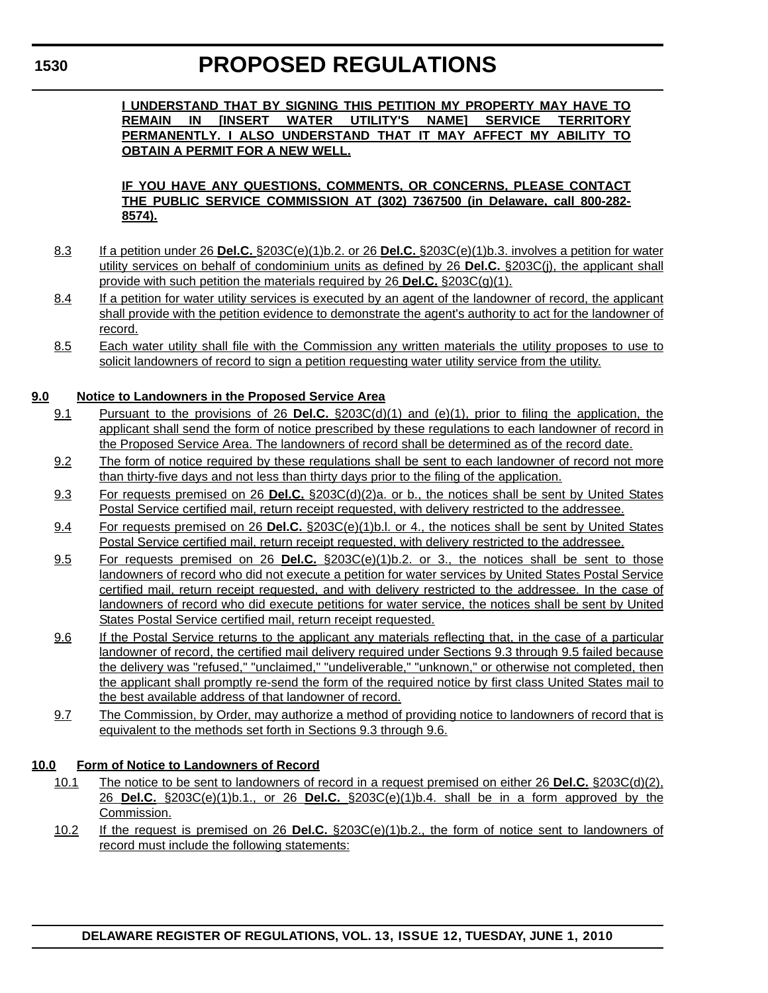**I UNDERSTAND THAT BY SIGNING THIS PETITION MY PROPERTY MAY HAVE TO REMAIN IN [INSERT WATER UTILITY'S NAME] SERVICE TERRITORY PERMANENTLY. I ALSO UNDERSTAND THAT IT MAY AFFECT MY ABILITY TO OBTAIN A PERMIT FOR A NEW WELL.**

### **IF YOU HAVE ANY QUESTIONS, COMMENTS, OR CONCERNS, PLEASE CONTACT THE PUBLIC SERVICE COMMISSION AT (302) 7367500 (in Delaware, call 800-282- 8574).**

- 8.3 If a petition under 26 **Del.C.** §203C(e)(1)b.2. or 26 **Del.C.** §203C(e)(1)b.3. involves a petition for water utility services on behalf of condominium units as defined by 26 **Del.C.** §203C(j), the applicant shall provide with such petition the materials required by 26 **Del.C.** §203C(g)(1).
- 8.4 If a petition for water utility services is executed by an agent of the landowner of record, the applicant shall provide with the petition evidence to demonstrate the agent's authority to act for the landowner of record.
- 8.5 Each water utility shall file with the Commission any written materials the utility proposes to use to solicit landowners of record to sign a petition requesting water utility service from the utility.

# **9.0 Notice to Landowners in the Proposed Service Area**

- 9.1 Pursuant to the provisions of 26 **Del.C.** §203C(d)(1) and (e)(1), prior to filing the application, the applicant shall send the form of notice prescribed by these regulations to each landowner of record in the Proposed Service Area. The landowners of record shall be determined as of the record date.
- 9.2 The form of notice required by these regulations shall be sent to each landowner of record not more than thirty-five days and not less than thirty days prior to the filing of the application.
- 9.3 For requests premised on 26 **Del.C.** §203C(d)(2)a. or b., the notices shall be sent by United States Postal Service certified mail, return receipt requested, with delivery restricted to the addressee.
- 9.4 For requests premised on 26 **Del.C.** §203C(e)(1)b.l. or 4., the notices shall be sent by United States Postal Service certified mail, return receipt requested, with delivery restricted to the addressee.
- 9.5 For requests premised on 26 **Del.C.** §203C(e)(1)b.2. or 3., the notices shall be sent to those landowners of record who did not execute a petition for water services by United States Postal Service certified mail, return receipt requested, and with delivery restricted to the addressee. In the case of landowners of record who did execute petitions for water service, the notices shall be sent by United States Postal Service certified mail, return receipt requested.
- 9.6 If the Postal Service returns to the applicant any materials reflecting that, in the case of a particular landowner of record, the certified mail delivery required under Sections 9.3 through 9.5 failed because the delivery was "refused," "unclaimed," "undeliverable," "unknown," or otherwise not completed, then the applicant shall promptly re-send the form of the required notice by first class United States mail to the best available address of that landowner of record.
- 9.7 The Commission, by Order, may authorize a method of providing notice to landowners of record that is equivalent to the methods set forth in Sections 9.3 through 9.6.

# **10.0 Form of Notice to Landowners of Record**

- 10.1 The notice to be sent to landowners of record in a request premised on either 26 **Del.C.** §203C(d)(2), 26 **Del.C.** §203C(e)(1)b.1., or 26 **Del.C.** §203C(e)(1)b.4. shall be in a form approved by the Commission.
- 10.2 If the request is premised on 26 **Del.C.** §203C(e)(1)b.2., the form of notice sent to landowners of record must include the following statements: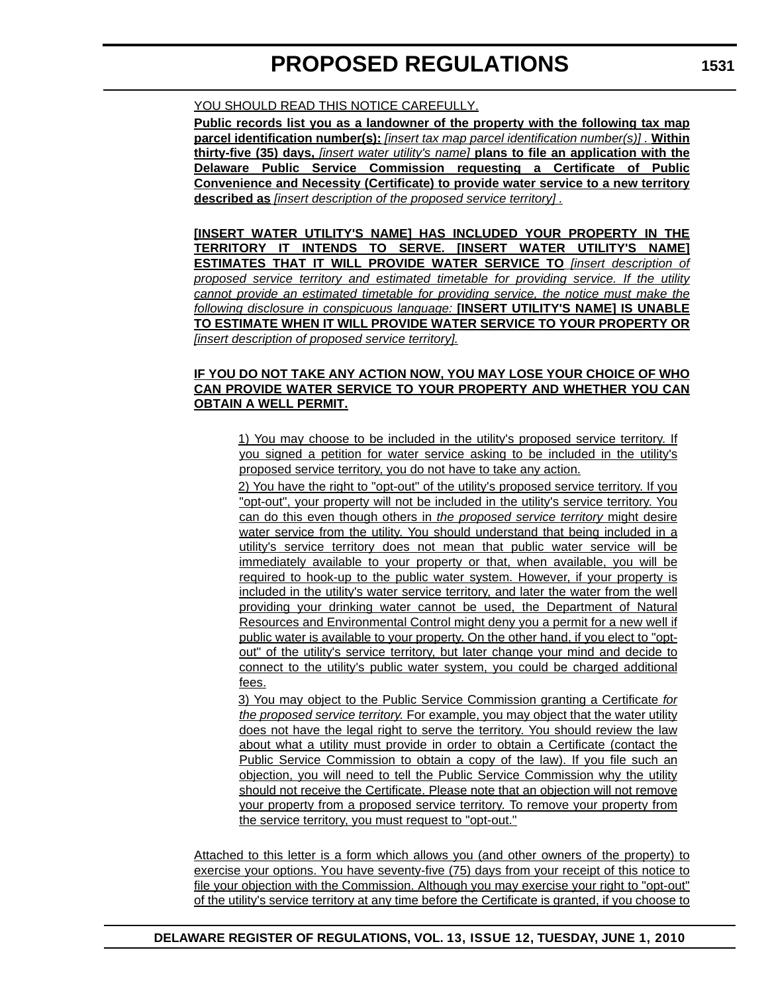**Public records list you as a landowner of the property with the following tax map parcel identification number(s):** *[insert tax map parcel identification number(s)] .* **Within thirty-five (35) days,** *[insert water utility's name]* **plans to file an application with the Delaware Public Service Commission requesting a Certificate of Public Convenience and Necessity (Certificate) to provide water service to a new territory described as** *[insert description of the proposed service territory] .*

**[INSERT WATER UTILITY'S NAME] HAS INCLUDED YOUR PROPERTY IN THE TERRITORY IT INTENDS TO SERVE. [INSERT WATER UTILITY'S NAME] ESTIMATES THAT IT WILL PROVIDE WATER SERVICE TO** *[insert description of proposed service territory and estimated timetable for providing service. If the utility cannot provide an estimated timetable for providing service, the notice must make the following disclosure in conspicuous language:* **[INSERT UTILITY'S NAME] IS UNABLE TO ESTIMATE WHEN IT WILL PROVIDE WATER SERVICE TO YOUR PROPERTY OR** *[insert description of proposed service territory].*

#### **IF YOU DO NOT TAKE ANY ACTION NOW, YOU MAY LOSE YOUR CHOICE OF WHO CAN PROVIDE WATER SERVICE TO YOUR PROPERTY AND WHETHER YOU CAN OBTAIN A WELL PERMIT.**

1) You may choose to be included in the utility's proposed service territory. If you signed a petition for water service asking to be included in the utility's proposed service territory, you do not have to take any action.

2) You have the right to "opt-out" of the utility's proposed service territory. If you "opt-out", your property will not be included in the utility's service territory. You can do this even though others in *the proposed service territory* might desire water service from the utility. You should understand that being included in a utility's service territory does not mean that public water service will be immediately available to your property or that, when available, you will be required to hook-up to the public water system. However, if your property is included in the utility's water service territory, and later the water from the well providing your drinking water cannot be used, the Department of Natural Resources and Environmental Control might deny you a permit for a new well if public water is available to your property. On the other hand, if you elect to "optout" of the utility's service territory, but later change your mind and decide to connect to the utility's public water system, you could be charged additional fees.

3) You may object to the Public Service Commission granting a Certificate *for the proposed service territory.* For example, you may object that the water utility does not have the legal right to serve the territory. You should review the law about what a utility must provide in order to obtain a Certificate (contact the Public Service Commission to obtain a copy of the law). If you file such an objection, you will need to tell the Public Service Commission why the utility should not receive the Certificate. Please note that an objection will not remove your property from a proposed service territory. To remove your property from the service territory, you must request to "opt-out."

Attached to this letter is a form which allows you (and other owners of the property) to exercise your options. You have seventy-five (75) days from your receipt of this notice to file your objection with the Commission. Although you may exercise your right to "opt-out" of the utility's service territory at any time before the Certificate is granted, if you choose to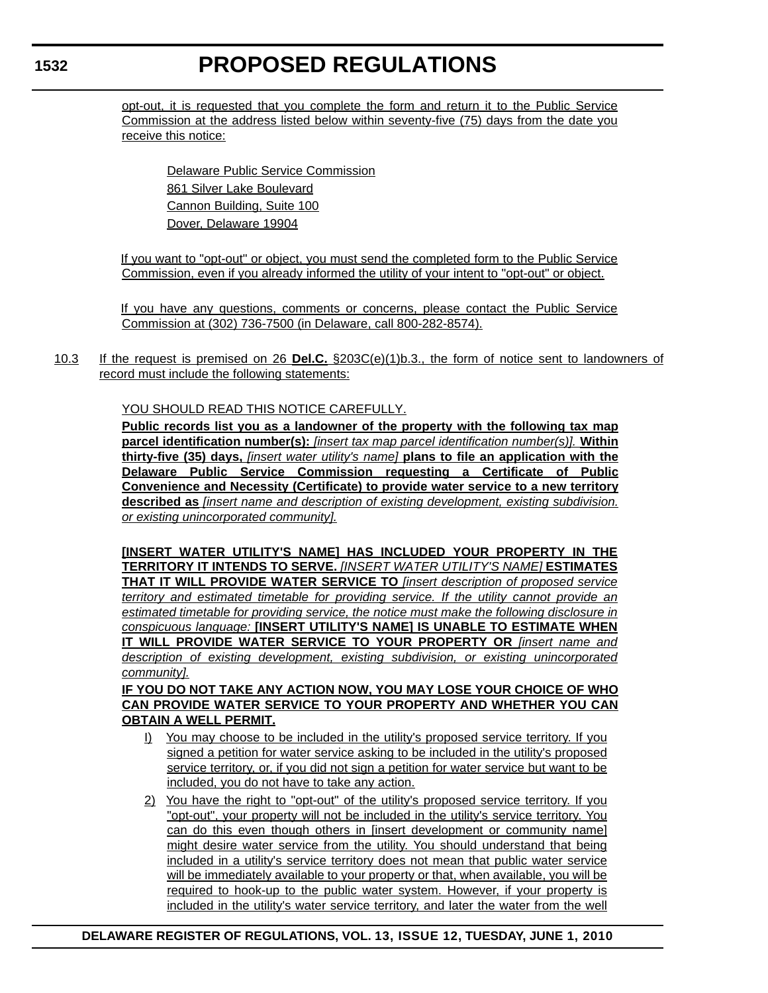opt-out, it is requested that you complete the form and return it to the Public Service Commission at the address listed below within seventy-five (75) days from the date you receive this notice:

Delaware Public Service Commission 861 Silver Lake Boulevard Cannon Building, Suite 100 Dover, Delaware 19904

If you want to "opt-out" or object, you must send the completed form to the Public Service Commission, even if you already informed the utility of your intent to "opt-out" or object.

If you have any questions, comments or concerns, please contact the Public Service Commission at (302) 736-7500 (in Delaware, call 800-282-8574).

10.3 If the request is premised on 26 **Del.C.** §203C(e)(1)b.3., the form of notice sent to landowners of record must include the following statements:

YOU SHOULD READ THIS NOTICE CAREFULLY.

**Public records list you as a landowner of the property with the following tax map parcel identification number(s):** *[insert tax map parcel identification number(s)].* **Within thirty-five (35) days,** *[insert water utility's name]* **plans to file an application with the Delaware Public Service Commission requesting a Certificate of Public Convenience and Necessity (Certificate) to provide water service to a new territory described as** *[insert name and description of existing development, existing subdivision. or existing unincorporated community].*

**[INSERT WATER UTILITY'S NAME] HAS INCLUDED YOUR PROPERTY IN THE TERRITORY IT INTENDS TO SERVE.** *[INSERT WATER UTILITY'S NAME]* **ESTIMATES THAT IT WILL PROVIDE WATER SERVICE TO** *[insert description of proposed service territory and estimated timetable for providing service. If the utility cannot provide an estimated timetable for providing service, the notice must make the following disclosure in conspicuous language:* **[INSERT UTILITY'S NAME] IS UNABLE TO ESTIMATE WHEN IT WILL PROVIDE WATER SERVICE TO YOUR PROPERTY OR** *[insert name and description of existing development, existing subdivision, or existing unincorporated community].*

### **IF YOU DO NOT TAKE ANY ACTION NOW, YOU MAY LOSE YOUR CHOICE OF WHO CAN PROVIDE WATER SERVICE TO YOUR PROPERTY AND WHETHER YOU CAN OBTAIN A WELL PERMIT.**

- I) You may choose to be included in the utility's proposed service territory. If you signed a petition for water service asking to be included in the utility's proposed service territory, or, if you did not sign a petition for water service but want to be included, you do not have to take any action.
- 2) You have the right to "opt-out" of the utility's proposed service territory. If you "opt-out", your property will not be included in the utility's service territory. You can do this even though others in [insert development or community name] might desire water service from the utility. You should understand that being included in a utility's service territory does not mean that public water service will be immediately available to your property or that, when available, you will be required to hook-up to the public water system. However, if your property is included in the utility's water service territory, and later the water from the well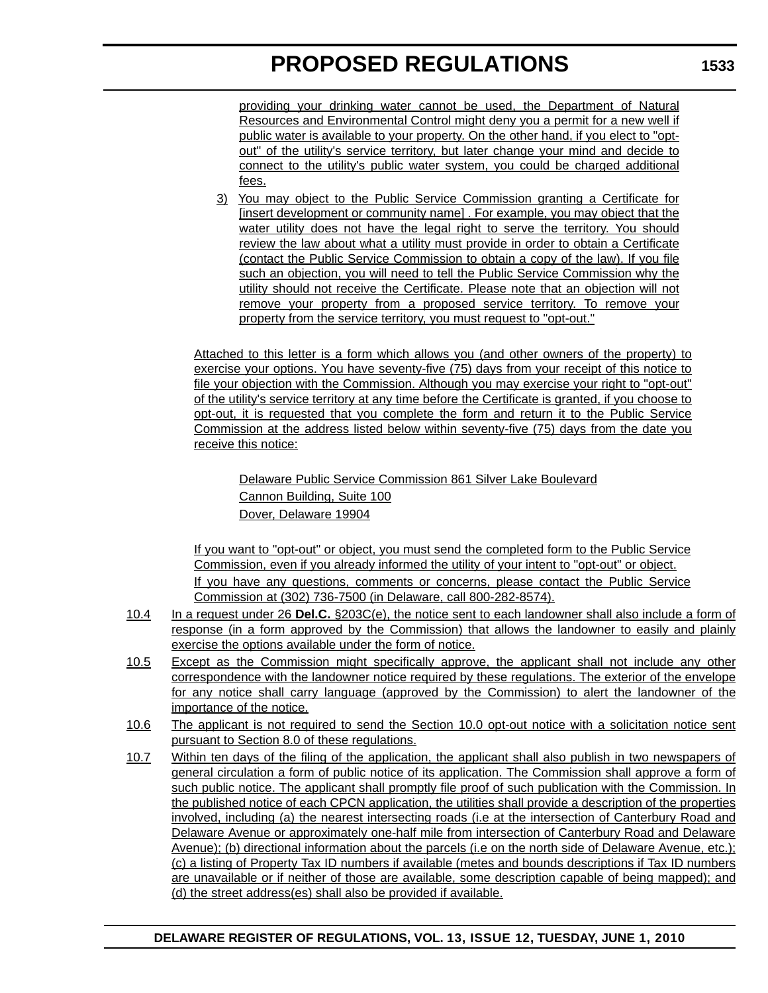providing your drinking water cannot be used, the Department of Natural Resources and Environmental Control might deny you a permit for a new well if public water is available to your property. On the other hand, if you elect to "optout" of the utility's service territory, but later change your mind and decide to connect to the utility's public water system, you could be charged additional fees.

3) You may object to the Public Service Commission granting a Certificate for [insert development or community name] . For example, you may object that the water utility does not have the legal right to serve the territory. You should review the law about what a utility must provide in order to obtain a Certificate (contact the Public Service Commission to obtain a copy of the law). If you file such an objection, you will need to tell the Public Service Commission why the utility should not receive the Certificate. Please note that an objection will not remove your property from a proposed service territory. To remove your property from the service territory, you must request to "opt-out."

Attached to this letter is a form which allows you (and other owners of the property) to exercise your options. You have seventy-five (75) days from your receipt of this notice to file your objection with the Commission. Although you may exercise your right to "opt-out" of the utility's service territory at any time before the Certificate is granted, if you choose to opt-out, it is requested that you complete the form and return it to the Public Service Commission at the address listed below within seventy-five (75) days from the date you receive this notice:

Delaware Public Service Commission 861 Silver Lake Boulevard Cannon Building, Suite 100 Dover, Delaware 19904

If you want to "opt-out" or object, you must send the completed form to the Public Service Commission, even if you already informed the utility of your intent to "opt-out" or object. If you have any questions, comments or concerns, please contact the Public Service Commission at (302) 736-7500 (in Delaware, call 800-282-8574).

- 10.4 In a request under 26 **Del.C.** §203C(e), the notice sent to each landowner shall also include a form of response (in a form approved by the Commission) that allows the landowner to easily and plainly exercise the options available under the form of notice.
- 10.5 Except as the Commission might specifically approve, the applicant shall not include any other correspondence with the landowner notice required by these regulations. The exterior of the envelope for any notice shall carry language (approved by the Commission) to alert the landowner of the importance of the notice.
- 10.6 The applicant is not required to send the Section 10.0 opt-out notice with a solicitation notice sent pursuant to Section 8.0 of these regulations.
- 10.7 Within ten days of the filing of the application, the applicant shall also publish in two newspapers of general circulation a form of public notice of its application. The Commission shall approve a form of such public notice. The applicant shall promptly file proof of such publication with the Commission. In the published notice of each CPCN application, the utilities shall provide a description of the properties involved, including (a) the nearest intersecting roads (i.e at the intersection of Canterbury Road and Delaware Avenue or approximately one-half mile from intersection of Canterbury Road and Delaware Avenue); (b) directional information about the parcels (i.e on the north side of Delaware Avenue, etc.); (c) a listing of Property Tax ID numbers if available (metes and bounds descriptions if Tax ID numbers are unavailable or if neither of those are available, some description capable of being mapped); and (d) the street address(es) shall also be provided if available.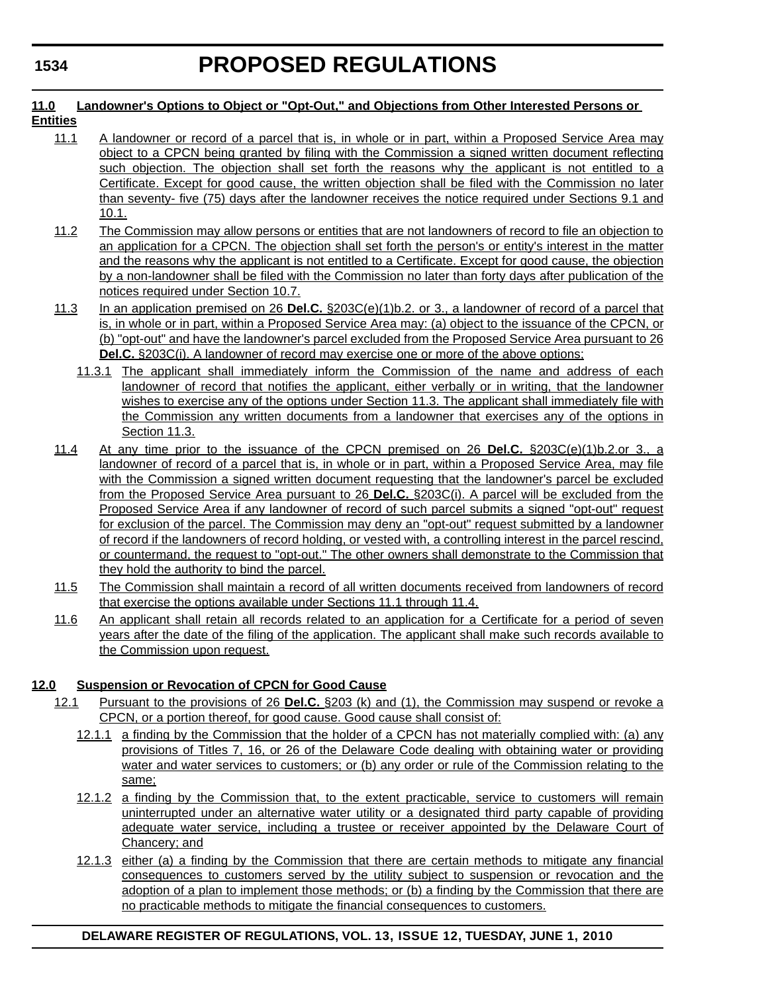#### **11.0 Landowner's Options to Object or "Opt-Out," and Objections from Other Interested Persons or Entities**

- 11.1 A landowner or record of a parcel that is, in whole or in part, within a Proposed Service Area may object to a CPCN being granted by filing with the Commission a signed written document reflecting such objection. The objection shall set forth the reasons why the applicant is not entitled to a Certificate. Except for good cause, the written objection shall be filed with the Commission no later than seventy- five (75) days after the landowner receives the notice required under Sections 9.1 and 10.1.
- 11.2 The Commission may allow persons or entities that are not landowners of record to file an objection to an application for a CPCN. The objection shall set forth the person's or entity's interest in the matter and the reasons why the applicant is not entitled to a Certificate. Except for good cause, the objection by a non-landowner shall be filed with the Commission no later than forty days after publication of the notices required under Section 10.7.
- 11.3 In an application premised on 26 **Del.C.** §203C(e)(1)b.2. or 3., a landowner of record of a parcel that is, in whole or in part, within a Proposed Service Area may: (a) object to the issuance of the CPCN, or (b) "opt-out" and have the landowner's parcel excluded from the Proposed Service Area pursuant to 26 **Del.C.** §203C(i). A landowner of record may exercise one or more of the above options;
	- 11.3.1 The applicant shall immediately inform the Commission of the name and address of each landowner of record that notifies the applicant, either verbally or in writing, that the landowner wishes to exercise any of the options under Section 11.3. The applicant shall immediately file with the Commission any written documents from a landowner that exercises any of the options in Section 11.3.
- 11.4 At any time prior to the issuance of the CPCN premised on 26 **Del.C.** §203C(e)(1)b.2.or 3., a landowner of record of a parcel that is, in whole or in part, within a Proposed Service Area, may file with the Commission a signed written document requesting that the landowner's parcel be excluded from the Proposed Service Area pursuant to 26 **Del.C.** §203C(i). A parcel will be excluded from the Proposed Service Area if any landowner of record of such parcel submits a signed "opt-out" request for exclusion of the parcel. The Commission may deny an "opt-out" request submitted by a landowner of record if the landowners of record holding, or vested with, a controlling interest in the parcel rescind, or countermand, the request to "opt-out." The other owners shall demonstrate to the Commission that they hold the authority to bind the parcel.
- 11.5 The Commission shall maintain a record of all written documents received from landowners of record that exercise the options available under Sections 11.1 through 11.4.
- 11.6 An applicant shall retain all records related to an application for a Certificate for a period of seven years after the date of the filing of the application. The applicant shall make such records available to the Commission upon request.

# **12.0 Suspension or Revocation of CPCN for Good Cause**

- 12.1 Pursuant to the provisions of 26 **Del.C.** §203 (k) and (1), the Commission may suspend or revoke a CPCN, or a portion thereof, for good cause. Good cause shall consist of:
	- 12.1.1 a finding by the Commission that the holder of a CPCN has not materially complied with: (a) any provisions of Titles 7, 16, or 26 of the Delaware Code dealing with obtaining water or providing water and water services to customers; or (b) any order or rule of the Commission relating to the same;
	- 12.1.2 a finding by the Commission that, to the extent practicable, service to customers will remain uninterrupted under an alternative water utility or a designated third party capable of providing adequate water service, including a trustee or receiver appointed by the Delaware Court of Chancery; and
	- 12.1.3 either (a) a finding by the Commission that there are certain methods to mitigate any financial consequences to customers served by the utility subject to suspension or revocation and the adoption of a plan to implement those methods; or (b) a finding by the Commission that there are no practicable methods to mitigate the financial consequences to customers.

# **DELAWARE REGISTER OF REGULATIONS, VOL. 13, ISSUE 12, TUESDAY, JUNE 1, 2010**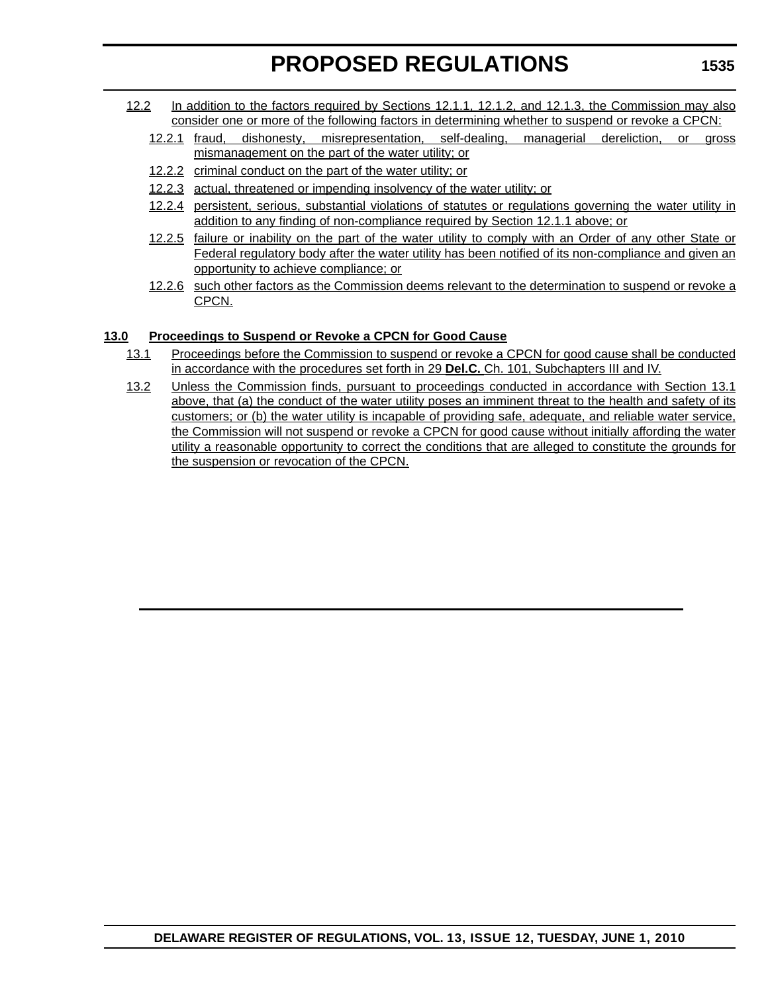- 12.2 In addition to the factors required by Sections 12.1.1, 12.1.2, and 12.1.3, the Commission may also consider one or more of the following factors in determining whether to suspend or revoke a CPCN:
	- 12.2.1 fraud, dishonesty, misrepresentation, self-dealing, managerial dereliction, or gross mismanagement on the part of the water utility; or
	- 12.2.2 criminal conduct on the part of the water utility; or
	- 12.2.3 actual, threatened or impending insolvency of the water utility; or
	- 12.2.4 persistent, serious, substantial violations of statutes or regulations governing the water utility in addition to any finding of non-compliance required by Section 12.1.1 above; or
	- 12.2.5 failure or inability on the part of the water utility to comply with an Order of any other State or Federal regulatory body after the water utility has been notified of its non-compliance and given an opportunity to achieve compliance; or
	- 12.2.6 such other factors as the Commission deems relevant to the determination to suspend or revoke a CPCN.

# **13.0 Proceedings to Suspend or Revoke a CPCN for Good Cause**

- 13.1 Proceedings before the Commission to suspend or revoke a CPCN for good cause shall be conducted in accordance with the procedures set forth in 29 **Del.C.** Ch. 101, Subchapters III and IV.
- 13.2 Unless the Commission finds, pursuant to proceedings conducted in accordance with Section 13.1 above, that (a) the conduct of the water utility poses an imminent threat to the health and safety of its customers; or (b) the water utility is incapable of providing safe, adequate, and reliable water service, the Commission will not suspend or revoke a CPCN for good cause without initially affording the water utility a reasonable opportunity to correct the conditions that are alleged to constitute the grounds for the suspension or revocation of the CPCN.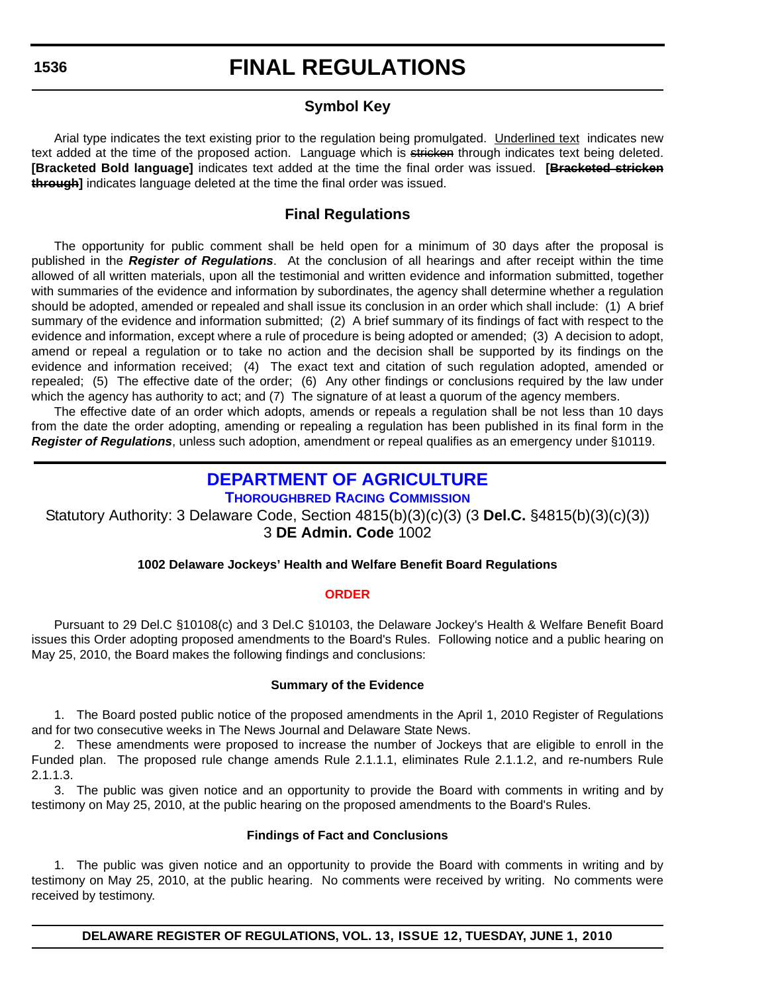# **Symbol Key**

Arial type indicates the text existing prior to the regulation being promulgated. Underlined text indicates new text added at the time of the proposed action. Language which is stricken through indicates text being deleted. **[Bracketed Bold language]** indicates text added at the time the final order was issued. **[Bracketed stricken through]** indicates language deleted at the time the final order was issued.

# **Final Regulations**

The opportunity for public comment shall be held open for a minimum of 30 days after the proposal is published in the *Register of Regulations*. At the conclusion of all hearings and after receipt within the time allowed of all written materials, upon all the testimonial and written evidence and information submitted, together with summaries of the evidence and information by subordinates, the agency shall determine whether a regulation should be adopted, amended or repealed and shall issue its conclusion in an order which shall include: (1) A brief summary of the evidence and information submitted; (2) A brief summary of its findings of fact with respect to the evidence and information, except where a rule of procedure is being adopted or amended; (3) A decision to adopt, amend or repeal a regulation or to take no action and the decision shall be supported by its findings on the evidence and information received; (4) The exact text and citation of such regulation adopted, amended or repealed; (5) The effective date of the order; (6) Any other findings or conclusions required by the law under which the agency has authority to act; and (7) The signature of at least a quorum of the agency members.

The effective date of an order which adopts, amends or repeals a regulation shall be not less than 10 days from the date the order adopting, amending or repealing a regulation has been published in its final form in the *Register of Regulations*, unless such adoption, amendment or repeal qualifies as an emergency under §10119.

# **[DEPARTMENT OF AGRICULTURE](http://dda.delaware.gov/thoroughbred/index.shtml)**

**THOROUGHBRED RACING COMMISSION**

Statutory Authority: 3 Delaware Code, Section 4815(b)(3)(c)(3) (3 **Del.C.** §4815(b)(3)(c)(3)) 3 **DE Admin. Code** 1002

# **1002 Delaware Jockeys' Health and Welfare Benefit Board Regulations**

### **[ORDER](#page-3-0)**

Pursuant to 29 Del.C §10108(c) and 3 Del.C §10103, the Delaware Jockey's Health & Welfare Benefit Board issues this Order adopting proposed amendments to the Board's Rules. Following notice and a public hearing on May 25, 2010, the Board makes the following findings and conclusions:

#### **Summary of the Evidence**

1. The Board posted public notice of the proposed amendments in the April 1, 2010 Register of Regulations and for two consecutive weeks in The News Journal and Delaware State News.

2. These amendments were proposed to increase the number of Jockeys that are eligible to enroll in the Funded plan. The proposed rule change amends Rule 2.1.1.1, eliminates Rule 2.1.1.2, and re-numbers Rule 2.1.1.3.

3. The public was given notice and an opportunity to provide the Board with comments in writing and by testimony on May 25, 2010, at the public hearing on the proposed amendments to the Board's Rules.

### **Findings of Fact and Conclusions**

1. The public was given notice and an opportunity to provide the Board with comments in writing and by testimony on May 25, 2010, at the public hearing. No comments were received by writing. No comments were received by testimony.

**DELAWARE REGISTER OF REGULATIONS, VOL. 13, ISSUE 12, TUESDAY, JUNE 1, 2010**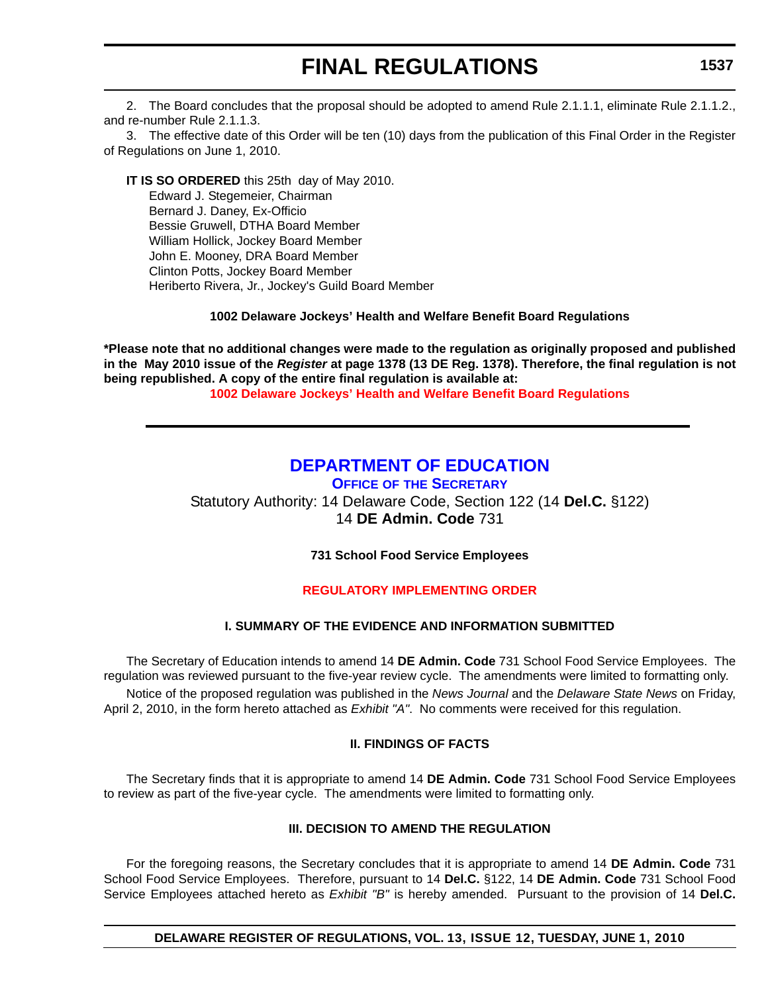2. The Board concludes that the proposal should be adopted to amend Rule 2.1.1.1, eliminate Rule 2.1.1.2., and re-number Rule 2.1.1.3.

3. The effective date of this Order will be ten (10) days from the publication of this Final Order in the Register of Regulations on June 1, 2010.

**IT IS SO ORDERED** this 25th day of May 2010. Edward J. Stegemeier, Chairman Bernard J. Daney, Ex-Officio Bessie Gruwell, DTHA Board Member William Hollick, Jockey Board Member John E. Mooney, DRA Board Member Clinton Potts, Jockey Board Member Heriberto Rivera, Jr., Jockey's Guild Board Member

#### **1002 Delaware Jockeys' Health and Welfare Benefit Board Regulations**

**\*Please note that no additional changes were made to the regulation as originally proposed and published in the May 2010 issue of the** *Register* **at page 1378 (13 DE Reg. 1378). Therefore, the final regulation is not being republished. A copy of the entire final regulation is available at:**

**[1002 Delaware Jockeys' Health and Welfare Benefit Board Regulations](http://regulations.delaware.gov/register/june2010/final/13 DE Reg 1536 06-01-10.htm)**

# **[DEPARTMENT OF EDUCATION](http://www.doe.k12.de.us/)**

**OFFICE OF THE SECRETARY**

Statutory Authority: 14 Delaware Code, Section 122 (14 **Del.C.** §122) 14 **DE Admin. Code** 731

**731 School Food Service Employees**

### **[REGULATORY IMPLEMENTING ORDER](#page-3-0)**

#### **I. SUMMARY OF THE EVIDENCE AND INFORMATION SUBMITTED**

The Secretary of Education intends to amend 14 **DE Admin. Code** 731 School Food Service Employees. The regulation was reviewed pursuant to the five-year review cycle. The amendments were limited to formatting only. Notice of the proposed regulation was published in the *News Journal* and the *Delaware State News* on Friday, April 2, 2010, in the form hereto attached as *Exhibit "A"*. No comments were received for this regulation.

#### **II. FINDINGS OF FACTS**

The Secretary finds that it is appropriate to amend 14 **DE Admin. Code** 731 School Food Service Employees to review as part of the five-year cycle. The amendments were limited to formatting only.

#### **III. DECISION TO AMEND THE REGULATION**

For the foregoing reasons, the Secretary concludes that it is appropriate to amend 14 **DE Admin. Code** 731 School Food Service Employees. Therefore, pursuant to 14 **Del.C.** §122, 14 **DE Admin. Code** 731 School Food Service Employees attached hereto as *Exhibit "B"* is hereby amended. Pursuant to the provision of 14 **Del.C.** 

**DELAWARE REGISTER OF REGULATIONS, VOL. 13, ISSUE 12, TUESDAY, JUNE 1, 2010**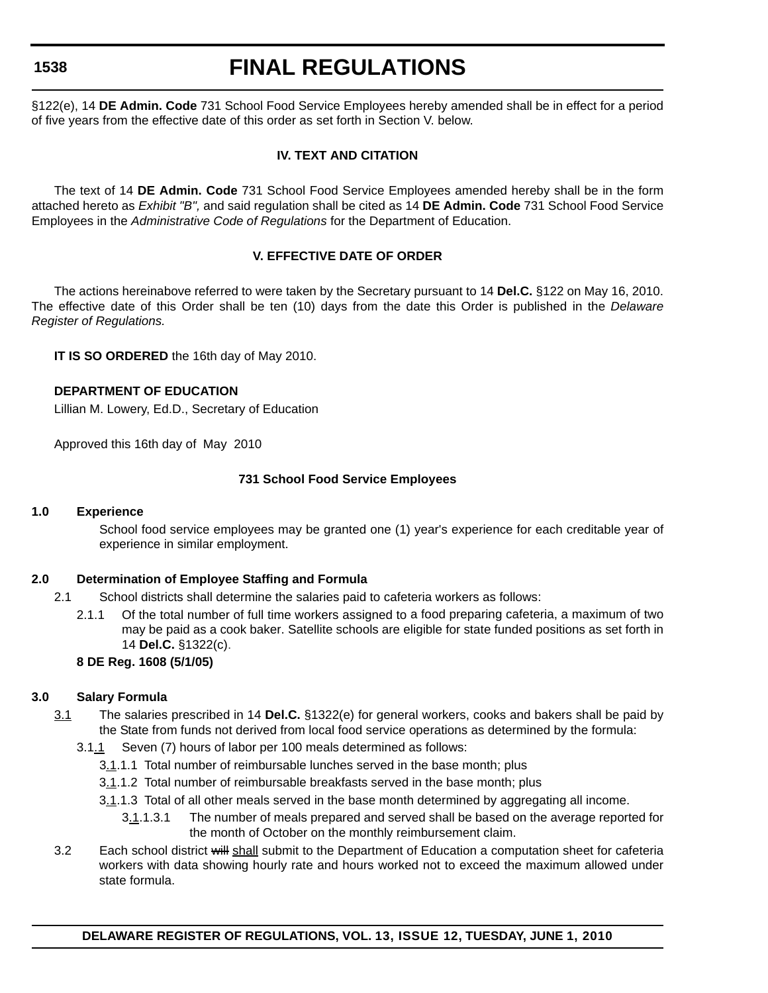# **FINAL REGULATIONS**

§122(e), 14 **DE Admin. Code** 731 School Food Service Employees hereby amended shall be in effect for a period of five years from the effective date of this order as set forth in Section V. below.

### **IV. TEXT AND CITATION**

The text of 14 **DE Admin. Code** 731 School Food Service Employees amended hereby shall be in the form attached hereto as *Exhibit "B",* and said regulation shall be cited as 14 **DE Admin. Code** 731 School Food Service Employees in the *Administrative Code of Regulations* for the Department of Education.

### **V. EFFECTIVE DATE OF ORDER**

The actions hereinabove referred to were taken by the Secretary pursuant to 14 **Del.C.** §122 on May 16, 2010. The effective date of this Order shall be ten (10) days from the date this Order is published in the *Delaware Register of Regulations.*

**IT IS SO ORDERED** the 16th day of May 2010.

### **DEPARTMENT OF EDUCATION**

Lillian M. Lowery, Ed.D., Secretary of Education

Approved this 16th day of May 2010

### **731 School Food Service Employees**

#### **1.0 Experience**

School food service employees may be granted one (1) year's experience for each creditable year of experience in similar employment.

### **2.0 Determination of Employee Staffing and Formula**

- 2.1 School districts shall determine the salaries paid to cafeteria workers as follows:
	- 2.1.1 Of the total number of full time workers assigned to a food preparing cafeteria, a maximum of two may be paid as a cook baker. Satellite schools are eligible for state funded positions as set forth in 14 **Del.C.** §1322(c).

### **8 DE Reg. 1608 (5/1/05)**

### **3.0 Salary Formula**

- 3.1 The salaries prescribed in 14 **Del.C.** §1322(e) for general workers, cooks and bakers shall be paid by the State from funds not derived from local food service operations as determined by the formula:
	- 3.1.1 Seven (7) hours of labor per 100 meals determined as follows:
		- 3.1.1.1 Total number of reimbursable lunches served in the base month; plus
		- 3.1.1.2 Total number of reimbursable breakfasts served in the base month; plus
		- 3.1.1.3 Total of all other meals served in the base month determined by aggregating all income.
			- 3.1.1.3.1 The number of meals prepared and served shall be based on the average reported for the month of October on the monthly reimbursement claim.
- 3.2 Each school district will shall submit to the Department of Education a computation sheet for cafeteria workers with data showing hourly rate and hours worked not to exceed the maximum allowed under state formula.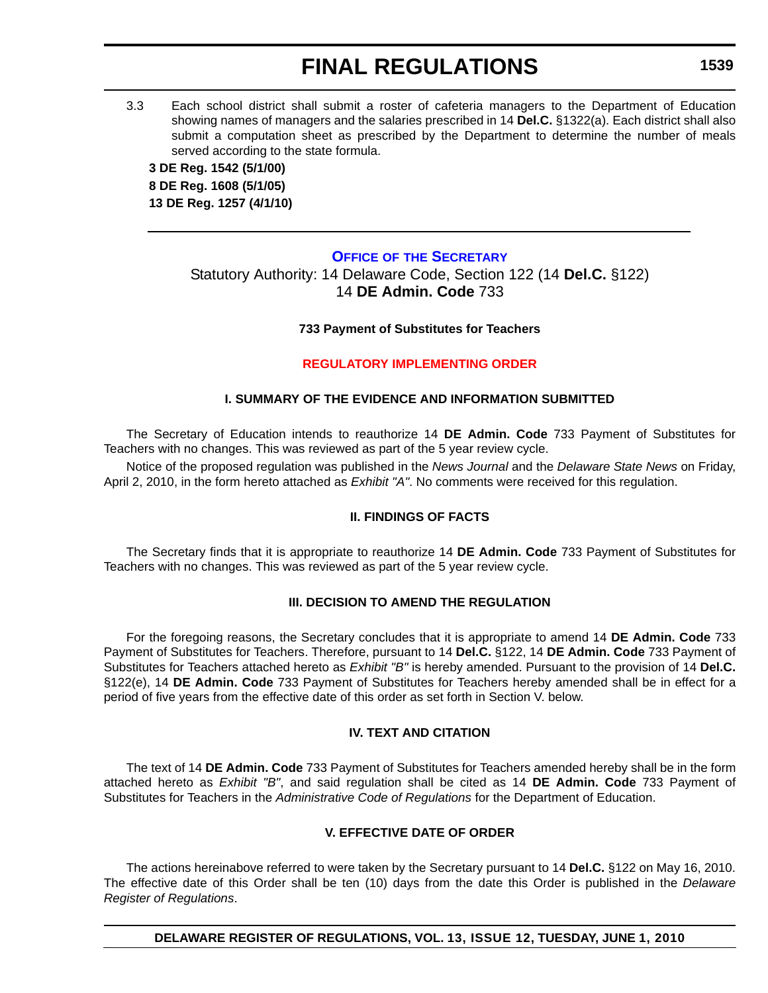3.3 Each school district shall submit a roster of cafeteria managers to the Department of Education showing names of managers and the salaries prescribed in 14 **Del.C.** §1322(a). Each district shall also submit a computation sheet as prescribed by the Department to determine the number of meals served according to the state formula.

**3 DE Reg. 1542 (5/1/00) 8 DE Reg. 1608 (5/1/05) 13 DE Reg. 1257 (4/1/10)**

### **OFFICE OF [THE SECRETARY](http://www.doe.k12.de.us/)**

Statutory Authority: 14 Delaware Code, Section 122 (14 **Del.C.** §122) 14 **DE Admin. Code** 733

### **733 Payment of Substitutes for Teachers**

### **[REGULATORY IMPLEMENTING ORDER](#page-3-0)**

### **I. SUMMARY OF THE EVIDENCE AND INFORMATION SUBMITTED**

The Secretary of Education intends to reauthorize 14 **DE Admin. Code** 733 Payment of Substitutes for Teachers with no changes. This was reviewed as part of the 5 year review cycle.

Notice of the proposed regulation was published in the *News Journal* and the *Delaware State News* on Friday, April 2, 2010, in the form hereto attached as *Exhibit "A"*. No comments were received for this regulation.

### **II. FINDINGS OF FACTS**

The Secretary finds that it is appropriate to reauthorize 14 **DE Admin. Code** 733 Payment of Substitutes for Teachers with no changes. This was reviewed as part of the 5 year review cycle.

### **III. DECISION TO AMEND THE REGULATION**

For the foregoing reasons, the Secretary concludes that it is appropriate to amend 14 **DE Admin. Code** 733 Payment of Substitutes for Teachers. Therefore, pursuant to 14 **Del.C.** §122, 14 **DE Admin. Code** 733 Payment of Substitutes for Teachers attached hereto as *Exhibit "B"* is hereby amended. Pursuant to the provision of 14 **Del.C.** §122(e), 14 **DE Admin. Code** 733 Payment of Substitutes for Teachers hereby amended shall be in effect for a period of five years from the effective date of this order as set forth in Section V. below.

### **IV. TEXT AND CITATION**

The text of 14 **DE Admin. Code** 733 Payment of Substitutes for Teachers amended hereby shall be in the form attached hereto as *Exhibit "B"*, and said regulation shall be cited as 14 **DE Admin. Code** 733 Payment of Substitutes for Teachers in the *Administrative Code of Regulations* for the Department of Education.

### **V. EFFECTIVE DATE OF ORDER**

The actions hereinabove referred to were taken by the Secretary pursuant to 14 **Del.C.** §122 on May 16, 2010. The effective date of this Order shall be ten (10) days from the date this Order is published in the *Delaware Register of Regulations*.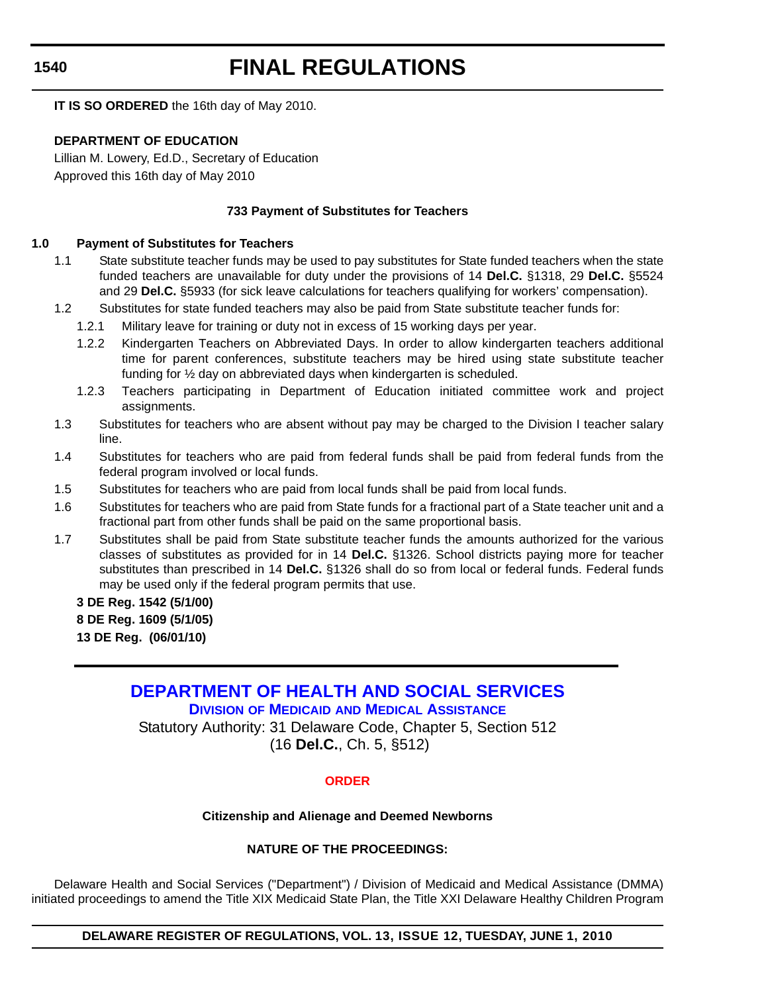# **FINAL REGULATIONS**

**IT IS SO ORDERED** the 16th day of May 2010.

### **DEPARTMENT OF EDUCATION**

Lillian M. Lowery, Ed.D., Secretary of Education Approved this 16th day of May 2010

### **733 Payment of Substitutes for Teachers**

#### **1.0 Payment of Substitutes for Teachers**

- 1.1 State substitute teacher funds may be used to pay substitutes for State funded teachers when the state funded teachers are unavailable for duty under the provisions of 14 **Del.C.** §1318, 29 **Del.C.** §5524 and 29 **Del.C.** §5933 (for sick leave calculations for teachers qualifying for workers' compensation).
- 1.2 Substitutes for state funded teachers may also be paid from State substitute teacher funds for:
	- 1.2.1 Military leave for training or duty not in excess of 15 working days per year.
	- 1.2.2 Kindergarten Teachers on Abbreviated Days. In order to allow kindergarten teachers additional time for parent conferences, substitute teachers may be hired using state substitute teacher funding for ½ day on abbreviated days when kindergarten is scheduled.
	- 1.2.3 Teachers participating in Department of Education initiated committee work and project assignments.
- 1.3 Substitutes for teachers who are absent without pay may be charged to the Division I teacher salary line.
- 1.4 Substitutes for teachers who are paid from federal funds shall be paid from federal funds from the federal program involved or local funds.
- 1.5 Substitutes for teachers who are paid from local funds shall be paid from local funds.
- 1.6 Substitutes for teachers who are paid from State funds for a fractional part of a State teacher unit and a fractional part from other funds shall be paid on the same proportional basis.
- 1.7 Substitutes shall be paid from State substitute teacher funds the amounts authorized for the various classes of substitutes as provided for in 14 **Del.C.** §1326. School districts paying more for teacher substitutes than prescribed in 14 **Del.C.** §1326 shall do so from local or federal funds. Federal funds may be used only if the federal program permits that use.

**3 DE Reg. 1542 (5/1/00) 8 DE Reg. 1609 (5/1/05) 13 DE Reg. (06/01/10)**

> **[DEPARTMENT OF HEALTH AND SOCIAL SERVICES](http://www.dhss.delaware.gov/dhss/ddds/) DIVISION OF MEDICAID AND MEDICAL ASSISTANCE**

Statutory Authority: 31 Delaware Code, Chapter 5, Section 512 (16 **Del.C.**, Ch. 5, §512)

### **[ORDER](#page-3-0)**

#### **Citizenship and Alienage and Deemed Newborns**

### **NATURE OF THE PROCEEDINGS:**

Delaware Health and Social Services ("Department") / Division of Medicaid and Medical Assistance (DMMA) initiated proceedings to amend the Title XIX Medicaid State Plan, the Title XXI Delaware Healthy Children Program

**DELAWARE REGISTER OF REGULATIONS, VOL. 13, ISSUE 12, TUESDAY, JUNE 1, 2010**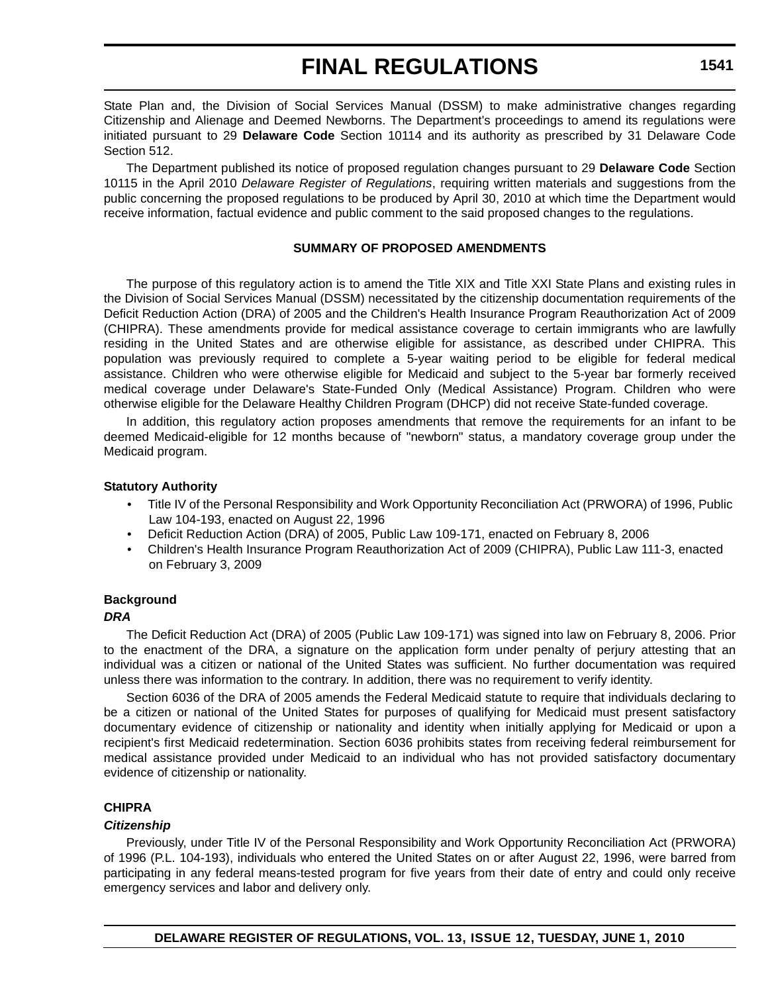State Plan and, the Division of Social Services Manual (DSSM) to make administrative changes regarding Citizenship and Alienage and Deemed Newborns. The Department's proceedings to amend its regulations were initiated pursuant to 29 **Delaware Code** Section 10114 and its authority as prescribed by 31 Delaware Code Section 512.

The Department published its notice of proposed regulation changes pursuant to 29 **Delaware Code** Section 10115 in the April 2010 *Delaware Register of Regulations*, requiring written materials and suggestions from the public concerning the proposed regulations to be produced by April 30, 2010 at which time the Department would receive information, factual evidence and public comment to the said proposed changes to the regulations.

#### **SUMMARY OF PROPOSED AMENDMENTS**

The purpose of this regulatory action is to amend the Title XIX and Title XXI State Plans and existing rules in the Division of Social Services Manual (DSSM) necessitated by the citizenship documentation requirements of the Deficit Reduction Action (DRA) of 2005 and the Children's Health Insurance Program Reauthorization Act of 2009 (CHIPRA). These amendments provide for medical assistance coverage to certain immigrants who are lawfully residing in the United States and are otherwise eligible for assistance, as described under CHIPRA. This population was previously required to complete a 5-year waiting period to be eligible for federal medical assistance. Children who were otherwise eligible for Medicaid and subject to the 5-year bar formerly received medical coverage under Delaware's State-Funded Only (Medical Assistance) Program. Children who were otherwise eligible for the Delaware Healthy Children Program (DHCP) did not receive State-funded coverage.

In addition, this regulatory action proposes amendments that remove the requirements for an infant to be deemed Medicaid-eligible for 12 months because of "newborn" status, a mandatory coverage group under the Medicaid program.

#### **Statutory Authority**

- Title IV of the Personal Responsibility and Work Opportunity Reconciliation Act (PRWORA) of 1996, Public Law 104-193, enacted on August 22, 1996
- Deficit Reduction Action (DRA) of 2005, Public Law 109-171, enacted on February 8, 2006
- Children's Health Insurance Program Reauthorization Act of 2009 (CHIPRA), Public Law 111-3, enacted on February 3, 2009

# **Background**

#### *DRA*

The Deficit Reduction Act (DRA) of 2005 (Public Law 109-171) was signed into law on February 8, 2006. Prior to the enactment of the DRA, a signature on the application form under penalty of perjury attesting that an individual was a citizen or national of the United States was sufficient. No further documentation was required unless there was information to the contrary. In addition, there was no requirement to verify identity.

Section 6036 of the DRA of 2005 amends the Federal Medicaid statute to require that individuals declaring to be a citizen or national of the United States for purposes of qualifying for Medicaid must present satisfactory documentary evidence of citizenship or nationality and identity when initially applying for Medicaid or upon a recipient's first Medicaid redetermination. Section 6036 prohibits states from receiving federal reimbursement for medical assistance provided under Medicaid to an individual who has not provided satisfactory documentary evidence of citizenship or nationality.

### **CHIPRA**

### *Citizenship*

Previously, under Title IV of the Personal Responsibility and Work Opportunity Reconciliation Act (PRWORA) of 1996 (P.L. 104-193), individuals who entered the United States on or after August 22, 1996, were barred from participating in any federal means-tested program for five years from their date of entry and could only receive emergency services and labor and delivery only.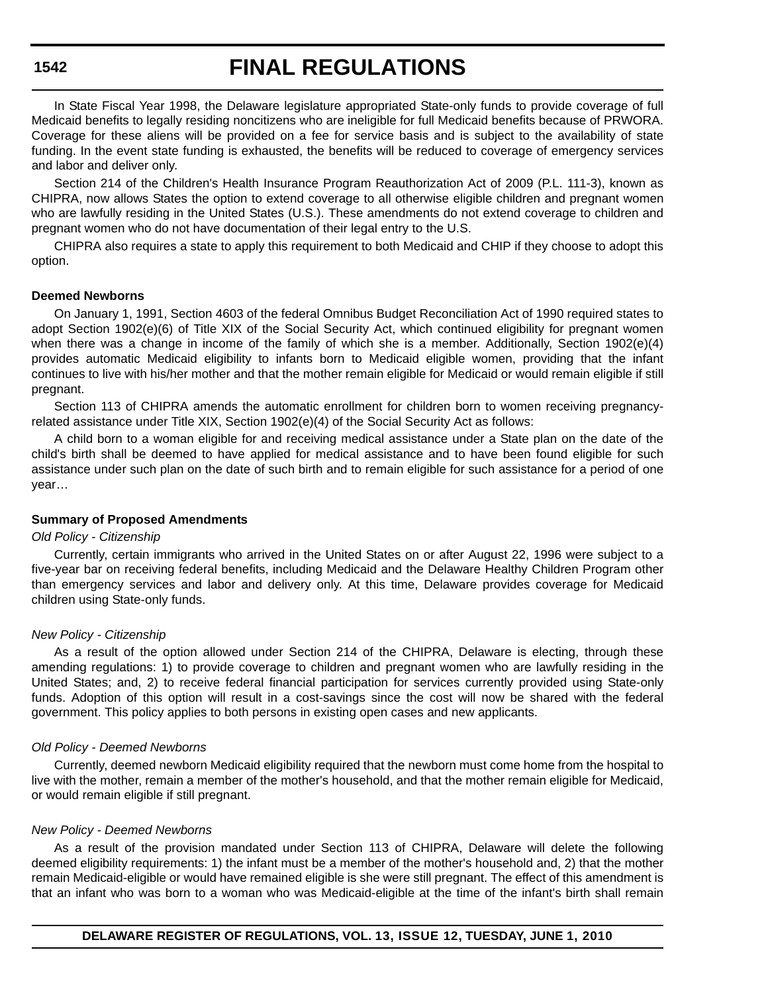# **FINAL REGULATIONS**

In State Fiscal Year 1998, the Delaware legislature appropriated State-only funds to provide coverage of full Medicaid benefits to legally residing noncitizens who are ineligible for full Medicaid benefits because of PRWORA. Coverage for these aliens will be provided on a fee for service basis and is subject to the availability of state funding. In the event state funding is exhausted, the benefits will be reduced to coverage of emergency services and labor and deliver only.

Section 214 of the Children's Health Insurance Program Reauthorization Act of 2009 (P.L. 111-3), known as CHIPRA, now allows States the option to extend coverage to all otherwise eligible children and pregnant women who are lawfully residing in the United States (U.S.). These amendments do not extend coverage to children and pregnant women who do not have documentation of their legal entry to the U.S.

CHIPRA also requires a state to apply this requirement to both Medicaid and CHIP if they choose to adopt this option.

#### **Deemed Newborns**

On January 1, 1991, Section 4603 of the federal Omnibus Budget Reconciliation Act of 1990 required states to adopt Section 1902(e)(6) of Title XIX of the Social Security Act, which continued eligibility for pregnant women when there was a change in income of the family of which she is a member. Additionally, Section 1902(e)(4) provides automatic Medicaid eligibility to infants born to Medicaid eligible women, providing that the infant continues to live with his/her mother and that the mother remain eligible for Medicaid or would remain eligible if still pregnant.

Section 113 of CHIPRA amends the automatic enrollment for children born to women receiving pregnancyrelated assistance under Title XIX, Section 1902(e)(4) of the Social Security Act as follows:

A child born to a woman eligible for and receiving medical assistance under a State plan on the date of the child's birth shall be deemed to have applied for medical assistance and to have been found eligible for such assistance under such plan on the date of such birth and to remain eligible for such assistance for a period of one year…

#### **Summary of Proposed Amendments**

#### *Old Policy - Citizenship*

Currently, certain immigrants who arrived in the United States on or after August 22, 1996 were subject to a five-year bar on receiving federal benefits, including Medicaid and the Delaware Healthy Children Program other than emergency services and labor and delivery only. At this time, Delaware provides coverage for Medicaid children using State-only funds.

#### *New Policy - Citizenship*

As a result of the option allowed under Section 214 of the CHIPRA, Delaware is electing, through these amending regulations: 1) to provide coverage to children and pregnant women who are lawfully residing in the United States; and, 2) to receive federal financial participation for services currently provided using State-only funds. Adoption of this option will result in a cost-savings since the cost will now be shared with the federal government. This policy applies to both persons in existing open cases and new applicants.

#### *Old Policy - Deemed Newborns*

Currently, deemed newborn Medicaid eligibility required that the newborn must come home from the hospital to live with the mother, remain a member of the mother's household, and that the mother remain eligible for Medicaid, or would remain eligible if still pregnant.

#### *New Policy - Deemed Newborns*

As a result of the provision mandated under Section 113 of CHIPRA, Delaware will delete the following deemed eligibility requirements: 1) the infant must be a member of the mother's household and, 2) that the mother remain Medicaid-eligible or would have remained eligible is she were still pregnant. The effect of this amendment is that an infant who was born to a woman who was Medicaid-eligible at the time of the infant's birth shall remain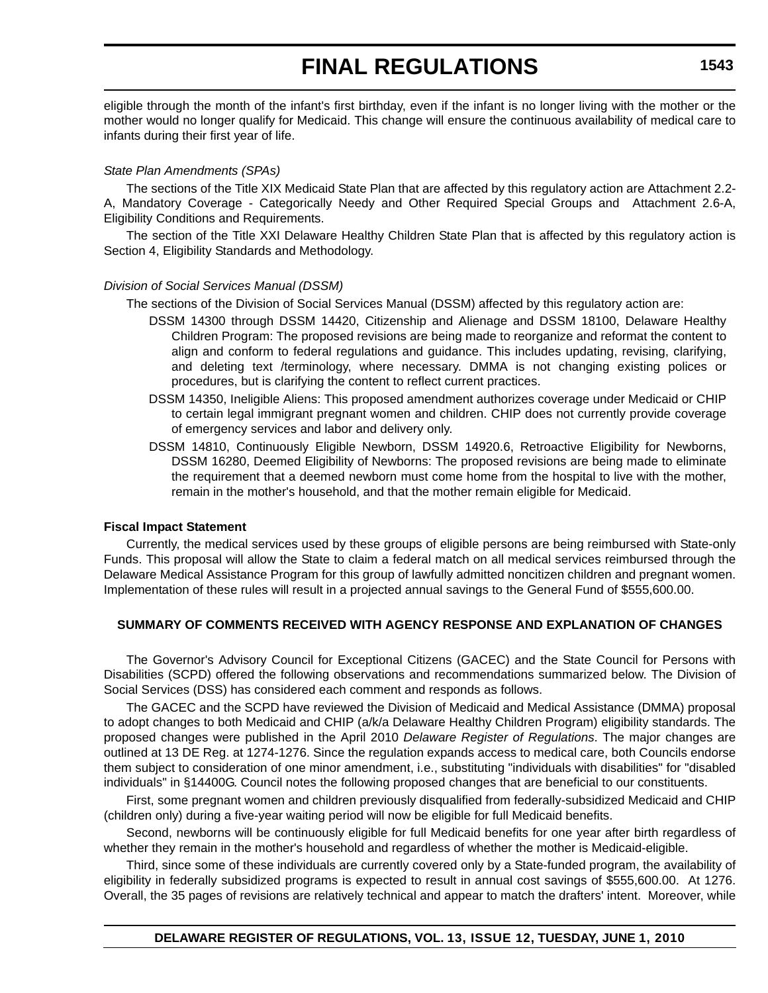eligible through the month of the infant's first birthday, even if the infant is no longer living with the mother or the mother would no longer qualify for Medicaid. This change will ensure the continuous availability of medical care to infants during their first year of life.

#### *State Plan Amendments (SPAs)*

The sections of the Title XIX Medicaid State Plan that are affected by this regulatory action are Attachment 2.2- A, Mandatory Coverage - Categorically Needy and Other Required Special Groups and Attachment 2.6-A, Eligibility Conditions and Requirements.

The section of the Title XXI Delaware Healthy Children State Plan that is affected by this regulatory action is Section 4, Eligibility Standards and Methodology.

#### *Division of Social Services Manual (DSSM)*

The sections of the Division of Social Services Manual (DSSM) affected by this regulatory action are:

- DSSM 14300 through DSSM 14420, Citizenship and Alienage and DSSM 18100, Delaware Healthy Children Program: The proposed revisions are being made to reorganize and reformat the content to align and conform to federal regulations and guidance. This includes updating, revising, clarifying, and deleting text /terminology, where necessary. DMMA is not changing existing polices or procedures, but is clarifying the content to reflect current practices.
- DSSM 14350, Ineligible Aliens: This proposed amendment authorizes coverage under Medicaid or CHIP to certain legal immigrant pregnant women and children. CHIP does not currently provide coverage of emergency services and labor and delivery only.
- DSSM 14810, Continuously Eligible Newborn, DSSM 14920.6, Retroactive Eligibility for Newborns, DSSM 16280, Deemed Eligibility of Newborns: The proposed revisions are being made to eliminate the requirement that a deemed newborn must come home from the hospital to live with the mother, remain in the mother's household, and that the mother remain eligible for Medicaid.

#### **Fiscal Impact Statement**

Currently, the medical services used by these groups of eligible persons are being reimbursed with State-only Funds. This proposal will allow the State to claim a federal match on all medical services reimbursed through the Delaware Medical Assistance Program for this group of lawfully admitted noncitizen children and pregnant women. Implementation of these rules will result in a projected annual savings to the General Fund of \$555,600.00.

### **SUMMARY OF COMMENTS RECEIVED WITH AGENCY RESPONSE AND EXPLANATION OF CHANGES**

The Governor's Advisory Council for Exceptional Citizens (GACEC) and the State Council for Persons with Disabilities (SCPD) offered the following observations and recommendations summarized below. The Division of Social Services (DSS) has considered each comment and responds as follows.

The GACEC and the SCPD have reviewed the Division of Medicaid and Medical Assistance (DMMA) proposal to adopt changes to both Medicaid and CHIP (a/k/a Delaware Healthy Children Program) eligibility standards. The proposed changes were published in the April 2010 *Delaware Register of Regulations*. The major changes are outlined at 13 DE Reg. at 1274-1276. Since the regulation expands access to medical care, both Councils endorse them subject to consideration of one minor amendment, i.e., substituting "individuals with disabilities" for "disabled individuals" in §14400G. Council notes the following proposed changes that are beneficial to our constituents.

First, some pregnant women and children previously disqualified from federally-subsidized Medicaid and CHIP (children only) during a five-year waiting period will now be eligible for full Medicaid benefits.

Second, newborns will be continuously eligible for full Medicaid benefits for one year after birth regardless of whether they remain in the mother's household and regardless of whether the mother is Medicaid-eligible.

Third, since some of these individuals are currently covered only by a State-funded program, the availability of eligibility in federally subsidized programs is expected to result in annual cost savings of \$555,600.00. At 1276. Overall, the 35 pages of revisions are relatively technical and appear to match the drafters' intent. Moreover, while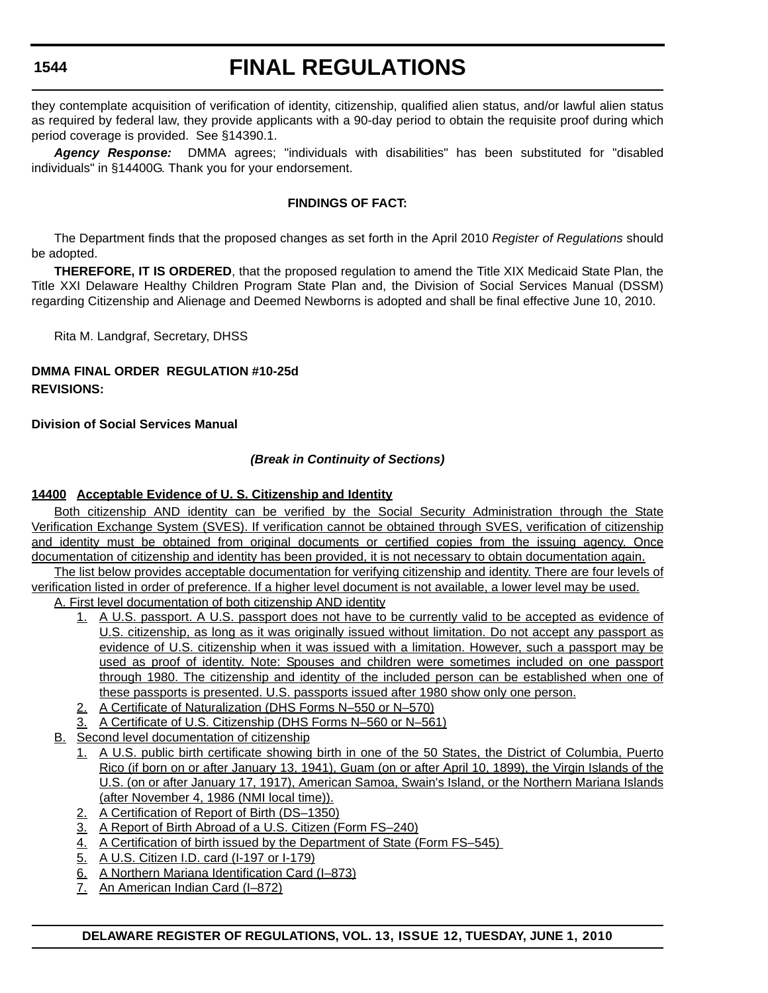# **FINAL REGULATIONS**

they contemplate acquisition of verification of identity, citizenship, qualified alien status, and/or lawful alien status as required by federal law, they provide applicants with a 90-day period to obtain the requisite proof during which period coverage is provided. See §14390.1.

*Agency Response:* DMMA agrees; "individuals with disabilities" has been substituted for "disabled individuals" in §14400G. Thank you for your endorsement.

### **FINDINGS OF FACT:**

The Department finds that the proposed changes as set forth in the April 2010 *Register of Regulations* should be adopted.

**THEREFORE, IT IS ORDERED**, that the proposed regulation to amend the Title XIX Medicaid State Plan, the Title XXI Delaware Healthy Children Program State Plan and, the Division of Social Services Manual (DSSM) regarding Citizenship and Alienage and Deemed Newborns is adopted and shall be final effective June 10, 2010.

Rita M. Landgraf, Secretary, DHSS

### **DMMA FINAL ORDER REGULATION #10-25d REVISIONS:**

**Division of Social Services Manual**

# *(Break in Continuity of Sections)*

# **14400 Acceptable Evidence of U. S. Citizenship and Identity**

Both citizenship AND identity can be verified by the Social Security Administration through the State Verification Exchange System (SVES). If verification cannot be obtained through SVES, verification of citizenship and identity must be obtained from original documents or certified copies from the issuing agency. Once documentation of citizenship and identity has been provided, it is not necessary to obtain documentation again.

The list below provides acceptable documentation for verifying citizenship and identity. There are four levels of verification listed in order of preference. If a higher level document is not available, a lower level may be used.

A. First level documentation of both citizenship AND identity

- 1. A U.S. passport. A U.S. passport does not have to be currently valid to be accepted as evidence of U.S. citizenship, as long as it was originally issued without limitation. Do not accept any passport as evidence of U.S. citizenship when it was issued with a limitation. However, such a passport may be used as proof of identity. Note: Spouses and children were sometimes included on one passport through 1980. The citizenship and identity of the included person can be established when one of these passports is presented. U.S. passports issued after 1980 show only one person.
- 2. A Certificate of Naturalization (DHS Forms N–550 or N–570)
- 3. A Certificate of U.S. Citizenship (DHS Forms N–560 or N–561)
- B. Second level documentation of citizenship
	- 1. A U.S. public birth certificate showing birth in one of the 50 States, the District of Columbia, Puerto Rico (if born on or after January 13, 1941), Guam (on or after April 10, 1899), the Virgin Islands of the U.S. (on or after January 17, 1917), American Samoa, Swain's Island, or the Northern Mariana Islands (after November 4, 1986 (NMI local time)).
	- 2. A Certification of Report of Birth (DS–1350)
	- 3. A Report of Birth Abroad of a U.S. Citizen (Form FS–240)
	- 4. A Certification of birth issued by the Department of State (Form FS–545)
	- 5. A U.S. Citizen I.D. card (I-197 or I-179)
	- 6. A Northern Mariana Identification Card (I–873)
	- 7. An American Indian Card (I–872)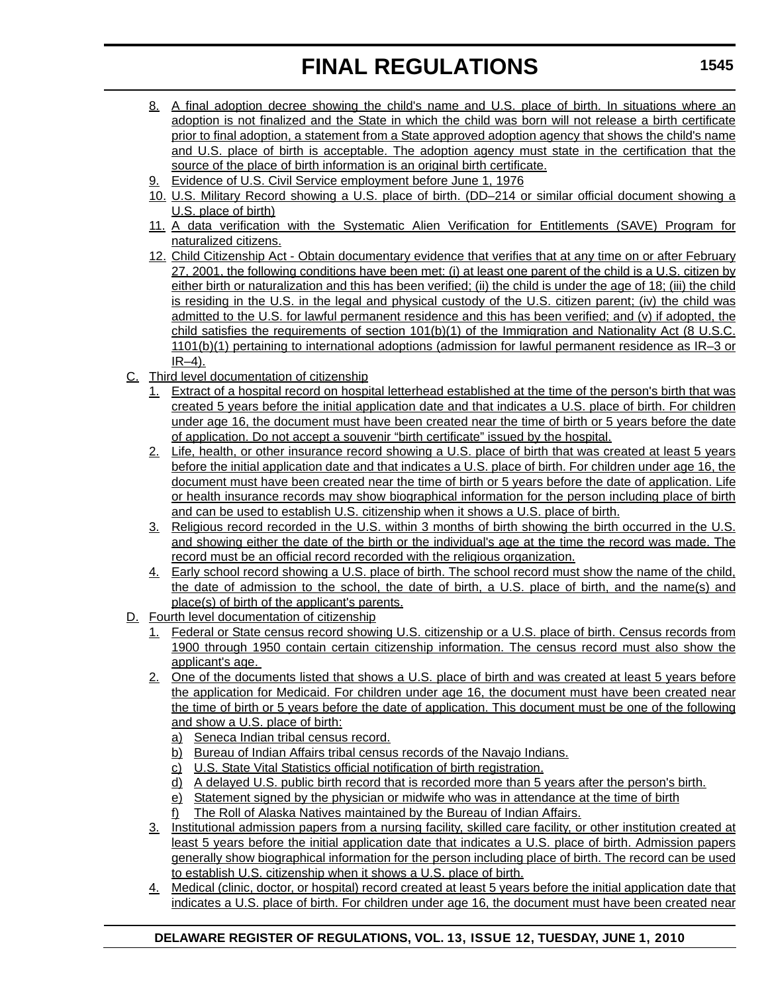- 8. A final adoption decree showing the child's name and U.S. place of birth. In situations where an adoption is not finalized and the State in which the child was born will not release a birth certificate prior to final adoption, a statement from a State approved adoption agency that shows the child's name and U.S. place of birth is acceptable. The adoption agency must state in the certification that the source of the place of birth information is an original birth certificate.
- 9. Evidence of U.S. Civil Service employment before June 1, 1976
- 10. U.S. Military Record showing a U.S. place of birth. (DD–214 or similar official document showing a U.S. place of birth)
- 11. A data verification with the Systematic Alien Verification for Entitlements (SAVE) Program for naturalized citizens.
- 12. Child Citizenship Act Obtain documentary evidence that verifies that at any time on or after February 27, 2001, the following conditions have been met: (i) at least one parent of the child is a U.S. citizen by either birth or naturalization and this has been verified; (ii) the child is under the age of 18; (iii) the child is residing in the U.S. in the legal and physical custody of the U.S. citizen parent; (iv) the child was admitted to the U.S. for lawful permanent residence and this has been verified; and (v) if adopted, the child satisfies the requirements of section 101(b)(1) of the Immigration and Nationality Act (8 U.S.C. 1101(b)(1) pertaining to international adoptions (admission for lawful permanent residence as IR–3 or  $IR-4$ ).
- C. Third level documentation of citizenship
	- 1. Extract of a hospital record on hospital letterhead established at the time of the person's birth that was created 5 years before the initial application date and that indicates a U.S. place of birth. For children under age 16, the document must have been created near the time of birth or 5 years before the date of application. Do not accept a souvenir "birth certificate" issued by the hospital.
	- 2. Life, health, or other insurance record showing a U.S. place of birth that was created at least 5 years before the initial application date and that indicates a U.S. place of birth. For children under age 16, the document must have been created near the time of birth or 5 years before the date of application. Life or health insurance records may show biographical information for the person including place of birth and can be used to establish U.S. citizenship when it shows a U.S. place of birth.
	- 3. Religious record recorded in the U.S. within 3 months of birth showing the birth occurred in the U.S. and showing either the date of the birth or the individual's age at the time the record was made. The record must be an official record recorded with the religious organization.
	- 4. Early school record showing a U.S. place of birth. The school record must show the name of the child, the date of admission to the school, the date of birth, a U.S. place of birth, and the name(s) and place(s) of birth of the applicant's parents.
- D. Fourth level documentation of citizenship
	- 1. Federal or State census record showing U.S. citizenship or a U.S. place of birth. Census records from 1900 through 1950 contain certain citizenship information. The census record must also show the applicant's age.
	- 2. One of the documents listed that shows a U.S. place of birth and was created at least 5 years before the application for Medicaid. For children under age 16, the document must have been created near the time of birth or 5 years before the date of application. This document must be one of the following and show a U.S. place of birth:
		- a) Seneca Indian tribal census record.
		- b) Bureau of Indian Affairs tribal census records of the Navajo Indians.
		- c) U.S. State Vital Statistics official notification of birth registration.
		- d) A delayed U.S. public birth record that is recorded more than 5 years after the person's birth.
		- e) Statement signed by the physician or midwife who was in attendance at the time of birth
		- f) The Roll of Alaska Natives maintained by the Bureau of Indian Affairs.
	- 3. Institutional admission papers from a nursing facility, skilled care facility, or other institution created at least 5 years before the initial application date that indicates a U.S. place of birth. Admission papers generally show biographical information for the person including place of birth. The record can be used to establish U.S. citizenship when it shows a U.S. place of birth.
	- 4. Medical (clinic, doctor, or hospital) record created at least 5 years before the initial application date that indicates a U.S. place of birth. For children under age 16, the document must have been created near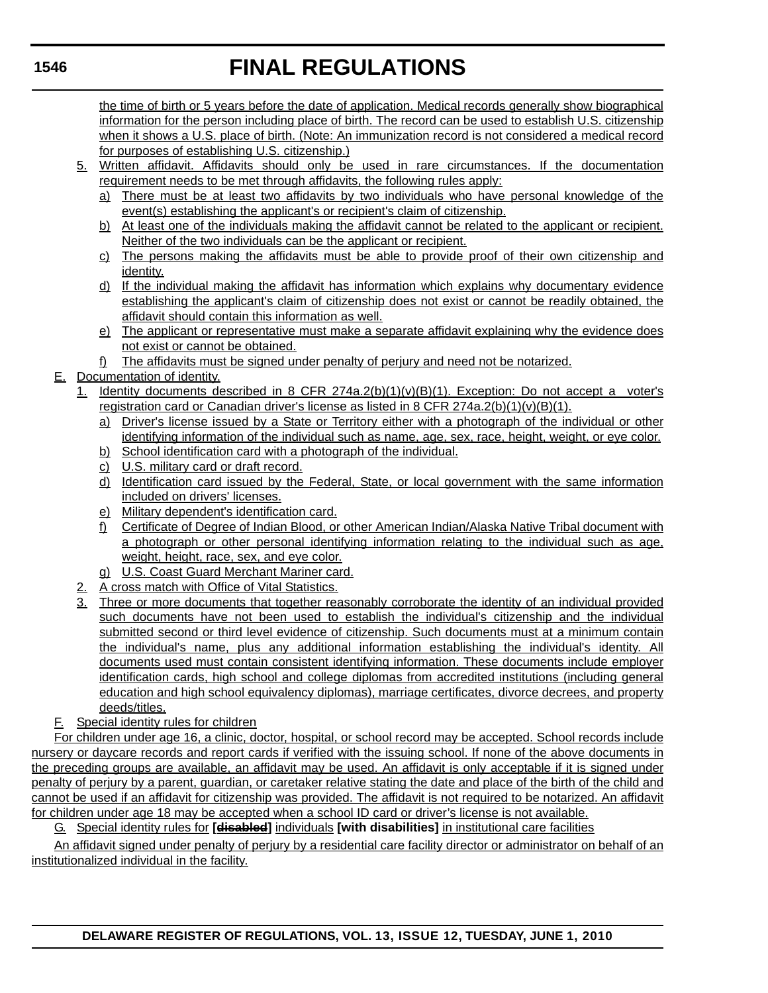the time of birth or 5 years before the date of application. Medical records generally show biographical information for the person including place of birth. The record can be used to establish U.S. citizenship when it shows a U.S. place of birth. (Note: An immunization record is not considered a medical record for purposes of establishing U.S. citizenship.)

- 5. Written affidavit. Affidavits should only be used in rare circumstances. If the documentation requirement needs to be met through affidavits, the following rules apply:
	- a) There must be at least two affidavits by two individuals who have personal knowledge of the event(s) establishing the applicant's or recipient's claim of citizenship.
	- b) At least one of the individuals making the affidavit cannot be related to the applicant or recipient. Neither of the two individuals can be the applicant or recipient.
	- c) The persons making the affidavits must be able to provide proof of their own citizenship and identity.
	- d) If the individual making the affidavit has information which explains why documentary evidence establishing the applicant's claim of citizenship does not exist or cannot be readily obtained, the affidavit should contain this information as well.
	- e) The applicant or representative must make a separate affidavit explaining why the evidence does not exist or cannot be obtained.
	- f) The affidavits must be signed under penalty of perjury and need not be notarized.

# E. Documentation of identity.

- 1. Identity documents described in 8 CFR 274a.2(b)(1)(v)(B)(1). Exception: Do not accept a voter's registration card or Canadian driver's license as listed in 8 CFR 274a.2(b)(1)(v)(B)(1).
	- a) Driver's license issued by a State or Territory either with a photograph of the individual or other identifying information of the individual such as name, age, sex, race, height, weight, or eye color.
	- b) School identification card with a photograph of the individual.
	- c) U.S. military card or draft record.
	- d) Identification card issued by the Federal, State, or local government with the same information included on drivers' licenses.
	- e) Military dependent's identification card.
	- f) Certificate of Degree of Indian Blood, or other American Indian/Alaska Native Tribal document with a photograph or other personal identifying information relating to the individual such as age, weight, height, race, sex, and eye color.
	- g) U.S. Coast Guard Merchant Mariner card.
- 2. A cross match with Office of Vital Statistics.
- 3. Three or more documents that together reasonably corroborate the identity of an individual provided such documents have not been used to establish the individual's citizenship and the individual submitted second or third level evidence of citizenship. Such documents must at a minimum contain the individual's name, plus any additional information establishing the individual's identity. All documents used must contain consistent identifying information. These documents include employer identification cards, high school and college diplomas from accredited institutions (including general education and high school equivalency diplomas), marriage certificates, divorce decrees, and property deeds/titles.
- F. Special identity rules for children

For children under age 16, a clinic, doctor, hospital, or school record may be accepted. School records include nursery or daycare records and report cards if verified with the issuing school. If none of the above documents in the preceding groups are available, an affidavit may be used. An affidavit is only acceptable if it is signed under penalty of perjury by a parent, guardian, or caretaker relative stating the date and place of the birth of the child and cannot be used if an affidavit for citizenship was provided. The affidavit is not required to be notarized. An affidavit for children under age 18 may be accepted when a school ID card or driver's license is not available.

G. Special identity rules for **[disabled]** individuals **[with disabilities]** in institutional care facilities

An affidavit signed under penalty of perjury by a residential care facility director or administrator on behalf of an institutionalized individual in the facility.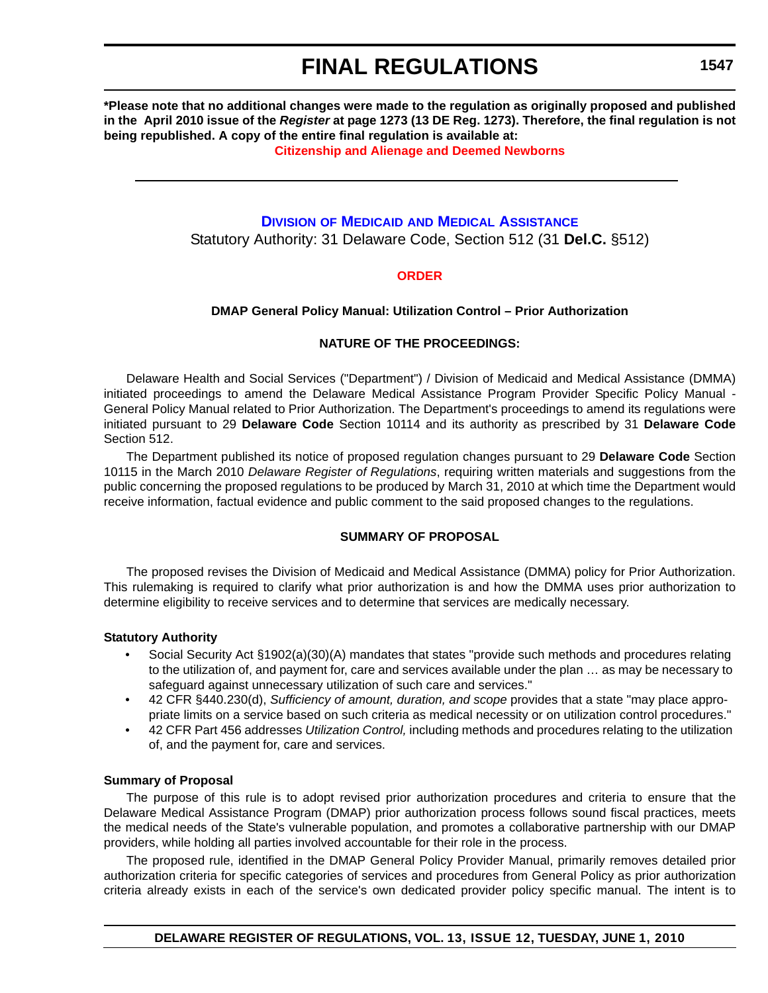**\*Please note that no additional changes were made to the regulation as originally proposed and published in the April 2010 issue of the** *Register* **at page 1273 (13 DE Reg. 1273). Therefore, the final regulation is not being republished. A copy of the entire final regulation is available at:**

**[Citizenship and Alienage and Deemed Newborns](http://regulations.delaware.gov/register/june2010/final/13 DE Reg 1540 06-01-10.htm)**

# **DIVISION OF MEDICAID [AND MEDICAL ASSISTANCE](http://www.dhss.delaware.gov/dhss/dmma/)**

Statutory Authority: 31 Delaware Code, Section 512 (31 **Del.C.** §512)

### **[ORDER](#page-3-0)**

### **DMAP General Policy Manual: Utilization Control – Prior Authorization**

#### **NATURE OF THE PROCEEDINGS:**

Delaware Health and Social Services ("Department") / Division of Medicaid and Medical Assistance (DMMA) initiated proceedings to amend the Delaware Medical Assistance Program Provider Specific Policy Manual - General Policy Manual related to Prior Authorization. The Department's proceedings to amend its regulations were initiated pursuant to 29 **Delaware Code** Section 10114 and its authority as prescribed by 31 **Delaware Code** Section 512.

The Department published its notice of proposed regulation changes pursuant to 29 **Delaware Code** Section 10115 in the March 2010 *Delaware Register of Regulations*, requiring written materials and suggestions from the public concerning the proposed regulations to be produced by March 31, 2010 at which time the Department would receive information, factual evidence and public comment to the said proposed changes to the regulations.

### **SUMMARY OF PROPOSAL**

The proposed revises the Division of Medicaid and Medical Assistance (DMMA) policy for Prior Authorization. This rulemaking is required to clarify what prior authorization is and how the DMMA uses prior authorization to determine eligibility to receive services and to determine that services are medically necessary.

### **Statutory Authority**

- Social Security Act §1902(a)(30)(A) mandates that states "provide such methods and procedures relating to the utilization of, and payment for, care and services available under the plan … as may be necessary to safeguard against unnecessary utilization of such care and services."
- 42 CFR §440.230(d), *Sufficiency of amount, duration, and scope* provides that a state "may place appropriate limits on a service based on such criteria as medical necessity or on utilization control procedures."
- 42 CFR Part 456 addresses *Utilization Control,* including methods and procedures relating to the utilization of, and the payment for, care and services.

#### **Summary of Proposal**

The purpose of this rule is to adopt revised prior authorization procedures and criteria to ensure that the Delaware Medical Assistance Program (DMAP) prior authorization process follows sound fiscal practices, meets the medical needs of the State's vulnerable population, and promotes a collaborative partnership with our DMAP providers, while holding all parties involved accountable for their role in the process.

The proposed rule, identified in the DMAP General Policy Provider Manual, primarily removes detailed prior authorization criteria for specific categories of services and procedures from General Policy as prior authorization criteria already exists in each of the service's own dedicated provider policy specific manual. The intent is to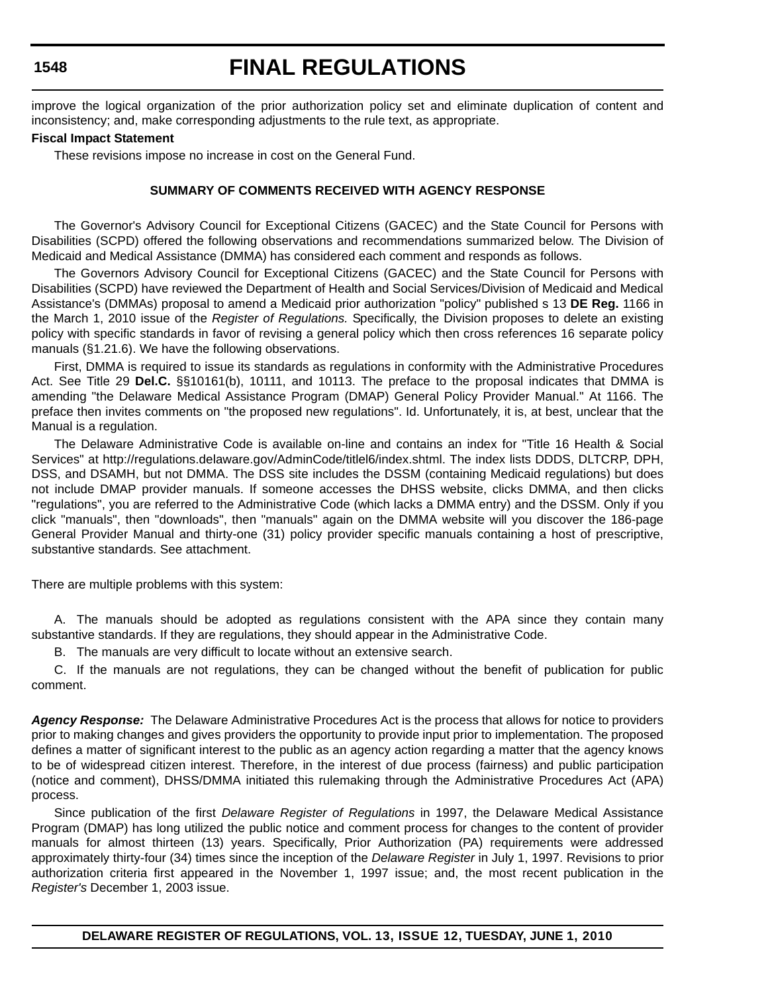# **FINAL REGULATIONS**

improve the logical organization of the prior authorization policy set and eliminate duplication of content and inconsistency; and, make corresponding adjustments to the rule text, as appropriate.

#### **Fiscal Impact Statement**

These revisions impose no increase in cost on the General Fund.

#### **SUMMARY OF COMMENTS RECEIVED WITH AGENCY RESPONSE**

The Governor's Advisory Council for Exceptional Citizens (GACEC) and the State Council for Persons with Disabilities (SCPD) offered the following observations and recommendations summarized below. The Division of Medicaid and Medical Assistance (DMMA) has considered each comment and responds as follows.

The Governors Advisory Council for Exceptional Citizens (GACEC) and the State Council for Persons with Disabilities (SCPD) have reviewed the Department of Health and Social Services/Division of Medicaid and Medical Assistance's (DMMAs) proposal to amend a Medicaid prior authorization "policy" published s 13 **DE Reg.** 1166 in the March 1, 2010 issue of the *Register of Regulations.* Specifically, the Division proposes to delete an existing policy with specific standards in favor of revising a general policy which then cross references 16 separate policy manuals (§1.21.6). We have the following observations.

First, DMMA is required to issue its standards as regulations in conformity with the Administrative Procedures Act. See Title 29 **Del.C.** §§10161(b), 10111, and 10113. The preface to the proposal indicates that DMMA is amending "the Delaware Medical Assistance Program (DMAP) General Policy Provider Manual." At 1166. The preface then invites comments on "the proposed new regulations". Id. Unfortunately, it is, at best, unclear that the Manual is a regulation.

The Delaware Administrative Code is available on-line and contains an index for "Title 16 Health & Social Services" at http://regulations.delaware.gov/AdminCode/titlel6/index.shtml. The index lists DDDS, DLTCRP, DPH, DSS, and DSAMH, but not DMMA. The DSS site includes the DSSM (containing Medicaid regulations) but does not include DMAP provider manuals. If someone accesses the DHSS website, clicks DMMA, and then clicks "regulations", you are referred to the Administrative Code (which lacks a DMMA entry) and the DSSM. Only if you click "manuals", then "downloads", then "manuals" again on the DMMA website will you discover the 186-page General Provider Manual and thirty-one (31) policy provider specific manuals containing a host of prescriptive, substantive standards. See attachment.

There are multiple problems with this system:

A. The manuals should be adopted as regulations consistent with the APA since they contain many substantive standards. If they are regulations, they should appear in the Administrative Code.

B. The manuals are very difficult to locate without an extensive search.

C. If the manuals are not regulations, they can be changed without the benefit of publication for public comment.

*Agency Response:* The Delaware Administrative Procedures Act is the process that allows for notice to providers prior to making changes and gives providers the opportunity to provide input prior to implementation. The proposed defines a matter of significant interest to the public as an agency action regarding a matter that the agency knows to be of widespread citizen interest. Therefore, in the interest of due process (fairness) and public participation (notice and comment), DHSS/DMMA initiated this rulemaking through the Administrative Procedures Act (APA) process.

Since publication of the first *Delaware Register of Regulations* in 1997, the Delaware Medical Assistance Program (DMAP) has long utilized the public notice and comment process for changes to the content of provider manuals for almost thirteen (13) years. Specifically, Prior Authorization (PA) requirements were addressed approximately thirty-four (34) times since the inception of the *Delaware Register* in July 1, 1997. Revisions to prior authorization criteria first appeared in the November 1, 1997 issue; and, the most recent publication in the *Register's* December 1, 2003 issue.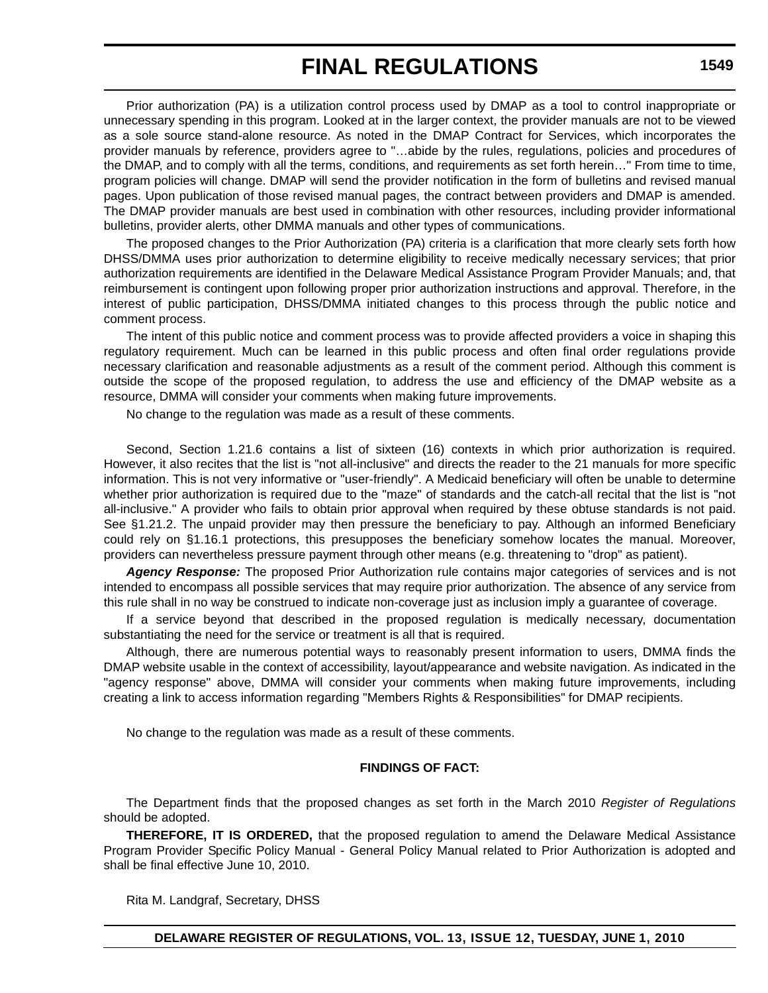Prior authorization (PA) is a utilization control process used by DMAP as a tool to control inappropriate or unnecessary spending in this program. Looked at in the larger context, the provider manuals are not to be viewed as a sole source stand-alone resource. As noted in the DMAP Contract for Services, which incorporates the provider manuals by reference, providers agree to "…abide by the rules, regulations, policies and procedures of the DMAP, and to comply with all the terms, conditions, and requirements as set forth herein…" From time to time, program policies will change. DMAP will send the provider notification in the form of bulletins and revised manual pages. Upon publication of those revised manual pages, the contract between providers and DMAP is amended. The DMAP provider manuals are best used in combination with other resources, including provider informational bulletins, provider alerts, other DMMA manuals and other types of communications.

The proposed changes to the Prior Authorization (PA) criteria is a clarification that more clearly sets forth how DHSS/DMMA uses prior authorization to determine eligibility to receive medically necessary services; that prior authorization requirements are identified in the Delaware Medical Assistance Program Provider Manuals; and, that reimbursement is contingent upon following proper prior authorization instructions and approval. Therefore, in the interest of public participation, DHSS/DMMA initiated changes to this process through the public notice and comment process.

The intent of this public notice and comment process was to provide affected providers a voice in shaping this regulatory requirement. Much can be learned in this public process and often final order regulations provide necessary clarification and reasonable adjustments as a result of the comment period. Although this comment is outside the scope of the proposed regulation, to address the use and efficiency of the DMAP website as a resource, DMMA will consider your comments when making future improvements.

No change to the regulation was made as a result of these comments.

Second, Section 1.21.6 contains a list of sixteen (16) contexts in which prior authorization is required. However, it also recites that the list is "not all-inclusive" and directs the reader to the 21 manuals for more specific information. This is not very informative or "user-friendly". A Medicaid beneficiary will often be unable to determine whether prior authorization is required due to the "maze" of standards and the catch-all recital that the list is "not all-inclusive." A provider who fails to obtain prior approval when required by these obtuse standards is not paid. See §1.21.2. The unpaid provider may then pressure the beneficiary to pay. Although an informed Beneficiary could rely on §1.16.1 protections, this presupposes the beneficiary somehow locates the manual. Moreover, providers can nevertheless pressure payment through other means (e.g. threatening to "drop" as patient).

*Agency Response:* The proposed Prior Authorization rule contains major categories of services and is not intended to encompass all possible services that may require prior authorization. The absence of any service from this rule shall in no way be construed to indicate non-coverage just as inclusion imply a guarantee of coverage.

If a service beyond that described in the proposed regulation is medically necessary, documentation substantiating the need for the service or treatment is all that is required.

Although, there are numerous potential ways to reasonably present information to users, DMMA finds the DMAP website usable in the context of accessibility, layout/appearance and website navigation. As indicated in the "agency response" above, DMMA will consider your comments when making future improvements, including creating a link to access information regarding "Members Rights & Responsibilities" for DMAP recipients.

No change to the regulation was made as a result of these comments.

#### **FINDINGS OF FACT:**

The Department finds that the proposed changes as set forth in the March 2010 *Register of Regulations*  should be adopted.

**THEREFORE, IT IS ORDERED,** that the proposed regulation to amend the Delaware Medical Assistance Program Provider Specific Policy Manual - General Policy Manual related to Prior Authorization is adopted and shall be final effective June 10, 2010.

Rita M. Landgraf, Secretary, DHSS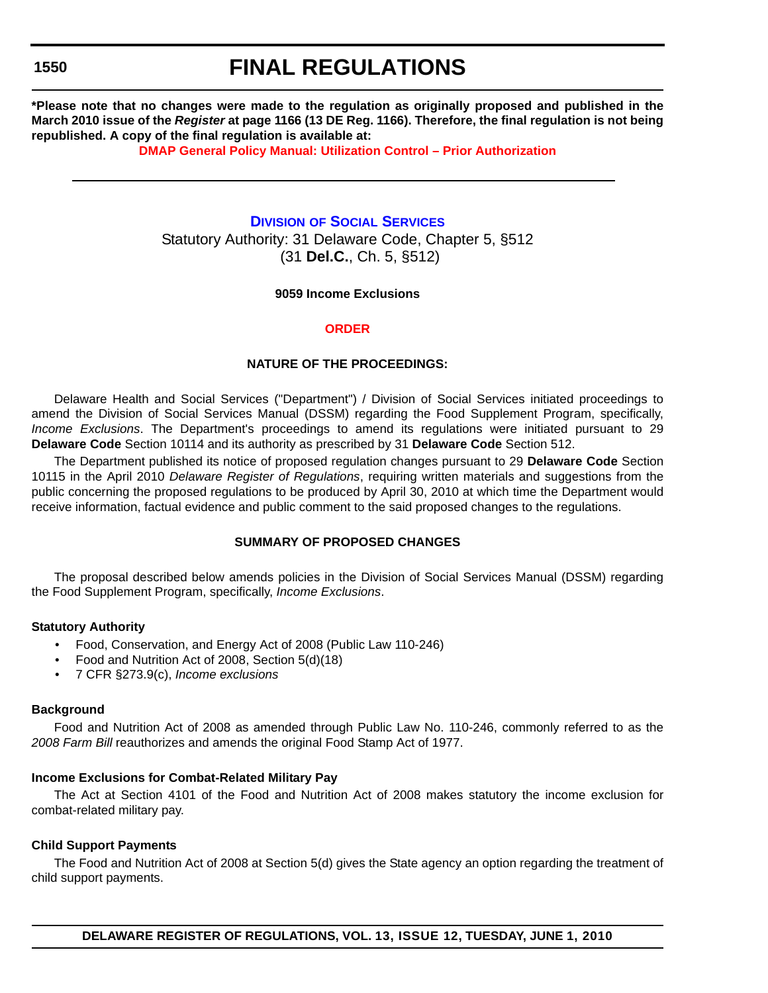# **FINAL REGULATIONS**

**\*Please note that no changes were made to the regulation as originally proposed and published in the March 2010 issue of the** *Register* **at page 1166 (13 DE Reg. 1166). Therefore, the final regulation is not being republished. A copy of the final regulation is available at:**

**[DMAP General Policy Manual: Utilization Control – Prior Authorization](http://regulations.delaware.gov/register/june2010/final/13 DE Reg 1547 06-01-10.htm)**

### **DIVISION [OF SOCIAL SERVICES](http://www.dhss.delaware.gov/dhss/dss/)**

Statutory Authority: 31 Delaware Code, Chapter 5, §512 (31 **Del.C.**, Ch. 5, §512)

#### **9059 Income Exclusions**

#### **[ORDER](#page-3-0)**

#### **NATURE OF THE PROCEEDINGS:**

Delaware Health and Social Services ("Department") / Division of Social Services initiated proceedings to amend the Division of Social Services Manual (DSSM) regarding the Food Supplement Program, specifically, *Income Exclusions*. The Department's proceedings to amend its regulations were initiated pursuant to 29 **Delaware Code** Section 10114 and its authority as prescribed by 31 **Delaware Code** Section 512.

The Department published its notice of proposed regulation changes pursuant to 29 **Delaware Code** Section 10115 in the April 2010 *Delaware Register of Regulations*, requiring written materials and suggestions from the public concerning the proposed regulations to be produced by April 30, 2010 at which time the Department would receive information, factual evidence and public comment to the said proposed changes to the regulations.

#### **SUMMARY OF PROPOSED CHANGES**

The proposal described below amends policies in the Division of Social Services Manual (DSSM) regarding the Food Supplement Program, specifically, *Income Exclusions*.

#### **Statutory Authority**

- Food, Conservation, and Energy Act of 2008 (Public Law 110-246)
- Food and Nutrition Act of 2008, Section 5(d)(18)
- 7 CFR §273.9(c), *Income exclusions*

#### **Background**

Food and Nutrition Act of 2008 as amended through Public Law No. 110-246, commonly referred to as the *2008 Farm Bill* reauthorizes and amends the original Food Stamp Act of 1977.

#### **Income Exclusions for Combat-Related Military Pay**

The Act at Section 4101 of the Food and Nutrition Act of 2008 makes statutory the income exclusion for combat-related military pay.

#### **Child Support Payments**

The Food and Nutrition Act of 2008 at Section 5(d) gives the State agency an option regarding the treatment of child support payments.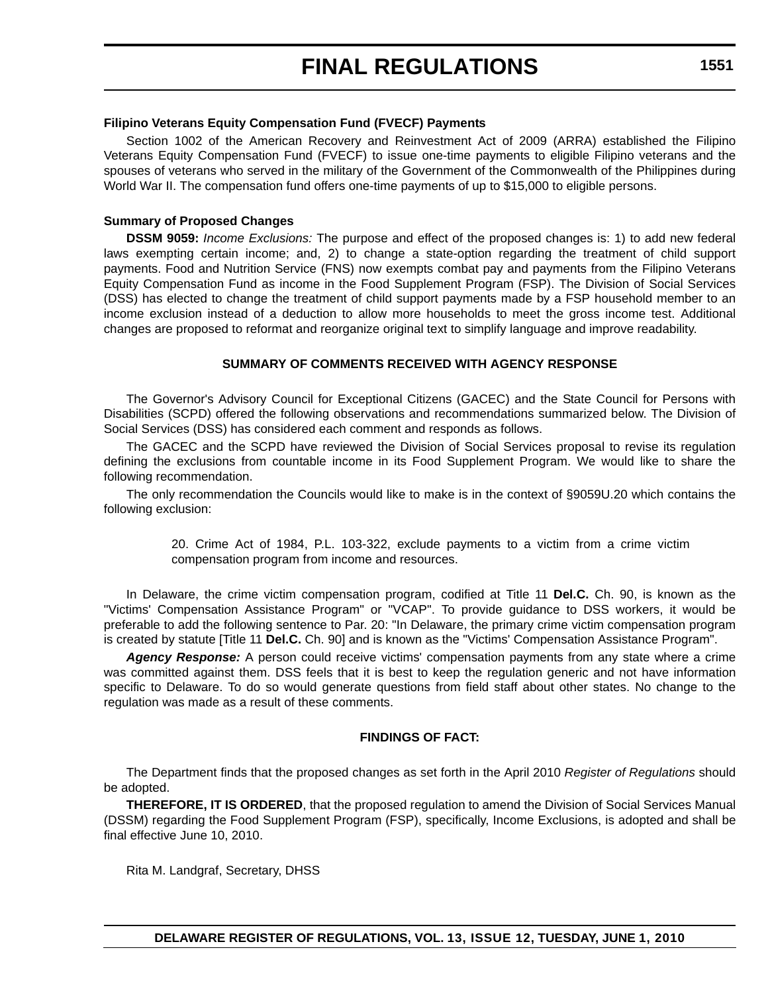#### **Filipino Veterans Equity Compensation Fund (FVECF) Payments**

Section 1002 of the American Recovery and Reinvestment Act of 2009 (ARRA) established the Filipino Veterans Equity Compensation Fund (FVECF) to issue one-time payments to eligible Filipino veterans and the spouses of veterans who served in the military of the Government of the Commonwealth of the Philippines during World War II. The compensation fund offers one-time payments of up to \$15,000 to eligible persons.

#### **Summary of Proposed Changes**

**DSSM 9059:** *Income Exclusions:* The purpose and effect of the proposed changes is: 1) to add new federal laws exempting certain income; and, 2) to change a state-option regarding the treatment of child support payments. Food and Nutrition Service (FNS) now exempts combat pay and payments from the Filipino Veterans Equity Compensation Fund as income in the Food Supplement Program (FSP). The Division of Social Services (DSS) has elected to change the treatment of child support payments made by a FSP household member to an income exclusion instead of a deduction to allow more households to meet the gross income test. Additional changes are proposed to reformat and reorganize original text to simplify language and improve readability.

#### **SUMMARY OF COMMENTS RECEIVED WITH AGENCY RESPONSE**

The Governor's Advisory Council for Exceptional Citizens (GACEC) and the State Council for Persons with Disabilities (SCPD) offered the following observations and recommendations summarized below. The Division of Social Services (DSS) has considered each comment and responds as follows.

The GACEC and the SCPD have reviewed the Division of Social Services proposal to revise its regulation defining the exclusions from countable income in its Food Supplement Program. We would like to share the following recommendation.

The only recommendation the Councils would like to make is in the context of §9059U.20 which contains the following exclusion:

> 20. Crime Act of 1984, P.L. 103-322, exclude payments to a victim from a crime victim compensation program from income and resources.

In Delaware, the crime victim compensation program, codified at Title 11 **Del.C.** Ch. 90, is known as the "Victims' Compensation Assistance Program" or "VCAP". To provide guidance to DSS workers, it would be preferable to add the following sentence to Par. 20: "In Delaware, the primary crime victim compensation program is created by statute [Title 11 **Del.C.** Ch. 90] and is known as the "Victims' Compensation Assistance Program".

*Agency Response:* A person could receive victims' compensation payments from any state where a crime was committed against them. DSS feels that it is best to keep the regulation generic and not have information specific to Delaware. To do so would generate questions from field staff about other states. No change to the regulation was made as a result of these comments.

#### **FINDINGS OF FACT:**

The Department finds that the proposed changes as set forth in the April 2010 *Register of Regulations* should be adopted.

**THEREFORE, IT IS ORDERED**, that the proposed regulation to amend the Division of Social Services Manual (DSSM) regarding the Food Supplement Program (FSP), specifically, Income Exclusions, is adopted and shall be final effective June 10, 2010.

Rita M. Landgraf, Secretary, DHSS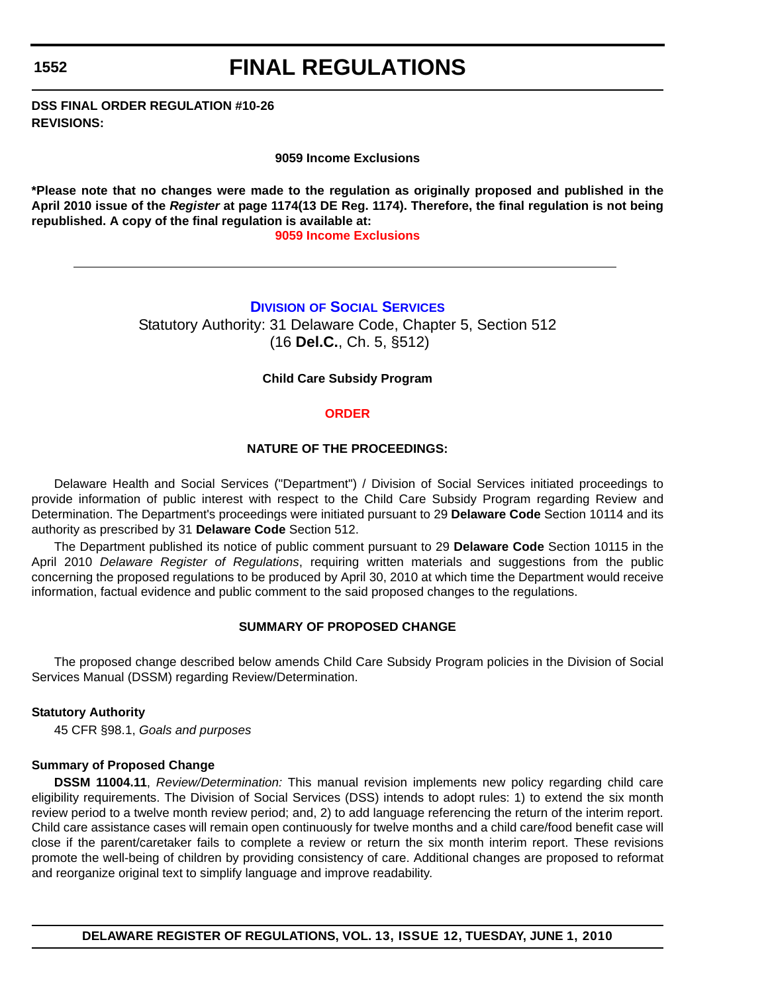## **FINAL REGULATIONS**

**DSS FINAL ORDER REGULATION #10-26 REVISIONS:**

**9059 Income Exclusions**

**\*Please note that no changes were made to the regulation as originally proposed and published in the April 2010 issue of the** *Register* **at page 1174(13 DE Reg. 1174). Therefore, the final regulation is not being republished. A copy of the final regulation is available at:**

**[9059 Income Exclusions](http://regulations.delaware.gov/register/june2010/final/13 DE Reg 1550 06-01-10.htm)**

## **DIVISION [OF SOCIAL SERVICES](http://www.dhss.delaware.gov/dhss/dss/)**

Statutory Authority: 31 Delaware Code, Chapter 5, Section 512 (16 **Del.C.**, Ch. 5, §512)

### **Child Care Subsidy Program**

### **[ORDER](#page-3-0)**

### **NATURE OF THE PROCEEDINGS:**

Delaware Health and Social Services ("Department") / Division of Social Services initiated proceedings to provide information of public interest with respect to the Child Care Subsidy Program regarding Review and Determination. The Department's proceedings were initiated pursuant to 29 **Delaware Code** Section 10114 and its authority as prescribed by 31 **Delaware Code** Section 512.

The Department published its notice of public comment pursuant to 29 **Delaware Code** Section 10115 in the April 2010 *Delaware Register of Regulations*, requiring written materials and suggestions from the public concerning the proposed regulations to be produced by April 30, 2010 at which time the Department would receive information, factual evidence and public comment to the said proposed changes to the regulations.

### **SUMMARY OF PROPOSED CHANGE**

The proposed change described below amends Child Care Subsidy Program policies in the Division of Social Services Manual (DSSM) regarding Review/Determination.

## **Statutory Authority**

45 CFR §98.1, *Goals and purposes*

### **Summary of Proposed Change**

**DSSM 11004.11**, *Review/Determination:* This manual revision implements new policy regarding child care eligibility requirements. The Division of Social Services (DSS) intends to adopt rules: 1) to extend the six month review period to a twelve month review period; and, 2) to add language referencing the return of the interim report. Child care assistance cases will remain open continuously for twelve months and a child care/food benefit case will close if the parent/caretaker fails to complete a review or return the six month interim report. These revisions promote the well-being of children by providing consistency of care. Additional changes are proposed to reformat and reorganize original text to simplify language and improve readability.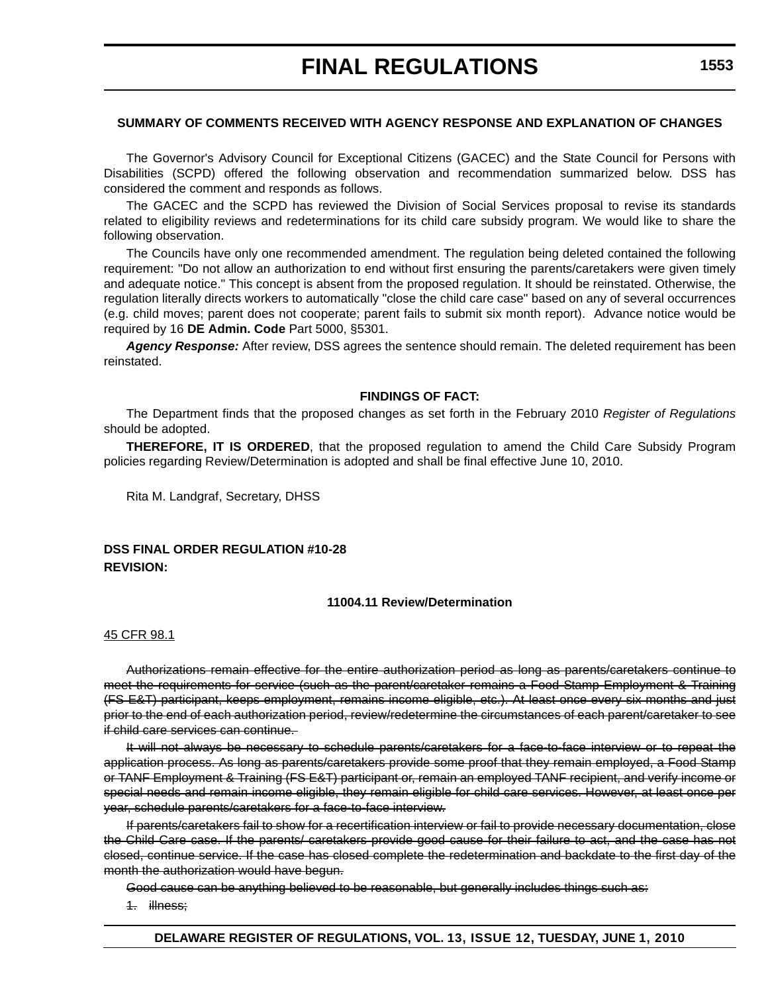## **SUMMARY OF COMMENTS RECEIVED WITH AGENCY RESPONSE AND EXPLANATION OF CHANGES**

The Governor's Advisory Council for Exceptional Citizens (GACEC) and the State Council for Persons with Disabilities (SCPD) offered the following observation and recommendation summarized below. DSS has considered the comment and responds as follows.

The GACEC and the SCPD has reviewed the Division of Social Services proposal to revise its standards related to eligibility reviews and redeterminations for its child care subsidy program. We would like to share the following observation.

The Councils have only one recommended amendment. The regulation being deleted contained the following requirement: "Do not allow an authorization to end without first ensuring the parents/caretakers were given timely and adequate notice." This concept is absent from the proposed regulation. It should be reinstated. Otherwise, the regulation literally directs workers to automatically "close the child care case" based on any of several occurrences (e.g. child moves; parent does not cooperate; parent fails to submit six month report). Advance notice would be required by 16 **DE Admin. Code** Part 5000, §5301.

*Agency Response:* After review, DSS agrees the sentence should remain. The deleted requirement has been reinstated.

### **FINDINGS OF FACT:**

The Department finds that the proposed changes as set forth in the February 2010 *Register of Regulations*  should be adopted.

**THEREFORE, IT IS ORDERED**, that the proposed regulation to amend the Child Care Subsidy Program policies regarding Review/Determination is adopted and shall be final effective June 10, 2010.

Rita M. Landgraf, Secretary, DHSS

## **DSS FINAL ORDER REGULATION #10-28 REVISION:**

### **11004.11 Review/Determination**

### 45 CFR 98.1

Authorizations remain effective for the entire authorization period as long as parents/caretakers continue to meet the requirements for service (such as the parent/caretaker remains a Food Stamp Employment & Training (FS E&T) participant, keeps employment, remains income eligible, etc.). At least once every six months and just prior to the end of each authorization period, review/redetermine the circumstances of each parent/caretaker to see if child care services can continue.

It will not always be necessary to schedule parents/caretakers for a face-to-face interview or to repeat the application process. As long as parents/caretakers provide some proof that they remain employed, a Food Stamp or TANF Employment & Training (FS E&T) participant or, remain an employed TANF recipient, and verify income or special needs and remain income eligible, they remain eligible for child care services. However, at least once per year, schedule parents/caretakers for a face-to-face interview.

If parents/caretakers fail to show for a recertification interview or fail to provide necessary documentation, close the Child Care case. If the parents/ caretakers provide good cause for their failure to act, and the case has not closed, continue service. If the case has closed complete the redetermination and backdate to the first day of the month the authorization would have begun.

Good cause can be anything believed to be reasonable, but generally includes things such as:

1. illness;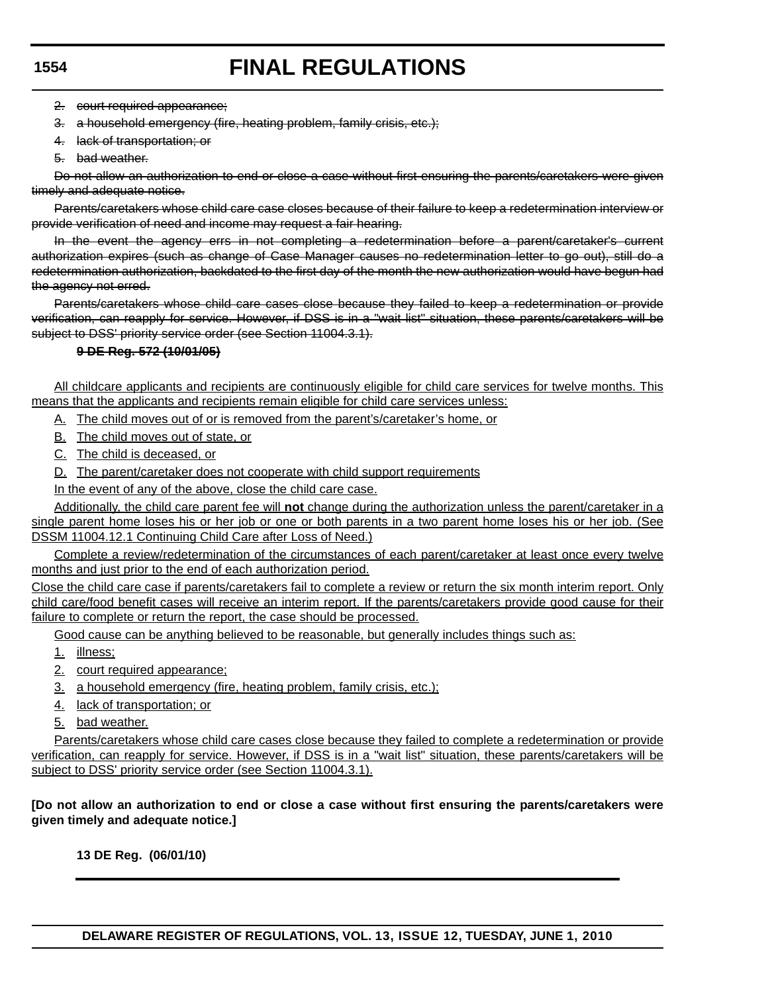## **FINAL REGULATIONS**

2. court required appearance;

- 3. a household emergency (fire, heating problem, family crisis, etc.);
- 4. lack of transportation; or
- 5. bad weather.

Do not allow an authorization to end or close a case without first ensuring the parents/caretakers were given timely and adequate notice.

Parents/caretakers whose child care case closes because of their failure to keep a redetermination interview or provide verification of need and income may request a fair hearing.

In the event the agency errs in not completing a redetermination before a parent/caretaker's current authorization expires (such as change of Case Manager causes no redetermination letter to go out), still do a redetermination authorization, backdated to the first day of the month the new authorization would have begun had the agency not erred.

Parents/caretakers whose child care cases close because they failed to keep a redetermination or provide verification, can reapply for service. However, if DSS is in a "wait list" situation, these parents/caretakers will be subject to DSS' priority service order (see Section 11004.3.1).

## **9 DE Reg. 572 (10/01/05)**

All childcare applicants and recipients are continuously eligible for child care services for twelve months. This means that the applicants and recipients remain eligible for child care services unless:

- A. The child moves out of or is removed from the parent's/caretaker's home, or
- B. The child moves out of state, or
- C. The child is deceased, or
- D. The parent/caretaker does not cooperate with child support requirements
- In the event of any of the above, close the child care case.

Additionally, the child care parent fee will **not** change during the authorization unless the parent/caretaker in a single parent home loses his or her job or one or both parents in a two parent home loses his or her job. (See DSSM 11004.12.1 Continuing Child Care after Loss of Need.)

Complete a review/redetermination of the circumstances of each parent/caretaker at least once every twelve months and just prior to the end of each authorization period.

Close the child care case if parents/caretakers fail to complete a review or return the six month interim report. Only child care/food benefit cases will receive an interim report. If the parents/caretakers provide good cause for their failure to complete or return the report, the case should be processed.

Good cause can be anything believed to be reasonable, but generally includes things such as:

- 1. illness;
- 2. court required appearance;
- 3. a household emergency (fire, heating problem, family crisis, etc.);
- 4. lack of transportation; or
- 5. bad weather.

Parents/caretakers whose child care cases close because they failed to complete a redetermination or provide verification, can reapply for service. However, if DSS is in a "wait list" situation, these parents/caretakers will be subject to DSS' priority service order (see Section 11004.3.1).

**[Do not allow an authorization to end or close a case without first ensuring the parents/caretakers were given timely and adequate notice.]**

**13 DE Reg. (06/01/10)**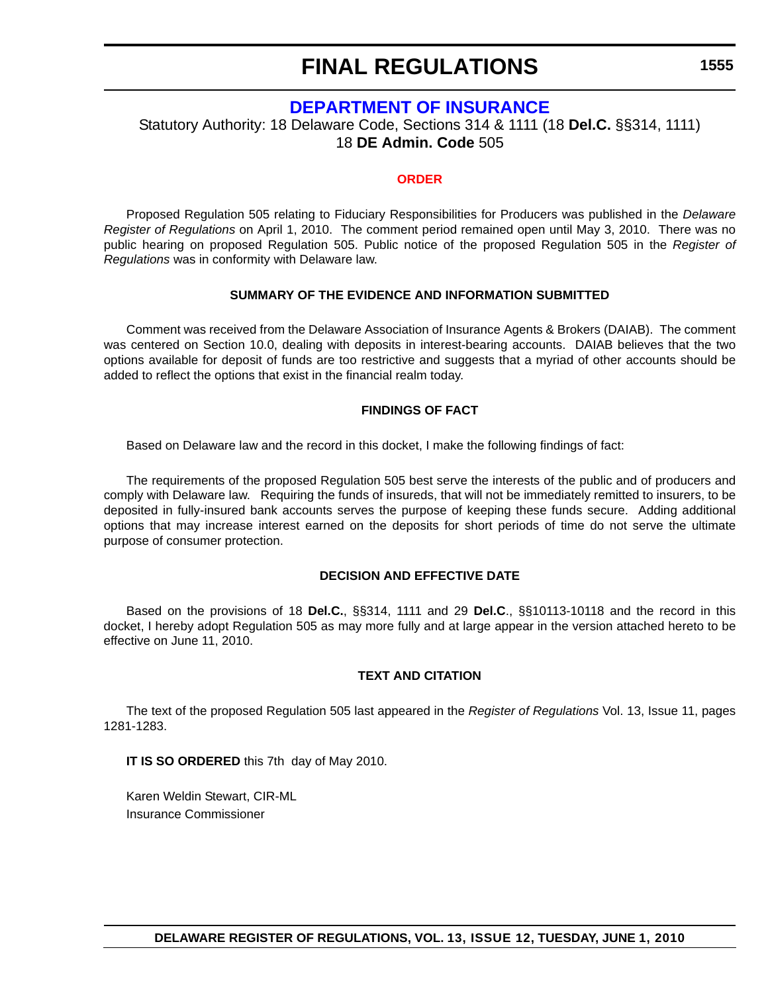## **[DEPARTMENT OF INSURANCE](http://www.delawareinsurance.gov/)**

Statutory Authority: 18 Delaware Code, Sections 314 & 1111 (18 **Del.C.** §§314, 1111) 18 **DE Admin. Code** 505

### **[ORDER](#page-3-0)**

Proposed Regulation 505 relating to Fiduciary Responsibilities for Producers was published in the *Delaware Register of Regulations* on April 1, 2010. The comment period remained open until May 3, 2010. There was no public hearing on proposed Regulation 505. Public notice of the proposed Regulation 505 in the *Register of Regulations* was in conformity with Delaware law.

#### **SUMMARY OF THE EVIDENCE AND INFORMATION SUBMITTED**

Comment was received from the Delaware Association of Insurance Agents & Brokers (DAIAB). The comment was centered on Section 10.0, dealing with deposits in interest-bearing accounts. DAIAB believes that the two options available for deposit of funds are too restrictive and suggests that a myriad of other accounts should be added to reflect the options that exist in the financial realm today.

#### **FINDINGS OF FACT**

Based on Delaware law and the record in this docket, I make the following findings of fact:

The requirements of the proposed Regulation 505 best serve the interests of the public and of producers and comply with Delaware law. Requiring the funds of insureds, that will not be immediately remitted to insurers, to be deposited in fully-insured bank accounts serves the purpose of keeping these funds secure. Adding additional options that may increase interest earned on the deposits for short periods of time do not serve the ultimate purpose of consumer protection.

#### **DECISION AND EFFECTIVE DATE**

Based on the provisions of 18 **Del.C.**, §§314, 1111 and 29 **Del.C**., §§10113-10118 and the record in this docket, I hereby adopt Regulation 505 as may more fully and at large appear in the version attached hereto to be effective on June 11, 2010.

### **TEXT AND CITATION**

The text of the proposed Regulation 505 last appeared in the *Register of Regulations* Vol. 13, Issue 11, pages 1281-1283.

**IT IS SO ORDERED** this 7th day of May 2010.

Karen Weldin Stewart, CIR-ML Insurance Commissioner

**1555**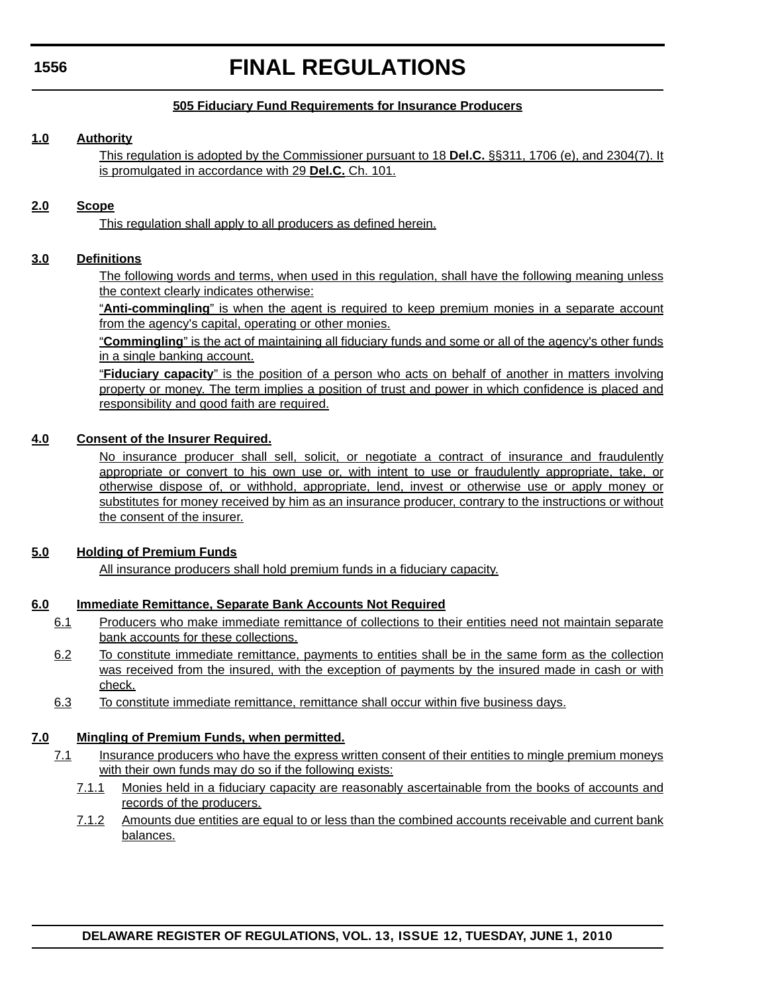## **FINAL REGULATIONS**

## **505 Fiduciary Fund Requirements for Insurance Producers**

## **1.0 Authority**

This regulation is adopted by the Commissioner pursuant to 18 **Del.C.** §§311, 1706 (e), and 2304(7). It is promulgated in accordance with 29 **Del.C.** Ch. 101.

## **2.0 Scope**

This regulation shall apply to all producers as defined herein.

## **3.0 Definitions**

The following words and terms, when used in this regulation, shall have the following meaning unless the context clearly indicates otherwise:

"**Anti-commingling**" is when the agent is required to keep premium monies in a separate account from the agency's capital, operating or other monies.

"**Commingling**" is the act of maintaining all fiduciary funds and some or all of the agency's other funds in a single banking account.

"**Fiduciary capacity**" is the position of a person who acts on behalf of another in matters involving property or money. The term implies a position of trust and power in which confidence is placed and responsibility and good faith are required.

## **4.0 Consent of the Insurer Required.**

No insurance producer shall sell, solicit, or negotiate a contract of insurance and fraudulently appropriate or convert to his own use or, with intent to use or fraudulently appropriate, take, or otherwise dispose of, or withhold, appropriate, lend, invest or otherwise use or apply money or substitutes for money received by him as an insurance producer, contrary to the instructions or without the consent of the insurer.

## **5.0 Holding of Premium Funds**

All insurance producers shall hold premium funds in a fiduciary capacity.

## **6.0 Immediate Remittance, Separate Bank Accounts Not Required**

- 6.1 Producers who make immediate remittance of collections to their entities need not maintain separate bank accounts for these collections.
- 6.2 To constitute immediate remittance, payments to entities shall be in the same form as the collection was received from the insured, with the exception of payments by the insured made in cash or with check.
- 6.3 To constitute immediate remittance, remittance shall occur within five business days.

## **7.0 Mingling of Premium Funds, when permitted.**

- 7.1 Insurance producers who have the express written consent of their entities to mingle premium moneys with their own funds may do so if the following exists:
	- 7.1.1 Monies held in a fiduciary capacity are reasonably ascertainable from the books of accounts and records of the producers.
	- 7.1.2 Amounts due entities are equal to or less than the combined accounts receivable and current bank balances.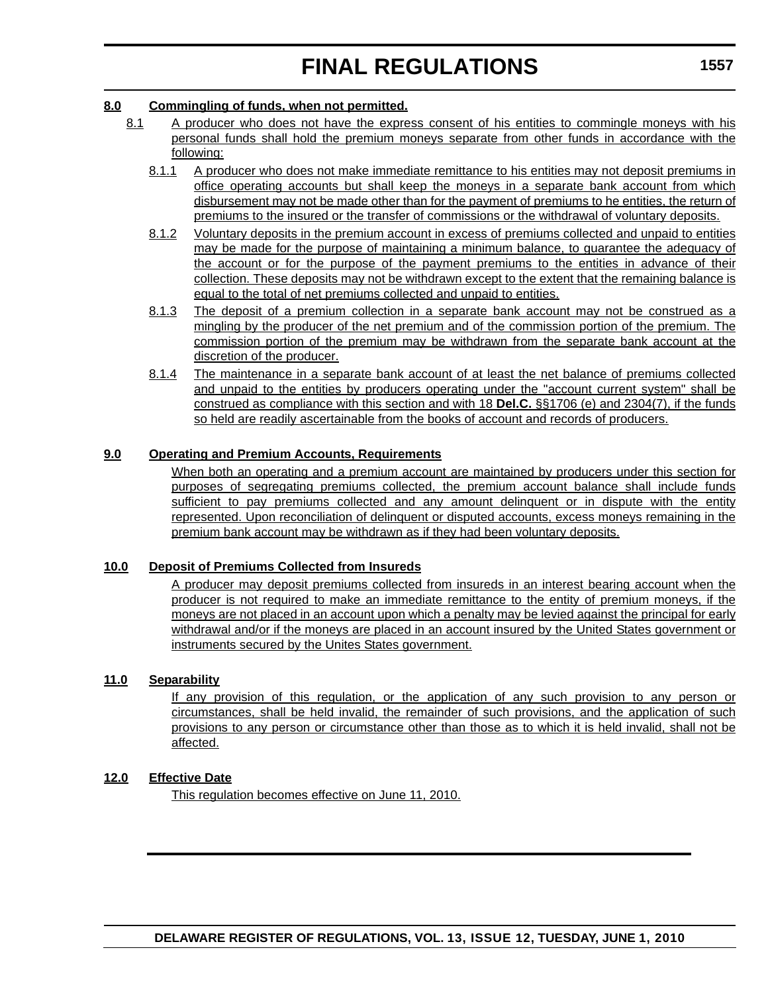## **8.0 Commingling of funds, when not permitted.**

- 8.1 A producer who does not have the express consent of his entities to commingle moneys with his personal funds shall hold the premium moneys separate from other funds in accordance with the following:
	- 8.1.1 A producer who does not make immediate remittance to his entities may not deposit premiums in office operating accounts but shall keep the moneys in a separate bank account from which disbursement may not be made other than for the payment of premiums to he entities, the return of premiums to the insured or the transfer of commissions or the withdrawal of voluntary deposits.
	- 8.1.2 Voluntary deposits in the premium account in excess of premiums collected and unpaid to entities may be made for the purpose of maintaining a minimum balance, to guarantee the adequacy of the account or for the purpose of the payment premiums to the entities in advance of their collection. These deposits may not be withdrawn except to the extent that the remaining balance is equal to the total of net premiums collected and unpaid to entities.
	- 8.1.3 The deposit of a premium collection in a separate bank account may not be construed as a mingling by the producer of the net premium and of the commission portion of the premium. The commission portion of the premium may be withdrawn from the separate bank account at the discretion of the producer.
	- 8.1.4 The maintenance in a separate bank account of at least the net balance of premiums collected and unpaid to the entities by producers operating under the "account current system" shall be construed as compliance with this section and with 18 **Del.C.** §§1706 (e) and 2304(7), if the funds so held are readily ascertainable from the books of account and records of producers.

## **9.0 Operating and Premium Accounts, Requirements**

When both an operating and a premium account are maintained by producers under this section for purposes of segregating premiums collected, the premium account balance shall include funds sufficient to pay premiums collected and any amount delinguent or in dispute with the entity represented. Upon reconciliation of delinquent or disputed accounts, excess moneys remaining in the premium bank account may be withdrawn as if they had been voluntary deposits.

## **10.0 Deposit of Premiums Collected from Insureds**

A producer may deposit premiums collected from insureds in an interest bearing account when the producer is not required to make an immediate remittance to the entity of premium moneys, if the moneys are not placed in an account upon which a penalty may be levied against the principal for early withdrawal and/or if the moneys are placed in an account insured by the United States government or instruments secured by the Unites States government.

## **11.0 Separability**

If any provision of this regulation, or the application of any such provision to any person or circumstances, shall be held invalid, the remainder of such provisions, and the application of such provisions to any person or circumstance other than those as to which it is held invalid, shall not be affected.

## **12.0 Effective Date**

This regulation becomes effective on June 11, 2010.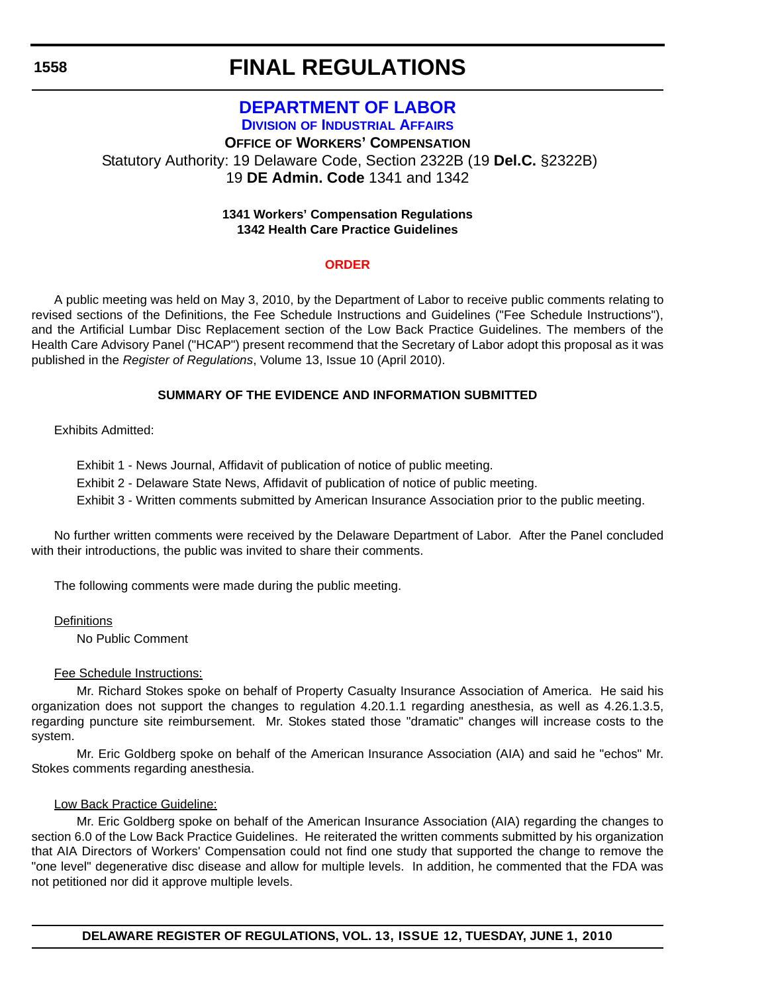## **FINAL REGULATIONS**

## **[DEPARTMENT OF LABOR](http://www.delawareworks.com/industrialaffairs/welcome.shtml) DIVISION OF INDUSTRIAL AFFAIRS OFFICE OF WORKERS' COMPENSATION** Statutory Authority: 19 Delaware Code, Section 2322B (19 **Del.C.** §2322B) 19 **DE Admin. Code** 1341 and 1342

## **1341 Workers' Compensation Regulations 1342 Health Care Practice Guidelines**

## **[ORDER](#page-4-0)**

A public meeting was held on May 3, 2010, by the Department of Labor to receive public comments relating to revised sections of the Definitions, the Fee Schedule Instructions and Guidelines ("Fee Schedule Instructions"), and the Artificial Lumbar Disc Replacement section of the Low Back Practice Guidelines. The members of the Health Care Advisory Panel ("HCAP") present recommend that the Secretary of Labor adopt this proposal as it was published in the *Register of Regulations*, Volume 13, Issue 10 (April 2010).

## **SUMMARY OF THE EVIDENCE AND INFORMATION SUBMITTED**

Exhibits Admitted:

Exhibit 1 - News Journal, Affidavit of publication of notice of public meeting.

Exhibit 2 - Delaware State News, Affidavit of publication of notice of public meeting.

Exhibit 3 - Written comments submitted by American Insurance Association prior to the public meeting.

No further written comments were received by the Delaware Department of Labor. After the Panel concluded with their introductions, the public was invited to share their comments.

The following comments were made during the public meeting.

**Definitions** 

No Public Comment

## Fee Schedule Instructions:

Mr. Richard Stokes spoke on behalf of Property Casualty Insurance Association of America. He said his organization does not support the changes to regulation 4.20.1.1 regarding anesthesia, as well as 4.26.1.3.5, regarding puncture site reimbursement. Mr. Stokes stated those "dramatic" changes will increase costs to the system.

Mr. Eric Goldberg spoke on behalf of the American Insurance Association (AIA) and said he "echos" Mr. Stokes comments regarding anesthesia.

## Low Back Practice Guideline:

Mr. Eric Goldberg spoke on behalf of the American Insurance Association (AIA) regarding the changes to section 6.0 of the Low Back Practice Guidelines. He reiterated the written comments submitted by his organization that AIA Directors of Workers' Compensation could not find one study that supported the change to remove the "one level" degenerative disc disease and allow for multiple levels. In addition, he commented that the FDA was not petitioned nor did it approve multiple levels.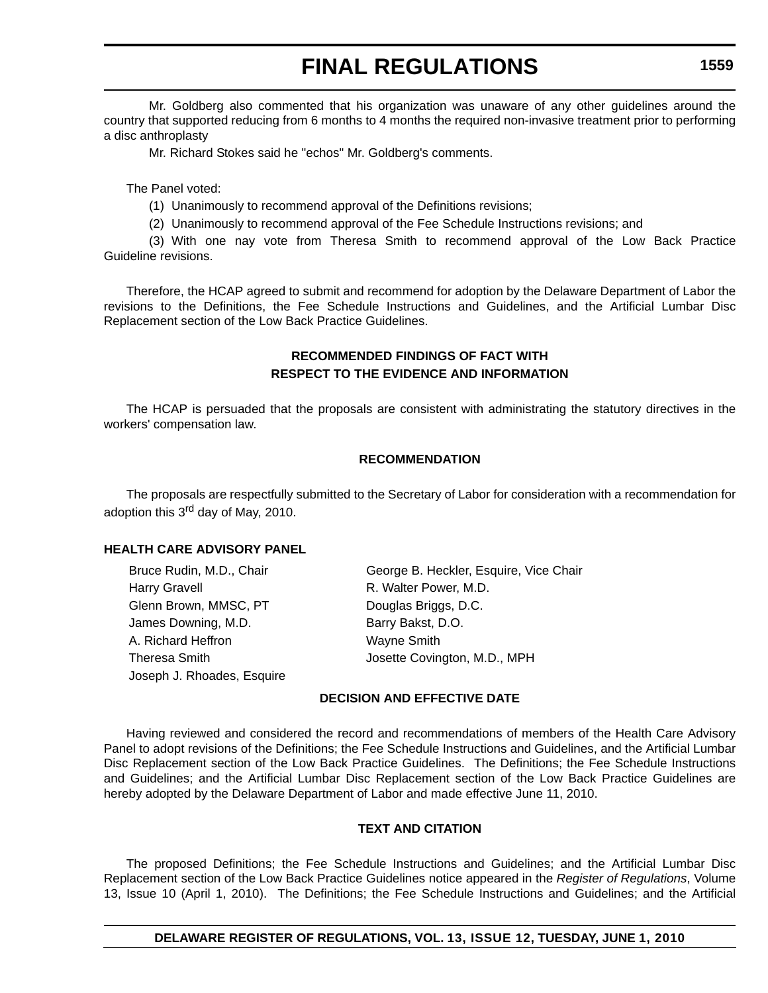Mr. Goldberg also commented that his organization was unaware of any other guidelines around the country that supported reducing from 6 months to 4 months the required non-invasive treatment prior to performing a disc anthroplasty

Mr. Richard Stokes said he "echos" Mr. Goldberg's comments.

The Panel voted:

(1) Unanimously to recommend approval of the Definitions revisions;

(2) Unanimously to recommend approval of the Fee Schedule Instructions revisions; and

(3) With one nay vote from Theresa Smith to recommend approval of the Low Back Practice Guideline revisions.

Therefore, the HCAP agreed to submit and recommend for adoption by the Delaware Department of Labor the revisions to the Definitions, the Fee Schedule Instructions and Guidelines, and the Artificial Lumbar Disc Replacement section of the Low Back Practice Guidelines.

## **RECOMMENDED FINDINGS OF FACT WITH RESPECT TO THE EVIDENCE AND INFORMATION**

The HCAP is persuaded that the proposals are consistent with administrating the statutory directives in the workers' compensation law.

## **RECOMMENDATION**

The proposals are respectfully submitted to the Secretary of Labor for consideration with a recommendation for adoption this 3<sup>rd</sup> day of May, 2010.

## **HEALTH CARE ADVISORY PANEL**

Harry Gravell **Harry Gravell** R. Walter Power, M.D. Glenn Brown, MMSC, PT Douglas Briggs, D.C. James Downing, M.D. Barry Bakst, D.O. A. Richard Heffron Wayne Smith Joseph J. Rhoades, Esquire

Bruce Rudin, M.D., Chair George B. Heckler, Esquire, Vice Chair Theresa Smith Josette Covington, M.D., MPH

## **DECISION AND EFFECTIVE DATE**

Having reviewed and considered the record and recommendations of members of the Health Care Advisory Panel to adopt revisions of the Definitions; the Fee Schedule Instructions and Guidelines, and the Artificial Lumbar Disc Replacement section of the Low Back Practice Guidelines. The Definitions; the Fee Schedule Instructions and Guidelines; and the Artificial Lumbar Disc Replacement section of the Low Back Practice Guidelines are hereby adopted by the Delaware Department of Labor and made effective June 11, 2010.

## **TEXT AND CITATION**

The proposed Definitions; the Fee Schedule Instructions and Guidelines; and the Artificial Lumbar Disc Replacement section of the Low Back Practice Guidelines notice appeared in the *Register of Regulations*, Volume 13, Issue 10 (April 1, 2010). The Definitions; the Fee Schedule Instructions and Guidelines; and the Artificial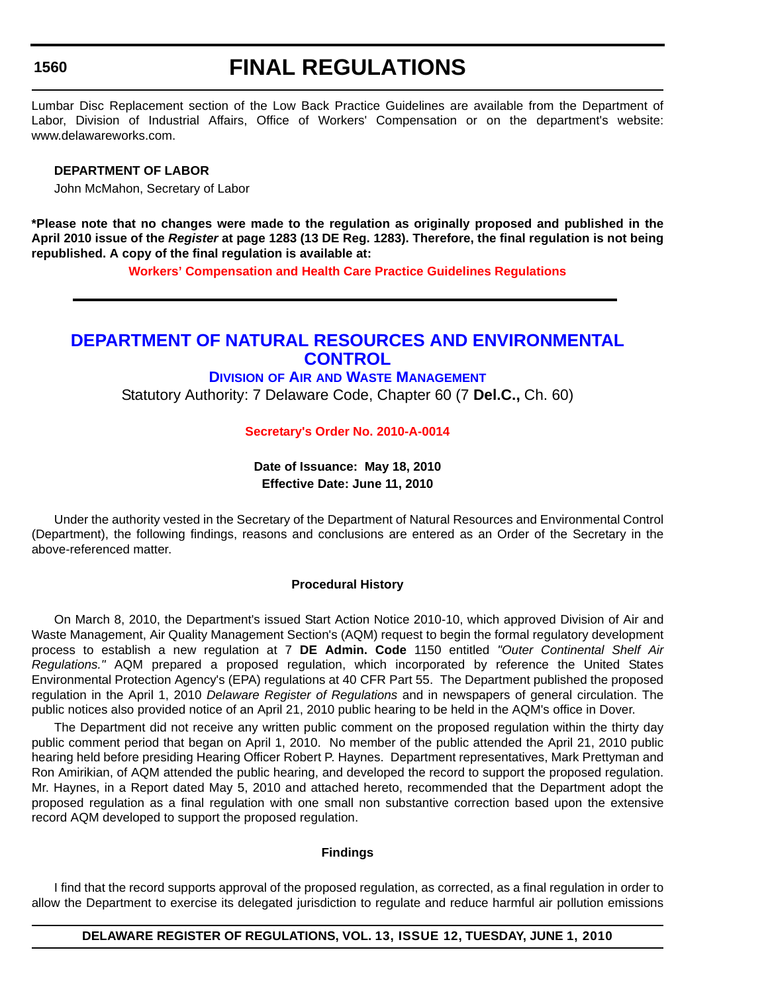## **FINAL REGULATIONS**

Lumbar Disc Replacement section of the Low Back Practice Guidelines are available from the Department of Labor, Division of Industrial Affairs, Office of Workers' Compensation or on the department's website: www.delawareworks.com.

#### **DEPARTMENT OF LABOR**

John McMahon, Secretary of Labor

**\*Please note that no changes were made to the regulation as originally proposed and published in the April 2010 issue of the** *Register* **at page 1283 (13 DE Reg. 1283). Therefore, the final regulation is not being republished. A copy of the final regulation is available at:**

**[Workers' Compensation and Health Care Practice Guidelines Regulations](http://regulations.delaware.gov/register/june2010/final/13 DE Reg 1558 06-01-10.htm)**

## **[DEPARTMENT OF NATURAL RESOURCES AND ENVIRONMENTAL](http://www.awm.delaware.gov/Pages/default.aspx)  CONTROL**

## **DIVISION OF AIR AND WASTE MANAGEMENT**

Statutory Authority: 7 Delaware Code, Chapter 60 (7 **Del.C.,** Ch. 60)

#### **[Secretary's Order No. 2010-A-0014](#page-4-0)**

## **Date of Issuance: May 18, 2010 Effective Date: June 11, 2010**

Under the authority vested in the Secretary of the Department of Natural Resources and Environmental Control (Department), the following findings, reasons and conclusions are entered as an Order of the Secretary in the above-referenced matter.

### **Procedural History**

On March 8, 2010, the Department's issued Start Action Notice 2010-10, which approved Division of Air and Waste Management, Air Quality Management Section's (AQM) request to begin the formal regulatory development process to establish a new regulation at 7 **DE Admin. Code** 1150 entitled *"Outer Continental Shelf Air Regulations."* AQM prepared a proposed regulation, which incorporated by reference the United States Environmental Protection Agency's (EPA) regulations at 40 CFR Part 55. The Department published the proposed regulation in the April 1, 2010 *Delaware Register of Regulations* and in newspapers of general circulation. The public notices also provided notice of an April 21, 2010 public hearing to be held in the AQM's office in Dover.

The Department did not receive any written public comment on the proposed regulation within the thirty day public comment period that began on April 1, 2010. No member of the public attended the April 21, 2010 public hearing held before presiding Hearing Officer Robert P. Haynes. Department representatives, Mark Prettyman and Ron Amirikian, of AQM attended the public hearing, and developed the record to support the proposed regulation. Mr. Haynes, in a Report dated May 5, 2010 and attached hereto, recommended that the Department adopt the proposed regulation as a final regulation with one small non substantive correction based upon the extensive record AQM developed to support the proposed regulation.

#### **Findings**

I find that the record supports approval of the proposed regulation, as corrected, as a final regulation in order to allow the Department to exercise its delegated jurisdiction to regulate and reduce harmful air pollution emissions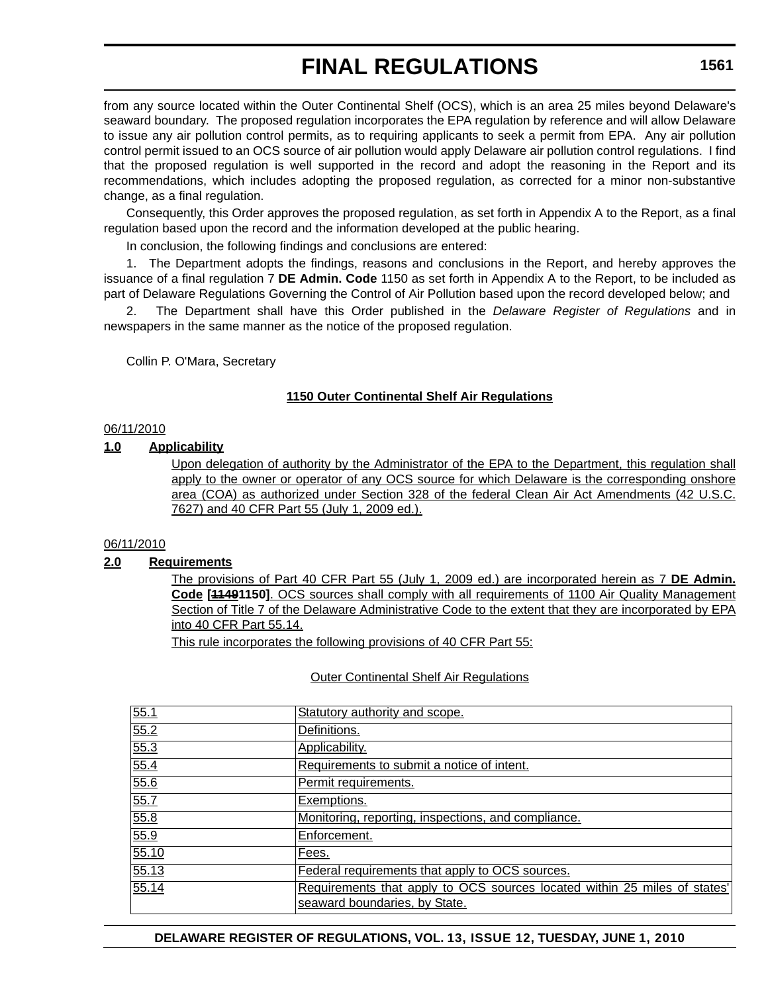from any source located within the Outer Continental Shelf (OCS), which is an area 25 miles beyond Delaware's seaward boundary. The proposed regulation incorporates the EPA regulation by reference and will allow Delaware to issue any air pollution control permits, as to requiring applicants to seek a permit from EPA. Any air pollution control permit issued to an OCS source of air pollution would apply Delaware air pollution control regulations. I find that the proposed regulation is well supported in the record and adopt the reasoning in the Report and its recommendations, which includes adopting the proposed regulation, as corrected for a minor non-substantive change, as a final regulation.

Consequently, this Order approves the proposed regulation, as set forth in Appendix A to the Report, as a final regulation based upon the record and the information developed at the public hearing.

In conclusion, the following findings and conclusions are entered:

1. The Department adopts the findings, reasons and conclusions in the Report, and hereby approves the issuance of a final regulation 7 **DE Admin. Code** 1150 as set forth in Appendix A to the Report, to be included as part of Delaware Regulations Governing the Control of Air Pollution based upon the record developed below; and

2. The Department shall have this Order published in the *Delaware Register of Regulations* and in newspapers in the same manner as the notice of the proposed regulation.

Collin P. O'Mara, Secretary

## **1150 Outer Continental Shelf Air Regulations**

### 06/11/2010

### **1.0 Applicability**

Upon delegation of authority by the Administrator of the EPA to the Department, this regulation shall apply to the owner or operator of any OCS source for which Delaware is the corresponding onshore area (COA) as authorized under Section 328 of the federal Clean Air Act Amendments (42 U.S.C. 7627) and 40 CFR Part 55 (July 1, 2009 ed.).

## 06/11/2010

## **2.0 Requirements**

The provisions of Part 40 CFR Part 55 (July 1, 2009 ed.) are incorporated herein as 7 **DE Admin. Code [11491150]**. OCS sources shall comply with all requirements of 1100 Air Quality Management Section of Title 7 of the Delaware Administrative Code to the extent that they are incorporated by EPA into 40 CFR Part 55.14.

This rule incorporates the following provisions of 40 CFR Part 55:

### Outer Continental Shelf Air Regulations

| 55.1  | Statutory authority and scope.                                                                             |
|-------|------------------------------------------------------------------------------------------------------------|
| 55.2  | Definitions.                                                                                               |
| 55.3  | Applicability.                                                                                             |
| 55.4  | Requirements to submit a notice of intent.                                                                 |
| 55.6  | Permit requirements.                                                                                       |
| 55.7  | Exemptions.                                                                                                |
| 55.8  | Monitoring, reporting, inspections, and compliance.                                                        |
| 55.9  | Enforcement.                                                                                               |
| 55.10 | Fees.                                                                                                      |
| 55.13 | Federal requirements that apply to OCS sources.                                                            |
| 55.14 | Requirements that apply to OCS sources located within 25 miles of states'<br>seaward boundaries, by State. |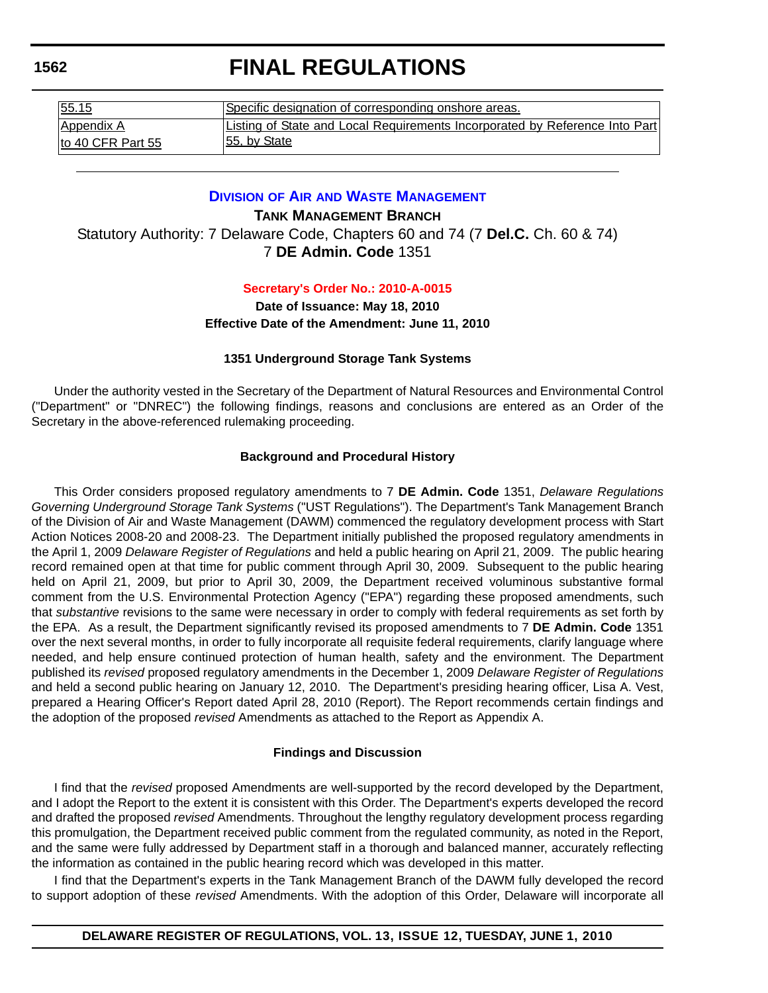| 55.15              | Specific designation of corresponding onshore areas.                        |
|--------------------|-----------------------------------------------------------------------------|
| <b>Appendix A</b>  | Listing of State and Local Requirements Incorporated by Reference Into Part |
| Ito 40 CFR Part 55 | 55, by State                                                                |

## **DIVISION OF AIR [AND WASTE MANAGEMENT](http://www.awm.delaware.gov/Pages/default.aspx)**

**TANK MANAGEMENT BRANCH** Statutory Authority: 7 Delaware Code, Chapters 60 and 74 (7 **Del.C.** Ch. 60 & 74) 7 **DE Admin. Code** 1351

### **[Secretary's Order No.: 2010-A-0015](#page-4-0)**

**Date of Issuance: May 18, 2010 Effective Date of the Amendment: June 11, 2010**

## **1351 Underground Storage Tank Systems**

Under the authority vested in the Secretary of the Department of Natural Resources and Environmental Control ("Department" or "DNREC") the following findings, reasons and conclusions are entered as an Order of the Secretary in the above-referenced rulemaking proceeding.

### **Background and Procedural History**

This Order considers proposed regulatory amendments to 7 **DE Admin. Code** 1351, *Delaware Regulations Governing Underground Storage Tank Systems* ("UST Regulations"). The Department's Tank Management Branch of the Division of Air and Waste Management (DAWM) commenced the regulatory development process with Start Action Notices 2008-20 and 2008-23. The Department initially published the proposed regulatory amendments in the April 1, 2009 *Delaware Register of Regulations* and held a public hearing on April 21, 2009. The public hearing record remained open at that time for public comment through April 30, 2009. Subsequent to the public hearing held on April 21, 2009, but prior to April 30, 2009, the Department received voluminous substantive formal comment from the U.S. Environmental Protection Agency ("EPA") regarding these proposed amendments, such that *substantive* revisions to the same were necessary in order to comply with federal requirements as set forth by the EPA. As a result, the Department significantly revised its proposed amendments to 7 **DE Admin. Code** 1351 over the next several months, in order to fully incorporate all requisite federal requirements, clarify language where needed, and help ensure continued protection of human health, safety and the environment. The Department published its *revised* proposed regulatory amendments in the December 1, 2009 *Delaware Register of Regulations* and held a second public hearing on January 12, 2010. The Department's presiding hearing officer, Lisa A. Vest, prepared a Hearing Officer's Report dated April 28, 2010 (Report). The Report recommends certain findings and the adoption of the proposed *revised* Amendments as attached to the Report as Appendix A.

### **Findings and Discussion**

I find that the *revised* proposed Amendments are well-supported by the record developed by the Department, and I adopt the Report to the extent it is consistent with this Order. The Department's experts developed the record and drafted the proposed *revised* Amendments. Throughout the lengthy regulatory development process regarding this promulgation, the Department received public comment from the regulated community, as noted in the Report, and the same were fully addressed by Department staff in a thorough and balanced manner, accurately reflecting the information as contained in the public hearing record which was developed in this matter.

I find that the Department's experts in the Tank Management Branch of the DAWM fully developed the record to support adoption of these *revised* Amendments. With the adoption of this Order, Delaware will incorporate all

**1562**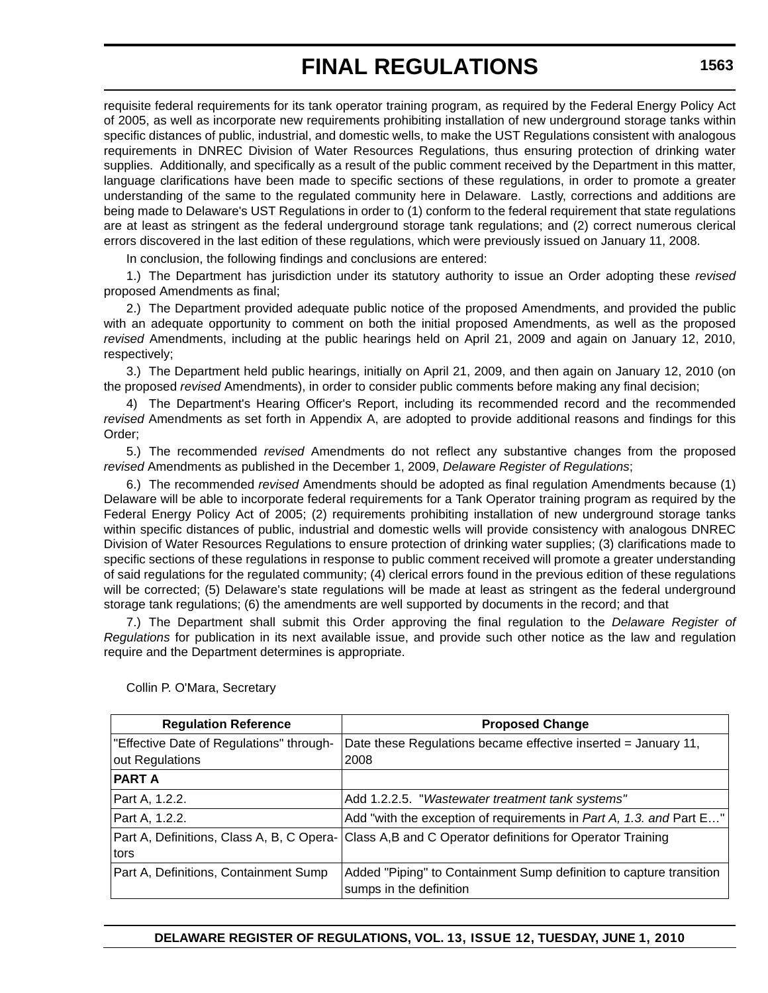requisite federal requirements for its tank operator training program, as required by the Federal Energy Policy Act of 2005, as well as incorporate new requirements prohibiting installation of new underground storage tanks within specific distances of public, industrial, and domestic wells, to make the UST Regulations consistent with analogous requirements in DNREC Division of Water Resources Regulations, thus ensuring protection of drinking water supplies. Additionally, and specifically as a result of the public comment received by the Department in this matter, language clarifications have been made to specific sections of these regulations, in order to promote a greater understanding of the same to the regulated community here in Delaware. Lastly, corrections and additions are being made to Delaware's UST Regulations in order to (1) conform to the federal requirement that state regulations are at least as stringent as the federal underground storage tank regulations; and (2) correct numerous clerical errors discovered in the last edition of these regulations, which were previously issued on January 11, 2008.

In conclusion, the following findings and conclusions are entered:

1.) The Department has jurisdiction under its statutory authority to issue an Order adopting these *revised*  proposed Amendments as final;

2.) The Department provided adequate public notice of the proposed Amendments, and provided the public with an adequate opportunity to comment on both the initial proposed Amendments, as well as the proposed *revised* Amendments, including at the public hearings held on April 21, 2009 and again on January 12, 2010, respectively;

3.) The Department held public hearings, initially on April 21, 2009, and then again on January 12, 2010 (on the proposed *revised* Amendments), in order to consider public comments before making any final decision;

4) The Department's Hearing Officer's Report, including its recommended record and the recommended *revised* Amendments as set forth in Appendix A, are adopted to provide additional reasons and findings for this Order;

5.) The recommended *revised* Amendments do not reflect any substantive changes from the proposed *revised* Amendments as published in the December 1, 2009, *Delaware Register of Regulations*;

6.) The recommended *revised* Amendments should be adopted as final regulation Amendments because (1) Delaware will be able to incorporate federal requirements for a Tank Operator training program as required by the Federal Energy Policy Act of 2005; (2) requirements prohibiting installation of new underground storage tanks within specific distances of public, industrial and domestic wells will provide consistency with analogous DNREC Division of Water Resources Regulations to ensure protection of drinking water supplies; (3) clarifications made to specific sections of these regulations in response to public comment received will promote a greater understanding of said regulations for the regulated community; (4) clerical errors found in the previous edition of these regulations will be corrected; (5) Delaware's state regulations will be made at least as stringent as the federal underground storage tank regulations; (6) the amendments are well supported by documents in the record; and that

7.) The Department shall submit this Order approving the final regulation to the *Delaware Register of Regulations* for publication in its next available issue, and provide such other notice as the law and regulation require and the Department determines is appropriate.

| <b>Regulation Reference</b>               | <b>Proposed Change</b>                                              |
|-------------------------------------------|---------------------------------------------------------------------|
| "Effective Date of Regulations" through-  | Date these Regulations became effective inserted = January 11,      |
| out Regulations                           | 2008                                                                |
| <b>PART A</b>                             |                                                                     |
| Part A, 1.2.2.                            | Add 1.2.2.5. "Wastewater treatment tank systems"                    |
| Part A, 1.2.2.                            | Add "with the exception of requirements in Part A, 1.3. and Part E" |
| Part A, Definitions, Class A, B, C Opera- | Class A,B and C Operator definitions for Operator Training          |
| tors                                      |                                                                     |
| Part A, Definitions, Containment Sump     | Added "Piping" to Containment Sump definition to capture transition |
|                                           | sumps in the definition                                             |

Collin P. O'Mara, Secretary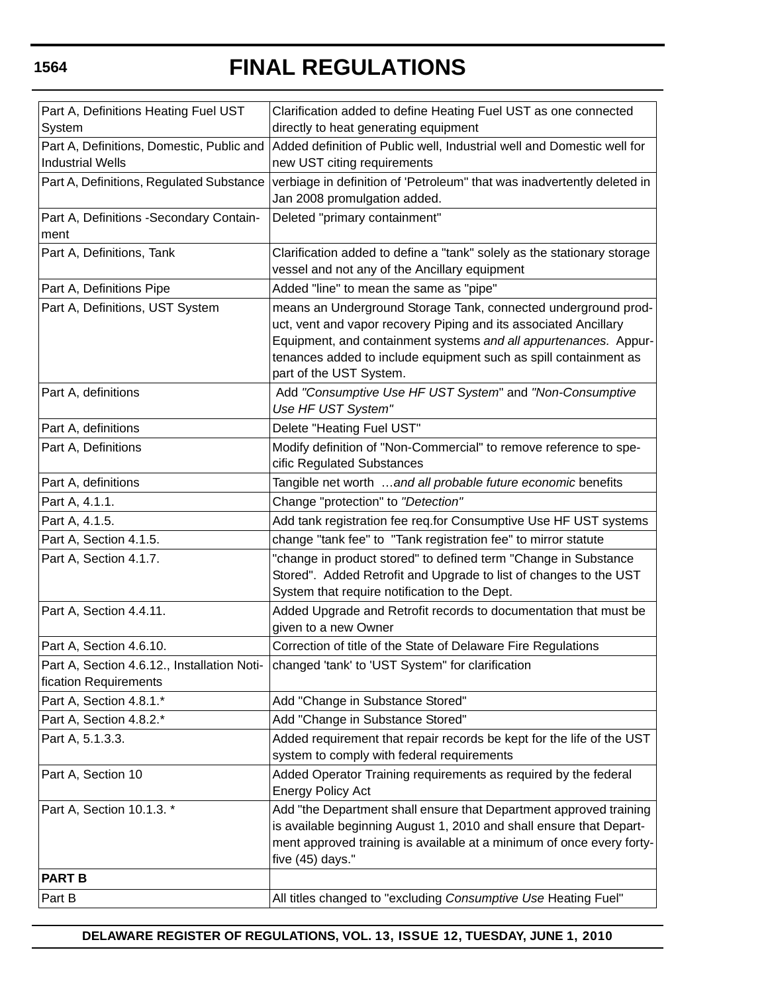| Part A, Definitions Heating Fuel UST      | Clarification added to define Heating Fuel UST as one connected                                                                      |
|-------------------------------------------|--------------------------------------------------------------------------------------------------------------------------------------|
| System                                    | directly to heat generating equipment                                                                                                |
| Part A, Definitions, Domestic, Public and | Added definition of Public well, Industrial well and Domestic well for                                                               |
| <b>Industrial Wells</b>                   | new UST citing requirements                                                                                                          |
| Part A, Definitions, Regulated Substance  | verbiage in definition of 'Petroleum" that was inadvertently deleted in                                                              |
|                                           | Jan 2008 promulgation added.                                                                                                         |
| Part A, Definitions -Secondary Contain-   | Deleted "primary containment"                                                                                                        |
| ment                                      |                                                                                                                                      |
| Part A, Definitions, Tank                 | Clarification added to define a "tank" solely as the stationary storage                                                              |
|                                           | vessel and not any of the Ancillary equipment                                                                                        |
| Part A, Definitions Pipe                  | Added "line" to mean the same as "pipe"                                                                                              |
| Part A, Definitions, UST System           | means an Underground Storage Tank, connected underground prod-                                                                       |
|                                           | uct, vent and vapor recovery Piping and its associated Ancillary                                                                     |
|                                           | Equipment, and containment systems and all appurtenances. Appur-                                                                     |
|                                           | tenances added to include equipment such as spill containment as                                                                     |
|                                           | part of the UST System.                                                                                                              |
| Part A, definitions                       | Add "Consumptive Use HF UST System" and "Non-Consumptive<br>Use HF UST System"                                                       |
| Part A, definitions                       | Delete "Heating Fuel UST"                                                                                                            |
| Part A, Definitions                       | Modify definition of "Non-Commercial" to remove reference to spe-                                                                    |
|                                           | cific Regulated Substances                                                                                                           |
| Part A, definitions                       | Tangible net worth and all probable future economic benefits                                                                         |
| Part A, 4.1.1.                            | Change "protection" to "Detection"                                                                                                   |
| Part A, 4.1.5.                            |                                                                                                                                      |
| Part A, Section 4.1.5.                    | Add tank registration fee req.for Consumptive Use HF UST systems<br>change "tank fee" to "Tank registration fee" to mirror statute   |
|                                           |                                                                                                                                      |
| Part A, Section 4.1.7.                    | "change in product stored" to defined term "Change in Substance<br>Stored". Added Retrofit and Upgrade to list of changes to the UST |
|                                           | System that require notification to the Dept.                                                                                        |
| Part A, Section 4.4.11.                   | Added Upgrade and Retrofit records to documentation that must be                                                                     |
|                                           | given to a new Owner                                                                                                                 |
| Part A, Section 4.6.10.                   | Correction of title of the State of Delaware Fire Regulations                                                                        |
|                                           | Part A, Section 4.6.12., Installation Noti-   changed 'tank' to 'UST System" for clarification                                       |
| fication Requirements                     |                                                                                                                                      |
| Part A, Section 4.8.1.*                   | Add "Change in Substance Stored"                                                                                                     |
| Part A, Section 4.8.2.*                   | Add "Change in Substance Stored"                                                                                                     |
| Part A, 5.1.3.3.                          | Added requirement that repair records be kept for the life of the UST                                                                |
|                                           | system to comply with federal requirements                                                                                           |
| Part A, Section 10                        | Added Operator Training requirements as required by the federal                                                                      |
|                                           | <b>Energy Policy Act</b>                                                                                                             |
| Part A, Section 10.1.3. *                 | Add "the Department shall ensure that Department approved training                                                                   |
|                                           | is available beginning August 1, 2010 and shall ensure that Depart-                                                                  |
|                                           | ment approved training is available at a minimum of once every forty-                                                                |
|                                           | five (45) days."                                                                                                                     |
| <b>PART B</b>                             |                                                                                                                                      |
| Part B                                    | All titles changed to "excluding Consumptive Use Heating Fuel"                                                                       |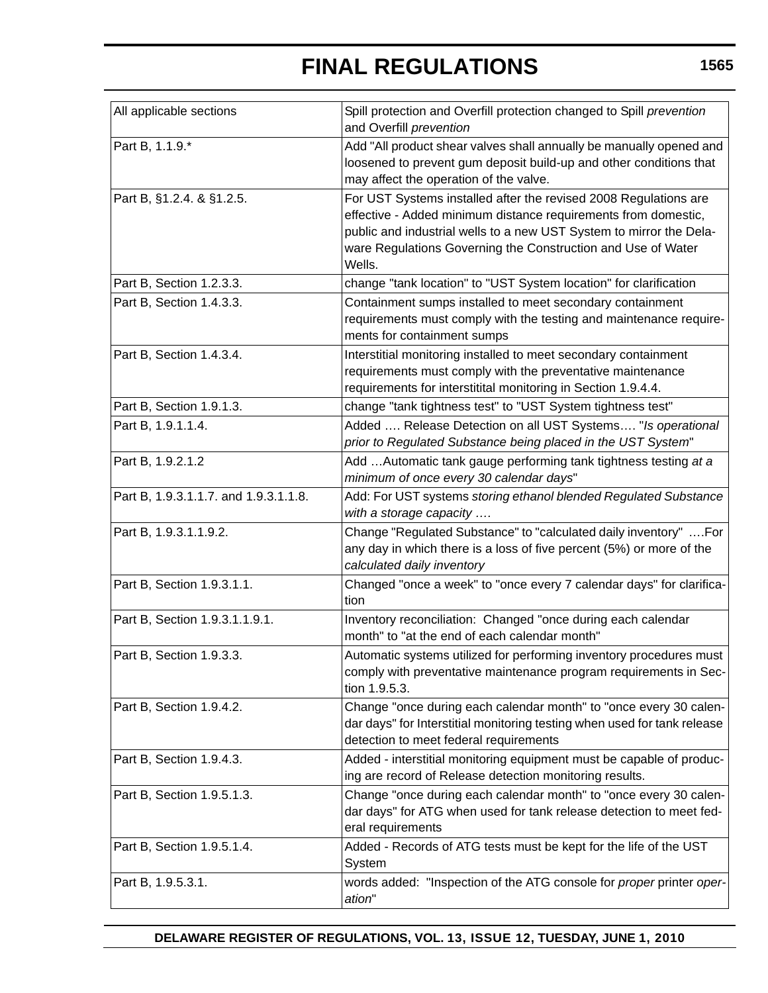| All applicable sections               | Spill protection and Overfill protection changed to Spill prevention<br>and Overfill prevention                                                                                                                                                                                     |
|---------------------------------------|-------------------------------------------------------------------------------------------------------------------------------------------------------------------------------------------------------------------------------------------------------------------------------------|
| Part B, 1.1.9.*                       | Add "All product shear valves shall annually be manually opened and<br>loosened to prevent gum deposit build-up and other conditions that<br>may affect the operation of the valve.                                                                                                 |
| Part B, §1.2.4. & §1.2.5.             | For UST Systems installed after the revised 2008 Regulations are<br>effective - Added minimum distance requirements from domestic,<br>public and industrial wells to a new UST System to mirror the Dela-<br>ware Regulations Governing the Construction and Use of Water<br>Wells. |
| Part B, Section 1.2.3.3.              | change "tank location" to "UST System location" for clarification                                                                                                                                                                                                                   |
| Part B, Section 1.4.3.3.              | Containment sumps installed to meet secondary containment<br>requirements must comply with the testing and maintenance require-<br>ments for containment sumps                                                                                                                      |
| Part B, Section 1.4.3.4.              | Interstitial monitoring installed to meet secondary containment<br>requirements must comply with the preventative maintenance<br>requirements for interstitital monitoring in Section 1.9.4.4.                                                                                      |
| Part B, Section 1.9.1.3.              | change "tank tightness test" to "UST System tightness test"                                                                                                                                                                                                                         |
| Part B, 1.9.1.1.4.                    | Added  Release Detection on all UST Systems "Is operational<br>prior to Regulated Substance being placed in the UST System"                                                                                                                                                         |
| Part B, 1.9.2.1.2                     | Add  Automatic tank gauge performing tank tightness testing at a<br>minimum of once every 30 calendar days"                                                                                                                                                                         |
| Part B, 1.9.3.1.1.7. and 1.9.3.1.1.8. | Add: For UST systems storing ethanol blended Regulated Substance<br>with a storage capacity                                                                                                                                                                                         |
| Part B, 1.9.3.1.1.9.2.                | Change "Regulated Substance" to "calculated daily inventory" For<br>any day in which there is a loss of five percent (5%) or more of the<br>calculated daily inventory                                                                                                              |
| Part B, Section 1.9.3.1.1.            | Changed "once a week" to "once every 7 calendar days" for clarifica-<br>tion                                                                                                                                                                                                        |
| Part B, Section 1.9.3.1.1.9.1.        | Inventory reconciliation: Changed "once during each calendar<br>month" to "at the end of each calendar month"                                                                                                                                                                       |
| Part B, Section 1.9.3.3.              | Automatic systems utilized for performing inventory procedures must<br>comply with preventative maintenance program requirements in Sec-<br>tion 1.9.5.3.                                                                                                                           |
| Part B, Section 1.9.4.2.              | Change "once during each calendar month" to "once every 30 calen-<br>dar days" for Interstitial monitoring testing when used for tank release<br>detection to meet federal requirements                                                                                             |
| Part B, Section 1.9.4.3.              | Added - interstitial monitoring equipment must be capable of produc-<br>ing are record of Release detection monitoring results.                                                                                                                                                     |
| Part B, Section 1.9.5.1.3.            | Change "once during each calendar month" to "once every 30 calen-<br>dar days" for ATG when used for tank release detection to meet fed-<br>eral requirements                                                                                                                       |
| Part B, Section 1.9.5.1.4.            | Added - Records of ATG tests must be kept for the life of the UST<br>System                                                                                                                                                                                                         |
| Part B, 1.9.5.3.1.                    | words added: "Inspection of the ATG console for proper printer oper-<br>ation"                                                                                                                                                                                                      |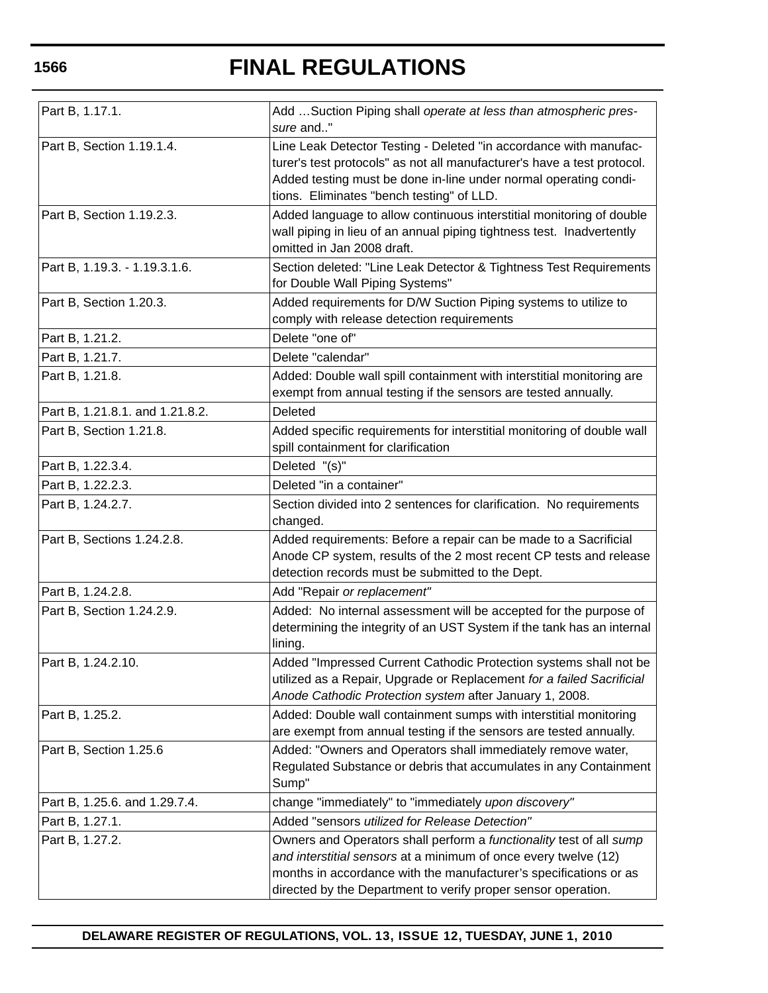| Part B, 1.17.1.                 | Add Suction Piping shall operate at less than atmospheric pres-<br>sure and"                                                                                                                                                                                                 |
|---------------------------------|------------------------------------------------------------------------------------------------------------------------------------------------------------------------------------------------------------------------------------------------------------------------------|
| Part B, Section 1.19.1.4.       | Line Leak Detector Testing - Deleted "in accordance with manufac-<br>turer's test protocols" as not all manufacturer's have a test protocol.<br>Added testing must be done in-line under normal operating condi-<br>tions. Eliminates "bench testing" of LLD.                |
| Part B, Section 1.19.2.3.       | Added language to allow continuous interstitial monitoring of double<br>wall piping in lieu of an annual piping tightness test. Inadvertently<br>omitted in Jan 2008 draft.                                                                                                  |
| Part B, 1.19.3. - 1.19.3.1.6.   | Section deleted: "Line Leak Detector & Tightness Test Requirements<br>for Double Wall Piping Systems"                                                                                                                                                                        |
| Part B, Section 1.20.3.         | Added requirements for D/W Suction Piping systems to utilize to<br>comply with release detection requirements                                                                                                                                                                |
| Part B, 1.21.2.                 | Delete "one of"                                                                                                                                                                                                                                                              |
| Part B, 1.21.7.                 | Delete "calendar"                                                                                                                                                                                                                                                            |
| Part B, 1.21.8.                 | Added: Double wall spill containment with interstitial monitoring are<br>exempt from annual testing if the sensors are tested annually.                                                                                                                                      |
| Part B, 1.21.8.1. and 1.21.8.2. | Deleted                                                                                                                                                                                                                                                                      |
| Part B, Section 1.21.8.         | Added specific requirements for interstitial monitoring of double wall<br>spill containment for clarification                                                                                                                                                                |
| Part B, 1.22.3.4.               | Deleted "(s)"                                                                                                                                                                                                                                                                |
| Part B, 1.22.2.3.               | Deleted "in a container"                                                                                                                                                                                                                                                     |
| Part B, 1.24.2.7.               | Section divided into 2 sentences for clarification. No requirements<br>changed.                                                                                                                                                                                              |
| Part B, Sections 1.24.2.8.      | Added requirements: Before a repair can be made to a Sacrificial<br>Anode CP system, results of the 2 most recent CP tests and release<br>detection records must be submitted to the Dept.                                                                                   |
| Part B, 1.24.2.8.               | Add "Repair or replacement"                                                                                                                                                                                                                                                  |
| Part B, Section 1.24.2.9.       | Added: No internal assessment will be accepted for the purpose of<br>determining the integrity of an UST System if the tank has an internal<br>lining.                                                                                                                       |
| Part B, 1.24.2.10.              | Added "Impressed Current Cathodic Protection systems shall not be<br>utilized as a Repair, Upgrade or Replacement for a failed Sacrificial<br>Anode Cathodic Protection system after January 1, 2008.                                                                        |
| Part B, 1.25.2.                 | Added: Double wall containment sumps with interstitial monitoring<br>are exempt from annual testing if the sensors are tested annually.                                                                                                                                      |
| Part B, Section 1.25.6          | Added: "Owners and Operators shall immediately remove water,<br>Regulated Substance or debris that accumulates in any Containment<br>Sump"                                                                                                                                   |
| Part B, 1.25.6. and 1.29.7.4.   | change "immediately" to "immediately upon discovery"                                                                                                                                                                                                                         |
| Part B, 1.27.1.                 | Added "sensors utilized for Release Detection"                                                                                                                                                                                                                               |
| Part B, 1.27.2.                 | Owners and Operators shall perform a functionality test of all sump<br>and interstitial sensors at a minimum of once every twelve (12)<br>months in accordance with the manufacturer's specifications or as<br>directed by the Department to verify proper sensor operation. |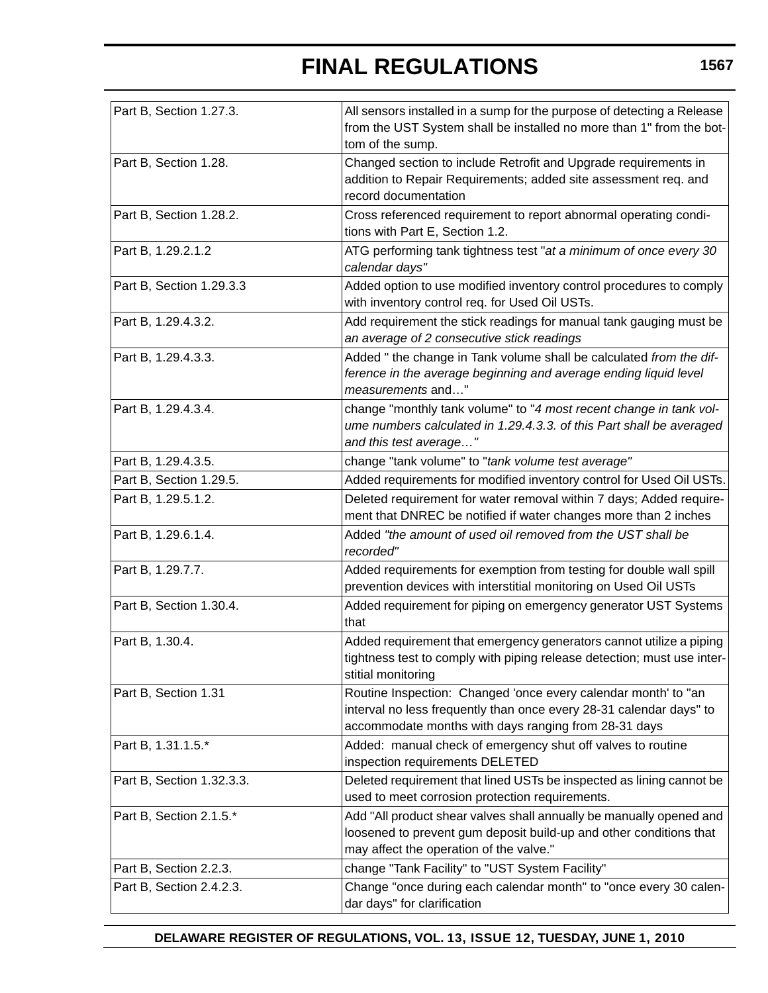| Part B, Section 1.27.3.   | All sensors installed in a sump for the purpose of detecting a Release<br>from the UST System shall be installed no more than 1" from the bot-<br>tom of the sump.                            |
|---------------------------|-----------------------------------------------------------------------------------------------------------------------------------------------------------------------------------------------|
| Part B, Section 1.28.     | Changed section to include Retrofit and Upgrade requirements in<br>addition to Repair Requirements; added site assessment req. and<br>record documentation                                    |
| Part B, Section 1.28.2.   | Cross referenced requirement to report abnormal operating condi-<br>tions with Part E, Section 1.2.                                                                                           |
| Part B, 1.29.2.1.2        | ATG performing tank tightness test "at a minimum of once every 30<br>calendar days"                                                                                                           |
| Part B, Section 1.29.3.3  | Added option to use modified inventory control procedures to comply<br>with inventory control req. for Used Oil USTs.                                                                         |
| Part B, 1.29.4.3.2.       | Add requirement the stick readings for manual tank gauging must be<br>an average of 2 consecutive stick readings                                                                              |
| Part B, 1.29.4.3.3.       | Added " the change in Tank volume shall be calculated from the dif-<br>ference in the average beginning and average ending liquid level<br>measurements and"                                  |
| Part B, 1.29.4.3.4.       | change "monthly tank volume" to "4 most recent change in tank vol-<br>ume numbers calculated in 1.29.4.3.3. of this Part shall be averaged<br>and this test average"                          |
| Part B, 1.29.4.3.5.       | change "tank volume" to "tank volume test average"                                                                                                                                            |
| Part B, Section 1.29.5.   | Added requirements for modified inventory control for Used Oil USTs.                                                                                                                          |
| Part B, 1.29.5.1.2.       | Deleted requirement for water removal within 7 days; Added require-<br>ment that DNREC be notified if water changes more than 2 inches                                                        |
| Part B, 1.29.6.1.4.       | Added "the amount of used oil removed from the UST shall be<br>recorded"                                                                                                                      |
| Part B, 1.29.7.7.         | Added requirements for exemption from testing for double wall spill<br>prevention devices with interstitial monitoring on Used Oil USTs                                                       |
| Part B, Section 1.30.4.   | Added requirement for piping on emergency generator UST Systems<br>that                                                                                                                       |
| Part B, 1.30.4.           | Added requirement that emergency generators cannot utilize a piping<br>tightness test to comply with piping release detection; must use inter-<br>stitial monitoring                          |
| Part B, Section 1.31      | Routine Inspection: Changed 'once every calendar month' to "an<br>interval no less frequently than once every 28-31 calendar days" to<br>accommodate months with days ranging from 28-31 days |
| Part B, 1.31.1.5.*        | Added: manual check of emergency shut off valves to routine<br>inspection requirements DELETED                                                                                                |
| Part B, Section 1.32.3.3. | Deleted requirement that lined USTs be inspected as lining cannot be<br>used to meet corrosion protection requirements.                                                                       |
| Part B, Section 2.1.5.*   | Add "All product shear valves shall annually be manually opened and<br>loosened to prevent gum deposit build-up and other conditions that<br>may affect the operation of the valve."          |
| Part B, Section 2.2.3.    | change "Tank Facility" to "UST System Facility"                                                                                                                                               |
| Part B, Section 2.4.2.3.  | Change "once during each calendar month" to "once every 30 calen-<br>dar days" for clarification                                                                                              |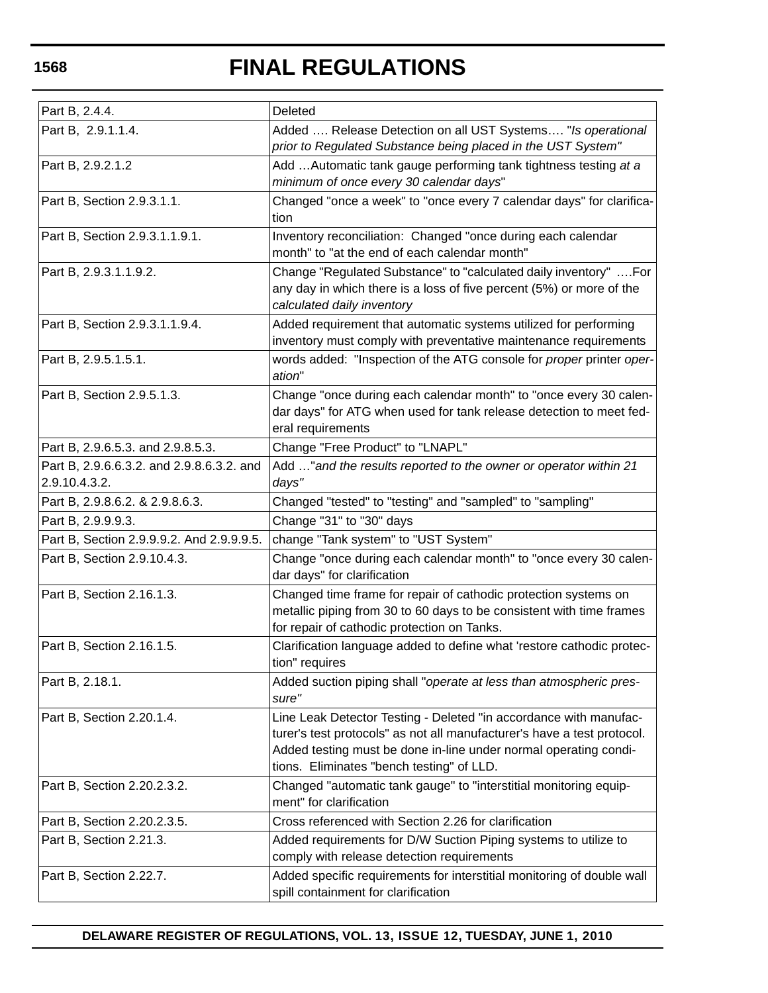| Part B, 2.4.4.                                             | Deleted                                                                                                                                                                                                                                                       |
|------------------------------------------------------------|---------------------------------------------------------------------------------------------------------------------------------------------------------------------------------------------------------------------------------------------------------------|
| Part B, 2.9.1.1.4.                                         | Added  Release Detection on all UST Systems "Is operational<br>prior to Regulated Substance being placed in the UST System"                                                                                                                                   |
| Part B, 2.9.2.1.2                                          | Add  Automatic tank gauge performing tank tightness testing at a<br>minimum of once every 30 calendar days"                                                                                                                                                   |
| Part B, Section 2.9.3.1.1.                                 | Changed "once a week" to "once every 7 calendar days" for clarifica-<br>tion                                                                                                                                                                                  |
| Part B, Section 2.9.3.1.1.9.1.                             | Inventory reconciliation: Changed "once during each calendar<br>month" to "at the end of each calendar month"                                                                                                                                                 |
| Part B, 2.9.3.1.1.9.2.                                     | Change "Regulated Substance" to "calculated daily inventory"  For<br>any day in which there is a loss of five percent (5%) or more of the<br>calculated daily inventory                                                                                       |
| Part B, Section 2.9.3.1.1.9.4.                             | Added requirement that automatic systems utilized for performing<br>inventory must comply with preventative maintenance requirements                                                                                                                          |
| Part B, 2.9.5.1.5.1.                                       | words added: "Inspection of the ATG console for proper printer oper-<br>ation"                                                                                                                                                                                |
| Part B, Section 2.9.5.1.3.                                 | Change "once during each calendar month" to "once every 30 calen-<br>dar days" for ATG when used for tank release detection to meet fed-<br>eral requirements                                                                                                 |
| Part B, 2.9.6.5.3. and 2.9.8.5.3.                          | Change "Free Product" to "LNAPL"                                                                                                                                                                                                                              |
| Part B, 2.9.6.6.3.2. and 2.9.8.6.3.2. and<br>2.9.10.4.3.2. | Add " and the results reported to the owner or operator within 21<br>days"                                                                                                                                                                                    |
| Part B, 2.9.8.6.2. & 2.9.8.6.3.                            | Changed "tested" to "testing" and "sampled" to "sampling"                                                                                                                                                                                                     |
| Part B, 2.9.9.9.3.                                         | Change "31" to "30" days                                                                                                                                                                                                                                      |
| Part B, Section 2.9.9.9.2. And 2.9.9.9.5.                  | change "Tank system" to "UST System"                                                                                                                                                                                                                          |
| Part B, Section 2.9.10.4.3.                                | Change "once during each calendar month" to "once every 30 calen-<br>dar days" for clarification                                                                                                                                                              |
| Part B, Section 2.16.1.3.                                  | Changed time frame for repair of cathodic protection systems on<br>metallic piping from 30 to 60 days to be consistent with time frames<br>for repair of cathodic protection on Tanks.                                                                        |
| Part B, Section 2.16.1.5.                                  | Clarification language added to define what 'restore cathodic protec-<br>tion" requires                                                                                                                                                                       |
| Part B, 2.18.1.                                            | Added suction piping shall "operate at less than atmospheric pres-<br>sure"                                                                                                                                                                                   |
| Part B, Section 2.20.1.4.                                  | Line Leak Detector Testing - Deleted "in accordance with manufac-<br>turer's test protocols" as not all manufacturer's have a test protocol.<br>Added testing must be done in-line under normal operating condi-<br>tions. Eliminates "bench testing" of LLD. |
| Part B, Section 2.20.2.3.2.                                | Changed "automatic tank gauge" to "interstitial monitoring equip-<br>ment" for clarification                                                                                                                                                                  |
| Part B, Section 2.20.2.3.5.                                | Cross referenced with Section 2.26 for clarification                                                                                                                                                                                                          |
| Part B, Section 2.21.3.                                    | Added requirements for D/W Suction Piping systems to utilize to<br>comply with release detection requirements                                                                                                                                                 |
| Part B, Section 2.22.7.                                    | Added specific requirements for interstitial monitoring of double wall<br>spill containment for clarification                                                                                                                                                 |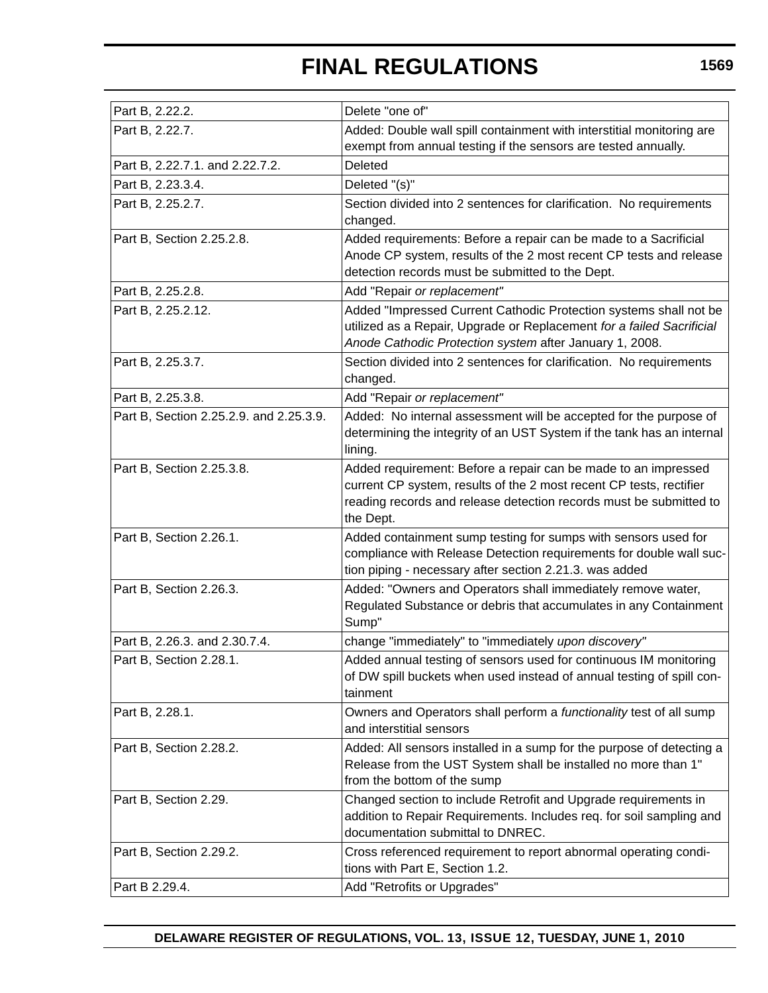| Part B, 2.22.2.                         | Delete "one of"                                                                                                                                                                                                          |
|-----------------------------------------|--------------------------------------------------------------------------------------------------------------------------------------------------------------------------------------------------------------------------|
| Part B, 2.22.7.                         | Added: Double wall spill containment with interstitial monitoring are                                                                                                                                                    |
|                                         | exempt from annual testing if the sensors are tested annually.                                                                                                                                                           |
| Part B, 2.22.7.1. and 2.22.7.2.         | Deleted                                                                                                                                                                                                                  |
| Part B, 2.23.3.4.                       | Deleted "(s)"                                                                                                                                                                                                            |
| Part B, 2.25.2.7.                       | Section divided into 2 sentences for clarification. No requirements<br>changed.                                                                                                                                          |
| Part B, Section 2.25.2.8.               | Added requirements: Before a repair can be made to a Sacrificial<br>Anode CP system, results of the 2 most recent CP tests and release<br>detection records must be submitted to the Dept.                               |
| Part B, 2.25.2.8.                       | Add "Repair or replacement"                                                                                                                                                                                              |
| Part B, 2.25.2.12.                      | Added "Impressed Current Cathodic Protection systems shall not be<br>utilized as a Repair, Upgrade or Replacement for a failed Sacrificial<br>Anode Cathodic Protection system after January 1, 2008.                    |
| Part B, 2.25.3.7.                       | Section divided into 2 sentences for clarification. No requirements<br>changed.                                                                                                                                          |
| Part B, 2.25.3.8.                       | Add "Repair or replacement"                                                                                                                                                                                              |
| Part B, Section 2.25.2.9. and 2.25.3.9. | Added: No internal assessment will be accepted for the purpose of<br>determining the integrity of an UST System if the tank has an internal<br>lining.                                                                   |
| Part B, Section 2.25.3.8.               | Added requirement: Before a repair can be made to an impressed<br>current CP system, results of the 2 most recent CP tests, rectifier<br>reading records and release detection records must be submitted to<br>the Dept. |
| Part B, Section 2.26.1.                 | Added containment sump testing for sumps with sensors used for<br>compliance with Release Detection requirements for double wall suc-<br>tion piping - necessary after section 2.21.3. was added                         |
| Part B, Section 2.26.3.                 | Added: "Owners and Operators shall immediately remove water,<br>Regulated Substance or debris that accumulates in any Containment<br>Sump"                                                                               |
| Part B, 2.26.3. and 2.30.7.4.           | change "immediately" to "immediately upon discovery"                                                                                                                                                                     |
| Part B, Section 2.28.1.                 | Added annual testing of sensors used for continuous IM monitoring<br>of DW spill buckets when used instead of annual testing of spill con-<br>tainment                                                                   |
| Part B, 2.28.1.                         | Owners and Operators shall perform a functionality test of all sump<br>and interstitial sensors                                                                                                                          |
| Part B, Section 2.28.2.                 | Added: All sensors installed in a sump for the purpose of detecting a<br>Release from the UST System shall be installed no more than 1"<br>from the bottom of the sump                                                   |
| Part B, Section 2.29.                   | Changed section to include Retrofit and Upgrade requirements in<br>addition to Repair Requirements. Includes req. for soil sampling and<br>documentation submittal to DNREC.                                             |
| Part B, Section 2.29.2.                 | Cross referenced requirement to report abnormal operating condi-<br>tions with Part E, Section 1.2.                                                                                                                      |
| Part B 2.29.4.                          | Add "Retrofits or Upgrades"                                                                                                                                                                                              |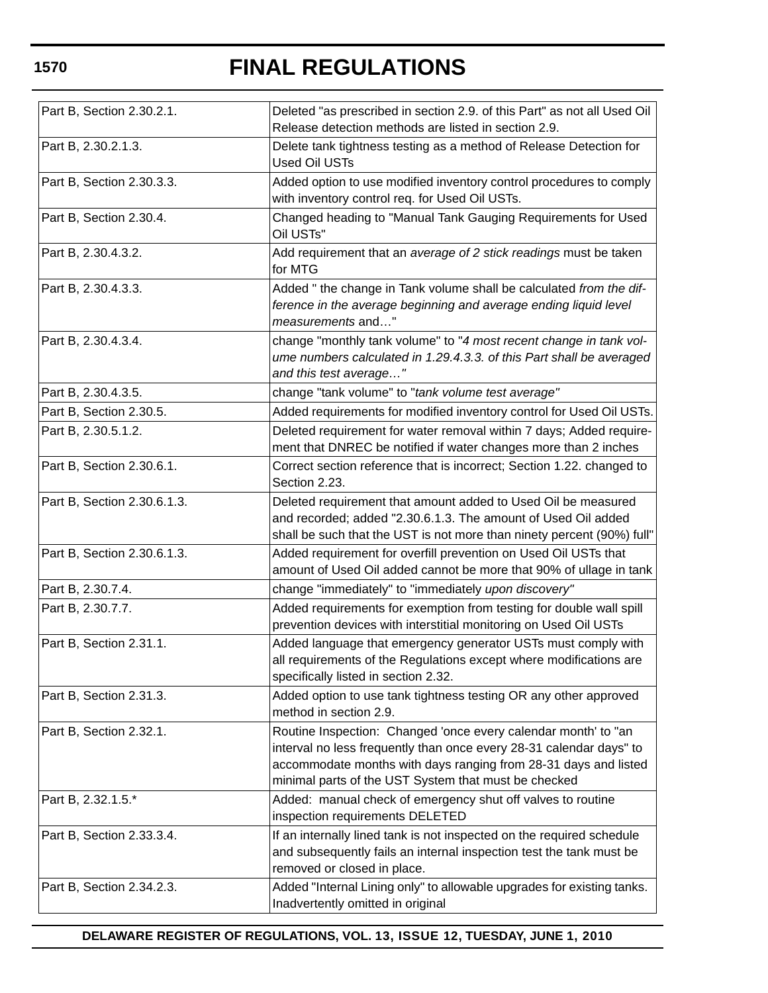| Part B, Section 2.30.2.1.   | Deleted "as prescribed in section 2.9. of this Part" as not all Used Oil<br>Release detection methods are listed in section 2.9.                                                                                                                                 |
|-----------------------------|------------------------------------------------------------------------------------------------------------------------------------------------------------------------------------------------------------------------------------------------------------------|
| Part B, 2.30.2.1.3.         | Delete tank tightness testing as a method of Release Detection for<br><b>Used Oil USTs</b>                                                                                                                                                                       |
| Part B, Section 2.30.3.3.   | Added option to use modified inventory control procedures to comply<br>with inventory control req. for Used Oil USTs.                                                                                                                                            |
| Part B, Section 2.30.4.     | Changed heading to "Manual Tank Gauging Requirements for Used<br>Oil USTs"                                                                                                                                                                                       |
| Part B, 2.30.4.3.2.         | Add requirement that an average of 2 stick readings must be taken<br>for MTG                                                                                                                                                                                     |
| Part B, 2.30.4.3.3.         | Added " the change in Tank volume shall be calculated from the dif-<br>ference in the average beginning and average ending liquid level<br>measurements and"                                                                                                     |
| Part B, 2.30.4.3.4.         | change "monthly tank volume" to "4 most recent change in tank vol-<br>ume numbers calculated in 1.29.4.3.3. of this Part shall be averaged<br>and this test average"                                                                                             |
| Part B, 2.30.4.3.5.         | change "tank volume" to "tank volume test average"                                                                                                                                                                                                               |
| Part B, Section 2.30.5.     | Added requirements for modified inventory control for Used Oil USTs.                                                                                                                                                                                             |
| Part B, 2.30.5.1.2.         | Deleted requirement for water removal within 7 days; Added require-<br>ment that DNREC be notified if water changes more than 2 inches                                                                                                                           |
| Part B, Section 2.30.6.1.   | Correct section reference that is incorrect; Section 1.22. changed to<br>Section 2.23.                                                                                                                                                                           |
| Part B, Section 2.30.6.1.3. | Deleted requirement that amount added to Used Oil be measured<br>and recorded; added "2.30.6.1.3. The amount of Used Oil added<br>shall be such that the UST is not more than ninety percent (90%) full"                                                         |
| Part B, Section 2.30.6.1.3. | Added requirement for overfill prevention on Used Oil USTs that<br>amount of Used Oil added cannot be more that 90% of ullage in tank                                                                                                                            |
| Part B, 2.30.7.4.           | change "immediately" to "immediately upon discovery"                                                                                                                                                                                                             |
| Part B, 2.30.7.7.           | Added requirements for exemption from testing for double wall spill<br>prevention devices with interstitial monitoring on Used Oil USTs                                                                                                                          |
| Part B, Section 2.31.1.     | Added language that emergency generator USTs must comply with<br>all requirements of the Regulations except where modifications are<br>specifically listed in section 2.32.                                                                                      |
| Part B, Section 2.31.3.     | Added option to use tank tightness testing OR any other approved<br>method in section 2.9.                                                                                                                                                                       |
| Part B, Section 2.32.1.     | Routine Inspection: Changed 'once every calendar month' to "an<br>interval no less frequently than once every 28-31 calendar days" to<br>accommodate months with days ranging from 28-31 days and listed<br>minimal parts of the UST System that must be checked |
| Part B, 2.32.1.5.*          | Added: manual check of emergency shut off valves to routine<br>inspection requirements DELETED                                                                                                                                                                   |
| Part B, Section 2.33.3.4.   | If an internally lined tank is not inspected on the required schedule<br>and subsequently fails an internal inspection test the tank must be<br>removed or closed in place.                                                                                      |
| Part B, Section 2.34.2.3.   | Added "Internal Lining only" to allowable upgrades for existing tanks.<br>Inadvertently omitted in original                                                                                                                                                      |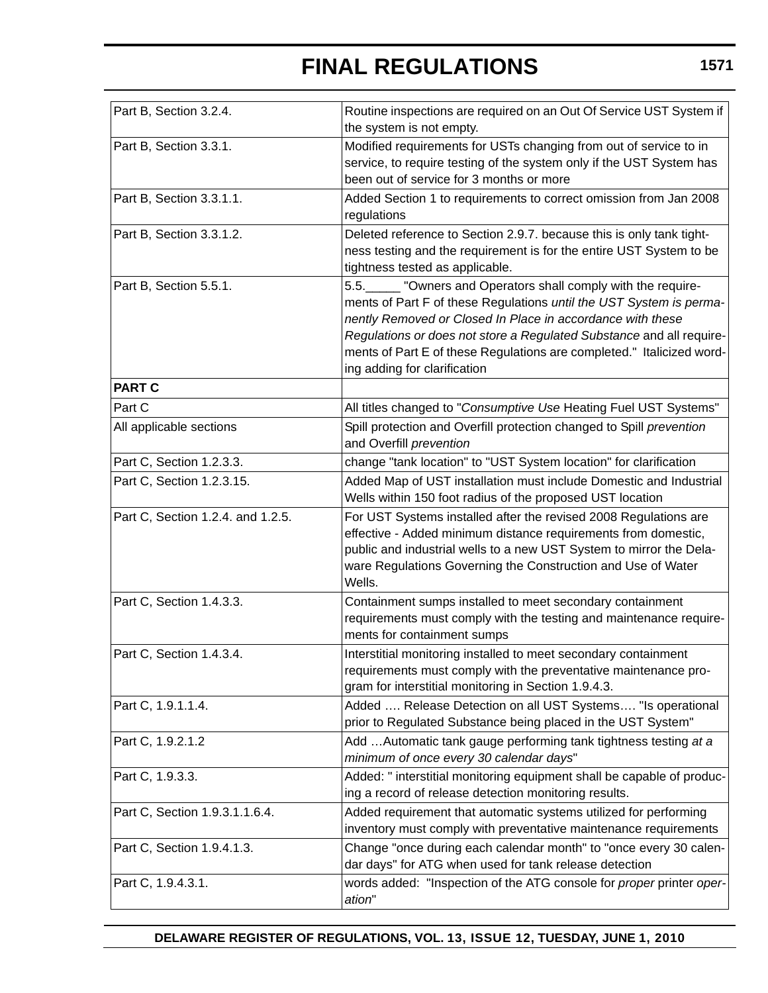| Part B, Section 3.2.4.            | Routine inspections are required on an Out Of Service UST System if<br>the system is not empty.                                                                                                                                                                                                                                                                                 |
|-----------------------------------|---------------------------------------------------------------------------------------------------------------------------------------------------------------------------------------------------------------------------------------------------------------------------------------------------------------------------------------------------------------------------------|
| Part B, Section 3.3.1.            | Modified requirements for USTs changing from out of service to in<br>service, to require testing of the system only if the UST System has<br>been out of service for 3 months or more                                                                                                                                                                                           |
| Part B, Section 3.3.1.1.          | Added Section 1 to requirements to correct omission from Jan 2008<br>regulations                                                                                                                                                                                                                                                                                                |
| Part B, Section 3.3.1.2.          | Deleted reference to Section 2.9.7. because this is only tank tight-<br>ness testing and the requirement is for the entire UST System to be<br>tightness tested as applicable.                                                                                                                                                                                                  |
| Part B, Section 5.5.1.            | 5.5. "Owners and Operators shall comply with the require-<br>ments of Part F of these Regulations until the UST System is perma-<br>nently Removed or Closed In Place in accordance with these<br>Regulations or does not store a Regulated Substance and all require-<br>ments of Part E of these Regulations are completed." Italicized word-<br>ing adding for clarification |
| <b>PART C</b>                     |                                                                                                                                                                                                                                                                                                                                                                                 |
| Part C                            | All titles changed to "Consumptive Use Heating Fuel UST Systems"                                                                                                                                                                                                                                                                                                                |
| All applicable sections           | Spill protection and Overfill protection changed to Spill prevention<br>and Overfill prevention                                                                                                                                                                                                                                                                                 |
| Part C, Section 1.2.3.3.          | change "tank location" to "UST System location" for clarification                                                                                                                                                                                                                                                                                                               |
| Part C, Section 1.2.3.15.         | Added Map of UST installation must include Domestic and Industrial<br>Wells within 150 foot radius of the proposed UST location                                                                                                                                                                                                                                                 |
| Part C, Section 1.2.4. and 1.2.5. | For UST Systems installed after the revised 2008 Regulations are<br>effective - Added minimum distance requirements from domestic,<br>public and industrial wells to a new UST System to mirror the Dela-<br>ware Regulations Governing the Construction and Use of Water<br>Wells.                                                                                             |
| Part C, Section 1.4.3.3.          | Containment sumps installed to meet secondary containment<br>requirements must comply with the testing and maintenance require-<br>ments for containment sumps                                                                                                                                                                                                                  |
| Part C, Section 1.4.3.4.          | Interstitial monitoring installed to meet secondary containment<br>requirements must comply with the preventative maintenance pro-<br>gram for interstitial monitoring in Section 1.9.4.3.                                                                                                                                                                                      |
| Part C, 1.9.1.1.4.                | Added  Release Detection on all UST Systems "Is operational<br>prior to Regulated Substance being placed in the UST System"                                                                                                                                                                                                                                                     |
| Part C, 1.9.2.1.2                 | Add  Automatic tank gauge performing tank tightness testing at a<br>minimum of once every 30 calendar days"                                                                                                                                                                                                                                                                     |
| Part C, 1.9.3.3.                  | Added: " interstitial monitoring equipment shall be capable of produc-<br>ing a record of release detection monitoring results.                                                                                                                                                                                                                                                 |
| Part C, Section 1.9.3.1.1.6.4.    | Added requirement that automatic systems utilized for performing<br>inventory must comply with preventative maintenance requirements                                                                                                                                                                                                                                            |
| Part C, Section 1.9.4.1.3.        | Change "once during each calendar month" to "once every 30 calen-<br>dar days" for ATG when used for tank release detection                                                                                                                                                                                                                                                     |
| Part C, 1.9.4.3.1.                | words added: "Inspection of the ATG console for proper printer oper-<br>ation"                                                                                                                                                                                                                                                                                                  |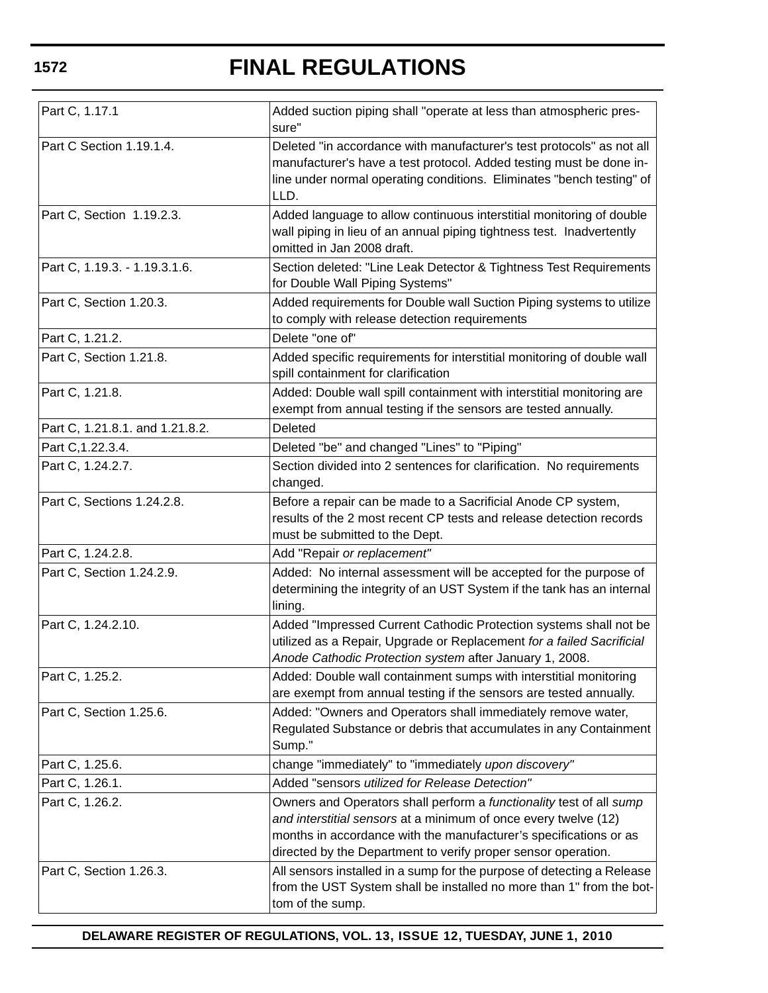| Part C, 1.17.1                  | Added suction piping shall "operate at less than atmospheric pres-<br>sure"                                                                                                                                                                                                  |
|---------------------------------|------------------------------------------------------------------------------------------------------------------------------------------------------------------------------------------------------------------------------------------------------------------------------|
| Part C Section 1.19.1.4.        | Deleted "in accordance with manufacturer's test protocols" as not all<br>manufacturer's have a test protocol. Added testing must be done in-<br>line under normal operating conditions. Eliminates "bench testing" of<br>LLD.                                                |
| Part C, Section 1.19.2.3.       | Added language to allow continuous interstitial monitoring of double<br>wall piping in lieu of an annual piping tightness test. Inadvertently<br>omitted in Jan 2008 draft.                                                                                                  |
| Part C, 1.19.3. - 1.19.3.1.6.   | Section deleted: "Line Leak Detector & Tightness Test Requirements<br>for Double Wall Piping Systems"                                                                                                                                                                        |
| Part C, Section 1.20.3.         | Added requirements for Double wall Suction Piping systems to utilize<br>to comply with release detection requirements                                                                                                                                                        |
| Part C, 1.21.2.                 | Delete "one of"                                                                                                                                                                                                                                                              |
| Part C, Section 1.21.8.         | Added specific requirements for interstitial monitoring of double wall<br>spill containment for clarification                                                                                                                                                                |
| Part C, 1.21.8.                 | Added: Double wall spill containment with interstitial monitoring are<br>exempt from annual testing if the sensors are tested annually.                                                                                                                                      |
| Part C, 1.21.8.1. and 1.21.8.2. | <b>Deleted</b>                                                                                                                                                                                                                                                               |
| Part C, 1.22.3.4.               | Deleted "be" and changed "Lines" to "Piping"                                                                                                                                                                                                                                 |
| Part C, 1.24.2.7.               | Section divided into 2 sentences for clarification. No requirements<br>changed.                                                                                                                                                                                              |
| Part C, Sections 1.24.2.8.      | Before a repair can be made to a Sacrificial Anode CP system,<br>results of the 2 most recent CP tests and release detection records<br>must be submitted to the Dept.                                                                                                       |
| Part C, 1.24.2.8.               | Add "Repair or replacement"                                                                                                                                                                                                                                                  |
| Part C, Section 1.24.2.9.       | Added: No internal assessment will be accepted for the purpose of<br>determining the integrity of an UST System if the tank has an internal<br>lining.                                                                                                                       |
| Part C, 1.24.2.10.              | Added "Impressed Current Cathodic Protection systems shall not be<br>utilized as a Repair, Upgrade or Replacement for a failed Sacrificial<br>Anode Cathodic Protection system after January 1, 2008.                                                                        |
| Part C, 1.25.2.                 | Added: Double wall containment sumps with interstitial monitoring<br>are exempt from annual testing if the sensors are tested annually.                                                                                                                                      |
| Part C, Section 1.25.6.         | Added: "Owners and Operators shall immediately remove water,<br>Regulated Substance or debris that accumulates in any Containment<br>Sump."                                                                                                                                  |
| Part C, 1.25.6.                 | change "immediately" to "immediately upon discovery"                                                                                                                                                                                                                         |
| Part C, 1.26.1.                 | Added "sensors utilized for Release Detection"                                                                                                                                                                                                                               |
| Part C, 1.26.2.                 | Owners and Operators shall perform a functionality test of all sump<br>and interstitial sensors at a minimum of once every twelve (12)<br>months in accordance with the manufacturer's specifications or as<br>directed by the Department to verify proper sensor operation. |
| Part C, Section 1.26.3.         | All sensors installed in a sump for the purpose of detecting a Release<br>from the UST System shall be installed no more than 1" from the bot-<br>tom of the sump.                                                                                                           |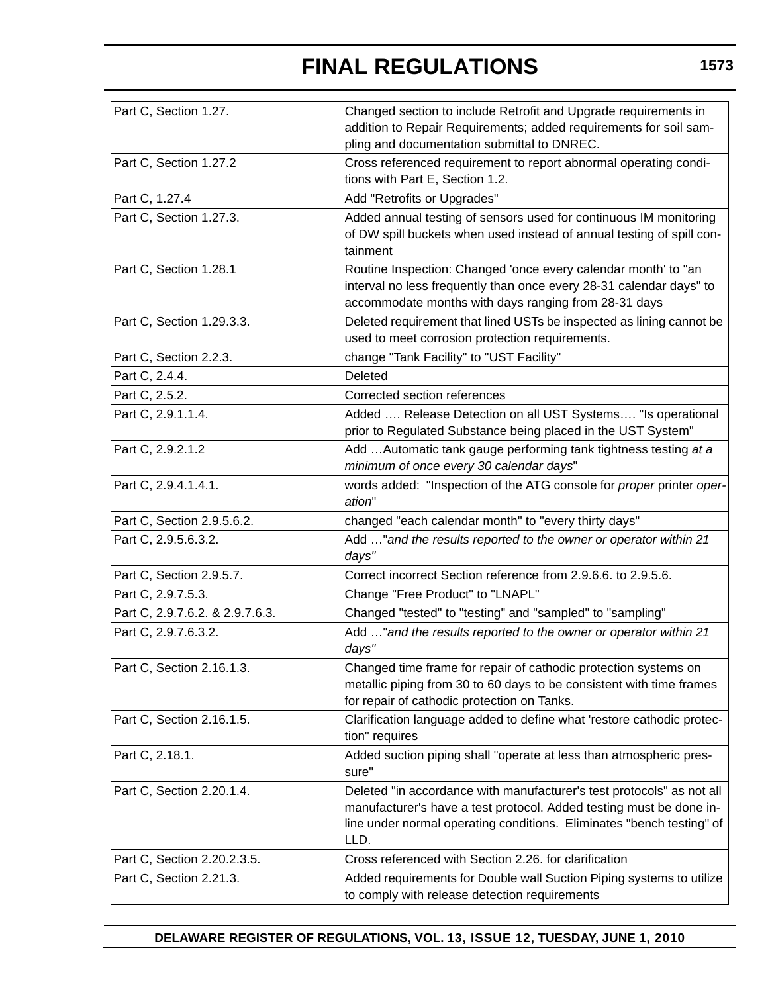| Part C, Section 1.27.           | Changed section to include Retrofit and Upgrade requirements in<br>addition to Repair Requirements; added requirements for soil sam-<br>pling and documentation submittal to DNREC.                                           |
|---------------------------------|-------------------------------------------------------------------------------------------------------------------------------------------------------------------------------------------------------------------------------|
| Part C, Section 1.27.2          | Cross referenced requirement to report abnormal operating condi-<br>tions with Part E, Section 1.2.                                                                                                                           |
| Part C, 1.27.4                  | Add "Retrofits or Upgrades"                                                                                                                                                                                                   |
| Part C, Section 1.27.3.         | Added annual testing of sensors used for continuous IM monitoring<br>of DW spill buckets when used instead of annual testing of spill con-<br>tainment                                                                        |
| Part C, Section 1.28.1          | Routine Inspection: Changed 'once every calendar month' to "an<br>interval no less frequently than once every 28-31 calendar days" to<br>accommodate months with days ranging from 28-31 days                                 |
| Part C, Section 1.29.3.3.       | Deleted requirement that lined USTs be inspected as lining cannot be<br>used to meet corrosion protection requirements.                                                                                                       |
| Part C, Section 2.2.3.          | change "Tank Facility" to "UST Facility"                                                                                                                                                                                      |
| Part C, 2.4.4.                  | Deleted                                                                                                                                                                                                                       |
| Part C, 2.5.2.                  | Corrected section references                                                                                                                                                                                                  |
| Part C, 2.9.1.1.4.              | Added  Release Detection on all UST Systems "Is operational<br>prior to Regulated Substance being placed in the UST System"                                                                                                   |
| Part C, 2.9.2.1.2               | Add Automatic tank gauge performing tank tightness testing at a<br>minimum of once every 30 calendar days"                                                                                                                    |
| Part C, 2.9.4.1.4.1.            | words added: "Inspection of the ATG console for proper printer oper-<br>ation"                                                                                                                                                |
| Part C, Section 2.9.5.6.2.      | changed "each calendar month" to "every thirty days"                                                                                                                                                                          |
| Part C, 2.9.5.6.3.2.            | Add " and the results reported to the owner or operator within 21<br>days"                                                                                                                                                    |
| Part C, Section 2.9.5.7.        | Correct incorrect Section reference from 2.9.6.6. to 2.9.5.6.                                                                                                                                                                 |
| Part C, 2.9.7.5.3.              | Change "Free Product" to "LNAPL"                                                                                                                                                                                              |
| Part C, 2.9.7.6.2. & 2.9.7.6.3. | Changed "tested" to "testing" and "sampled" to "sampling"                                                                                                                                                                     |
| Part C, 2.9.7.6.3.2.            | Add " and the results reported to the owner or operator within 21<br>days"                                                                                                                                                    |
| Part C, Section 2.16.1.3.       | Changed time frame for repair of cathodic protection systems on<br>metallic piping from 30 to 60 days to be consistent with time frames<br>for repair of cathodic protection on Tanks.                                        |
| Part C, Section 2.16.1.5.       | Clarification language added to define what 'restore cathodic protec-<br>tion" requires                                                                                                                                       |
| Part C, 2.18.1.                 | Added suction piping shall "operate at less than atmospheric pres-<br>sure"                                                                                                                                                   |
| Part C, Section 2.20.1.4.       | Deleted "in accordance with manufacturer's test protocols" as not all<br>manufacturer's have a test protocol. Added testing must be done in-<br>line under normal operating conditions. Eliminates "bench testing" of<br>LLD. |
| Part C, Section 2.20.2.3.5.     | Cross referenced with Section 2.26. for clarification                                                                                                                                                                         |
| Part C, Section 2.21.3.         | Added requirements for Double wall Suction Piping systems to utilize<br>to comply with release detection requirements                                                                                                         |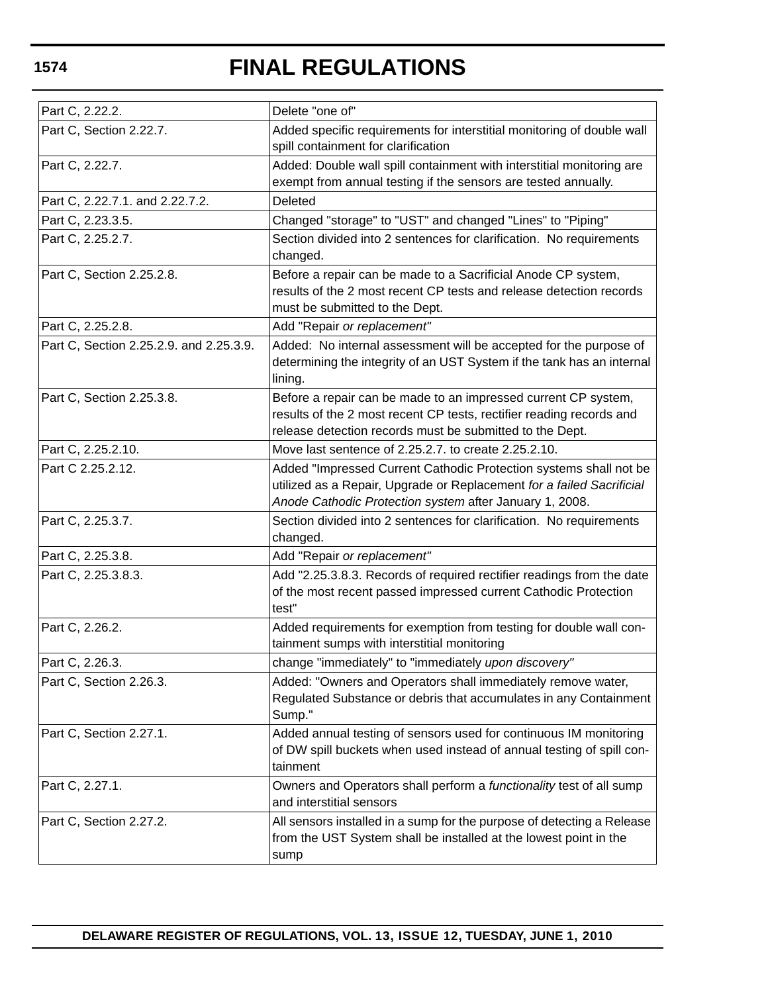| Part C, 2.22.2.                         | Delete "one of"                                                                                                                                                                                       |
|-----------------------------------------|-------------------------------------------------------------------------------------------------------------------------------------------------------------------------------------------------------|
| Part C, Section 2.22.7.                 | Added specific requirements for interstitial monitoring of double wall<br>spill containment for clarification                                                                                         |
| Part C, 2.22.7.                         | Added: Double wall spill containment with interstitial monitoring are<br>exempt from annual testing if the sensors are tested annually.                                                               |
| Part C, 2.22.7.1. and 2.22.7.2.         | Deleted                                                                                                                                                                                               |
| Part C, 2.23.3.5.                       | Changed "storage" to "UST" and changed "Lines" to "Piping"                                                                                                                                            |
| Part C, 2.25.2.7.                       | Section divided into 2 sentences for clarification. No requirements<br>changed.                                                                                                                       |
| Part C, Section 2.25.2.8.               | Before a repair can be made to a Sacrificial Anode CP system,<br>results of the 2 most recent CP tests and release detection records<br>must be submitted to the Dept.                                |
| Part C, 2.25.2.8.                       | Add "Repair or replacement"                                                                                                                                                                           |
| Part C, Section 2.25.2.9. and 2.25.3.9. | Added: No internal assessment will be accepted for the purpose of<br>determining the integrity of an UST System if the tank has an internal<br>lining.                                                |
| Part C, Section 2.25.3.8.               | Before a repair can be made to an impressed current CP system,<br>results of the 2 most recent CP tests, rectifier reading records and<br>release detection records must be submitted to the Dept.    |
| Part C, 2.25.2.10.                      | Move last sentence of 2.25.2.7. to create 2.25.2.10.                                                                                                                                                  |
| Part C 2.25.2.12.                       | Added "Impressed Current Cathodic Protection systems shall not be<br>utilized as a Repair, Upgrade or Replacement for a failed Sacrificial<br>Anode Cathodic Protection system after January 1, 2008. |
| Part C, 2.25.3.7.                       | Section divided into 2 sentences for clarification. No requirements<br>changed.                                                                                                                       |
| Part C, 2.25.3.8.                       | Add "Repair or replacement"                                                                                                                                                                           |
| Part C, 2.25.3.8.3.                     | Add "2.25.3.8.3. Records of required rectifier readings from the date<br>of the most recent passed impressed current Cathodic Protection<br>test"                                                     |
| Part C, 2.26.2.                         | Added requirements for exemption from testing for double wall con-<br>tainment sumps with interstitial monitoring                                                                                     |
| Part C, 2.26.3.                         | change "immediately" to "immediately upon discovery"                                                                                                                                                  |
| Part C, Section 2.26.3.                 | Added: "Owners and Operators shall immediately remove water,<br>Regulated Substance or debris that accumulates in any Containment<br>Sump."                                                           |
| Part C, Section 2.27.1.                 | Added annual testing of sensors used for continuous IM monitoring<br>of DW spill buckets when used instead of annual testing of spill con-<br>tainment                                                |
| Part C, 2.27.1.                         | Owners and Operators shall perform a functionality test of all sump<br>and interstitial sensors                                                                                                       |
| Part C, Section 2.27.2.                 | All sensors installed in a sump for the purpose of detecting a Release<br>from the UST System shall be installed at the lowest point in the<br>sump                                                   |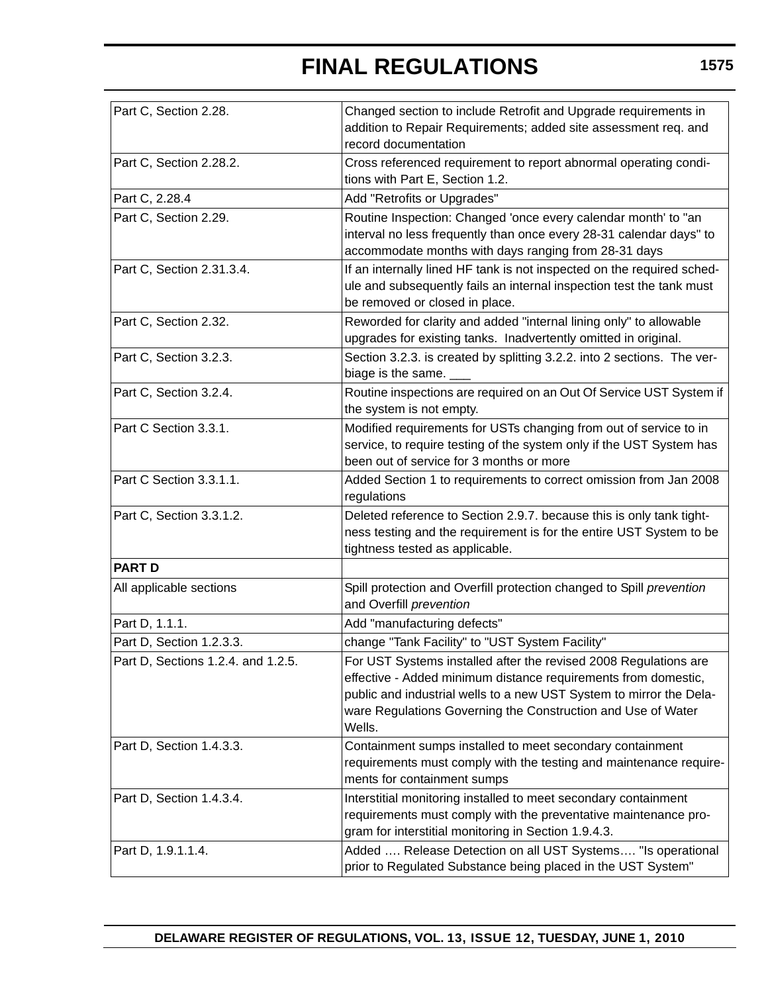| Part C, Section 2.28.              | Changed section to include Retrofit and Upgrade requirements in<br>addition to Repair Requirements; added site assessment req. and<br>record documentation                                                                                                                          |
|------------------------------------|-------------------------------------------------------------------------------------------------------------------------------------------------------------------------------------------------------------------------------------------------------------------------------------|
|                                    |                                                                                                                                                                                                                                                                                     |
| Part C, Section 2.28.2.            | Cross referenced requirement to report abnormal operating condi-<br>tions with Part E, Section 1.2.                                                                                                                                                                                 |
| Part C, 2.28.4                     | Add "Retrofits or Upgrades"                                                                                                                                                                                                                                                         |
| Part C, Section 2.29.              | Routine Inspection: Changed 'once every calendar month' to "an<br>interval no less frequently than once every 28-31 calendar days" to<br>accommodate months with days ranging from 28-31 days                                                                                       |
| Part C, Section 2.31.3.4.          | If an internally lined HF tank is not inspected on the required sched-<br>ule and subsequently fails an internal inspection test the tank must<br>be removed or closed in place.                                                                                                    |
| Part C, Section 2.32.              | Reworded for clarity and added "internal lining only" to allowable<br>upgrades for existing tanks. Inadvertently omitted in original.                                                                                                                                               |
| Part C, Section 3.2.3.             | Section 3.2.3. is created by splitting 3.2.2. into 2 sections. The ver-<br>biage is the same.                                                                                                                                                                                       |
| Part C, Section 3.2.4.             | Routine inspections are required on an Out Of Service UST System if<br>the system is not empty.                                                                                                                                                                                     |
| Part C Section 3.3.1.              | Modified requirements for USTs changing from out of service to in<br>service, to require testing of the system only if the UST System has<br>been out of service for 3 months or more                                                                                               |
| Part C Section 3.3.1.1.            | Added Section 1 to requirements to correct omission from Jan 2008<br>regulations                                                                                                                                                                                                    |
| Part C, Section 3.3.1.2.           | Deleted reference to Section 2.9.7. because this is only tank tight-<br>ness testing and the requirement is for the entire UST System to be<br>tightness tested as applicable.                                                                                                      |
| <b>PART D</b>                      |                                                                                                                                                                                                                                                                                     |
| All applicable sections            | Spill protection and Overfill protection changed to Spill prevention<br>and Overfill prevention                                                                                                                                                                                     |
| Part D, 1.1.1.                     | Add "manufacturing defects"                                                                                                                                                                                                                                                         |
| Part D, Section 1.2.3.3.           | change "Tank Facility" to "UST System Facility"                                                                                                                                                                                                                                     |
| Part D, Sections 1.2.4. and 1.2.5. | For UST Systems installed after the revised 2008 Regulations are<br>effective - Added minimum distance requirements from domestic,<br>public and industrial wells to a new UST System to mirror the Dela-<br>ware Regulations Governing the Construction and Use of Water<br>Wells. |
| Part D, Section 1.4.3.3.           | Containment sumps installed to meet secondary containment<br>requirements must comply with the testing and maintenance require-<br>ments for containment sumps                                                                                                                      |
| Part D, Section 1.4.3.4.           | Interstitial monitoring installed to meet secondary containment<br>requirements must comply with the preventative maintenance pro-<br>gram for interstitial monitoring in Section 1.9.4.3.                                                                                          |
| Part D, 1.9.1.1.4.                 | Added  Release Detection on all UST Systems "Is operational<br>prior to Regulated Substance being placed in the UST System"                                                                                                                                                         |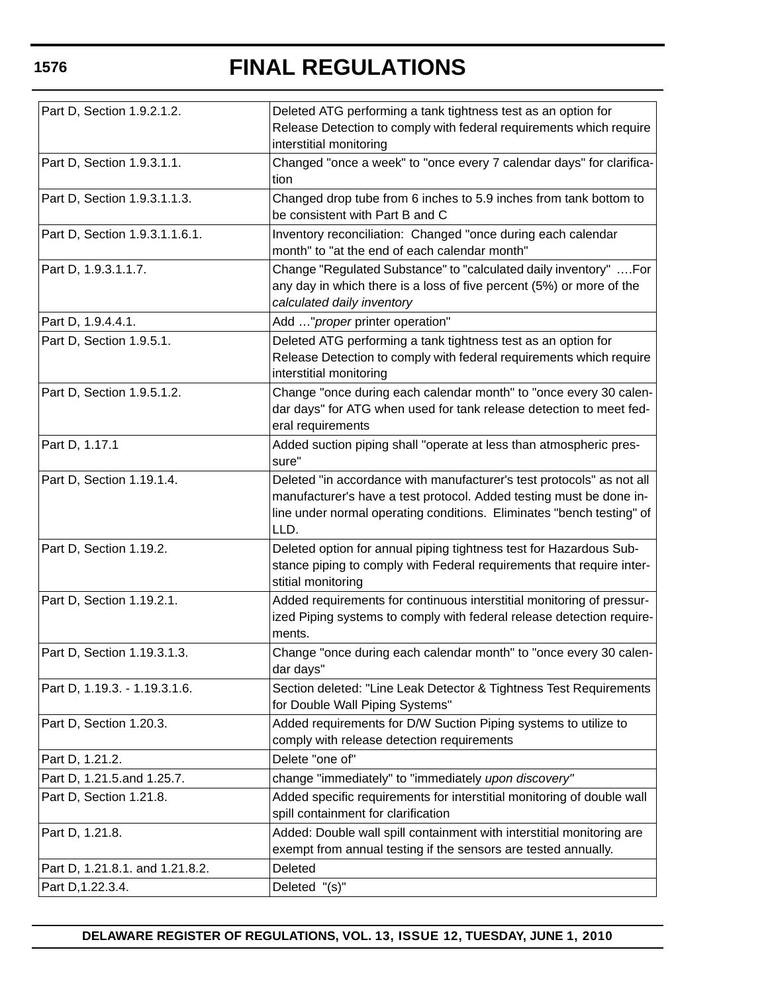| Part D, Section 1.9.2.1.2.      | Deleted ATG performing a tank tightness test as an option for<br>Release Detection to comply with federal requirements which require<br>interstitial monitoring                                                               |
|---------------------------------|-------------------------------------------------------------------------------------------------------------------------------------------------------------------------------------------------------------------------------|
| Part D, Section 1.9.3.1.1.      | Changed "once a week" to "once every 7 calendar days" for clarifica-<br>tion                                                                                                                                                  |
| Part D, Section 1.9.3.1.1.3.    | Changed drop tube from 6 inches to 5.9 inches from tank bottom to<br>be consistent with Part B and C                                                                                                                          |
| Part D, Section 1.9.3.1.1.6.1.  | Inventory reconciliation: Changed "once during each calendar<br>month" to "at the end of each calendar month"                                                                                                                 |
| Part D, 1.9.3.1.1.7.            | Change "Regulated Substance" to "calculated daily inventory"  For<br>any day in which there is a loss of five percent (5%) or more of the<br>calculated daily inventory                                                       |
| Part D, 1.9.4.4.1.              | Add " proper printer operation"                                                                                                                                                                                               |
| Part D, Section 1.9.5.1.        | Deleted ATG performing a tank tightness test as an option for<br>Release Detection to comply with federal requirements which require<br>interstitial monitoring                                                               |
| Part D, Section 1.9.5.1.2.      | Change "once during each calendar month" to "once every 30 calen-<br>dar days" for ATG when used for tank release detection to meet fed-<br>eral requirements                                                                 |
| Part D, 1.17.1                  | Added suction piping shall "operate at less than atmospheric pres-<br>sure"                                                                                                                                                   |
| Part D, Section 1.19.1.4.       | Deleted "in accordance with manufacturer's test protocols" as not all<br>manufacturer's have a test protocol. Added testing must be done in-<br>line under normal operating conditions. Eliminates "bench testing" of<br>LLD. |
| Part D, Section 1.19.2.         | Deleted option for annual piping tightness test for Hazardous Sub-<br>stance piping to comply with Federal requirements that require inter-<br>stitial monitoring                                                             |
| Part D, Section 1.19.2.1.       | Added requirements for continuous interstitial monitoring of pressur-<br>ized Piping systems to comply with federal release detection require-<br>ments.                                                                      |
| Part D, Section 1.19.3.1.3.     | Change "once during each calendar month" to "once every 30 calen-<br>dar days"                                                                                                                                                |
| Part D, 1.19.3. - 1.19.3.1.6.   | Section deleted: "Line Leak Detector & Tightness Test Requirements<br>for Double Wall Piping Systems"                                                                                                                         |
| Part D, Section 1.20.3.         | Added requirements for D/W Suction Piping systems to utilize to<br>comply with release detection requirements                                                                                                                 |
| Part D, 1.21.2.                 | Delete "one of"                                                                                                                                                                                                               |
| Part D, 1.21.5.and 1.25.7.      | change "immediately" to "immediately upon discovery"                                                                                                                                                                          |
| Part D, Section 1.21.8.         | Added specific requirements for interstitial monitoring of double wall<br>spill containment for clarification                                                                                                                 |
| Part D, 1.21.8.                 | Added: Double wall spill containment with interstitial monitoring are<br>exempt from annual testing if the sensors are tested annually.                                                                                       |
| Part D, 1.21.8.1. and 1.21.8.2. | Deleted                                                                                                                                                                                                                       |
| Part D, 1.22.3.4.               | Deleted "(s)"                                                                                                                                                                                                                 |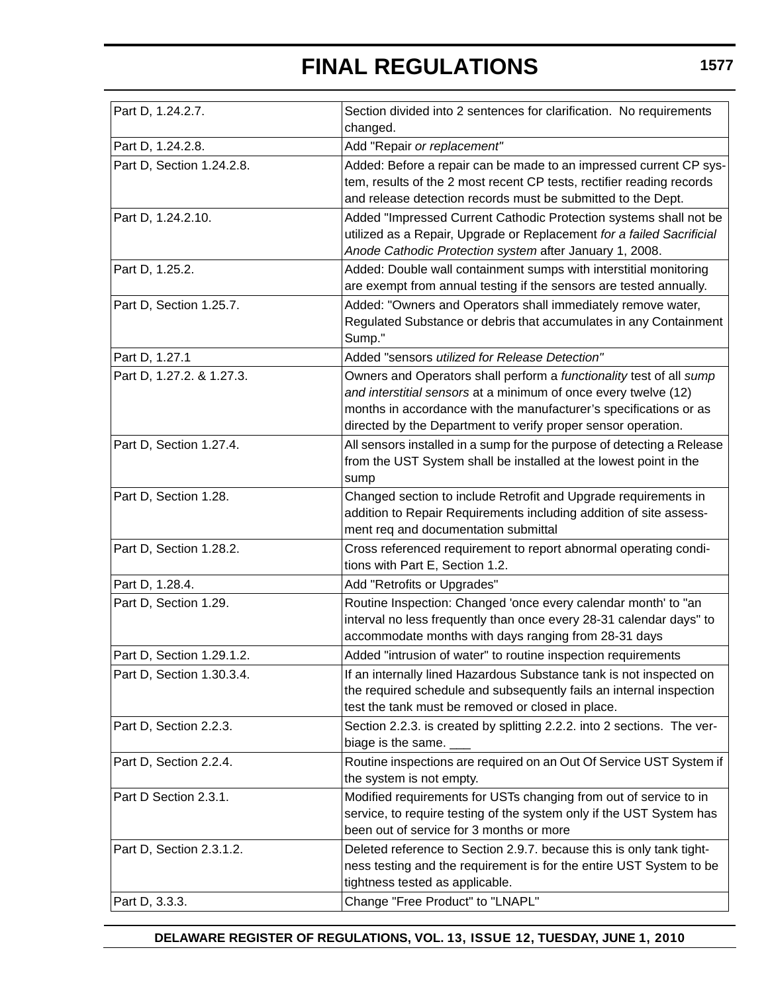| Part D, 1.24.2.7.         | Section divided into 2 sentences for clarification. No requirements<br>changed.                                                                                                                                                                                              |
|---------------------------|------------------------------------------------------------------------------------------------------------------------------------------------------------------------------------------------------------------------------------------------------------------------------|
| Part D, 1.24.2.8.         | Add "Repair or replacement"                                                                                                                                                                                                                                                  |
| Part D, Section 1.24.2.8. | Added: Before a repair can be made to an impressed current CP sys-<br>tem, results of the 2 most recent CP tests, rectifier reading records<br>and release detection records must be submitted to the Dept.                                                                  |
| Part D, 1.24.2.10.        | Added "Impressed Current Cathodic Protection systems shall not be<br>utilized as a Repair, Upgrade or Replacement for a failed Sacrificial<br>Anode Cathodic Protection system after January 1, 2008.                                                                        |
| Part D, 1.25.2.           | Added: Double wall containment sumps with interstitial monitoring<br>are exempt from annual testing if the sensors are tested annually.                                                                                                                                      |
| Part D, Section 1.25.7.   | Added: "Owners and Operators shall immediately remove water,<br>Regulated Substance or debris that accumulates in any Containment<br>Sump."                                                                                                                                  |
| Part D, 1.27.1            | Added "sensors utilized for Release Detection"                                                                                                                                                                                                                               |
| Part D, 1.27.2. & 1.27.3. | Owners and Operators shall perform a functionality test of all sump<br>and interstitial sensors at a minimum of once every twelve (12)<br>months in accordance with the manufacturer's specifications or as<br>directed by the Department to verify proper sensor operation. |
| Part D, Section 1.27.4.   | All sensors installed in a sump for the purpose of detecting a Release<br>from the UST System shall be installed at the lowest point in the<br>sump                                                                                                                          |
| Part D, Section 1.28.     | Changed section to include Retrofit and Upgrade requirements in<br>addition to Repair Requirements including addition of site assess-<br>ment req and documentation submittal                                                                                                |
| Part D, Section 1.28.2.   | Cross referenced requirement to report abnormal operating condi-<br>tions with Part E, Section 1.2.                                                                                                                                                                          |
| Part D, 1.28.4.           | Add "Retrofits or Upgrades"                                                                                                                                                                                                                                                  |
| Part D, Section 1.29.     | Routine Inspection: Changed 'once every calendar month' to "an<br>interval no less frequently than once every 28-31 calendar days" to<br>accommodate months with days ranging from 28-31 days                                                                                |
| Part D, Section 1.29.1.2. | Added "intrusion of water" to routine inspection requirements                                                                                                                                                                                                                |
| Part D, Section 1.30.3.4. | If an internally lined Hazardous Substance tank is not inspected on<br>the required schedule and subsequently fails an internal inspection<br>test the tank must be removed or closed in place.                                                                              |
| Part D, Section 2.2.3.    | Section 2.2.3. is created by splitting 2.2.2. into 2 sections. The ver-<br>biage is the same.                                                                                                                                                                                |
| Part D, Section 2.2.4.    | Routine inspections are required on an Out Of Service UST System if<br>the system is not empty.                                                                                                                                                                              |
| Part D Section 2.3.1.     | Modified requirements for USTs changing from out of service to in<br>service, to require testing of the system only if the UST System has<br>been out of service for 3 months or more                                                                                        |
| Part D, Section 2.3.1.2.  | Deleted reference to Section 2.9.7. because this is only tank tight-<br>ness testing and the requirement is for the entire UST System to be<br>tightness tested as applicable.                                                                                               |
| Part D, 3.3.3.            | Change "Free Product" to "LNAPL"                                                                                                                                                                                                                                             |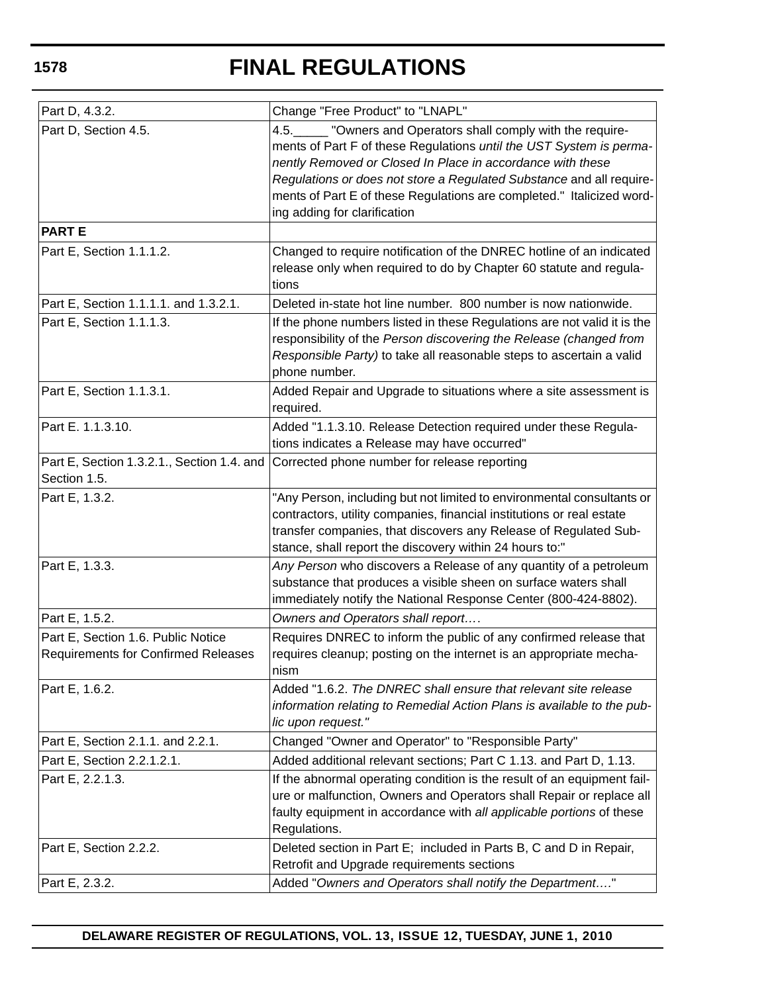| Part D, 4.3.2.                                                                   | Change "Free Product" to "LNAPL"                                                                                                                                                                                                                                                                                                                                                   |
|----------------------------------------------------------------------------------|------------------------------------------------------------------------------------------------------------------------------------------------------------------------------------------------------------------------------------------------------------------------------------------------------------------------------------------------------------------------------------|
| Part D, Section 4.5.                                                             | 4.5.<br>"Owners and Operators shall comply with the require-<br>ments of Part F of these Regulations until the UST System is perma-<br>nently Removed or Closed In Place in accordance with these<br>Regulations or does not store a Regulated Substance and all require-<br>ments of Part E of these Regulations are completed." Italicized word-<br>ing adding for clarification |
| <b>PART E</b>                                                                    |                                                                                                                                                                                                                                                                                                                                                                                    |
| Part E, Section 1.1.1.2.                                                         | Changed to require notification of the DNREC hotline of an indicated<br>release only when required to do by Chapter 60 statute and regula-<br>tions                                                                                                                                                                                                                                |
| Part E, Section 1.1.1.1. and 1.3.2.1.                                            | Deleted in-state hot line number. 800 number is now nationwide.                                                                                                                                                                                                                                                                                                                    |
| Part E, Section 1.1.1.3.                                                         | If the phone numbers listed in these Regulations are not valid it is the<br>responsibility of the Person discovering the Release (changed from<br>Responsible Party) to take all reasonable steps to ascertain a valid<br>phone number.                                                                                                                                            |
| Part E, Section 1.1.3.1.                                                         | Added Repair and Upgrade to situations where a site assessment is<br>required.                                                                                                                                                                                                                                                                                                     |
| Part E. 1.1.3.10.                                                                | Added "1.1.3.10. Release Detection required under these Regula-<br>tions indicates a Release may have occurred"                                                                                                                                                                                                                                                                    |
| Part E, Section 1.3.2.1., Section 1.4. and<br>Section 1.5.                       | Corrected phone number for release reporting                                                                                                                                                                                                                                                                                                                                       |
| Part E, 1.3.2.                                                                   | "Any Person, including but not limited to environmental consultants or<br>contractors, utility companies, financial institutions or real estate<br>transfer companies, that discovers any Release of Regulated Sub-<br>stance, shall report the discovery within 24 hours to:"                                                                                                     |
| Part E, 1.3.3.                                                                   | Any Person who discovers a Release of any quantity of a petroleum<br>substance that produces a visible sheen on surface waters shall<br>immediately notify the National Response Center (800-424-8802).                                                                                                                                                                            |
| Part E, 1.5.2.                                                                   | Owners and Operators shall report                                                                                                                                                                                                                                                                                                                                                  |
| Part E, Section 1.6. Public Notice<br><b>Requirements for Confirmed Releases</b> | Requires DNREC to inform the public of any confirmed release that<br>requires cleanup; posting on the internet is an appropriate mecha-<br>nism                                                                                                                                                                                                                                    |
| Part E, 1.6.2.                                                                   | Added "1.6.2. The DNREC shall ensure that relevant site release<br>information relating to Remedial Action Plans is available to the pub-<br>lic upon request."                                                                                                                                                                                                                    |
| Part E, Section 2.1.1. and 2.2.1.                                                | Changed "Owner and Operator" to "Responsible Party"                                                                                                                                                                                                                                                                                                                                |
| Part E, Section 2.2.1.2.1.                                                       | Added additional relevant sections; Part C 1.13. and Part D, 1.13.                                                                                                                                                                                                                                                                                                                 |
| Part E, 2.2.1.3.                                                                 | If the abnormal operating condition is the result of an equipment fail-<br>ure or malfunction, Owners and Operators shall Repair or replace all<br>faulty equipment in accordance with all applicable portions of these<br>Regulations.                                                                                                                                            |
| Part E, Section 2.2.2.                                                           | Deleted section in Part E; included in Parts B, C and D in Repair,<br>Retrofit and Upgrade requirements sections                                                                                                                                                                                                                                                                   |
| Part E, 2.3.2.                                                                   | Added "Owners and Operators shall notify the Department"                                                                                                                                                                                                                                                                                                                           |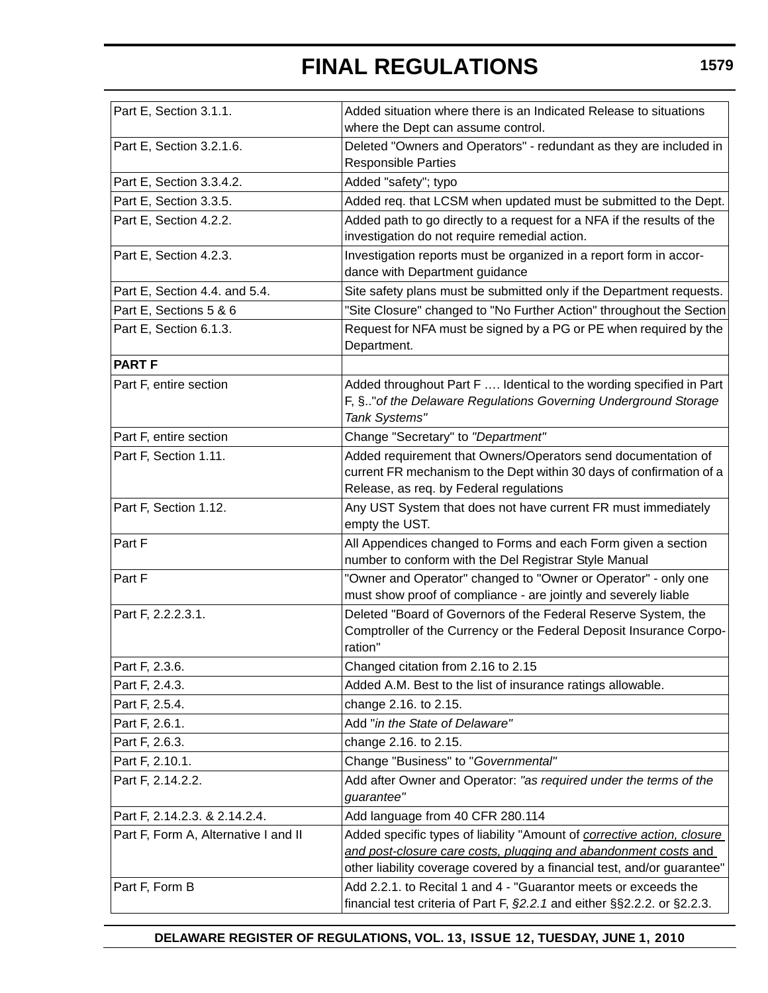| Part E, Section 3.1.1.               | Added situation where there is an Indicated Release to situations<br>where the Dept can assume control.                                                                                                               |
|--------------------------------------|-----------------------------------------------------------------------------------------------------------------------------------------------------------------------------------------------------------------------|
| Part E, Section 3.2.1.6.             | Deleted "Owners and Operators" - redundant as they are included in<br><b>Responsible Parties</b>                                                                                                                      |
| Part E, Section 3.3.4.2.             | Added "safety"; typo                                                                                                                                                                                                  |
| Part E, Section 3.3.5.               | Added req. that LCSM when updated must be submitted to the Dept.                                                                                                                                                      |
| Part E, Section 4.2.2.               | Added path to go directly to a request for a NFA if the results of the<br>investigation do not require remedial action.                                                                                               |
| Part E, Section 4.2.3.               | Investigation reports must be organized in a report form in accor-<br>dance with Department guidance                                                                                                                  |
| Part E, Section 4.4. and 5.4.        | Site safety plans must be submitted only if the Department requests.                                                                                                                                                  |
| Part E, Sections 5 & 6               | "Site Closure" changed to "No Further Action" throughout the Section                                                                                                                                                  |
| Part E, Section 6.1.3.               | Request for NFA must be signed by a PG or PE when required by the<br>Department.                                                                                                                                      |
| <b>PART F</b>                        |                                                                                                                                                                                                                       |
| Part F, entire section               | Added throughout Part F  Identical to the wording specified in Part<br>F, §" of the Delaware Regulations Governing Underground Storage<br>Tank Systems"                                                               |
| Part F, entire section               | Change "Secretary" to "Department"                                                                                                                                                                                    |
| Part F, Section 1.11.                | Added requirement that Owners/Operators send documentation of<br>current FR mechanism to the Dept within 30 days of confirmation of a<br>Release, as req. by Federal regulations                                      |
| Part F, Section 1.12.                | Any UST System that does not have current FR must immediately<br>empty the UST.                                                                                                                                       |
| Part F                               | All Appendices changed to Forms and each Form given a section<br>number to conform with the Del Registrar Style Manual                                                                                                |
| Part F                               | "Owner and Operator" changed to "Owner or Operator" - only one<br>must show proof of compliance - are jointly and severely liable                                                                                     |
| Part F, 2.2.2.3.1.                   | Deleted "Board of Governors of the Federal Reserve System, the<br>Comptroller of the Currency or the Federal Deposit Insurance Corpo-<br>ration"                                                                      |
| Part F, 2.3.6.                       | Changed citation from 2.16 to 2.15                                                                                                                                                                                    |
| Part F, 2.4.3.                       | Added A.M. Best to the list of insurance ratings allowable.                                                                                                                                                           |
| Part F, 2.5.4.                       | change 2.16. to 2.15.                                                                                                                                                                                                 |
| Part F, 2.6.1.                       | Add "in the State of Delaware"                                                                                                                                                                                        |
| Part F, 2.6.3.                       | change 2.16. to 2.15.                                                                                                                                                                                                 |
| Part F, 2.10.1.                      | Change "Business" to "Governmental"                                                                                                                                                                                   |
| Part F, 2.14.2.2.                    | Add after Owner and Operator: "as required under the terms of the<br>guarantee"                                                                                                                                       |
| Part F, 2.14.2.3. & 2.14.2.4.        | Add language from 40 CFR 280.114                                                                                                                                                                                      |
| Part F, Form A, Alternative I and II | Added specific types of liability "Amount of corrective action, closure<br>and post-closure care costs, plugging and abandonment costs and<br>other liability coverage covered by a financial test, and/or guarantee" |
| Part F, Form B                       | Add 2.2.1. to Recital 1 and 4 - "Guarantor meets or exceeds the<br>financial test criteria of Part F, $\S2.2.1$ and either $\S52.2.2$ . or $\S2.2.3$ .                                                                |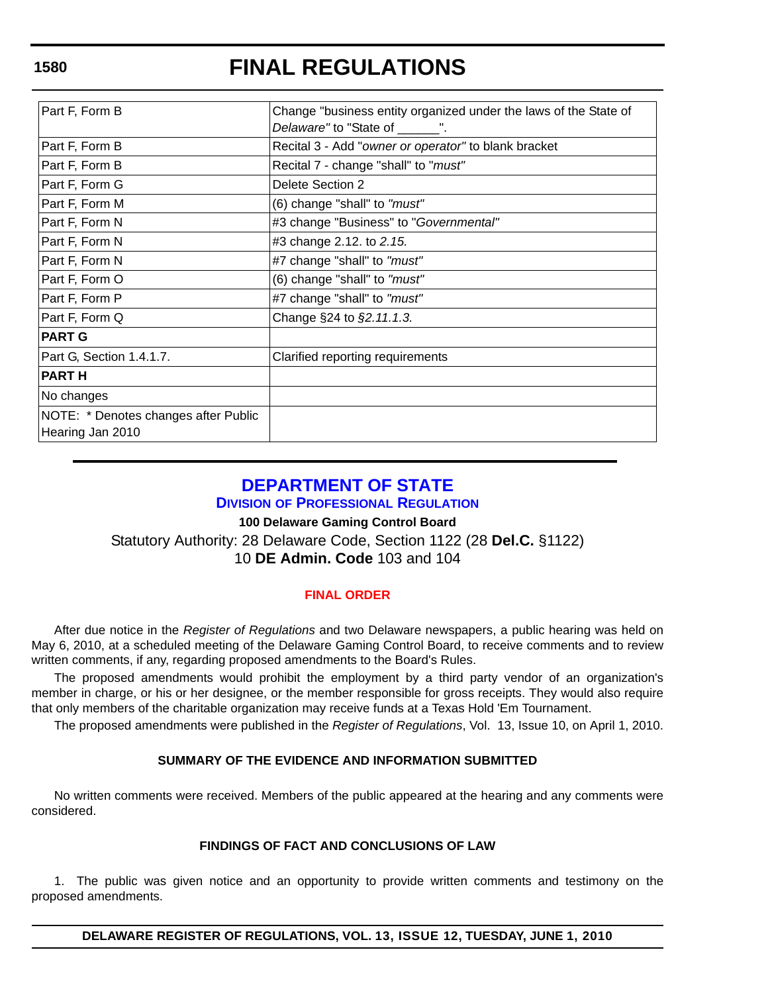| Part F, Form B                       | Change "business entity organized under the laws of the State of |
|--------------------------------------|------------------------------------------------------------------|
|                                      | Delaware" to "State of ______".                                  |
| Part F, Form B                       | Recital 3 - Add "owner or operator" to blank bracket             |
| Part F, Form B                       | Recital 7 - change "shall" to "must"                             |
| Part F, Form G                       | Delete Section 2                                                 |
| Part F, Form M                       | (6) change "shall" to "must"                                     |
| Part F, Form N                       | #3 change "Business" to "Governmental"                           |
| Part F, Form N                       | #3 change 2.12. to 2.15.                                         |
| Part F, Form N                       | #7 change "shall" to "must"                                      |
| Part F, Form O                       | (6) change "shall" to "must"                                     |
| Part F, Form P                       | #7 change "shall" to "must"                                      |
| Part F, Form Q                       | Change §24 to §2.11.1.3.                                         |
| <b>PART G</b>                        |                                                                  |
| Part G, Section 1.4.1.7.             | Clarified reporting requirements                                 |
| <b>PART H</b>                        |                                                                  |
| No changes                           |                                                                  |
| NOTE: * Denotes changes after Public |                                                                  |
| Hearing Jan 2010                     |                                                                  |

## **[DEPARTMENT OF STATE](http://dpr.delaware.gov/default.shtml)**

## **DIVISION OF PROFESSIONAL REGULATION**

### **100 Delaware Gaming Control Board**

Statutory Authority: 28 Delaware Code, Section 1122 (28 **Del.C.** §1122) 10 **DE Admin. Code** 103 and 104

## **[FINAL ORDER](#page-4-0)**

After due notice in the *Register of Regulations* and two Delaware newspapers, a public hearing was held on May 6, 2010, at a scheduled meeting of the Delaware Gaming Control Board, to receive comments and to review written comments, if any, regarding proposed amendments to the Board's Rules.

The proposed amendments would prohibit the employment by a third party vendor of an organization's member in charge, or his or her designee, or the member responsible for gross receipts. They would also require that only members of the charitable organization may receive funds at a Texas Hold 'Em Tournament.

The proposed amendments were published in the *Register of Regulations*, Vol. 13, Issue 10, on April 1, 2010.

## **SUMMARY OF THE EVIDENCE AND INFORMATION SUBMITTED**

No written comments were received. Members of the public appeared at the hearing and any comments were considered.

### **FINDINGS OF FACT AND CONCLUSIONS OF LAW**

1. The public was given notice and an opportunity to provide written comments and testimony on the proposed amendments.

**DELAWARE REGISTER OF REGULATIONS, VOL. 13, ISSUE 12, TUESDAY, JUNE 1, 2010**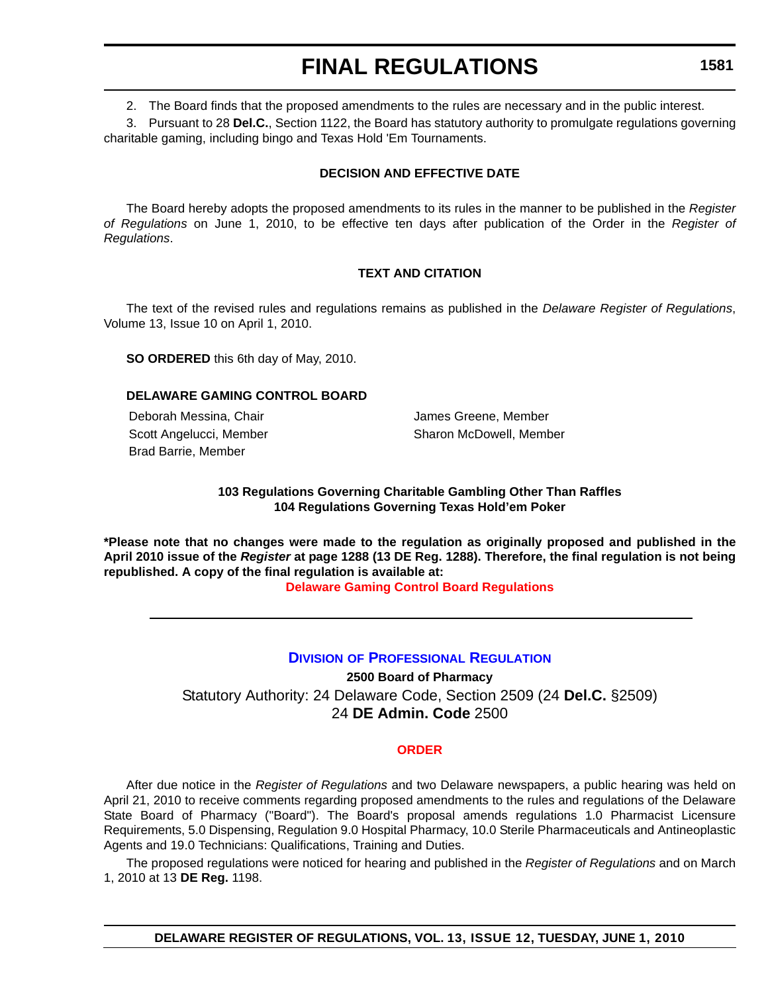2. The Board finds that the proposed amendments to the rules are necessary and in the public interest.

3. Pursuant to 28 **Del.C.**, Section 1122, the Board has statutory authority to promulgate regulations governing charitable gaming, including bingo and Texas Hold 'Em Tournaments.

## **DECISION AND EFFECTIVE DATE**

The Board hereby adopts the proposed amendments to its rules in the manner to be published in the *Register of Regulations* on June 1, 2010, to be effective ten days after publication of the Order in the *Register of Regulations*.

## **TEXT AND CITATION**

The text of the revised rules and regulations remains as published in the *Delaware Register of Regulations*, Volume 13, Issue 10 on April 1, 2010.

**SO ORDERED** this 6th day of May, 2010.

### **DELAWARE GAMING CONTROL BOARD**

Deborah Messina, Chair **James Greene, Member** James Greene, Member Brad Barrie, Member

Scott Angelucci, Member Sharon McDowell, Member

## **103 Regulations Governing Charitable Gambling Other Than Raffles 104 Regulations Governing Texas Hold'em Poker**

**\*Please note that no changes were made to the regulation as originally proposed and published in the April 2010 issue of the** *Register* **at page 1288 (13 DE Reg. 1288). Therefore, the final regulation is not being republished. A copy of the final regulation is available at:**

**[Delaware Gaming Control Board Regulations](http://regulations.delaware.gov/register/june2010/final/13 DE Reg 1580 06-01-10.htm)**

## **DIVISION [OF PROFESSIONAL REGULATION](http://dpr.delaware.gov/default.shtml)**

**2500 Board of Pharmacy** Statutory Authority: 24 Delaware Code, Section 2509 (24 **Del.C.** §2509) 24 **DE Admin. Code** 2500

### **[ORDER](#page-4-0)**

After due notice in the *Register of Regulations* and two Delaware newspapers, a public hearing was held on April 21, 2010 to receive comments regarding proposed amendments to the rules and regulations of the Delaware State Board of Pharmacy ("Board"). The Board's proposal amends regulations 1.0 Pharmacist Licensure Requirements, 5.0 Dispensing, Regulation 9.0 Hospital Pharmacy, 10.0 Sterile Pharmaceuticals and Antineoplastic Agents and 19.0 Technicians: Qualifications, Training and Duties.

The proposed regulations were noticed for hearing and published in the *Register of Regulations* and on March 1, 2010 at 13 **DE Reg.** 1198.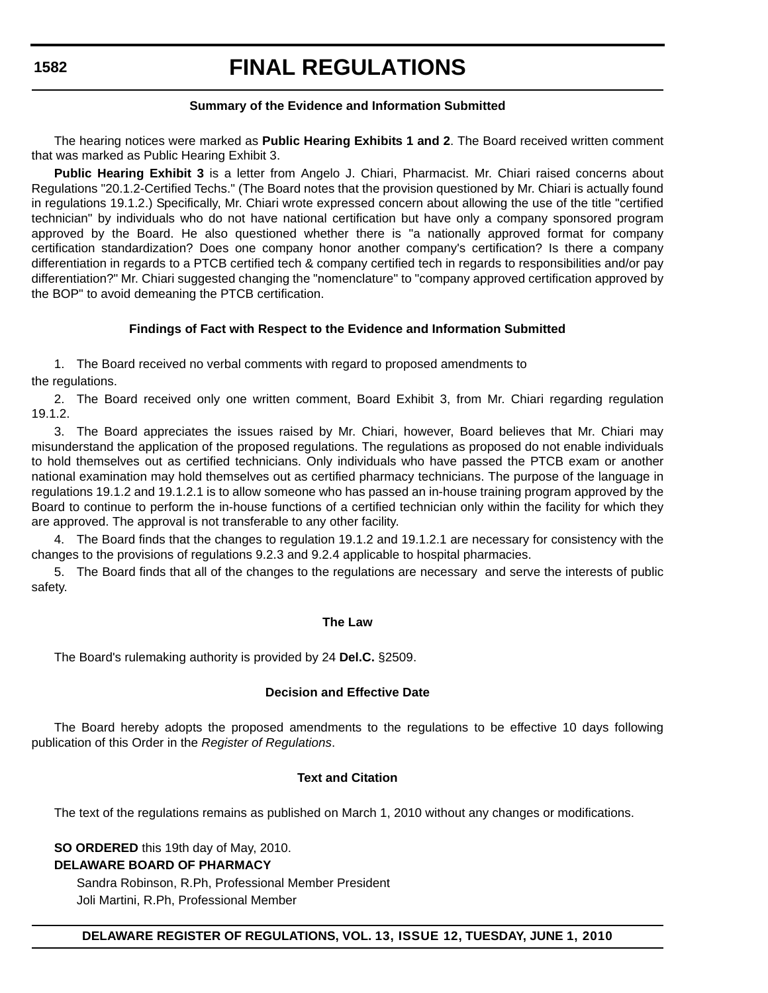## **FINAL REGULATIONS**

## **Summary of the Evidence and Information Submitted**

The hearing notices were marked as **Public Hearing Exhibits 1 and 2**. The Board received written comment that was marked as Public Hearing Exhibit 3.

**Public Hearing Exhibit 3** is a letter from Angelo J. Chiari, Pharmacist. Mr. Chiari raised concerns about Regulations "20.1.2-Certified Techs." (The Board notes that the provision questioned by Mr. Chiari is actually found in regulations 19.1.2.) Specifically, Mr. Chiari wrote expressed concern about allowing the use of the title "certified technician" by individuals who do not have national certification but have only a company sponsored program approved by the Board. He also questioned whether there is "a nationally approved format for company certification standardization? Does one company honor another company's certification? Is there a company differentiation in regards to a PTCB certified tech & company certified tech in regards to responsibilities and/or pay differentiation?" Mr. Chiari suggested changing the "nomenclature" to "company approved certification approved by the BOP" to avoid demeaning the PTCB certification.

## **Findings of Fact with Respect to the Evidence and Information Submitted**

1. The Board received no verbal comments with regard to proposed amendments to the regulations.

2. The Board received only one written comment, Board Exhibit 3, from Mr. Chiari regarding regulation 19.1.2.

3. The Board appreciates the issues raised by Mr. Chiari, however, Board believes that Mr. Chiari may misunderstand the application of the proposed regulations. The regulations as proposed do not enable individuals to hold themselves out as certified technicians. Only individuals who have passed the PTCB exam or another national examination may hold themselves out as certified pharmacy technicians. The purpose of the language in regulations 19.1.2 and 19.1.2.1 is to allow someone who has passed an in-house training program approved by the Board to continue to perform the in-house functions of a certified technician only within the facility for which they are approved. The approval is not transferable to any other facility.

4. The Board finds that the changes to regulation 19.1.2 and 19.1.2.1 are necessary for consistency with the changes to the provisions of regulations 9.2.3 and 9.2.4 applicable to hospital pharmacies.

5. The Board finds that all of the changes to the regulations are necessary and serve the interests of public safety.

### **The Law**

The Board's rulemaking authority is provided by 24 **Del.C.** §2509.

### **Decision and Effective Date**

The Board hereby adopts the proposed amendments to the regulations to be effective 10 days following publication of this Order in the *Register of Regulations*.

#### **Text and Citation**

The text of the regulations remains as published on March 1, 2010 without any changes or modifications.

**SO ORDERED** this 19th day of May, 2010.

### **DELAWARE BOARD OF PHARMACY**

Sandra Robinson, R.Ph, Professional Member President Joli Martini, R.Ph, Professional Member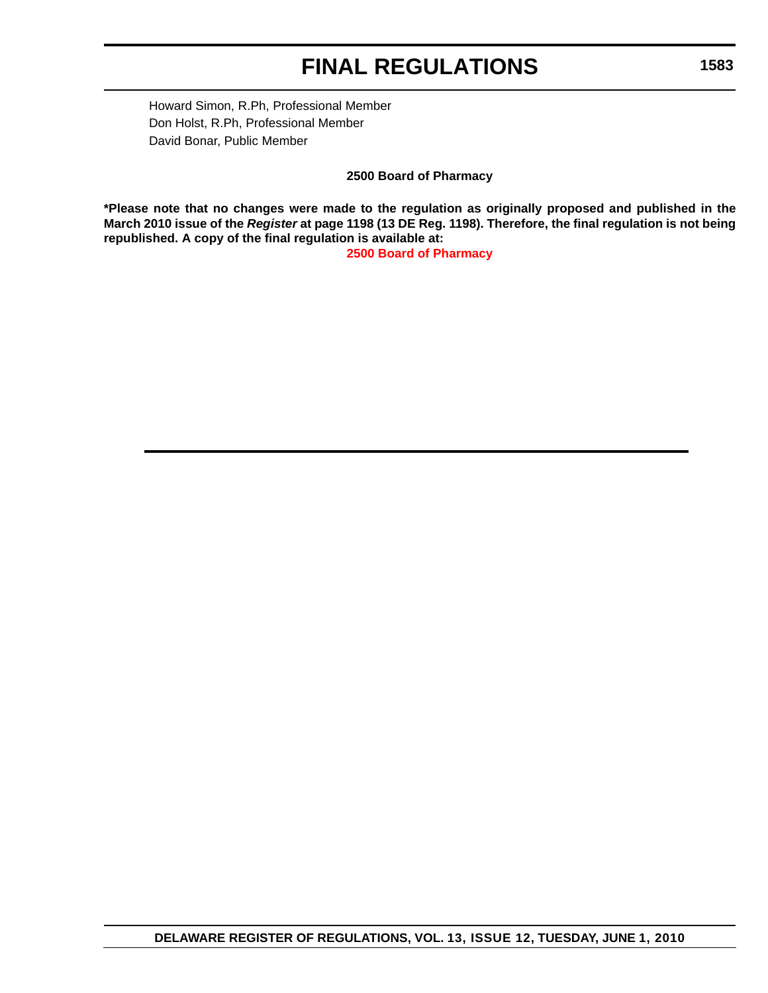Howard Simon, R.Ph, Professional Member Don Holst, R.Ph, Professional Member David Bonar, Public Member

**2500 Board of Pharmacy**

**\*Please note that no changes were made to the regulation as originally proposed and published in the March 2010 issue of the** *Register* **at page 1198 (13 DE Reg. 1198). Therefore, the final regulation is not being republished. A copy of the final regulation is available at:**

**[2500 Board of Pharmacy](http://regulations.delaware.gov/register/june2010/final/13 DE Reg 1581 06-01-10.htm)**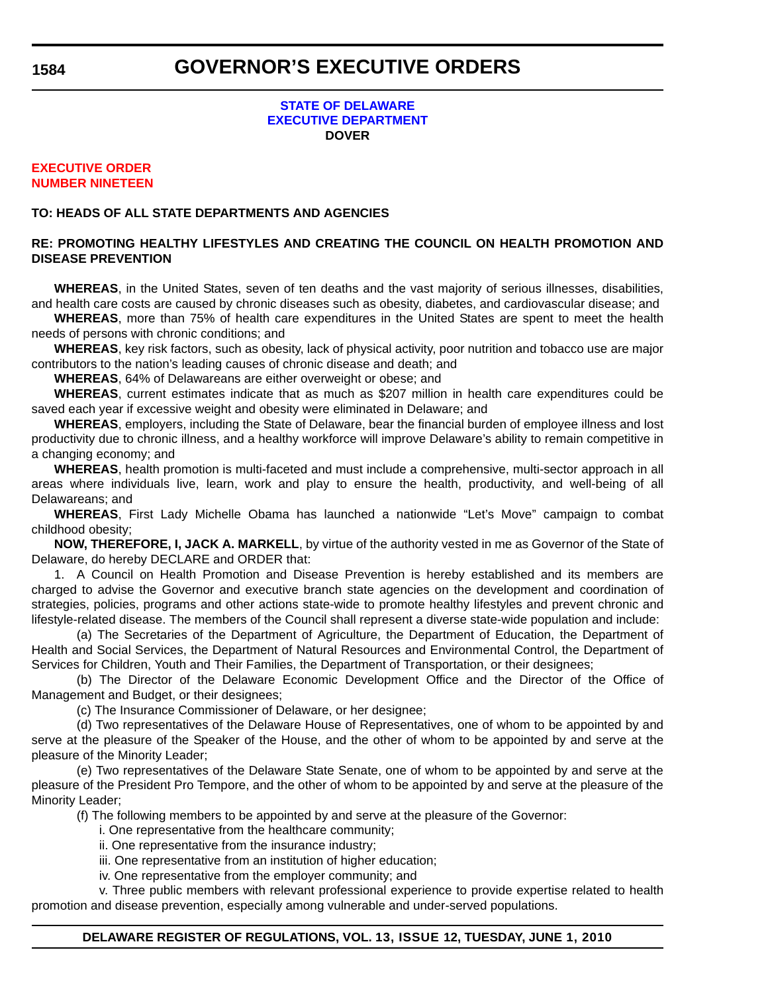### **STATE OF DELAWARE [EXECUTIVE DEPARTMENT](http://governor.delaware.gov/orders/index.shtml) DOVER**

### **EXECUTIVE ORDER [NUMBER NINETEEN](#page-4-0)**

## **TO: HEADS OF ALL STATE DEPARTMENTS AND AGENCIES**

## **RE: PROMOTING HEALTHY LIFESTYLES AND CREATING THE COUNCIL ON HEALTH PROMOTION AND DISEASE PREVENTION**

**WHEREAS**, in the United States, seven of ten deaths and the vast majority of serious illnesses, disabilities, and health care costs are caused by chronic diseases such as obesity, diabetes, and cardiovascular disease; and

**WHEREAS**, more than 75% of health care expenditures in the United States are spent to meet the health needs of persons with chronic conditions; and

**WHEREAS**, key risk factors, such as obesity, lack of physical activity, poor nutrition and tobacco use are major contributors to the nation's leading causes of chronic disease and death; and

**WHEREAS**, 64% of Delawareans are either overweight or obese; and

**WHEREAS**, current estimates indicate that as much as \$207 million in health care expenditures could be saved each year if excessive weight and obesity were eliminated in Delaware; and

**WHEREAS**, employers, including the State of Delaware, bear the financial burden of employee illness and lost productivity due to chronic illness, and a healthy workforce will improve Delaware's ability to remain competitive in a changing economy; and

**WHEREAS**, health promotion is multi-faceted and must include a comprehensive, multi-sector approach in all areas where individuals live, learn, work and play to ensure the health, productivity, and well-being of all Delawareans; and

**WHEREAS**, First Lady Michelle Obama has launched a nationwide "Let's Move" campaign to combat childhood obesity;

**NOW, THEREFORE, I, JACK A. MARKELL**, by virtue of the authority vested in me as Governor of the State of Delaware, do hereby DECLARE and ORDER that:

1. A Council on Health Promotion and Disease Prevention is hereby established and its members are charged to advise the Governor and executive branch state agencies on the development and coordination of strategies, policies, programs and other actions state-wide to promote healthy lifestyles and prevent chronic and lifestyle-related disease. The members of the Council shall represent a diverse state-wide population and include:

(a) The Secretaries of the Department of Agriculture, the Department of Education, the Department of Health and Social Services, the Department of Natural Resources and Environmental Control, the Department of Services for Children, Youth and Their Families, the Department of Transportation, or their designees;

(b) The Director of the Delaware Economic Development Office and the Director of the Office of Management and Budget, or their designees;

(c) The Insurance Commissioner of Delaware, or her designee;

(d) Two representatives of the Delaware House of Representatives, one of whom to be appointed by and serve at the pleasure of the Speaker of the House, and the other of whom to be appointed by and serve at the pleasure of the Minority Leader;

(e) Two representatives of the Delaware State Senate, one of whom to be appointed by and serve at the pleasure of the President Pro Tempore, and the other of whom to be appointed by and serve at the pleasure of the Minority Leader;

(f) The following members to be appointed by and serve at the pleasure of the Governor:

i. One representative from the healthcare community;

ii. One representative from the insurance industry;

iii. One representative from an institution of higher education;

iv. One representative from the employer community; and

v. Three public members with relevant professional experience to provide expertise related to health promotion and disease prevention, especially among vulnerable and under-served populations.

## **DELAWARE REGISTER OF REGULATIONS, VOL. 13, ISSUE 12, TUESDAY, JUNE 1, 2010**

**1584**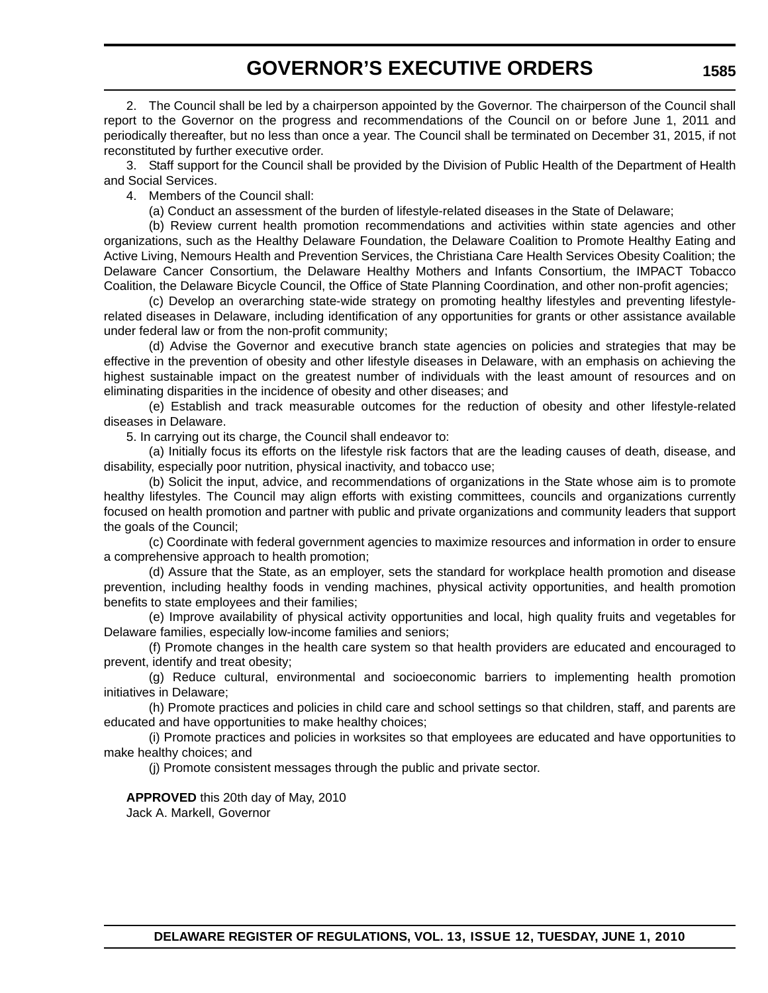## **GOVERNOR'S EXECUTIVE ORDERS**

2. The Council shall be led by a chairperson appointed by the Governor. The chairperson of the Council shall report to the Governor on the progress and recommendations of the Council on or before June 1, 2011 and periodically thereafter, but no less than once a year. The Council shall be terminated on December 31, 2015, if not reconstituted by further executive order.

3. Staff support for the Council shall be provided by the Division of Public Health of the Department of Health and Social Services.

4. Members of the Council shall:

(a) Conduct an assessment of the burden of lifestyle-related diseases in the State of Delaware;

(b) Review current health promotion recommendations and activities within state agencies and other organizations, such as the Healthy Delaware Foundation, the Delaware Coalition to Promote Healthy Eating and Active Living, Nemours Health and Prevention Services, the Christiana Care Health Services Obesity Coalition; the Delaware Cancer Consortium, the Delaware Healthy Mothers and Infants Consortium, the IMPACT Tobacco Coalition, the Delaware Bicycle Council, the Office of State Planning Coordination, and other non-profit agencies;

(c) Develop an overarching state-wide strategy on promoting healthy lifestyles and preventing lifestylerelated diseases in Delaware, including identification of any opportunities for grants or other assistance available under federal law or from the non-profit community;

(d) Advise the Governor and executive branch state agencies on policies and strategies that may be effective in the prevention of obesity and other lifestyle diseases in Delaware, with an emphasis on achieving the highest sustainable impact on the greatest number of individuals with the least amount of resources and on eliminating disparities in the incidence of obesity and other diseases; and

(e) Establish and track measurable outcomes for the reduction of obesity and other lifestyle-related diseases in Delaware.

5. In carrying out its charge, the Council shall endeavor to:

(a) Initially focus its efforts on the lifestyle risk factors that are the leading causes of death, disease, and disability, especially poor nutrition, physical inactivity, and tobacco use;

(b) Solicit the input, advice, and recommendations of organizations in the State whose aim is to promote healthy lifestyles. The Council may align efforts with existing committees, councils and organizations currently focused on health promotion and partner with public and private organizations and community leaders that support the goals of the Council;

(c) Coordinate with federal government agencies to maximize resources and information in order to ensure a comprehensive approach to health promotion;

(d) Assure that the State, as an employer, sets the standard for workplace health promotion and disease prevention, including healthy foods in vending machines, physical activity opportunities, and health promotion benefits to state employees and their families;

(e) Improve availability of physical activity opportunities and local, high quality fruits and vegetables for Delaware families, especially low-income families and seniors;

(f) Promote changes in the health care system so that health providers are educated and encouraged to prevent, identify and treat obesity;

(g) Reduce cultural, environmental and socioeconomic barriers to implementing health promotion initiatives in Delaware;

(h) Promote practices and policies in child care and school settings so that children, staff, and parents are educated and have opportunities to make healthy choices;

(i) Promote practices and policies in worksites so that employees are educated and have opportunities to make healthy choices; and

(j) Promote consistent messages through the public and private sector.

## **APPROVED** this 20th day of May, 2010

Jack A. Markell, Governor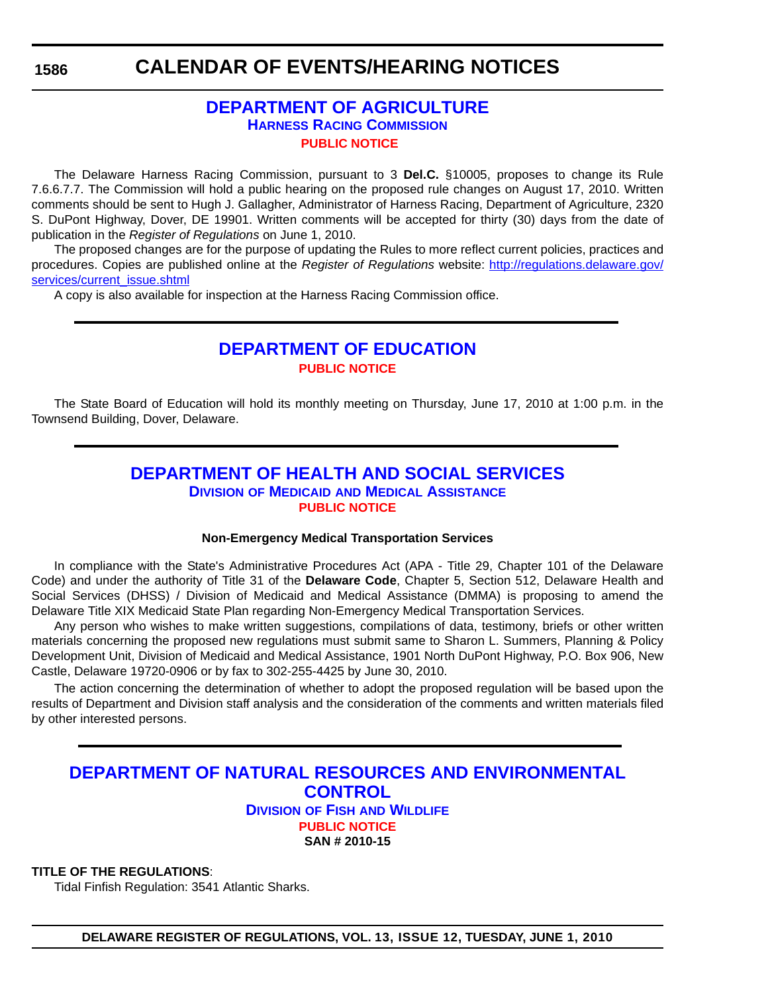## **CALENDAR OF EVENTS/HEARING NOTICES**

## **[DEPARTMENT OF AGRICULTURE](http://dda.delaware.gov/harness/index.shtml) HARNESS RACING COMMISSION [PUBLIC NOTICE](#page-4-0)**

The Delaware Harness Racing Commission, pursuant to 3 **Del.C.** §10005, proposes to change its Rule 7.6.6.7.7. The Commission will hold a public hearing on the proposed rule changes on August 17, 2010. Written comments should be sent to Hugh J. Gallagher, Administrator of Harness Racing, Department of Agriculture, 2320 S. DuPont Highway, Dover, DE 19901. Written comments will be accepted for thirty (30) days from the date of publication in the *Register of Regulations* on June 1, 2010.

The proposed changes are for the purpose of updating the Rules to more reflect current policies, practices and procedures. Copies are published online at the *Register of Regulations* website: http://regulations.delaware.gov/ services/current\_issue.shtml

A copy is also available for inspection at the Harness Racing Commission office.

## **[DEPARTMENT OF EDUCATION](http://www.doe.k12.de.us/) [PUBLIC NOTICE](#page-4-0)**

The State Board of Education will hold its monthly meeting on Thursday, June 17, 2010 at 1:00 p.m. in the Townsend Building, Dover, Delaware.

## **[DEPARTMENT OF HEALTH AND SOCIAL SERVICES](http://www.dhss.delaware.gov/dhss/dmma/) DIVISION OF MEDICAID AND MEDICAL ASSISTANCE [PUBLIC NOTICE](#page-4-0)**

### **Non-Emergency Medical Transportation Services**

In compliance with the State's Administrative Procedures Act (APA - Title 29, Chapter 101 of the Delaware Code) and under the authority of Title 31 of the **Delaware Code**, Chapter 5, Section 512, Delaware Health and Social Services (DHSS) / Division of Medicaid and Medical Assistance (DMMA) is proposing to amend the Delaware Title XIX Medicaid State Plan regarding Non-Emergency Medical Transportation Services.

Any person who wishes to make written suggestions, compilations of data, testimony, briefs or other written materials concerning the proposed new regulations must submit same to Sharon L. Summers, Planning & Policy Development Unit, Division of Medicaid and Medical Assistance, 1901 North DuPont Highway, P.O. Box 906, New Castle, Delaware 19720-0906 or by fax to 302-255-4425 by June 30, 2010.

The action concerning the determination of whether to adopt the proposed regulation will be based upon the results of Department and Division staff analysis and the consideration of the comments and written materials filed by other interested persons.

## **[DEPARTMENT OF NATURAL RESOURCES AND ENVIRONMENTAL](http://www.fw.delaware.gov/Pages/FWPortal.aspx)  CONTROL**

**DIVISION OF FISH AND WILDLIFE [PUBLIC NOTICE](#page-4-0) SAN # 2010-15**

## **TITLE OF THE REGULATIONS**:

Tidal Finfish Regulation: 3541 Atlantic Sharks.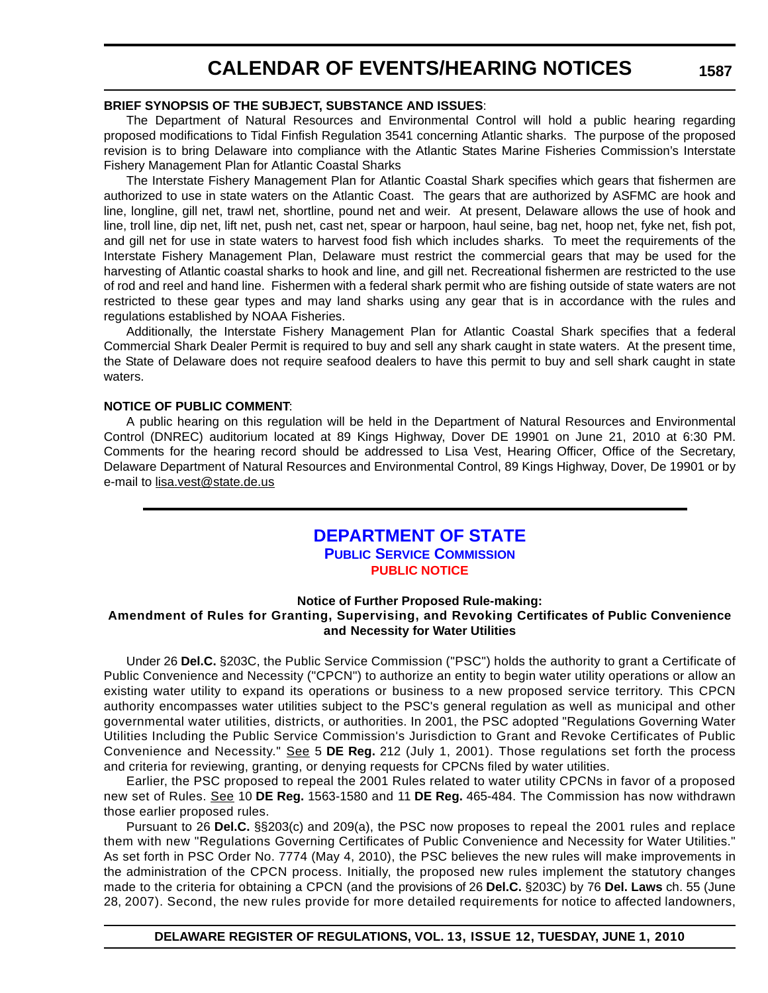## **CALENDAR OF EVENTS/HEARING NOTICES**

#### **BRIEF SYNOPSIS OF THE SUBJECT, SUBSTANCE AND ISSUES**:

The Department of Natural Resources and Environmental Control will hold a public hearing regarding proposed modifications to Tidal Finfish Regulation 3541 concerning Atlantic sharks. The purpose of the proposed revision is to bring Delaware into compliance with the Atlantic States Marine Fisheries Commission's Interstate Fishery Management Plan for Atlantic Coastal Sharks

The Interstate Fishery Management Plan for Atlantic Coastal Shark specifies which gears that fishermen are authorized to use in state waters on the Atlantic Coast. The gears that are authorized by ASFMC are hook and line, longline, gill net, trawl net, shortline, pound net and weir. At present, Delaware allows the use of hook and line, troll line, dip net, lift net, push net, cast net, spear or harpoon, haul seine, bag net, hoop net, fyke net, fish pot, and gill net for use in state waters to harvest food fish which includes sharks. To meet the requirements of the Interstate Fishery Management Plan, Delaware must restrict the commercial gears that may be used for the harvesting of Atlantic coastal sharks to hook and line, and gill net. Recreational fishermen are restricted to the use of rod and reel and hand line. Fishermen with a federal shark permit who are fishing outside of state waters are not restricted to these gear types and may land sharks using any gear that is in accordance with the rules and regulations established by NOAA Fisheries.

 Additionally, the Interstate Fishery Management Plan for Atlantic Coastal Shark specifies that a federal Commercial Shark Dealer Permit is required to buy and sell any shark caught in state waters. At the present time, the State of Delaware does not require seafood dealers to have this permit to buy and sell shark caught in state waters.

### **NOTICE OF PUBLIC COMMENT**:

A public hearing on this regulation will be held in the Department of Natural Resources and Environmental Control (DNREC) auditorium located at 89 Kings Highway, Dover DE 19901 on June 21, 2010 at 6:30 PM. Comments for the hearing record should be addressed to Lisa Vest, Hearing Officer, Office of the Secretary, Delaware Department of Natural Resources and Environmental Control, 89 Kings Highway, Dover, De 19901 or by e-mail to [lisa.vest@state.de.us](mailto:lisa.vest@state.de.us)

## **[DEPARTMENT OF STATE](http://depsc.delaware.gov/default.shtml)**

**PUBLIC SERVICE COMMISSION**

## **[PUBLIC NOTICE](#page-4-0)**

### **Notice of Further Proposed Rule-making: Amendment of Rules for Granting, Supervising, and Revoking Certificates of Public Convenience and Necessity for Water Utilities**

Under 26 **Del.C.** §203C, the Public Service Commission ("PSC") holds the authority to grant a Certificate of Public Convenience and Necessity ("CPCN") to authorize an entity to begin water utility operations or allow an existing water utility to expand its operations or business to a new proposed service territory. This CPCN authority encompasses water utilities subject to the PSC's general regulation as well as municipal and other governmental water utilities, districts, or authorities. In 2001, the PSC adopted "Regulations Governing Water Utilities Including the Public Service Commission's Jurisdiction to Grant and Revoke Certificates of Public Convenience and Necessity." See 5 **DE Reg.** 212 (July 1, 2001). Those regulations set forth the process and criteria for reviewing, granting, or denying requests for CPCNs filed by water utilities.

Earlier, the PSC proposed to repeal the 2001 Rules related to water utility CPCNs in favor of a proposed new set of Rules. See 10 **DE Reg.** 1563-1580 and 11 **DE Reg.** 465-484. The Commission has now withdrawn those earlier proposed rules.

Pursuant to 26 **Del.C.** §§203(c) and 209(a), the PSC now proposes to repeal the 2001 rules and replace them with new "Regulations Governing Certificates of Public Convenience and Necessity for Water Utilities." As set forth in PSC Order No. 7774 (May 4, 2010), the PSC believes the new rules will make improvements in the administration of the CPCN process. Initially, the proposed new rules implement the statutory changes made to the criteria for obtaining a CPCN (and the provisions of 26 **Del.C.** §203C) by 76 **Del. Laws** ch. 55 (June 28, 2007). Second, the new rules provide for more detailed requirements for notice to affected landowners,

**1587**